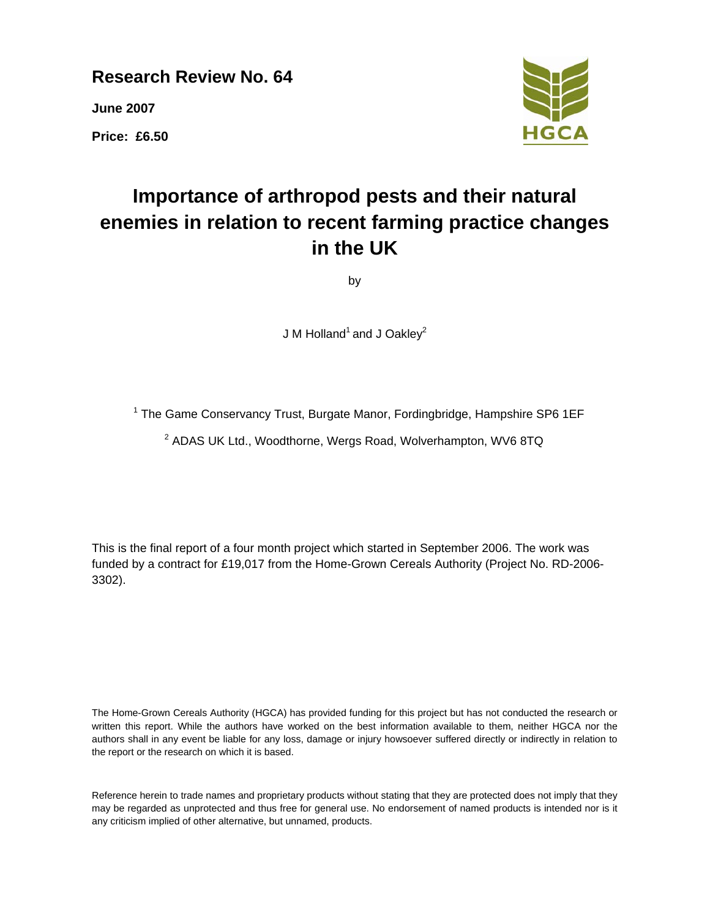**Research Review No. 64** 

**June 2007** 

**Price: £6.50** 



# **Importance of arthropod pests and their natural enemies in relation to recent farming practice changes in the UK**

by

J M Holland<sup>1</sup> and J Oakley<sup>2</sup>

<sup>1</sup> The Game Conservancy Trust, Burgate Manor, Fordingbridge, Hampshire SP6 1EF

<sup>2</sup> ADAS UK Ltd., Woodthorne, Wergs Road, Wolverhampton, WV6 8TQ

This is the final report of a four month project which started in September 2006. The work was funded by a contract for £19,017 from the Home-Grown Cereals Authority (Project No. RD-2006- 3302).

The Home-Grown Cereals Authority (HGCA) has provided funding for this project but has not conducted the research or written this report. While the authors have worked on the best information available to them, neither HGCA nor the authors shall in any event be liable for any loss, damage or injury howsoever suffered directly or indirectly in relation to the report or the research on which it is based.

Reference herein to trade names and proprietary products without stating that they are protected does not imply that they may be regarded as unprotected and thus free for general use. No endorsement of named products is intended nor is it any criticism implied of other alternative, but unnamed, products.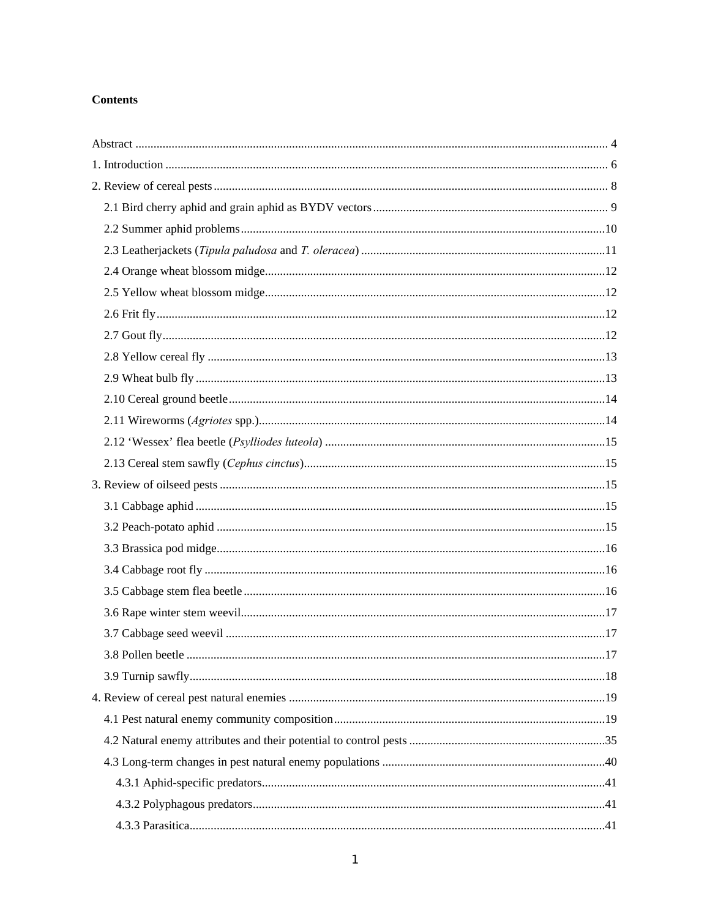# **Contents**

| 17 |
|----|
|    |
|    |
|    |
|    |
|    |
|    |
|    |
|    |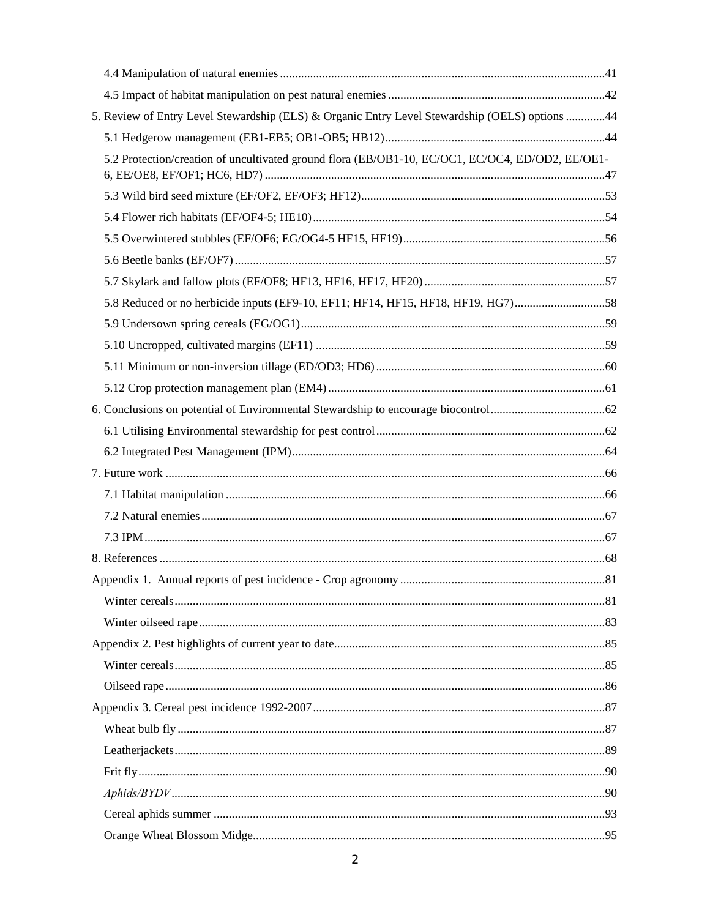| 5. Review of Entry Level Stewardship (ELS) & Organic Entry Level Stewardship (OELS) options 44   |  |
|--------------------------------------------------------------------------------------------------|--|
|                                                                                                  |  |
| 5.2 Protection/creation of uncultivated ground flora (EB/OB1-10, EC/OC1, EC/OC4, ED/OD2, EE/OE1- |  |
|                                                                                                  |  |
|                                                                                                  |  |
|                                                                                                  |  |
|                                                                                                  |  |
|                                                                                                  |  |
| 58. Reduced or no herbicide inputs (EF9-10, EF11; HF14, HF15, HF18, HF19, HG7)58                 |  |
|                                                                                                  |  |
|                                                                                                  |  |
|                                                                                                  |  |
|                                                                                                  |  |
|                                                                                                  |  |
|                                                                                                  |  |
|                                                                                                  |  |
|                                                                                                  |  |
|                                                                                                  |  |
|                                                                                                  |  |
|                                                                                                  |  |
|                                                                                                  |  |
|                                                                                                  |  |
|                                                                                                  |  |
|                                                                                                  |  |
|                                                                                                  |  |
|                                                                                                  |  |
|                                                                                                  |  |
|                                                                                                  |  |
|                                                                                                  |  |
|                                                                                                  |  |
|                                                                                                  |  |
|                                                                                                  |  |
|                                                                                                  |  |
|                                                                                                  |  |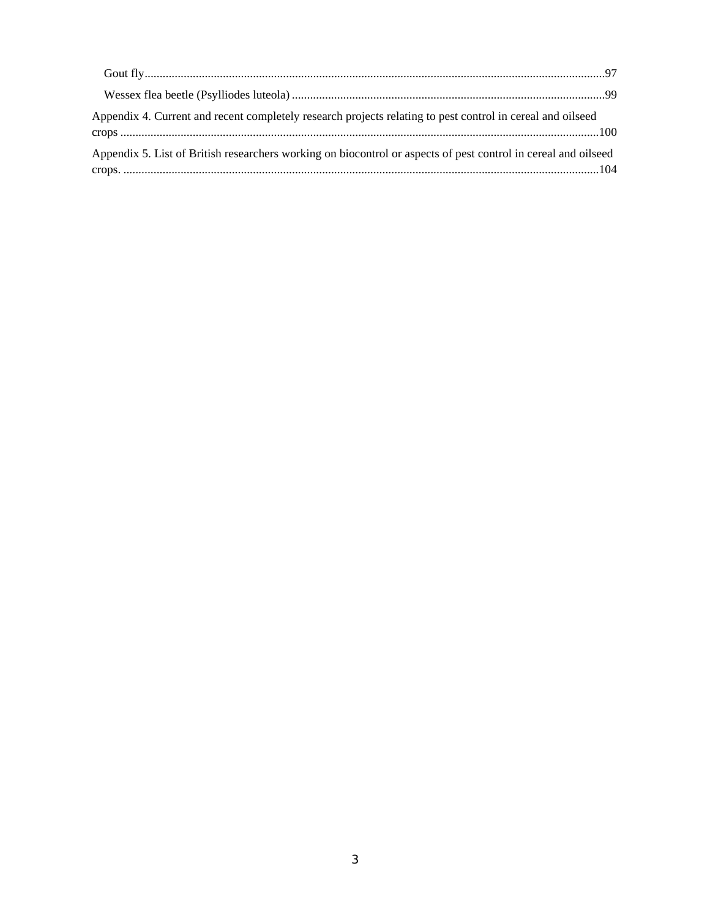| Appendix 4. Current and recent completely research projects relating to pest control in cereal and oilseed     |  |
|----------------------------------------------------------------------------------------------------------------|--|
| Appendix 5. List of British researchers working on biocontrol or aspects of pest control in cereal and oilseed |  |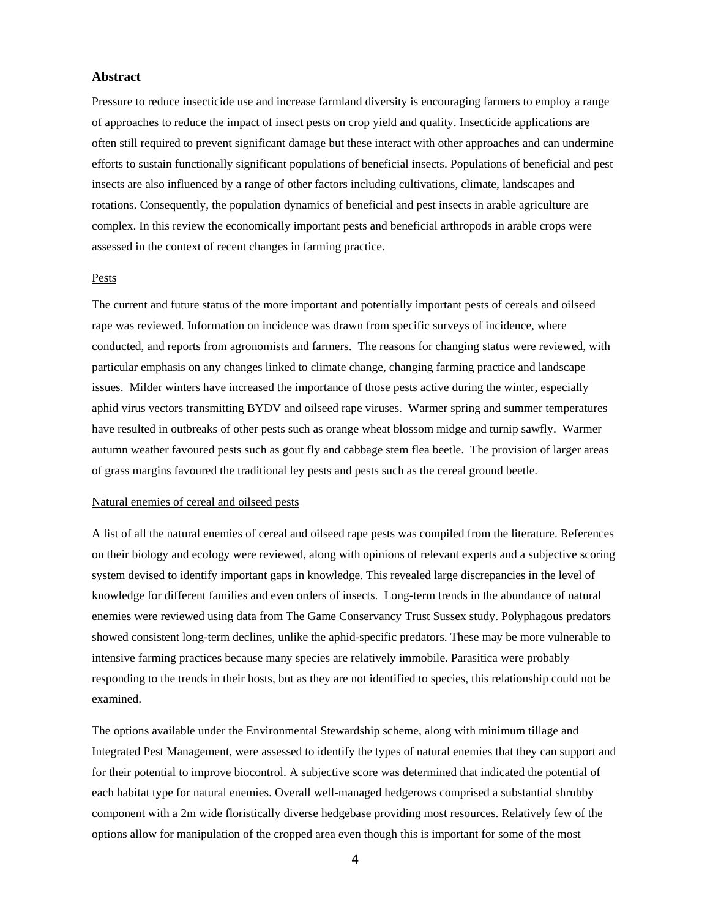# **Abstract**

Pressure to reduce insecticide use and increase farmland diversity is encouraging farmers to employ a range of approaches to reduce the impact of insect pests on crop yield and quality. Insecticide applications are often still required to prevent significant damage but these interact with other approaches and can undermine efforts to sustain functionally significant populations of beneficial insects. Populations of beneficial and pest insects are also influenced by a range of other factors including cultivations, climate, landscapes and rotations. Consequently, the population dynamics of beneficial and pest insects in arable agriculture are complex. In this review the economically important pests and beneficial arthropods in arable crops were assessed in the context of recent changes in farming practice.

#### Pests

The current and future status of the more important and potentially important pests of cereals and oilseed rape was reviewed. Information on incidence was drawn from specific surveys of incidence, where conducted, and reports from agronomists and farmers. The reasons for changing status were reviewed, with particular emphasis on any changes linked to climate change, changing farming practice and landscape issues. Milder winters have increased the importance of those pests active during the winter, especially aphid virus vectors transmitting BYDV and oilseed rape viruses. Warmer spring and summer temperatures have resulted in outbreaks of other pests such as orange wheat blossom midge and turnip sawfly. Warmer autumn weather favoured pests such as gout fly and cabbage stem flea beetle. The provision of larger areas of grass margins favoured the traditional ley pests and pests such as the cereal ground beetle.

#### Natural enemies of cereal and oilseed pests

A list of all the natural enemies of cereal and oilseed rape pests was compiled from the literature. References on their biology and ecology were reviewed, along with opinions of relevant experts and a subjective scoring system devised to identify important gaps in knowledge. This revealed large discrepancies in the level of knowledge for different families and even orders of insects. Long-term trends in the abundance of natural enemies were reviewed using data from The Game Conservancy Trust Sussex study. Polyphagous predators showed consistent long-term declines, unlike the aphid-specific predators. These may be more vulnerable to intensive farming practices because many species are relatively immobile. Parasitica were probably responding to the trends in their hosts, but as they are not identified to species, this relationship could not be examined.

The options available under the Environmental Stewardship scheme, along with minimum tillage and Integrated Pest Management, were assessed to identify the types of natural enemies that they can support and for their potential to improve biocontrol. A subjective score was determined that indicated the potential of each habitat type for natural enemies. Overall well-managed hedgerows comprised a substantial shrubby component with a 2m wide floristically diverse hedgebase providing most resources. Relatively few of the options allow for manipulation of the cropped area even though this is important for some of the most

4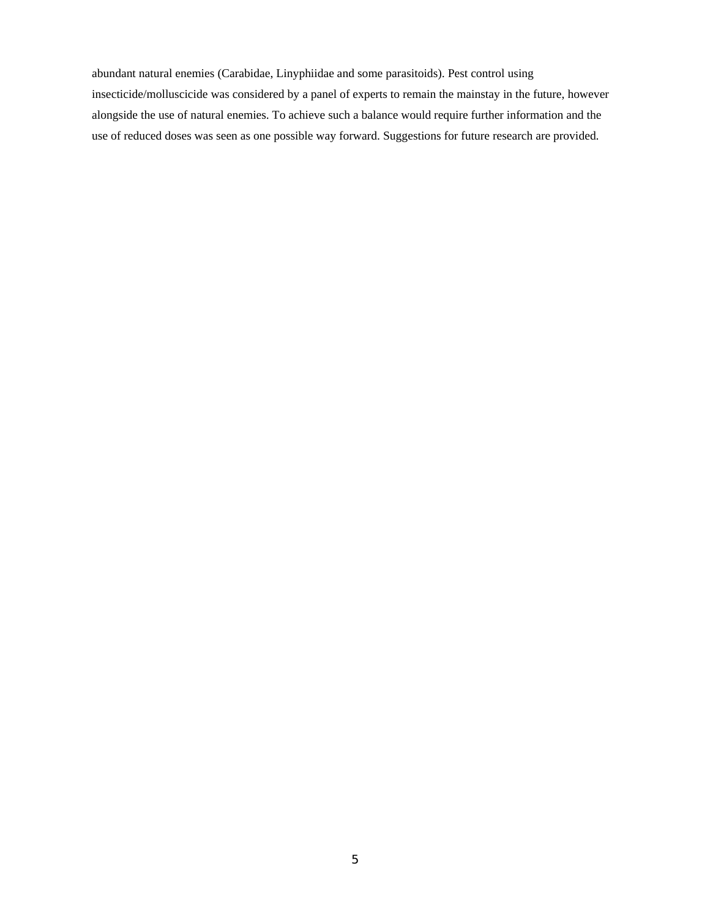abundant natural enemies (Carabidae, Linyphiidae and some parasitoids). Pest control using insecticide/molluscicide was considered by a panel of experts to remain the mainstay in the future, however alongside the use of natural enemies. To achieve such a balance would require further information and the use of reduced doses was seen as one possible way forward. Suggestions for future research are provided.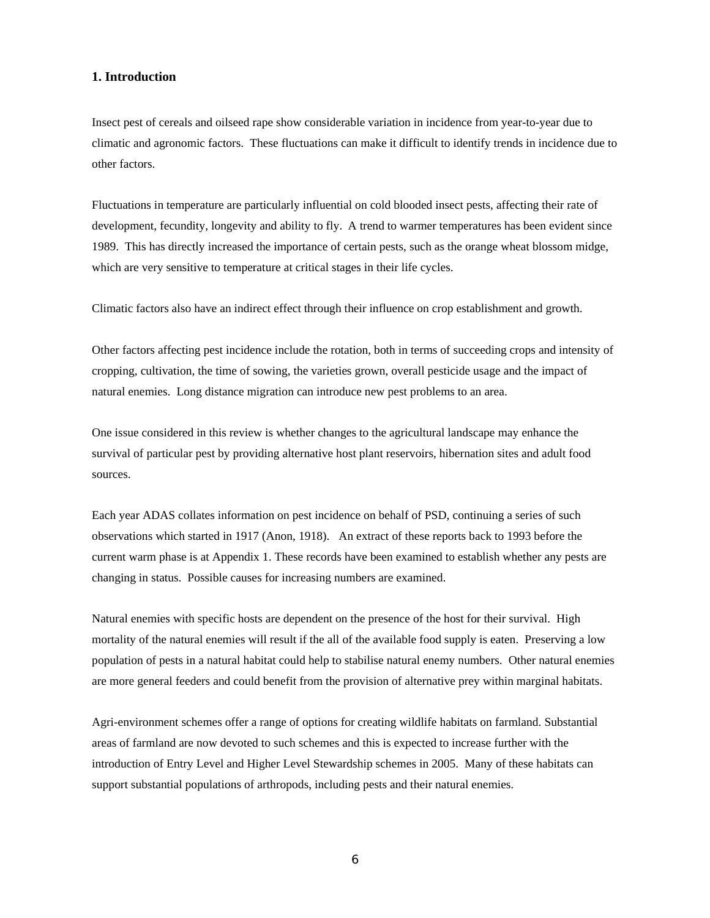# **1. Introduction**

Insect pest of cereals and oilseed rape show considerable variation in incidence from year-to-year due to climatic and agronomic factors. These fluctuations can make it difficult to identify trends in incidence due to other factors.

Fluctuations in temperature are particularly influential on cold blooded insect pests, affecting their rate of development, fecundity, longevity and ability to fly. A trend to warmer temperatures has been evident since 1989. This has directly increased the importance of certain pests, such as the orange wheat blossom midge, which are very sensitive to temperature at critical stages in their life cycles.

Climatic factors also have an indirect effect through their influence on crop establishment and growth.

Other factors affecting pest incidence include the rotation, both in terms of succeeding crops and intensity of cropping, cultivation, the time of sowing, the varieties grown, overall pesticide usage and the impact of natural enemies. Long distance migration can introduce new pest problems to an area.

One issue considered in this review is whether changes to the agricultural landscape may enhance the survival of particular pest by providing alternative host plant reservoirs, hibernation sites and adult food sources.

Each year ADAS collates information on pest incidence on behalf of PSD, continuing a series of such observations which started in 1917 (Anon, 1918). An extract of these reports back to 1993 before the current warm phase is at Appendix 1. These records have been examined to establish whether any pests are changing in status. Possible causes for increasing numbers are examined.

Natural enemies with specific hosts are dependent on the presence of the host for their survival. High mortality of the natural enemies will result if the all of the available food supply is eaten. Preserving a low population of pests in a natural habitat could help to stabilise natural enemy numbers. Other natural enemies are more general feeders and could benefit from the provision of alternative prey within marginal habitats.

Agri-environment schemes offer a range of options for creating wildlife habitats on farmland. Substantial areas of farmland are now devoted to such schemes and this is expected to increase further with the introduction of Entry Level and Higher Level Stewardship schemes in 2005. Many of these habitats can support substantial populations of arthropods, including pests and their natural enemies.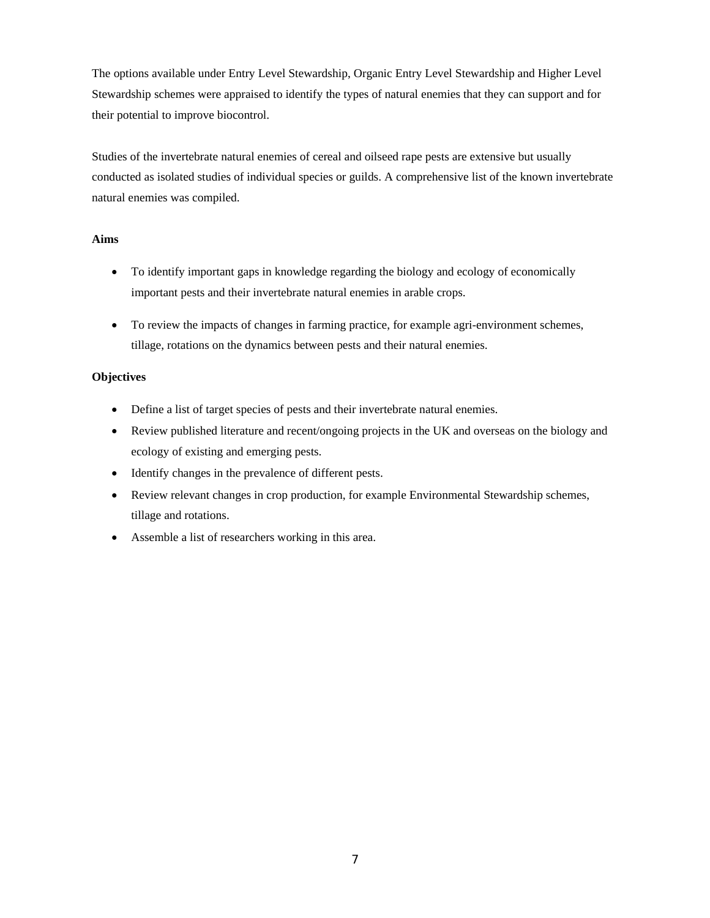The options available under Entry Level Stewardship, Organic Entry Level Stewardship and Higher Level Stewardship schemes were appraised to identify the types of natural enemies that they can support and for their potential to improve biocontrol.

Studies of the invertebrate natural enemies of cereal and oilseed rape pests are extensive but usually conducted as isolated studies of individual species or guilds. A comprehensive list of the known invertebrate natural enemies was compiled.

# **Aims**

- To identify important gaps in knowledge regarding the biology and ecology of economically important pests and their invertebrate natural enemies in arable crops.
- To review the impacts of changes in farming practice, for example agri-environment schemes, tillage, rotations on the dynamics between pests and their natural enemies.

# **Objectives**

- Define a list of target species of pests and their invertebrate natural enemies.
- Review published literature and recent/ongoing projects in the UK and overseas on the biology and ecology of existing and emerging pests.
- Identify changes in the prevalence of different pests.
- Review relevant changes in crop production, for example Environmental Stewardship schemes, tillage and rotations.
- Assemble a list of researchers working in this area.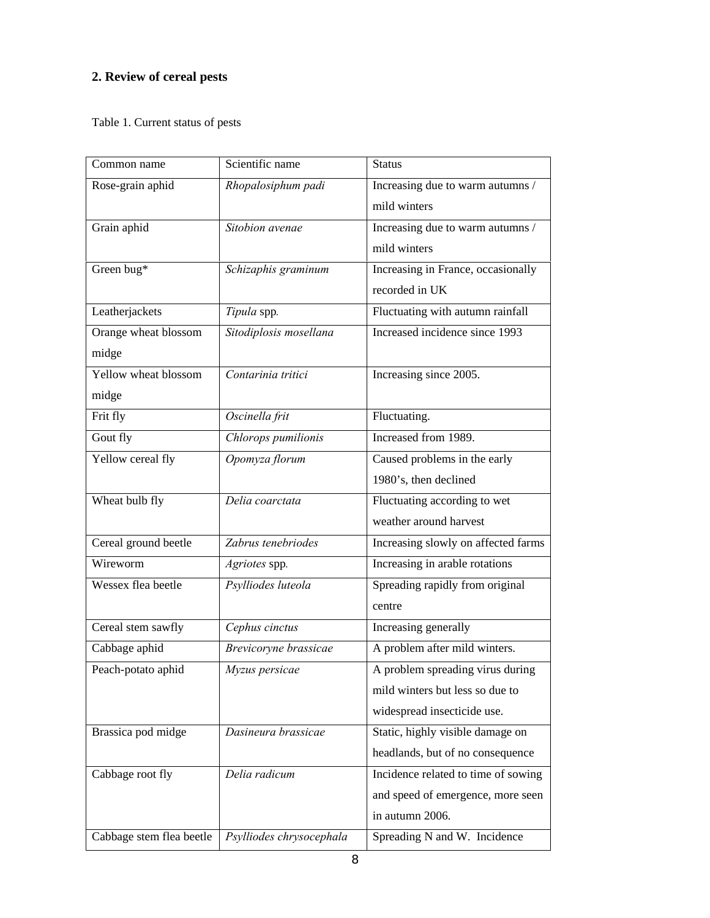# **2. Review of cereal pests**

Table 1. Current status of pests

| Common name              | Scientific name          | <b>Status</b>                       |
|--------------------------|--------------------------|-------------------------------------|
| Rose-grain aphid         | Rhopalosiphum padi       | Increasing due to warm autumns /    |
|                          |                          | mild winters                        |
| Grain aphid              | Sitobion avenae          | Increasing due to warm autumns /    |
|                          |                          | mild winters                        |
| Green bug*               | Schizaphis graminum      | Increasing in France, occasionally  |
|                          |                          | recorded in UK                      |
| Leatherjackets           | Tipula spp.              | Fluctuating with autumn rainfall    |
| Orange wheat blossom     | Sitodiplosis mosellana   | Increased incidence since 1993      |
| midge                    |                          |                                     |
| Yellow wheat blossom     | Contarinia tritici       | Increasing since 2005.              |
| midge                    |                          |                                     |
| Frit fly                 | Oscinella frit           | Fluctuating.                        |
| Gout fly                 | Chlorops pumilionis      | Increased from 1989.                |
| Yellow cereal fly        | Opomyza florum           | Caused problems in the early        |
|                          |                          | 1980's, then declined               |
| Wheat bulb fly           | Delia coarctata          | Fluctuating according to wet        |
|                          |                          | weather around harvest              |
| Cereal ground beetle     | Zabrus tenebriodes       | Increasing slowly on affected farms |
| Wireworm                 | Agriotes spp.            | Increasing in arable rotations      |
| Wessex flea beetle       | Psylliodes luteola       | Spreading rapidly from original     |
|                          |                          | centre                              |
| Cereal stem sawfly       | Cephus cinctus           | Increasing generally                |
| Cabbage aphid            | Brevicoryne brassicae    | A problem after mild winters.       |
| Peach-potato aphid       | Myzus persicae           | A problem spreading virus during    |
|                          |                          | mild winters but less so due to     |
|                          |                          | widespread insecticide use.         |
| Brassica pod midge       | Dasineura brassicae      | Static, highly visible damage on    |
|                          |                          | headlands, but of no consequence    |
| Cabbage root fly         | Delia radicum            | Incidence related to time of sowing |
|                          |                          | and speed of emergence, more seen   |
|                          |                          | in autumn 2006.                     |
| Cabbage stem flea beetle | Psylliodes chrysocephala | Spreading N and W. Incidence        |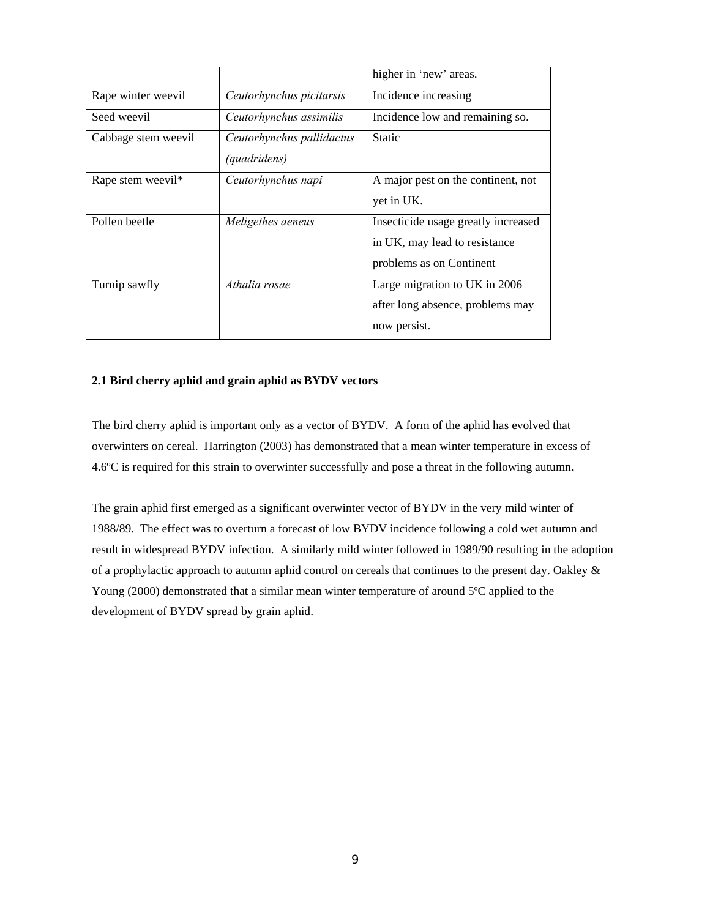|                               |                           | higher in 'new' areas.              |
|-------------------------------|---------------------------|-------------------------------------|
| Rape winter weevil            | Ceutorhynchus picitarsis  | Incidence increasing                |
| Seed weevil                   | Ceutorhynchus assimilis   | Incidence low and remaining so.     |
| Cabbage stem weevil           | Ceutorhynchus pallidactus | <b>Static</b>                       |
|                               | <i>(quadridens)</i>       |                                     |
| Rape stem weevil <sup>*</sup> | Ceutorhynchus napi        | A major pest on the continent, not  |
|                               |                           | yet in UK.                          |
| Pollen beetle                 | Meligethes aeneus         | Insecticide usage greatly increased |
|                               |                           | in UK, may lead to resistance       |
|                               |                           | problems as on Continent            |
| Turnip sawfly                 | Athalia rosae             | Large migration to UK in 2006       |
|                               |                           | after long absence, problems may    |
|                               |                           | now persist.                        |

# **2.1 Bird cherry aphid and grain aphid as BYDV vectors**

The bird cherry aphid is important only as a vector of BYDV. A form of the aphid has evolved that overwinters on cereal. Harrington (2003) has demonstrated that a mean winter temperature in excess of 4.6ºC is required for this strain to overwinter successfully and pose a threat in the following autumn.

The grain aphid first emerged as a significant overwinter vector of BYDV in the very mild winter of 1988/89. The effect was to overturn a forecast of low BYDV incidence following a cold wet autumn and result in widespread BYDV infection. A similarly mild winter followed in 1989/90 resulting in the adoption of a prophylactic approach to autumn aphid control on cereals that continues to the present day. Oakley & Young (2000) demonstrated that a similar mean winter temperature of around 5°C applied to the development of BYDV spread by grain aphid.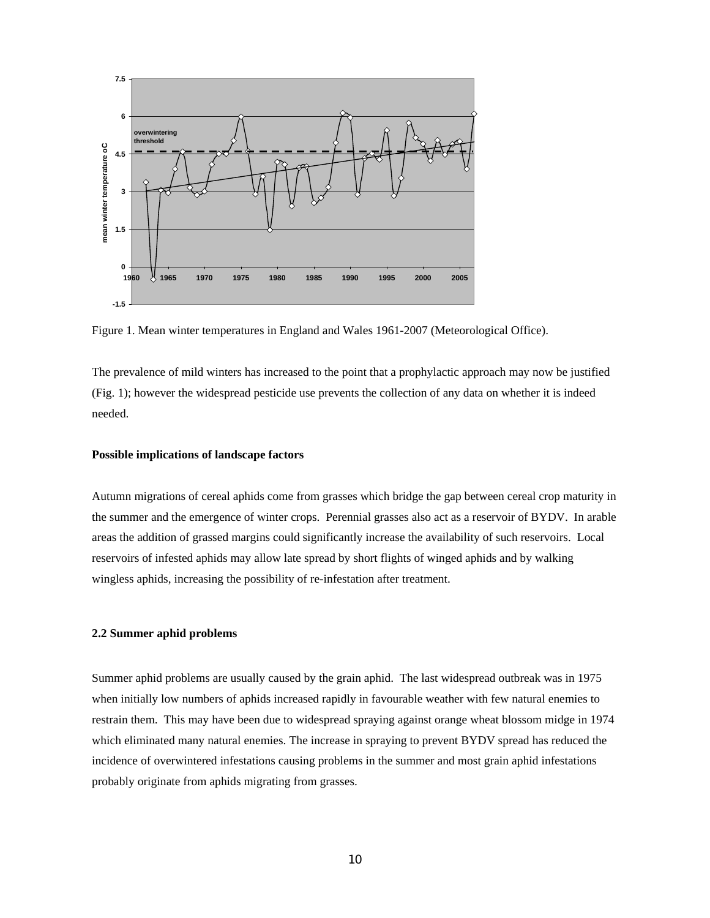

Figure 1. Mean winter temperatures in England and Wales 1961-2007 (Meteorological Office).

The prevalence of mild winters has increased to the point that a prophylactic approach may now be justified (Fig. 1); however the widespread pesticide use prevents the collection of any data on whether it is indeed needed.

#### **Possible implications of landscape factors**

Autumn migrations of cereal aphids come from grasses which bridge the gap between cereal crop maturity in the summer and the emergence of winter crops. Perennial grasses also act as a reservoir of BYDV. In arable areas the addition of grassed margins could significantly increase the availability of such reservoirs. Local reservoirs of infested aphids may allow late spread by short flights of winged aphids and by walking wingless aphids, increasing the possibility of re-infestation after treatment.

#### **2.2 Summer aphid problems**

Summer aphid problems are usually caused by the grain aphid. The last widespread outbreak was in 1975 when initially low numbers of aphids increased rapidly in favourable weather with few natural enemies to restrain them. This may have been due to widespread spraying against orange wheat blossom midge in 1974 which eliminated many natural enemies. The increase in spraying to prevent BYDV spread has reduced the incidence of overwintered infestations causing problems in the summer and most grain aphid infestations probably originate from aphids migrating from grasses.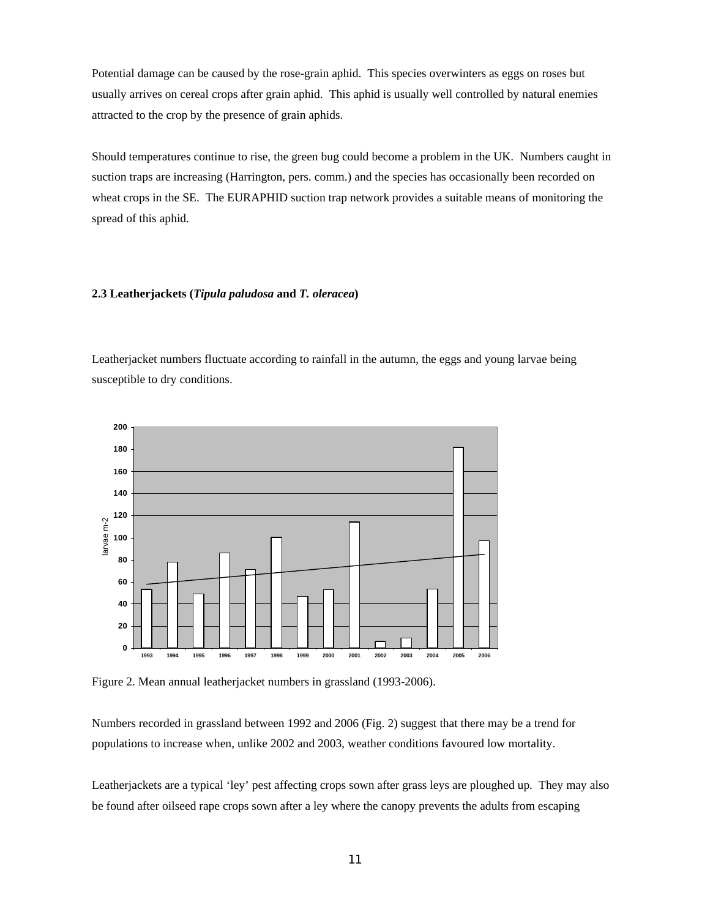Potential damage can be caused by the rose-grain aphid. This species overwinters as eggs on roses but usually arrives on cereal crops after grain aphid. This aphid is usually well controlled by natural enemies attracted to the crop by the presence of grain aphids.

Should temperatures continue to rise, the green bug could become a problem in the UK. Numbers caught in suction traps are increasing (Harrington, pers. comm.) and the species has occasionally been recorded on wheat crops in the SE. The EURAPHID suction trap network provides a suitable means of monitoring the spread of this aphid.

# **2.3 Leatherjackets (***Tipula paludosa* **and** *T. oleracea***)**

Leatherjacket numbers fluctuate according to rainfall in the autumn, the eggs and young larvae being susceptible to dry conditions.



Figure 2. Mean annual leatherjacket numbers in grassland (1993-2006).

Numbers recorded in grassland between 1992 and 2006 (Fig. 2) suggest that there may be a trend for populations to increase when, unlike 2002 and 2003, weather conditions favoured low mortality.

Leatherjackets are a typical 'ley' pest affecting crops sown after grass leys are ploughed up. They may also be found after oilseed rape crops sown after a ley where the canopy prevents the adults from escaping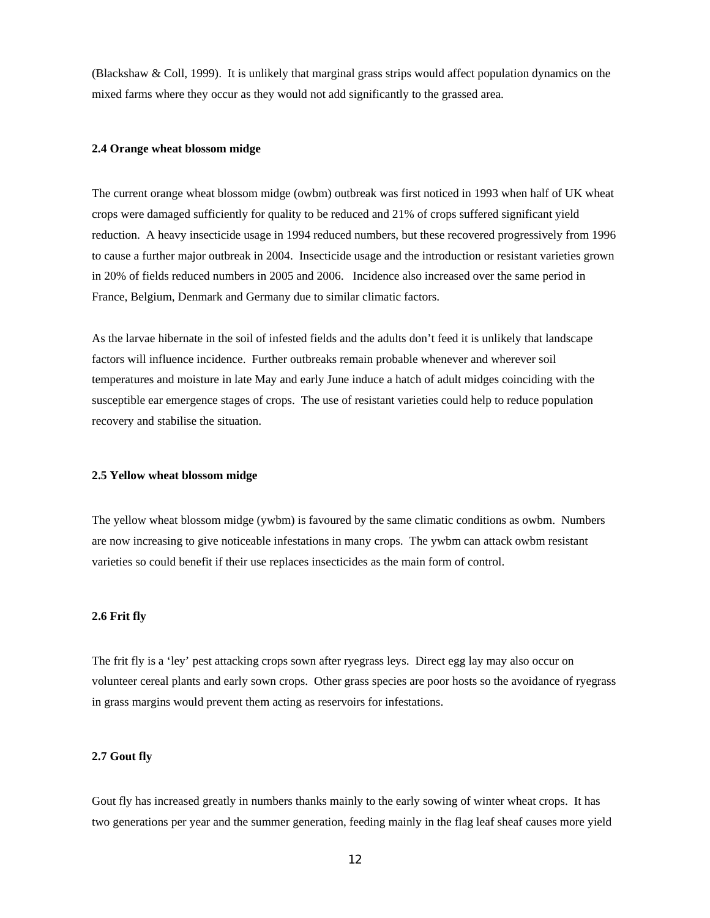(Blackshaw & Coll, 1999). It is unlikely that marginal grass strips would affect population dynamics on the mixed farms where they occur as they would not add significantly to the grassed area.

#### **2.4 Orange wheat blossom midge**

The current orange wheat blossom midge (owbm) outbreak was first noticed in 1993 when half of UK wheat crops were damaged sufficiently for quality to be reduced and 21% of crops suffered significant yield reduction. A heavy insecticide usage in 1994 reduced numbers, but these recovered progressively from 1996 to cause a further major outbreak in 2004. Insecticide usage and the introduction or resistant varieties grown in 20% of fields reduced numbers in 2005 and 2006. Incidence also increased over the same period in France, Belgium, Denmark and Germany due to similar climatic factors.

As the larvae hibernate in the soil of infested fields and the adults don't feed it is unlikely that landscape factors will influence incidence. Further outbreaks remain probable whenever and wherever soil temperatures and moisture in late May and early June induce a hatch of adult midges coinciding with the susceptible ear emergence stages of crops. The use of resistant varieties could help to reduce population recovery and stabilise the situation.

#### **2.5 Yellow wheat blossom midge**

The yellow wheat blossom midge (ywbm) is favoured by the same climatic conditions as owbm. Numbers are now increasing to give noticeable infestations in many crops. The ywbm can attack owbm resistant varieties so could benefit if their use replaces insecticides as the main form of control.

#### **2.6 Frit fly**

The frit fly is a 'ley' pest attacking crops sown after ryegrass leys. Direct egg lay may also occur on volunteer cereal plants and early sown crops. Other grass species are poor hosts so the avoidance of ryegrass in grass margins would prevent them acting as reservoirs for infestations.

#### **2.7 Gout fly**

Gout fly has increased greatly in numbers thanks mainly to the early sowing of winter wheat crops. It has two generations per year and the summer generation, feeding mainly in the flag leaf sheaf causes more yield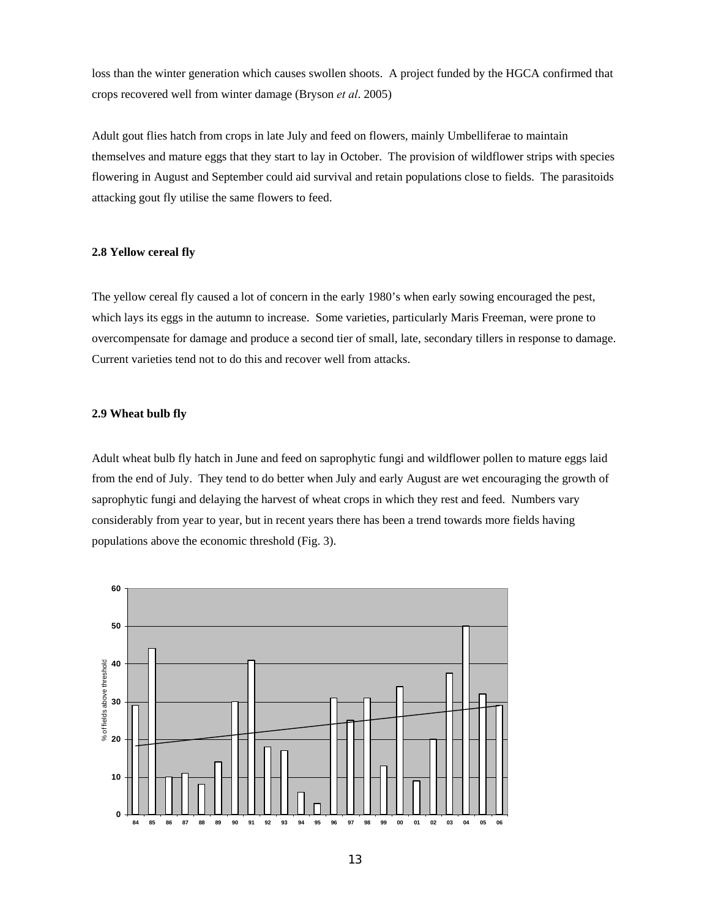loss than the winter generation which causes swollen shoots. A project funded by the HGCA confirmed that crops recovered well from winter damage (Bryson *et al*. 2005)

Adult gout flies hatch from crops in late July and feed on flowers, mainly Umbelliferae to maintain themselves and mature eggs that they start to lay in October. The provision of wildflower strips with species flowering in August and September could aid survival and retain populations close to fields. The parasitoids attacking gout fly utilise the same flowers to feed.

#### **2.8 Yellow cereal fly**

The yellow cereal fly caused a lot of concern in the early 1980's when early sowing encouraged the pest, which lays its eggs in the autumn to increase. Some varieties, particularly Maris Freeman, were prone to overcompensate for damage and produce a second tier of small, late, secondary tillers in response to damage. Current varieties tend not to do this and recover well from attacks.

### **2.9 Wheat bulb fly**

Adult wheat bulb fly hatch in June and feed on saprophytic fungi and wildflower pollen to mature eggs laid from the end of July. They tend to do better when July and early August are wet encouraging the growth of saprophytic fungi and delaying the harvest of wheat crops in which they rest and feed. Numbers vary considerably from year to year, but in recent years there has been a trend towards more fields having populations above the economic threshold (Fig. 3).

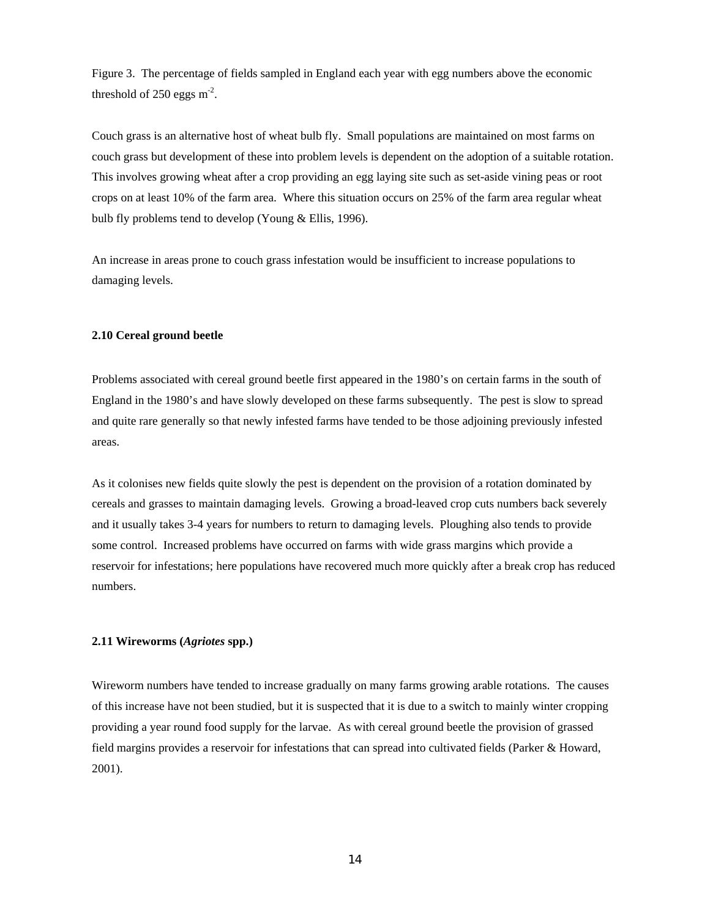Figure 3. The percentage of fields sampled in England each year with egg numbers above the economic threshold of  $250 \text{ eggs} \text{ m}^2$ .

Couch grass is an alternative host of wheat bulb fly. Small populations are maintained on most farms on couch grass but development of these into problem levels is dependent on the adoption of a suitable rotation. This involves growing wheat after a crop providing an egg laying site such as set-aside vining peas or root crops on at least 10% of the farm area. Where this situation occurs on 25% of the farm area regular wheat bulb fly problems tend to develop (Young & Ellis, 1996).

An increase in areas prone to couch grass infestation would be insufficient to increase populations to damaging levels.

#### **2.10 Cereal ground beetle**

Problems associated with cereal ground beetle first appeared in the 1980's on certain farms in the south of England in the 1980's and have slowly developed on these farms subsequently. The pest is slow to spread and quite rare generally so that newly infested farms have tended to be those adjoining previously infested areas.

As it colonises new fields quite slowly the pest is dependent on the provision of a rotation dominated by cereals and grasses to maintain damaging levels. Growing a broad-leaved crop cuts numbers back severely and it usually takes 3-4 years for numbers to return to damaging levels. Ploughing also tends to provide some control. Increased problems have occurred on farms with wide grass margins which provide a reservoir for infestations; here populations have recovered much more quickly after a break crop has reduced numbers.

# **2.11 Wireworms (***Agriotes* **spp.)**

Wireworm numbers have tended to increase gradually on many farms growing arable rotations. The causes of this increase have not been studied, but it is suspected that it is due to a switch to mainly winter cropping providing a year round food supply for the larvae. As with cereal ground beetle the provision of grassed field margins provides a reservoir for infestations that can spread into cultivated fields (Parker & Howard, 2001).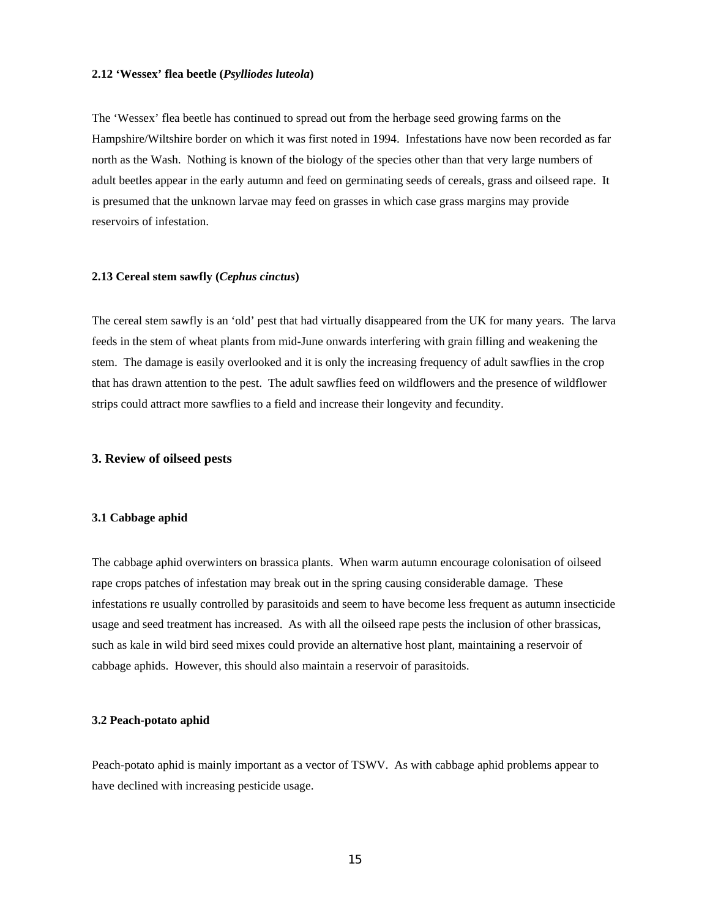#### **2.12 'Wessex' flea beetle (***Psylliodes luteola***)**

The 'Wessex' flea beetle has continued to spread out from the herbage seed growing farms on the Hampshire/Wiltshire border on which it was first noted in 1994. Infestations have now been recorded as far north as the Wash. Nothing is known of the biology of the species other than that very large numbers of adult beetles appear in the early autumn and feed on germinating seeds of cereals, grass and oilseed rape. It is presumed that the unknown larvae may feed on grasses in which case grass margins may provide reservoirs of infestation.

#### **2.13 Cereal stem sawfly (***Cephus cinctus***)**

The cereal stem sawfly is an 'old' pest that had virtually disappeared from the UK for many years. The larva feeds in the stem of wheat plants from mid-June onwards interfering with grain filling and weakening the stem. The damage is easily overlooked and it is only the increasing frequency of adult sawflies in the crop that has drawn attention to the pest. The adult sawflies feed on wildflowers and the presence of wildflower strips could attract more sawflies to a field and increase their longevity and fecundity.

# **3. Review of oilseed pests**

#### **3.1 Cabbage aphid**

The cabbage aphid overwinters on brassica plants. When warm autumn encourage colonisation of oilseed rape crops patches of infestation may break out in the spring causing considerable damage. These infestations re usually controlled by parasitoids and seem to have become less frequent as autumn insecticide usage and seed treatment has increased. As with all the oilseed rape pests the inclusion of other brassicas, such as kale in wild bird seed mixes could provide an alternative host plant, maintaining a reservoir of cabbage aphids. However, this should also maintain a reservoir of parasitoids.

#### **3.2 Peach-potato aphid**

Peach-potato aphid is mainly important as a vector of TSWV. As with cabbage aphid problems appear to have declined with increasing pesticide usage.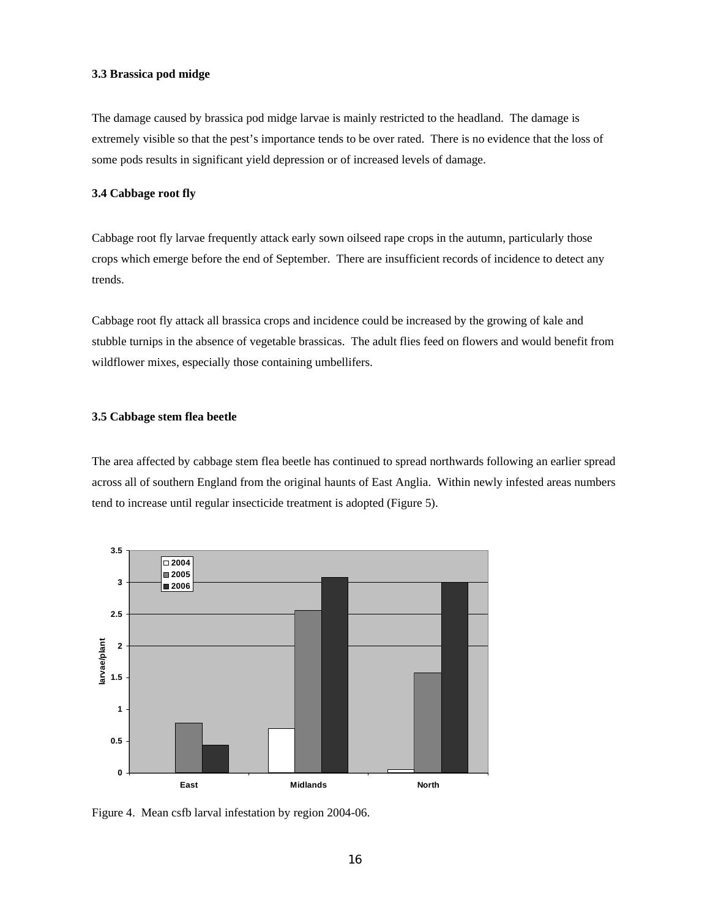#### **3.3 Brassica pod midge**

The damage caused by brassica pod midge larvae is mainly restricted to the headland. The damage is extremely visible so that the pest's importance tends to be over rated. There is no evidence that the loss of some pods results in significant yield depression or of increased levels of damage.

# **3.4 Cabbage root fly**

Cabbage root fly larvae frequently attack early sown oilseed rape crops in the autumn, particularly those crops which emerge before the end of September. There are insufficient records of incidence to detect any trends.

Cabbage root fly attack all brassica crops and incidence could be increased by the growing of kale and stubble turnips in the absence of vegetable brassicas. The adult flies feed on flowers and would benefit from wildflower mixes, especially those containing umbellifers.

## **3.5 Cabbage stem flea beetle**

The area affected by cabbage stem flea beetle has continued to spread northwards following an earlier spread across all of southern England from the original haunts of East Anglia. Within newly infested areas numbers tend to increase until regular insecticide treatment is adopted (Figure 5).



Figure 4. Mean csfb larval infestation by region 2004-06.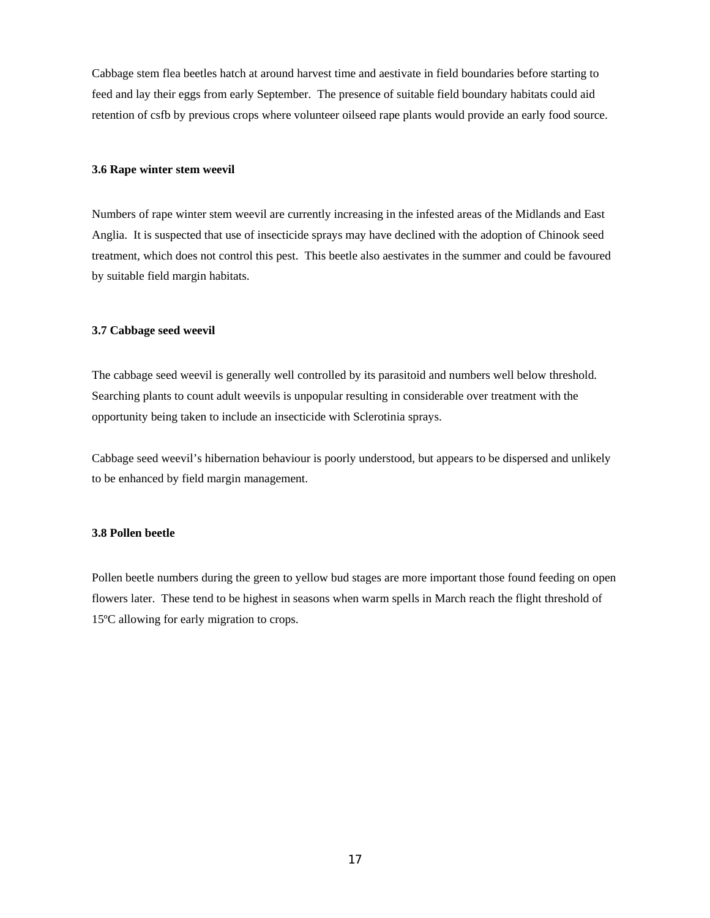Cabbage stem flea beetles hatch at around harvest time and aestivate in field boundaries before starting to feed and lay their eggs from early September. The presence of suitable field boundary habitats could aid retention of csfb by previous crops where volunteer oilseed rape plants would provide an early food source.

#### **3.6 Rape winter stem weevil**

Numbers of rape winter stem weevil are currently increasing in the infested areas of the Midlands and East Anglia. It is suspected that use of insecticide sprays may have declined with the adoption of Chinook seed treatment, which does not control this pest. This beetle also aestivates in the summer and could be favoured by suitable field margin habitats.

#### **3.7 Cabbage seed weevil**

The cabbage seed weevil is generally well controlled by its parasitoid and numbers well below threshold. Searching plants to count adult weevils is unpopular resulting in considerable over treatment with the opportunity being taken to include an insecticide with Sclerotinia sprays.

Cabbage seed weevil's hibernation behaviour is poorly understood, but appears to be dispersed and unlikely to be enhanced by field margin management.

# **3.8 Pollen beetle**

Pollen beetle numbers during the green to yellow bud stages are more important those found feeding on open flowers later. These tend to be highest in seasons when warm spells in March reach the flight threshold of 15ºC allowing for early migration to crops.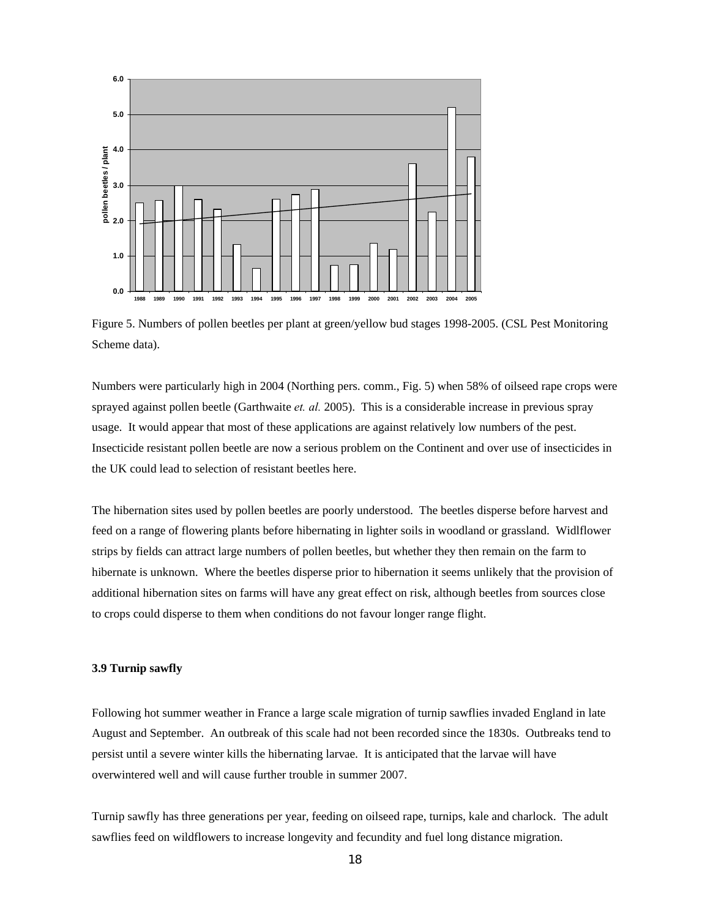

Figure 5. Numbers of pollen beetles per plant at green/yellow bud stages 1998-2005. (CSL Pest Monitoring Scheme data).

Numbers were particularly high in 2004 (Northing pers. comm., Fig. 5) when 58% of oilseed rape crops were sprayed against pollen beetle (Garthwaite *et. al.* 2005). This is a considerable increase in previous spray usage. It would appear that most of these applications are against relatively low numbers of the pest. Insecticide resistant pollen beetle are now a serious problem on the Continent and over use of insecticides in the UK could lead to selection of resistant beetles here.

The hibernation sites used by pollen beetles are poorly understood. The beetles disperse before harvest and feed on a range of flowering plants before hibernating in lighter soils in woodland or grassland. Widlflower strips by fields can attract large numbers of pollen beetles, but whether they then remain on the farm to hibernate is unknown. Where the beetles disperse prior to hibernation it seems unlikely that the provision of additional hibernation sites on farms will have any great effect on risk, although beetles from sources close to crops could disperse to them when conditions do not favour longer range flight.

# **3.9 Turnip sawfly**

Following hot summer weather in France a large scale migration of turnip sawflies invaded England in late August and September. An outbreak of this scale had not been recorded since the 1830s. Outbreaks tend to persist until a severe winter kills the hibernating larvae. It is anticipated that the larvae will have overwintered well and will cause further trouble in summer 2007.

Turnip sawfly has three generations per year, feeding on oilseed rape, turnips, kale and charlock. The adult sawflies feed on wildflowers to increase longevity and fecundity and fuel long distance migration.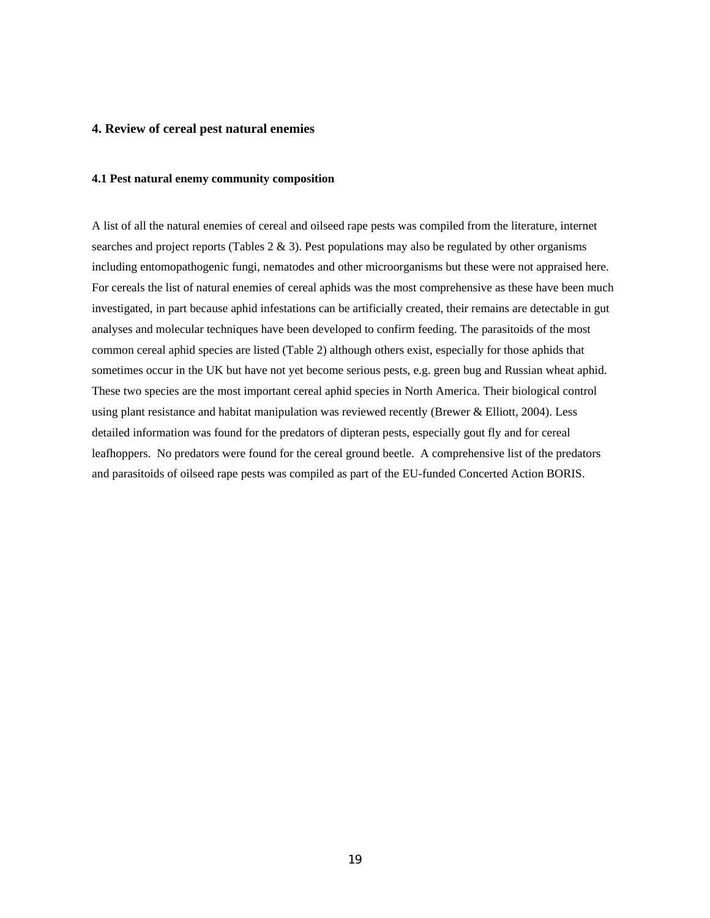# **4. Review of cereal pest natural enemies**

#### **4.1 Pest natural enemy community composition**

A list of all the natural enemies of cereal and oilseed rape pests was compiled from the literature, internet searches and project reports (Tables  $2 \& 3$ ). Pest populations may also be regulated by other organisms including entomopathogenic fungi, nematodes and other microorganisms but these were not appraised here. For cereals the list of natural enemies of cereal aphids was the most comprehensive as these have been much investigated, in part because aphid infestations can be artificially created, their remains are detectable in gut analyses and molecular techniques have been developed to confirm feeding. The parasitoids of the most common cereal aphid species are listed (Table 2) although others exist, especially for those aphids that sometimes occur in the UK but have not yet become serious pests, e.g. green bug and Russian wheat aphid. These two species are the most important cereal aphid species in North America. Their biological control using plant resistance and habitat manipulation was reviewed recently (Brewer & Elliott, 2004). Less detailed information was found for the predators of dipteran pests, especially gout fly and for cereal leafhoppers. No predators were found for the cereal ground beetle. A comprehensive list of the predators and parasitoids of oilseed rape pests was compiled as part of the EU-funded Concerted Action BORIS.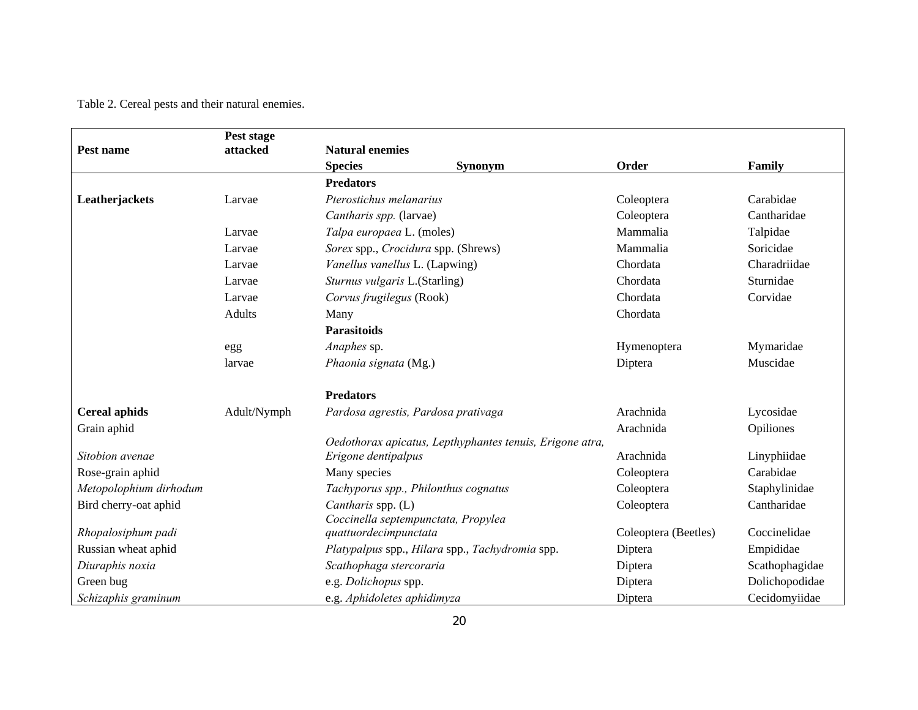Table 2. Cereal pests and their natural enemies.

|                        | Pest stage    |                                                 |                                                          |                      |                |
|------------------------|---------------|-------------------------------------------------|----------------------------------------------------------|----------------------|----------------|
| Pest name              | attacked      | <b>Natural enemies</b>                          |                                                          |                      |                |
|                        |               | <b>Species</b>                                  | <b>Synonym</b>                                           | Order                | Family         |
|                        |               | <b>Predators</b>                                |                                                          |                      |                |
| Leatherjackets         | Larvae        | Pterostichus melanarius                         |                                                          | Coleoptera           | Carabidae      |
|                        |               | Cantharis spp. (larvae)                         |                                                          | Coleoptera           | Cantharidae    |
|                        | Larvae        | Talpa europaea L. (moles)                       |                                                          | Mammalia             | Talpidae       |
|                        | Larvae        | Sorex spp., Crocidura spp. (Shrews)             |                                                          | Mammalia             | Soricidae      |
|                        | Larvae        | Vanellus vanellus L. (Lapwing)                  |                                                          | Chordata             | Charadriidae   |
|                        | Larvae        | Sturnus vulgaris L.(Starling)                   |                                                          | Chordata             | Sturnidae      |
|                        | Larvae        | Corvus frugilegus (Rook)                        |                                                          | Chordata             | Corvidae       |
|                        | <b>Adults</b> | Many                                            |                                                          | Chordata             |                |
|                        |               | <b>Parasitoids</b>                              |                                                          |                      |                |
|                        | egg           | Anaphes sp.                                     |                                                          | Hymenoptera          | Mymaridae      |
|                        | larvae        | Phaonia signata (Mg.)                           |                                                          | Diptera              | Muscidae       |
|                        |               | <b>Predators</b>                                |                                                          |                      |                |
| <b>Cereal aphids</b>   | Adult/Nymph   | Pardosa agrestis, Pardosa prativaga             |                                                          | Arachnida            | Lycosidae      |
| Grain aphid            |               |                                                 |                                                          | Arachnida            | Opiliones      |
|                        |               |                                                 | Oedothorax apicatus, Lepthyphantes tenuis, Erigone atra, |                      |                |
| Sitobion avenae        |               | Erigone dentipalpus                             |                                                          | Arachnida            | Linyphiidae    |
| Rose-grain aphid       |               | Many species                                    |                                                          | Coleoptera           | Carabidae      |
| Metopolophium dirhodum |               | Tachyporus spp., Philonthus cognatus            |                                                          | Coleoptera           | Staphylinidae  |
| Bird cherry-oat aphid  |               | Cantharis spp. (L)                              |                                                          | Coleoptera           | Cantharidae    |
|                        |               | Coccinella septempunctata, Propylea             |                                                          |                      | Coccinelidae   |
| Rhopalosiphum padi     |               | quattuordecimpunctata                           |                                                          | Coleoptera (Beetles) |                |
| Russian wheat aphid    |               | Platypalpus spp., Hilara spp., Tachydromia spp. |                                                          | Diptera              | Empididae      |
| Diuraphis noxia        |               | Scathophaga stercoraria                         |                                                          | Diptera              | Scathophagidae |
| Green bug              |               | e.g. Dolichopus spp.                            |                                                          | Diptera              | Dolichopodidae |
| Schizaphis graminum    |               | e.g. Aphidoletes aphidimyza                     |                                                          | Diptera              | Cecidomyiidae  |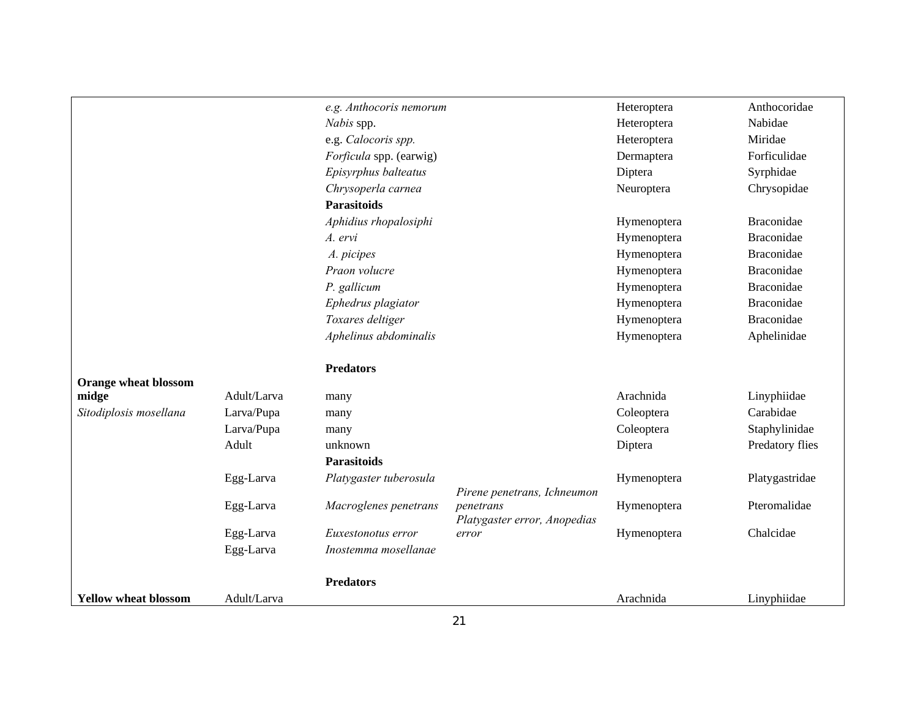|                             |             | e.g. Anthocoris nemorum |                                          | Heteroptera | Anthocoridae      |
|-----------------------------|-------------|-------------------------|------------------------------------------|-------------|-------------------|
|                             |             | Nabis spp.              |                                          | Heteroptera | Nabidae           |
|                             |             | e.g. Calocoris spp.     |                                          | Heteroptera | Miridae           |
|                             |             | Forficula spp. (earwig) |                                          | Dermaptera  | Forficulidae      |
|                             |             | Episyrphus balteatus    |                                          | Diptera     | Syrphidae         |
|                             |             | Chrysoperla carnea      |                                          | Neuroptera  | Chrysopidae       |
|                             |             | <b>Parasitoids</b>      |                                          |             |                   |
|                             |             | Aphidius rhopalosiphi   |                                          | Hymenoptera | <b>Braconidae</b> |
|                             |             | A. ervi                 |                                          | Hymenoptera | <b>Braconidae</b> |
|                             |             | A. picipes              |                                          | Hymenoptera | <b>Braconidae</b> |
|                             |             | Praon volucre           |                                          | Hymenoptera | <b>Braconidae</b> |
|                             |             | P. gallicum             |                                          | Hymenoptera | <b>Braconidae</b> |
|                             |             | Ephedrus plagiator      |                                          | Hymenoptera | <b>Braconidae</b> |
|                             |             | Toxares deltiger        |                                          | Hymenoptera | <b>Braconidae</b> |
|                             |             | Aphelinus abdominalis   |                                          | Hymenoptera | Aphelinidae       |
|                             |             | <b>Predators</b>        |                                          |             |                   |
| <b>Orange wheat blossom</b> |             |                         |                                          |             |                   |
| midge                       | Adult/Larva | many                    |                                          | Arachnida   | Linyphiidae       |
| Sitodiplosis mosellana      | Larva/Pupa  | many                    |                                          | Coleoptera  | Carabidae         |
|                             | Larva/Pupa  | many                    |                                          | Coleoptera  | Staphylinidae     |
|                             | Adult       | unknown                 |                                          | Diptera     | Predatory flies   |
|                             |             | <b>Parasitoids</b>      |                                          |             |                   |
|                             | Egg-Larva   | Platygaster tuberosula  |                                          | Hymenoptera | Platygastridae    |
|                             | Egg-Larva   | Macroglenes penetrans   | Pirene penetrans, Ichneumon<br>penetrans | Hymenoptera | Pteromalidae      |
|                             |             |                         | Platygaster error, Anopedias             |             |                   |
|                             | Egg-Larva   | Euxestonotus error      | error                                    | Hymenoptera | Chalcidae         |
|                             | Egg-Larva   | Inostemma mosellanae    |                                          |             |                   |
|                             |             | <b>Predators</b>        |                                          |             |                   |
| <b>Yellow wheat blossom</b> | Adult/Larva |                         |                                          | Arachnida   | Linyphiidae       |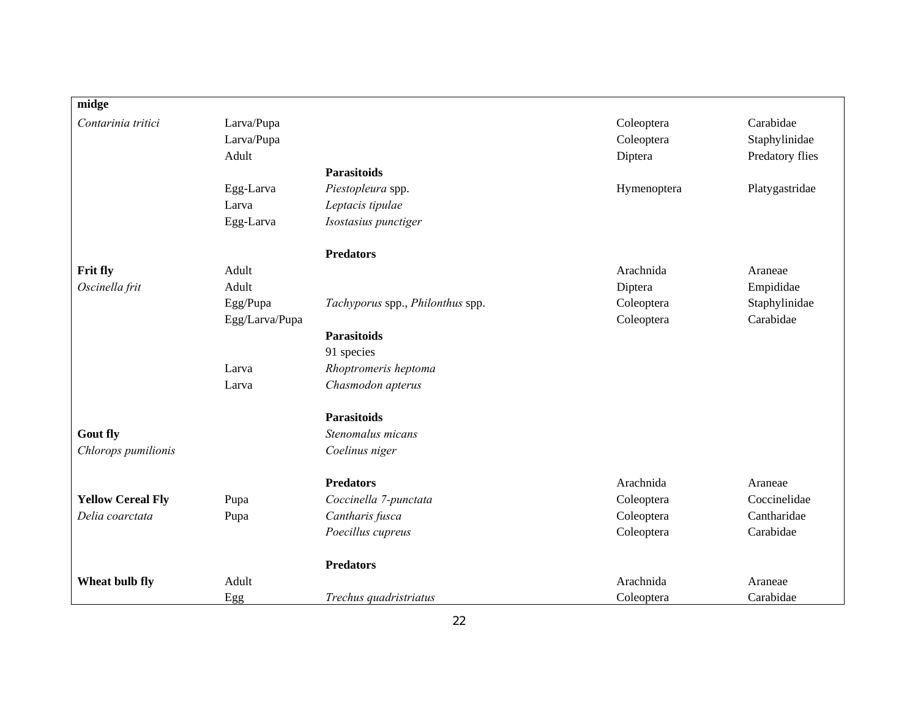| midge                    |                |                                  |             |                 |
|--------------------------|----------------|----------------------------------|-------------|-----------------|
| Contarinia tritici       | Larva/Pupa     |                                  | Coleoptera  | Carabidae       |
|                          | Larva/Pupa     |                                  | Coleoptera  | Staphylinidae   |
|                          | Adult          |                                  | Diptera     | Predatory flies |
|                          |                | <b>Parasitoids</b>               |             |                 |
|                          | Egg-Larva      | Piestopleura spp.                | Hymenoptera | Platygastridae  |
|                          | Larva          | Leptacis tipulae                 |             |                 |
|                          | Egg-Larva      | Isostasius punctiger             |             |                 |
|                          |                | <b>Predators</b>                 |             |                 |
| Frit fly                 | Adult          |                                  | Arachnida   | Araneae         |
| Oscinella frit           | Adult          |                                  | Diptera     | Empididae       |
|                          | Egg/Pupa       | Tachyporus spp., Philonthus spp. | Coleoptera  | Staphylinidae   |
|                          | Egg/Larva/Pupa |                                  | Coleoptera  | Carabidae       |
|                          |                | <b>Parasitoids</b>               |             |                 |
|                          |                | 91 species                       |             |                 |
|                          | Larva          | Rhoptromeris heptoma             |             |                 |
|                          | Larva          | Chasmodon apterus                |             |                 |
|                          |                | <b>Parasitoids</b>               |             |                 |
| <b>Gout fly</b>          |                | Stenomalus micans                |             |                 |
| Chlorops pumilionis      |                | Coelinus niger                   |             |                 |
|                          |                | <b>Predators</b>                 | Arachnida   | Araneae         |
| <b>Yellow Cereal Fly</b> | Pupa           | Coccinella 7-punctata            | Coleoptera  | Coccinelidae    |
| Delia coarctata          | Pupa           | Cantharis fusca                  | Coleoptera  | Cantharidae     |
|                          |                | Poecillus cupreus                | Coleoptera  | Carabidae       |
|                          |                | <b>Predators</b>                 |             |                 |
| Wheat bulb fly           | Adult          |                                  | Arachnida   | Araneae         |
|                          | Egg            | Trechus quadristriatus           | Coleoptera  | Carabidae       |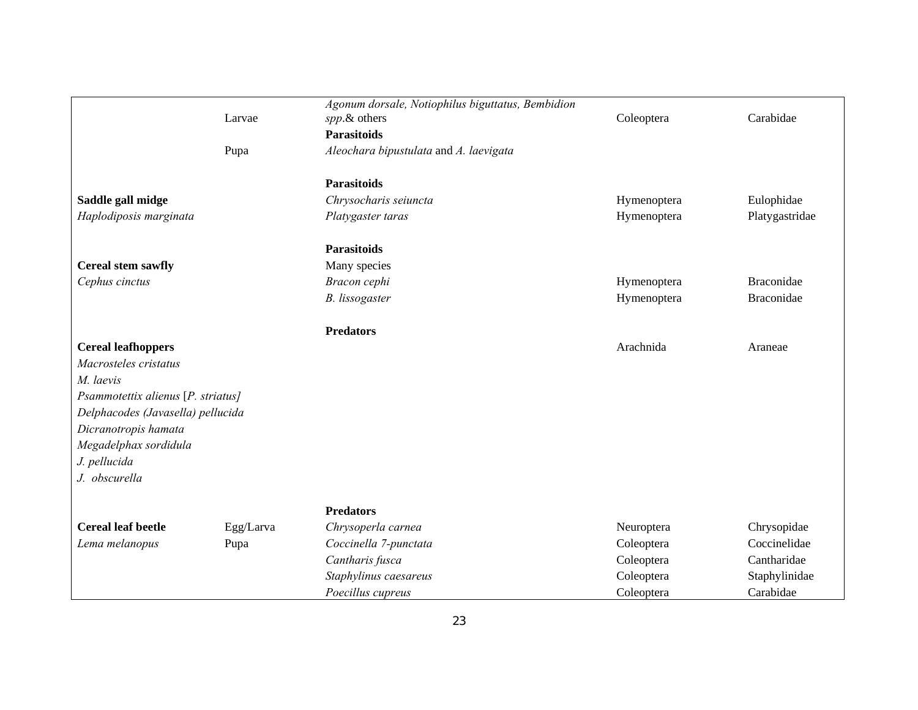|                                    |           | Agonum dorsale, Notiophilus biguttatus, Bembidion |             |                |
|------------------------------------|-----------|---------------------------------------------------|-------------|----------------|
|                                    | Larvae    | spp.& others                                      | Coleoptera  | Carabidae      |
|                                    |           | <b>Parasitoids</b>                                |             |                |
|                                    | Pupa      | Aleochara bipustulata and A. laevigata            |             |                |
|                                    |           | <b>Parasitoids</b>                                |             |                |
| Saddle gall midge                  |           | Chrysocharis seiuncta                             | Hymenoptera | Eulophidae     |
| Haplodiposis marginata             |           | Platygaster taras                                 | Hymenoptera | Platygastridae |
|                                    |           |                                                   |             |                |
|                                    |           | <b>Parasitoids</b>                                |             |                |
| Cereal stem sawfly                 |           | Many species                                      |             |                |
| Cephus cinctus                     |           | Bracon cephi                                      | Hymenoptera | Braconidae     |
|                                    |           | <b>B.</b> lissogaster                             | Hymenoptera | Braconidae     |
|                                    |           | <b>Predators</b>                                  |             |                |
| <b>Cereal leafhoppers</b>          |           |                                                   | Arachnida   | Araneae        |
| Macrosteles cristatus              |           |                                                   |             |                |
| M. laevis                          |           |                                                   |             |                |
| Psammotettix alienus [P. striatus] |           |                                                   |             |                |
| Delphacodes (Javasella) pellucida  |           |                                                   |             |                |
| Dicranotropis hamata               |           |                                                   |             |                |
| Megadelphax sordidula              |           |                                                   |             |                |
| J. pellucida                       |           |                                                   |             |                |
| J. obscurella                      |           |                                                   |             |                |
|                                    |           | <b>Predators</b>                                  |             |                |
| <b>Cereal leaf beetle</b>          | Egg/Larva | Chrysoperla carnea                                | Neuroptera  | Chrysopidae    |
| Lema melanopus                     | Pupa      | Coccinella 7-punctata                             | Coleoptera  | Coccinelidae   |
|                                    |           | Cantharis fusca                                   | Coleoptera  | Cantharidae    |
|                                    |           | Staphylinus caesareus                             | Coleoptera  | Staphylinidae  |
|                                    |           | Poecillus cupreus                                 | Coleoptera  | Carabidae      |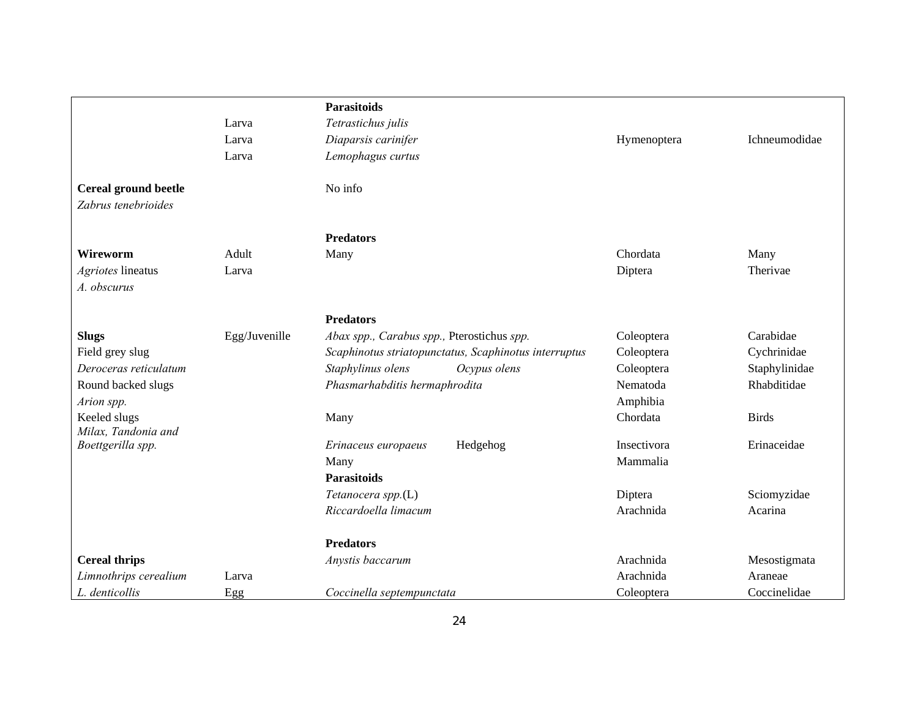|                                     |               | <b>Parasitoids</b>                                    |             |               |
|-------------------------------------|---------------|-------------------------------------------------------|-------------|---------------|
|                                     | Larva         | Tetrastichus julis                                    |             |               |
|                                     | Larva         | Diaparsis carinifer                                   | Hymenoptera | Ichneumodidae |
|                                     | Larva         | Lemophagus curtus                                     |             |               |
| Cereal ground beetle                |               | No info                                               |             |               |
| Zabrus tenebrioides                 |               |                                                       |             |               |
|                                     |               | <b>Predators</b>                                      |             |               |
| <b>Wireworm</b>                     | Adult         | Many                                                  | Chordata    | Many          |
| Agriotes lineatus                   | Larva         |                                                       | Diptera     | Therivae      |
| A. obscurus                         |               |                                                       |             |               |
|                                     |               | <b>Predators</b>                                      |             |               |
| <b>Slugs</b>                        | Egg/Juvenille | Abax spp., Carabus spp., Pterostichus spp.            | Coleoptera  | Carabidae     |
| Field grey slug                     |               | Scaphinotus striatopunctatus, Scaphinotus interruptus | Coleoptera  | Cychrinidae   |
| Deroceras reticulatum               |               | Staphylinus olens<br>Ocypus olens                     | Coleoptera  | Staphylinidae |
| Round backed slugs                  |               | Phasmarhabditis hermaphrodita                         | Nematoda    | Rhabditidae   |
| Arion spp.                          |               |                                                       | Amphibia    |               |
| Keeled slugs<br>Milax, Tandonia and |               | Many                                                  | Chordata    | <b>Birds</b>  |
| Boettgerilla spp.                   |               | Hedgehog<br>Erinaceus europaeus                       | Insectivora | Erinaceidae   |
|                                     |               | Many                                                  | Mammalia    |               |
|                                     |               | <b>Parasitoids</b>                                    |             |               |
|                                     |               | Tetanocera spp.(L)                                    | Diptera     | Sciomyzidae   |
|                                     |               | Riccardoella limacum                                  | Arachnida   | Acarina       |
|                                     |               | <b>Predators</b>                                      |             |               |
| <b>Cereal thrips</b>                |               | Anystis baccarum                                      | Arachnida   | Mesostigmata  |
| Limnothrips cerealium               | Larva         |                                                       | Arachnida   | Araneae       |
| L. denticollis                      | Egg           | Coccinella septempunctata                             | Coleoptera  | Coccinelidae  |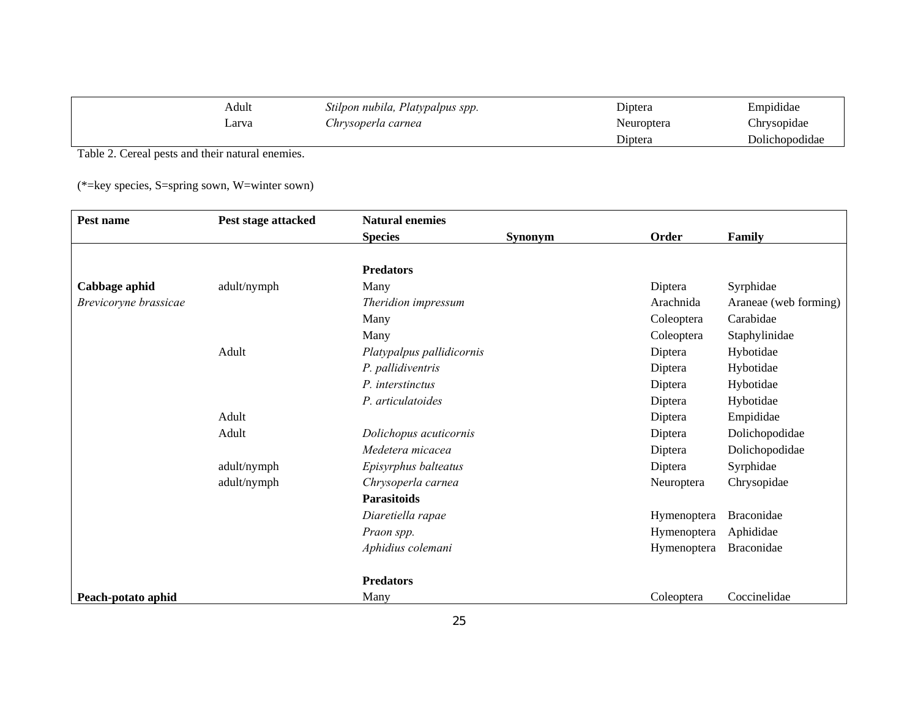| Adult | Stilpon nubila, Platypalpus spp. | Diptera    | Empididae      |
|-------|----------------------------------|------------|----------------|
| ∟arva | Chrysoperla carnea               | Neuroptera | Chrysopidae    |
|       |                                  | Diptera    | Dolichopodidae |

Table 2. Cereal pests and their natural enemies.

(\*=key species, S=spring sown, W=winter sown)

| Pest name             | Pest stage attacked | <b>Natural enemies</b>    |         |             |                       |
|-----------------------|---------------------|---------------------------|---------|-------------|-----------------------|
|                       |                     | <b>Species</b>            | Synonym | Order       | Family                |
|                       |                     |                           |         |             |                       |
|                       |                     | <b>Predators</b>          |         |             |                       |
| Cabbage aphid         | adult/nymph         | Many                      |         | Diptera     | Syrphidae             |
| Brevicoryne brassicae |                     | Theridion impressum       |         | Arachnida   | Araneae (web forming) |
|                       |                     | Many                      |         | Coleoptera  | Carabidae             |
|                       |                     | Many                      |         | Coleoptera  | Staphylinidae         |
|                       | Adult               | Platypalpus pallidicornis |         | Diptera     | Hybotidae             |
|                       |                     | P. pallidiventris         |         | Diptera     | Hybotidae             |
|                       |                     | P. interstinctus          |         | Diptera     | Hybotidae             |
|                       |                     | P. articulatoides         |         | Diptera     | Hybotidae             |
|                       | Adult               |                           |         | Diptera     | Empididae             |
|                       | Adult               | Dolichopus acuticornis    |         | Diptera     | Dolichopodidae        |
|                       |                     | Medetera micacea          |         | Diptera     | Dolichopodidae        |
|                       | adult/nymph         | Episyrphus balteatus      |         | Diptera     | Syrphidae             |
|                       | adult/nymph         | Chrysoperla carnea        |         | Neuroptera  | Chrysopidae           |
|                       |                     | <b>Parasitoids</b>        |         |             |                       |
|                       |                     | Diaretiella rapae         |         | Hymenoptera | Braconidae            |
|                       |                     | Praon spp.                |         | Hymenoptera | Aphididae             |
|                       |                     | Aphidius colemani         |         | Hymenoptera | Braconidae            |
|                       |                     | <b>Predators</b>          |         |             |                       |
| Peach-potato aphid    |                     | Many                      |         | Coleoptera  | Coccinelidae          |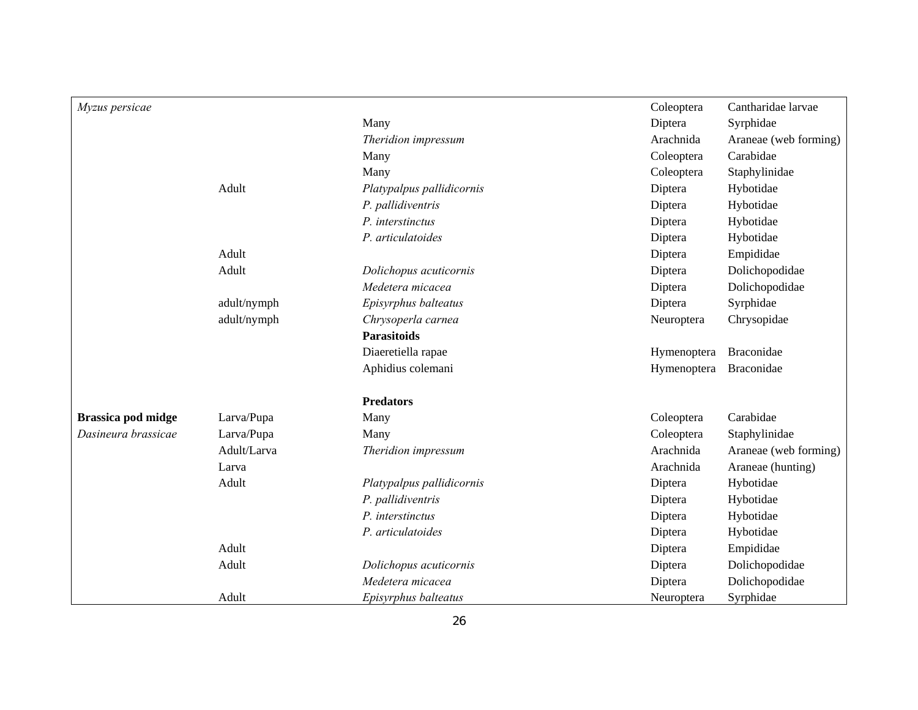| Myzus persicae            |             |                           | Coleoptera  | Cantharidae larvae    |
|---------------------------|-------------|---------------------------|-------------|-----------------------|
|                           |             | Many                      | Diptera     | Syrphidae             |
|                           |             | Theridion impressum       | Arachnida   | Araneae (web forming) |
|                           |             | Many                      | Coleoptera  | Carabidae             |
|                           |             | Many                      | Coleoptera  | Staphylinidae         |
|                           | Adult       | Platypalpus pallidicornis | Diptera     | Hybotidae             |
|                           |             | P. pallidiventris         | Diptera     | Hybotidae             |
|                           |             | P. interstinctus          | Diptera     | Hybotidae             |
|                           |             | P. articulatoides         | Diptera     | Hybotidae             |
|                           | Adult       |                           | Diptera     | Empididae             |
|                           | Adult       | Dolichopus acuticornis    | Diptera     | Dolichopodidae        |
|                           |             | Medetera micacea          | Diptera     | Dolichopodidae        |
|                           | adult/nymph | Episyrphus balteatus      | Diptera     | Syrphidae             |
|                           | adult/nymph | Chrysoperla carnea        | Neuroptera  | Chrysopidae           |
|                           |             | <b>Parasitoids</b>        |             |                       |
|                           |             | Diaeretiella rapae        | Hymenoptera | Braconidae            |
|                           |             | Aphidius colemani         | Hymenoptera | Braconidae            |
|                           |             | <b>Predators</b>          |             |                       |
| <b>Brassica pod midge</b> | Larva/Pupa  | Many                      | Coleoptera  | Carabidae             |
| Dasineura brassicae       | Larva/Pupa  | Many                      | Coleoptera  | Staphylinidae         |
|                           | Adult/Larva | Theridion impressum       | Arachnida   | Araneae (web forming) |
|                           | Larva       |                           | Arachnida   | Araneae (hunting)     |
|                           | Adult       | Platypalpus pallidicornis | Diptera     | Hybotidae             |
|                           |             | P. pallidiventris         | Diptera     | Hybotidae             |
|                           |             | P. interstinctus          | Diptera     | Hybotidae             |
|                           |             | P. articulatoides         | Diptera     | Hybotidae             |
|                           | Adult       |                           | Diptera     | Empididae             |
|                           | Adult       | Dolichopus acuticornis    | Diptera     | Dolichopodidae        |
|                           |             | Medetera micacea          | Diptera     | Dolichopodidae        |
|                           | Adult       | Episyrphus balteatus      | Neuroptera  | Syrphidae             |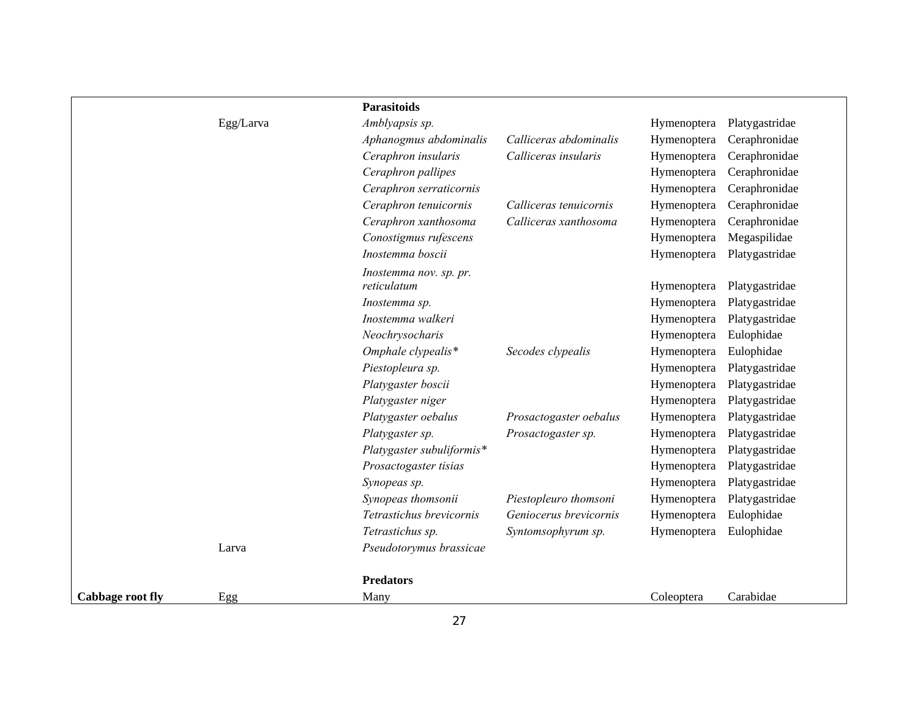|                         |           | <b>Parasitoids</b>        |                        |             |                |
|-------------------------|-----------|---------------------------|------------------------|-------------|----------------|
|                         | Egg/Larva | Amblyapsis sp.            |                        | Hymenoptera | Platygastridae |
|                         |           | Aphanogmus abdominalis    | Calliceras abdominalis | Hymenoptera | Ceraphronidae  |
|                         |           | Ceraphron insularis       | Calliceras insularis   | Hymenoptera | Ceraphronidae  |
|                         |           | Ceraphron pallipes        |                        | Hymenoptera | Ceraphronidae  |
|                         |           | Ceraphron serraticornis   |                        | Hymenoptera | Ceraphronidae  |
|                         |           | Ceraphron tenuicornis     | Calliceras tenuicornis | Hymenoptera | Ceraphronidae  |
|                         |           | Ceraphron xanthosoma      | Calliceras xanthosoma  | Hymenoptera | Ceraphronidae  |
|                         |           | Conostigmus rufescens     |                        | Hymenoptera | Megaspilidae   |
|                         |           | Inostemma boscii          |                        | Hymenoptera | Platygastridae |
|                         |           | Inostemma nov. sp. pr.    |                        |             |                |
|                         |           | reticulatum               |                        | Hymenoptera | Platygastridae |
|                         |           | Inostemma sp.             |                        | Hymenoptera | Platygastridae |
|                         |           | Inostemma walkeri         |                        | Hymenoptera | Platygastridae |
|                         |           | Neochrysocharis           |                        | Hymenoptera | Eulophidae     |
|                         |           | Omphale clypealis*        | Secodes clypealis      | Hymenoptera | Eulophidae     |
|                         |           | Piestopleura sp.          |                        | Hymenoptera | Platygastridae |
|                         |           | Platygaster boscii        |                        | Hymenoptera | Platygastridae |
|                         |           | Platygaster niger         |                        | Hymenoptera | Platygastridae |
|                         |           | Platygaster oebalus       | Prosactogaster oebalus | Hymenoptera | Platygastridae |
|                         |           | Platygaster sp.           | Prosactogaster sp.     | Hymenoptera | Platygastridae |
|                         |           | Platygaster subuliformis* |                        | Hymenoptera | Platygastridae |
|                         |           | Prosactogaster tisias     |                        | Hymenoptera | Platygastridae |
|                         |           | Synopeas sp.              |                        | Hymenoptera | Platygastridae |
|                         |           | Synopeas thomsonii        | Piestopleuro thomsoni  | Hymenoptera | Platygastridae |
|                         |           | Tetrastichus brevicornis  | Geniocerus brevicornis | Hymenoptera | Eulophidae     |
|                         |           | Tetrastichus sp.          | Syntomsophyrum sp.     | Hymenoptera | Eulophidae     |
|                         | Larva     | Pseudotorymus brassicae   |                        |             |                |
|                         |           | <b>Predators</b>          |                        |             |                |
| <b>Cabbage root fly</b> | Egg       | Many                      |                        | Coleoptera  | Carabidae      |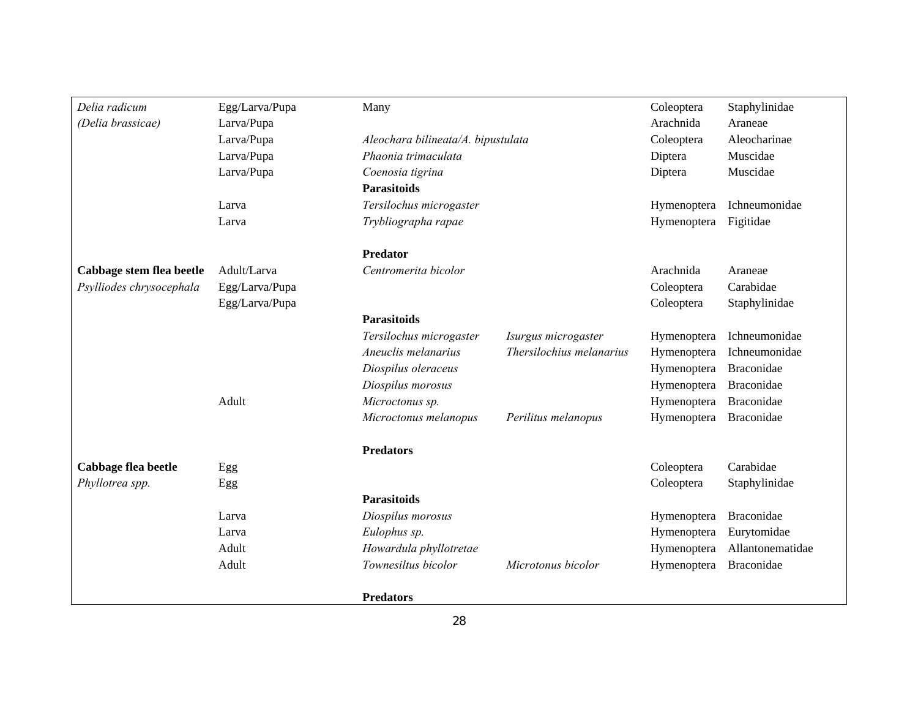| Delia radicum            | Egg/Larva/Pupa | Many                    |                                                                                    | Coleoptera  | Staphylinidae     |
|--------------------------|----------------|-------------------------|------------------------------------------------------------------------------------|-------------|-------------------|
| (Delia brassicae)        | Larva/Pupa     |                         |                                                                                    | Arachnida   | Araneae           |
|                          | Larva/Pupa     |                         | Aleochara bilineata/A. bipustulata<br>Coleoptera<br>Phaonia trimaculata<br>Diptera |             | Aleocharinae      |
|                          | Larva/Pupa     |                         |                                                                                    |             | Muscidae          |
|                          | Larva/Pupa     | Coenosia tigrina        | Diptera                                                                            |             | Muscidae          |
|                          |                | <b>Parasitoids</b>      |                                                                                    |             |                   |
|                          | Larva          | Tersilochus microgaster |                                                                                    |             | Ichneumonidae     |
|                          | Larva          | Trybliographa rapae     |                                                                                    | Hymenoptera | Figitidae         |
|                          |                | <b>Predator</b>         |                                                                                    |             |                   |
| Cabbage stem flea beetle | Adult/Larva    | Centromerita bicolor    |                                                                                    | Arachnida   | Araneae           |
| Psylliodes chrysocephala | Egg/Larva/Pupa |                         |                                                                                    | Coleoptera  | Carabidae         |
|                          | Egg/Larva/Pupa |                         |                                                                                    | Coleoptera  | Staphylinidae     |
|                          |                | <b>Parasitoids</b>      |                                                                                    |             |                   |
|                          |                | Tersilochus microgaster | Isurgus microgaster                                                                | Hymenoptera | Ichneumonidae     |
|                          |                | Aneuclis melanarius     | Thersilochius melanarius                                                           | Hymenoptera | Ichneumonidae     |
|                          |                | Diospilus oleraceus     |                                                                                    | Hymenoptera | <b>Braconidae</b> |
|                          |                | Diospilus morosus       |                                                                                    | Hymenoptera | Braconidae        |
|                          | Adult          | Microctonus sp.         |                                                                                    | Hymenoptera | <b>Braconidae</b> |
|                          |                | Microctonus melanopus   | Perilitus melanopus                                                                | Hymenoptera | <b>Braconidae</b> |
|                          |                | <b>Predators</b>        |                                                                                    |             |                   |
| Cabbage flea beetle      | Egg            |                         |                                                                                    | Coleoptera  | Carabidae         |
| Phyllotrea spp.          | Egg            |                         |                                                                                    | Coleoptera  | Staphylinidae     |
|                          |                | <b>Parasitoids</b>      |                                                                                    |             |                   |
|                          | Larva          | Diospilus morosus       |                                                                                    | Hymenoptera | Braconidae        |
|                          | Larva          | Eulophus sp.            |                                                                                    | Hymenoptera | Eurytomidae       |
|                          | Adult          | Howardula phyllotretae  |                                                                                    | Hymenoptera | Allantonematidae  |
|                          | Adult          | Townesiltus bicolor     | Microtonus bicolor                                                                 | Hymenoptera | Braconidae        |
|                          |                | <b>Predators</b>        |                                                                                    |             |                   |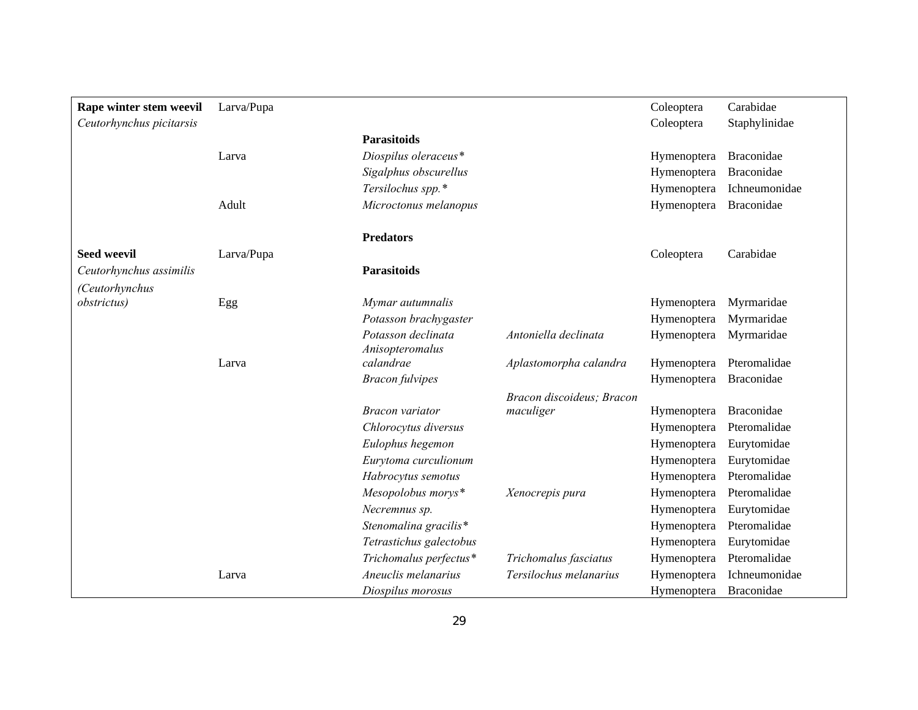| Rape winter stem weevil  | Larva/Pupa |                         |                           | Coleoptera  | Carabidae     |
|--------------------------|------------|-------------------------|---------------------------|-------------|---------------|
| Ceutorhynchus picitarsis |            |                         |                           | Coleoptera  | Staphylinidae |
|                          |            | <b>Parasitoids</b>      |                           |             |               |
|                          | Larva      | Diospilus oleraceus*    |                           | Hymenoptera | Braconidae    |
|                          |            | Sigalphus obscurellus   |                           | Hymenoptera | Braconidae    |
|                          |            | Tersilochus spp.*       |                           | Hymenoptera | Ichneumonidae |
|                          | Adult      | Microctonus melanopus   |                           | Hymenoptera | Braconidae    |
|                          |            | <b>Predators</b>        |                           |             |               |
| <b>Seed weevil</b>       | Larva/Pupa |                         |                           | Coleoptera  | Carabidae     |
| Ceutorhynchus assimilis  |            | <b>Parasitoids</b>      |                           |             |               |
| (Ceutorhynchus           |            |                         |                           |             |               |
| <i>obstrictus</i> )      | Egg        | Mymar autumnalis        |                           | Hymenoptera | Myrmaridae    |
|                          |            | Potasson brachygaster   |                           | Hymenoptera | Myrmaridae    |
|                          |            | Potasson declinata      | Antoniella declinata      | Hymenoptera | Myrmaridae    |
|                          |            | Anisopteromalus         |                           |             |               |
|                          | Larva      | calandrae               | Aplastomorpha calandra    | Hymenoptera | Pteromalidae  |
|                          |            | <b>Bracon</b> fulvipes  |                           | Hymenoptera | Braconidae    |
|                          |            |                         | Bracon discoideus; Bracon |             |               |
|                          |            | <b>Bracon</b> variator  | maculiger                 | Hymenoptera | Braconidae    |
|                          |            | Chlorocytus diversus    |                           | Hymenoptera | Pteromalidae  |
|                          |            | Eulophus hegemon        |                           | Hymenoptera | Eurytomidae   |
|                          |            | Eurytoma curculionum    |                           | Hymenoptera | Eurytomidae   |
|                          |            | Habrocytus semotus      |                           | Hymenoptera | Pteromalidae  |
|                          |            | Mesopolobus morys*      | Xenocrepis pura           | Hymenoptera | Pteromalidae  |
|                          |            | Necremnus sp.           |                           | Hymenoptera | Eurytomidae   |
|                          |            | Stenomalina gracilis*   |                           | Hymenoptera | Pteromalidae  |
|                          |            | Tetrastichus galectobus |                           | Hymenoptera | Eurytomidae   |
|                          |            | Trichomalus perfectus*  | Trichomalus fasciatus     | Hymenoptera | Pteromalidae  |
|                          | Larva      | Aneuclis melanarius     | Tersilochus melanarius    | Hymenoptera | Ichneumonidae |
|                          |            | Diospilus morosus       |                           | Hymenoptera | Braconidae    |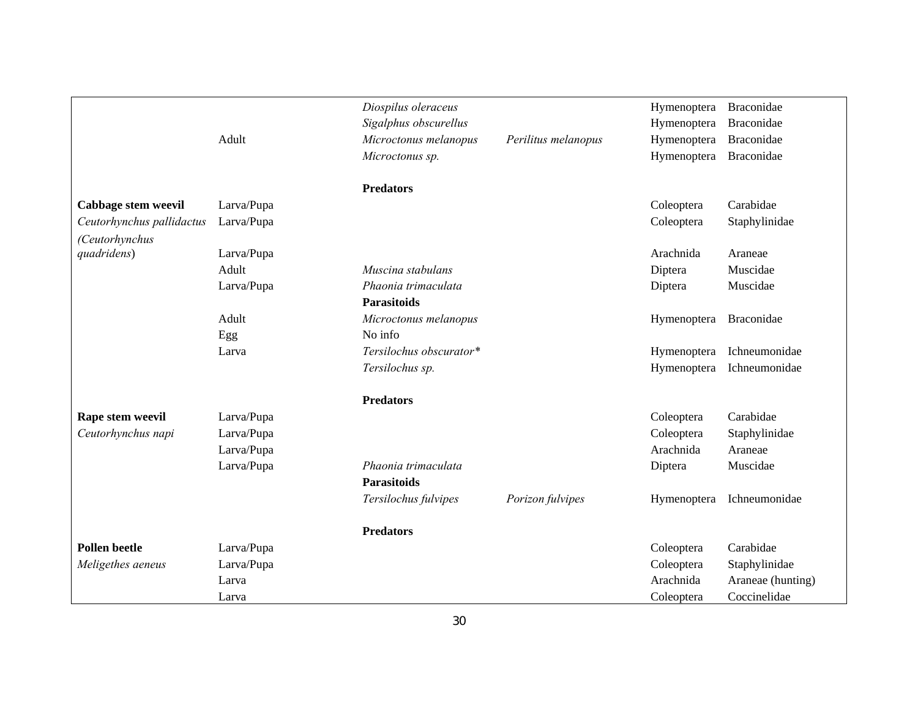|                           |            | Diospilus oleraceus     |                     | Hymenoptera | Braconidae        |
|---------------------------|------------|-------------------------|---------------------|-------------|-------------------|
|                           |            | Sigalphus obscurellus   |                     | Hymenoptera | Braconidae        |
|                           | Adult      | Microctonus melanopus   | Perilitus melanopus | Hymenoptera | Braconidae        |
|                           |            | Microctonus sp.         |                     | Hymenoptera | Braconidae        |
|                           |            | <b>Predators</b>        |                     |             |                   |
| Cabbage stem weevil       | Larva/Pupa |                         |                     | Coleoptera  | Carabidae         |
| Ceutorhynchus pallidactus | Larva/Pupa |                         |                     | Coleoptera  | Staphylinidae     |
| (Ceutorhynchus            |            |                         |                     |             |                   |
| quadridens)               | Larva/Pupa |                         |                     | Arachnida   | Araneae           |
|                           | Adult      | Muscina stabulans       |                     | Diptera     | Muscidae          |
|                           | Larva/Pupa | Phaonia trimaculata     |                     | Diptera     | Muscidae          |
|                           |            | <b>Parasitoids</b>      |                     |             |                   |
|                           | Adult      | Microctonus melanopus   |                     | Hymenoptera | Braconidae        |
|                           | Egg        | No info                 |                     |             |                   |
|                           | Larva      | Tersilochus obscurator* |                     | Hymenoptera | Ichneumonidae     |
|                           |            | Tersilochus sp.         |                     | Hymenoptera | Ichneumonidae     |
|                           |            | <b>Predators</b>        |                     |             |                   |
| Rape stem weevil          | Larva/Pupa |                         |                     | Coleoptera  | Carabidae         |
| Ceutorhynchus napi        | Larva/Pupa |                         |                     | Coleoptera  | Staphylinidae     |
|                           | Larva/Pupa |                         |                     | Arachnida   | Araneae           |
|                           | Larva/Pupa | Phaonia trimaculata     |                     | Diptera     | Muscidae          |
|                           |            | <b>Parasitoids</b>      |                     |             |                   |
|                           |            | Tersilochus fulvipes    | Porizon fulvipes    | Hymenoptera | Ichneumonidae     |
|                           |            | <b>Predators</b>        |                     |             |                   |
| <b>Pollen beetle</b>      | Larva/Pupa |                         |                     | Coleoptera  | Carabidae         |
| Meligethes aeneus         | Larva/Pupa |                         |                     | Coleoptera  | Staphylinidae     |
|                           | Larva      |                         |                     | Arachnida   | Araneae (hunting) |
|                           | Larva      |                         |                     | Coleoptera  | Coccinelidae      |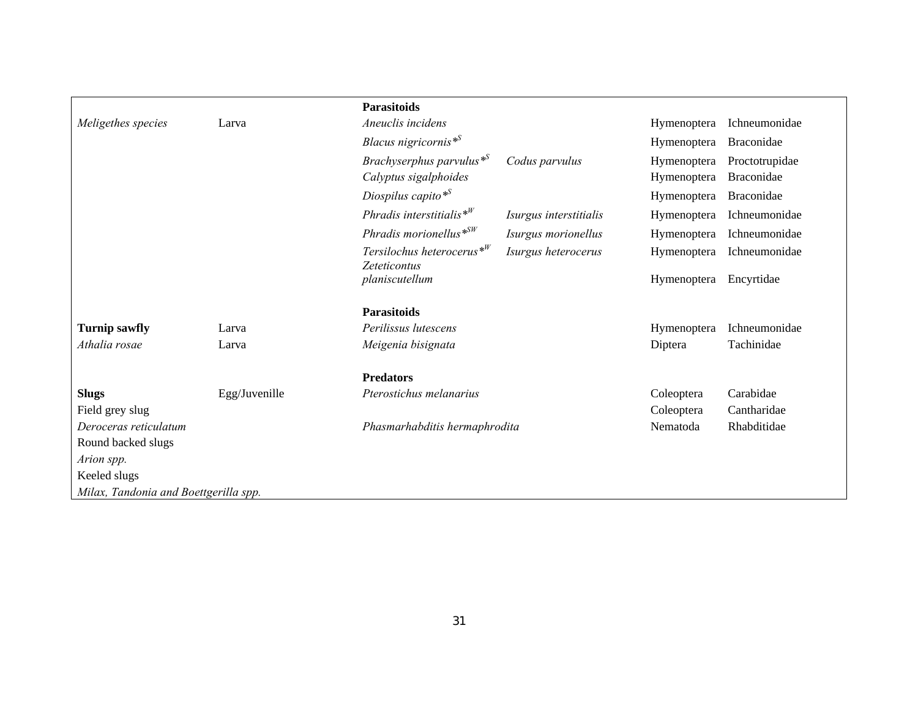|                                       |               | Parasitoids                                          |                        |             |                   |
|---------------------------------------|---------------|------------------------------------------------------|------------------------|-------------|-------------------|
| Meligethes species                    | Larva         | Aneuclis incidens                                    |                        | Hymenoptera | Ichneumonidae     |
|                                       |               | Blacus nigricornis <sup>*S</sup>                     |                        | Hymenoptera | Braconidae        |
|                                       |               | Brachyserphus parvulus <sup>*S</sup>                 | Codus parvulus         | Hymenoptera | Proctotrupidae    |
|                                       |               | Calyptus sigalphoides                                |                        | Hymenoptera | <b>Braconidae</b> |
|                                       |               | Diospilus capito* <sup>S</sup>                       |                        | Hymenoptera | Braconidae        |
|                                       |               | Phradis interstitialis $*^{W}$                       | Isurgus interstitialis | Hymenoptera | Ichneumonidae     |
|                                       |               | Phradis morionellus $*^{SW}$                         | Isurgus morionellus    | Hymenoptera | Ichneumonidae     |
|                                       |               | Tersilochus heterocerus $*^W$<br><b>Zeteticontus</b> | Isurgus heterocerus    | Hymenoptera | Ichneumonidae     |
|                                       |               | planiscutellum                                       |                        | Hymenoptera | Encyrtidae        |
|                                       |               | <b>Parasitoids</b>                                   |                        |             |                   |
| <b>Turnip sawfly</b>                  | Larva         | Perilissus lutescens                                 |                        | Hymenoptera | Ichneumonidae     |
| Athalia rosae                         | Larva         | Meigenia bisignata                                   |                        | Diptera     | Tachinidae        |
|                                       |               | <b>Predators</b>                                     |                        |             |                   |
| <b>Slugs</b>                          | Egg/Juvenille | Pterostichus melanarius                              |                        | Coleoptera  | Carabidae         |
| Field grey slug                       |               |                                                      |                        | Coleoptera  | Cantharidae       |
| Deroceras reticulatum                 |               | Phasmarhabditis hermaphrodita                        |                        | Nematoda    | Rhabditidae       |
| Round backed slugs                    |               |                                                      |                        |             |                   |
| Arion spp.                            |               |                                                      |                        |             |                   |
| Keeled slugs                          |               |                                                      |                        |             |                   |
| Milax, Tandonia and Boettgerilla spp. |               |                                                      |                        |             |                   |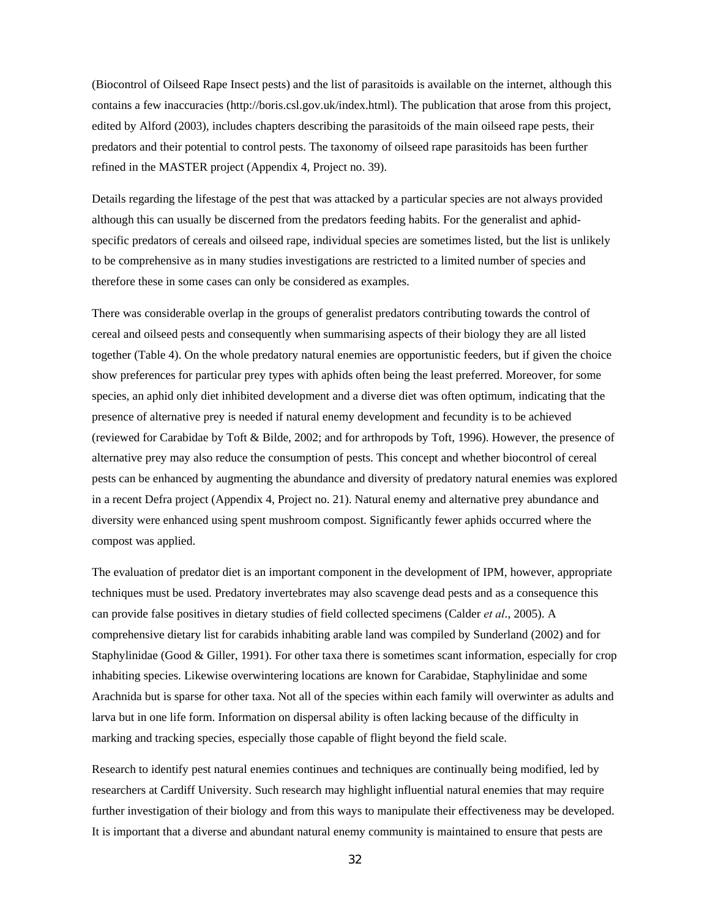(Biocontrol of Oilseed Rape Insect pests) and the list of parasitoids is available on the internet, although this contains a few inaccuracies (http://boris.csl.gov.uk/index.html). The publication that arose from this project, edited by Alford (2003), includes chapters describing the parasitoids of the main oilseed rape pests, their predators and their potential to control pests. The taxonomy of oilseed rape parasitoids has been further refined in the MASTER project (Appendix 4, Project no. 39).

Details regarding the lifestage of the pest that was attacked by a particular species are not always provided although this can usually be discerned from the predators feeding habits. For the generalist and aphidspecific predators of cereals and oilseed rape, individual species are sometimes listed, but the list is unlikely to be comprehensive as in many studies investigations are restricted to a limited number of species and therefore these in some cases can only be considered as examples.

There was considerable overlap in the groups of generalist predators contributing towards the control of cereal and oilseed pests and consequently when summarising aspects of their biology they are all listed together (Table 4). On the whole predatory natural enemies are opportunistic feeders, but if given the choice show preferences for particular prey types with aphids often being the least preferred. Moreover, for some species, an aphid only diet inhibited development and a diverse diet was often optimum, indicating that the presence of alternative prey is needed if natural enemy development and fecundity is to be achieved (reviewed for Carabidae by Toft & Bilde, 2002; and for arthropods by Toft, 1996). However, the presence of alternative prey may also reduce the consumption of pests. This concept and whether biocontrol of cereal pests can be enhanced by augmenting the abundance and diversity of predatory natural enemies was explored in a recent Defra project (Appendix 4, Project no. 21). Natural enemy and alternative prey abundance and diversity were enhanced using spent mushroom compost. Significantly fewer aphids occurred where the compost was applied.

The evaluation of predator diet is an important component in the development of IPM, however, appropriate techniques must be used. Predatory invertebrates may also scavenge dead pests and as a consequence this can provide false positives in dietary studies of field collected specimens (Calder *et al*., 2005). A comprehensive dietary list for carabids inhabiting arable land was compiled by Sunderland (2002) and for Staphylinidae (Good & Giller, 1991). For other taxa there is sometimes scant information, especially for crop inhabiting species. Likewise overwintering locations are known for Carabidae, Staphylinidae and some Arachnida but is sparse for other taxa. Not all of the species within each family will overwinter as adults and larva but in one life form. Information on dispersal ability is often lacking because of the difficulty in marking and tracking species, especially those capable of flight beyond the field scale.

Research to identify pest natural enemies continues and techniques are continually being modified, led by researchers at Cardiff University. Such research may highlight influential natural enemies that may require further investigation of their biology and from this ways to manipulate their effectiveness may be developed. It is important that a diverse and abundant natural enemy community is maintained to ensure that pests are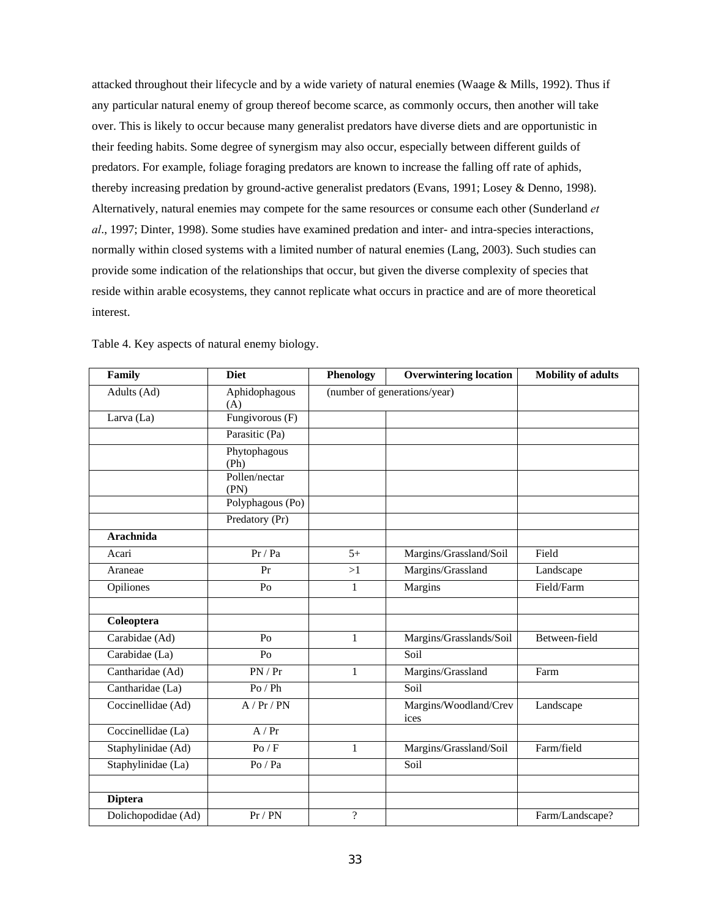attacked throughout their lifecycle and by a wide variety of natural enemies (Waage & Mills, 1992). Thus if any particular natural enemy of group thereof become scarce, as commonly occurs, then another will take over. This is likely to occur because many generalist predators have diverse diets and are opportunistic in their feeding habits. Some degree of synergism may also occur, especially between different guilds of predators. For example, foliage foraging predators are known to increase the falling off rate of aphids, thereby increasing predation by ground-active generalist predators (Evans, 1991; Losey & Denno, 1998). Alternatively, natural enemies may compete for the same resources or consume each other (Sunderland *et al*., 1997; Dinter, 1998). Some studies have examined predation and inter- and intra-species interactions, normally within closed systems with a limited number of natural enemies (Lang, 2003). Such studies can provide some indication of the relationships that occur, but given the diverse complexity of species that reside within arable ecosystems, they cannot replicate what occurs in practice and are of more theoretical interest.

| Family              | <b>Diet</b>           | Phenology      | <b>Overwintering location</b> | <b>Mobility of adults</b> |
|---------------------|-----------------------|----------------|-------------------------------|---------------------------|
| Adults (Ad)         | Aphidophagous<br>(A)  |                | (number of generations/year)  |                           |
| Larva (La)          | Fungivorous (F)       |                |                               |                           |
|                     | Parasitic (Pa)        |                |                               |                           |
|                     | Phytophagous<br>(Ph)  |                |                               |                           |
|                     | Pollen/nectar<br>(PN) |                |                               |                           |
|                     | Polyphagous (Po)      |                |                               |                           |
|                     | Predatory (Pr)        |                |                               |                           |
| Arachnida           |                       |                |                               |                           |
| Acari               | Pr / Pa               | $5+$           | Margins/Grassland/Soil        | Field                     |
| Araneae             | Pr                    | >1             | Margins/Grassland             | Landscape                 |
| Opiliones           | Po                    | $\mathbf{1}$   | Margins                       | Field/Farm                |
|                     |                       |                |                               |                           |
| Coleoptera          |                       |                |                               |                           |
| Carabidae (Ad)      | Po                    | $\mathbf{1}$   | Margins/Grasslands/Soil       | Between-field             |
| Carabidae (La)      | P <sub>O</sub>        |                | Soil                          |                           |
| Cantharidae (Ad)    | PN/Pr                 | $\mathbf{1}$   | Margins/Grassland             | Farm                      |
| Cantharidae (La)    | $Po$ / $Ph$           |                | Soil                          |                           |
| Coccinellidae (Ad)  | A / Pr / PN           |                | Margins/Woodland/Crev<br>ices | Landscape                 |
| Coccinellidae (La)  | A/Pr                  |                |                               |                           |
| Staphylinidae (Ad)  | Po / F                | $\mathbf{1}$   | Margins/Grassland/Soil        | Farm/field                |
| Staphylinidae (La)  | $Po$ / $Pa$           |                | Soil                          |                           |
|                     |                       |                |                               |                           |
| <b>Diptera</b>      |                       |                |                               |                           |
| Dolichopodidae (Ad) | Pr / PN               | $\overline{?}$ |                               | Farm/Landscape?           |

Table 4. Key aspects of natural enemy biology.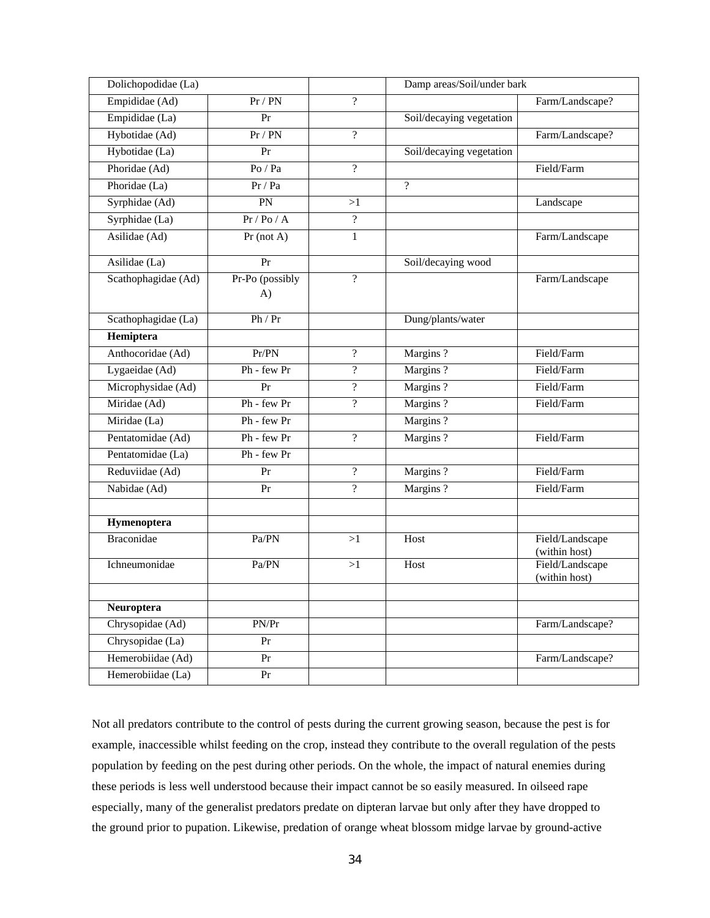| Dolichopodidae (La)         |                       |                          | Damp areas/Soil/under bark |                                  |
|-----------------------------|-----------------------|--------------------------|----------------------------|----------------------------------|
| Empididae (Ad)              | Pr / PN               | $\gamma$                 |                            | Farm/Landscape?                  |
| Empididae (La)              | Pr                    |                          | Soil/decaying vegetation   |                                  |
| Hybotidae (Ad)              | Pr / PN               | $\overline{?}$           |                            | Farm/Landscape?                  |
| Hybotidae (La)              | Pr                    |                          | Soil/decaying vegetation   |                                  |
| Phoridae (Ad)               | $Po$ / $Pa$           | $\overline{?}$           |                            | Field/Farm                       |
| Phoridae (La)               | Pr / Pa               |                          | $\gamma$                   |                                  |
| Syrphidae $(\overline{A}d)$ | PN                    | >1                       |                            | Landscape                        |
| Syrphidae (La)              | Pr / Po / A           | $\overline{?}$           |                            |                                  |
| Asilidae (Ad)               | $Pr$ (not A)          | $\mathbf{1}$             |                            | Farm/Landscape                   |
| Asilidae (La)               | Pr                    |                          | Soil/decaying wood         |                                  |
| Scathophagidae (Ad)         | Pr-Po (possibly<br>A) | $\overline{?}$           |                            | Farm/Landscape                   |
| Scathophagidae (La)         | Ph / Pr               |                          | Dung/plants/water          |                                  |
| Hemiptera                   |                       |                          |                            |                                  |
| Anthocoridae (Ad)           | Pr/PN                 | $\gamma$                 | Margins?                   | Field/Farm                       |
| Lygaeidae (Ad)              | Ph - few Pr           | $\overline{?}$           | Margins?                   | Field/Farm                       |
| Microphysidae (Ad)          | Pr                    | $\overline{\mathcal{L}}$ | Margins?                   | Field/Farm                       |
| Miridae (Ad)                | Ph - few Pr           | $\gamma$                 | Margins?                   | Field/Farm                       |
| Miridae (La)                | Ph - few Pr           |                          | Margins?                   |                                  |
| Pentatomidae (Ad)           | Ph - few Pr           | $\overline{?}$           | Margins?                   | Field/Farm                       |
| Pentatomidae (La)           | Ph - few Pr           |                          |                            |                                  |
| Reduviidae (Ad)             | Pr                    | $\overline{?}$           | Margins?                   | Field/Farm                       |
| Nabidae (Ad)                | Pr                    | $\overline{?}$           | Margins?                   | Field/Farm                       |
|                             |                       |                          |                            |                                  |
| Hymenoptera                 |                       |                          |                            |                                  |
| <b>Braconidae</b>           | Pa/PN                 | >1                       | Host                       | Field/Landscape<br>(within host) |
| Ichneumonidae               | Pa/PN                 | >1                       | Host                       | Field/Landscape<br>(within host) |
| Neuroptera                  |                       |                          |                            |                                  |
| Chrysopidae (Ad)            | PN/Pr                 |                          |                            | Farm/Landscape?                  |
| Chrysopidae (La)            | Pr                    |                          |                            |                                  |
| Hemerobiidae (Ad)           | Pr                    |                          |                            | Farm/Landscape?                  |
| Hemerobiidae (La)           | Pr                    |                          |                            |                                  |
|                             |                       |                          |                            |                                  |

Not all predators contribute to the control of pests during the current growing season, because the pest is for example, inaccessible whilst feeding on the crop, instead they contribute to the overall regulation of the pests population by feeding on the pest during other periods. On the whole, the impact of natural enemies during these periods is less well understood because their impact cannot be so easily measured. In oilseed rape especially, many of the generalist predators predate on dipteran larvae but only after they have dropped to the ground prior to pupation. Likewise, predation of orange wheat blossom midge larvae by ground-active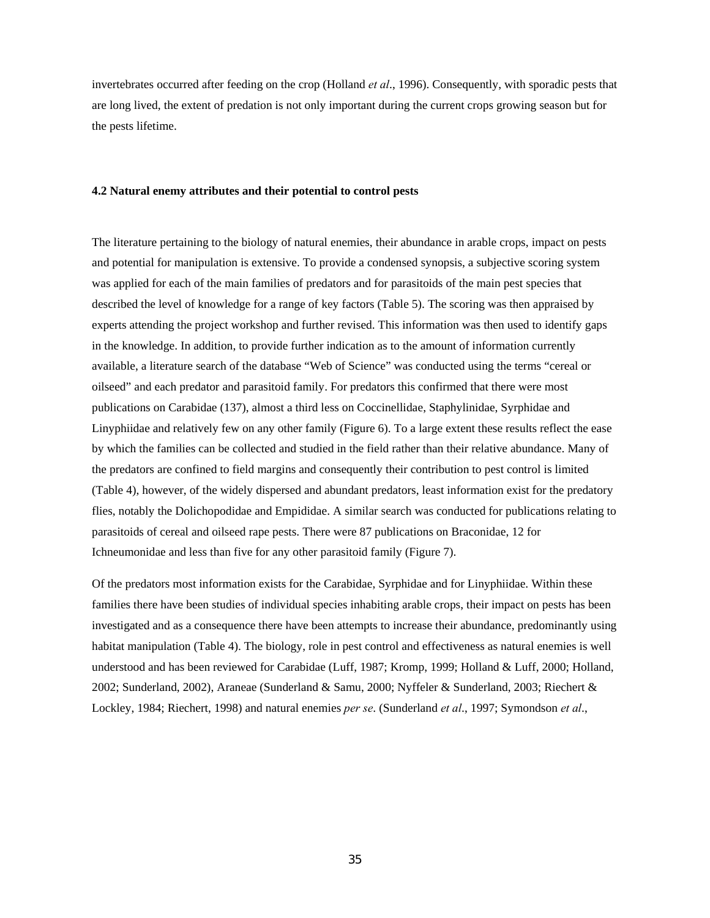invertebrates occurred after feeding on the crop (Holland *et al*., 1996). Consequently, with sporadic pests that are long lived, the extent of predation is not only important during the current crops growing season but for the pests lifetime.

#### **4.2 Natural enemy attributes and their potential to control pests**

The literature pertaining to the biology of natural enemies, their abundance in arable crops, impact on pests and potential for manipulation is extensive. To provide a condensed synopsis, a subjective scoring system was applied for each of the main families of predators and for parasitoids of the main pest species that described the level of knowledge for a range of key factors (Table 5). The scoring was then appraised by experts attending the project workshop and further revised. This information was then used to identify gaps in the knowledge. In addition, to provide further indication as to the amount of information currently available, a literature search of the database "Web of Science" was conducted using the terms "cereal or oilseed" and each predator and parasitoid family. For predators this confirmed that there were most publications on Carabidae (137), almost a third less on Coccinellidae, Staphylinidae, Syrphidae and Linyphiidae and relatively few on any other family (Figure 6). To a large extent these results reflect the ease by which the families can be collected and studied in the field rather than their relative abundance. Many of the predators are confined to field margins and consequently their contribution to pest control is limited (Table 4), however, of the widely dispersed and abundant predators, least information exist for the predatory flies, notably the Dolichopodidae and Empididae. A similar search was conducted for publications relating to parasitoids of cereal and oilseed rape pests. There were 87 publications on Braconidae, 12 for Ichneumonidae and less than five for any other parasitoid family (Figure 7).

Of the predators most information exists for the Carabidae, Syrphidae and for Linyphiidae. Within these families there have been studies of individual species inhabiting arable crops, their impact on pests has been investigated and as a consequence there have been attempts to increase their abundance, predominantly using habitat manipulation (Table 4). The biology, role in pest control and effectiveness as natural enemies is well understood and has been reviewed for Carabidae (Luff, 1987; Kromp, 1999; Holland & Luff, 2000; Holland, 2002; Sunderland, 2002), Araneae (Sunderland & Samu, 2000; Nyffeler & Sunderland, 2003; Riechert & Lockley, 1984; Riechert, 1998) and natural enemies *per se*. (Sunderland *et al*., 1997; Symondson *et al*.,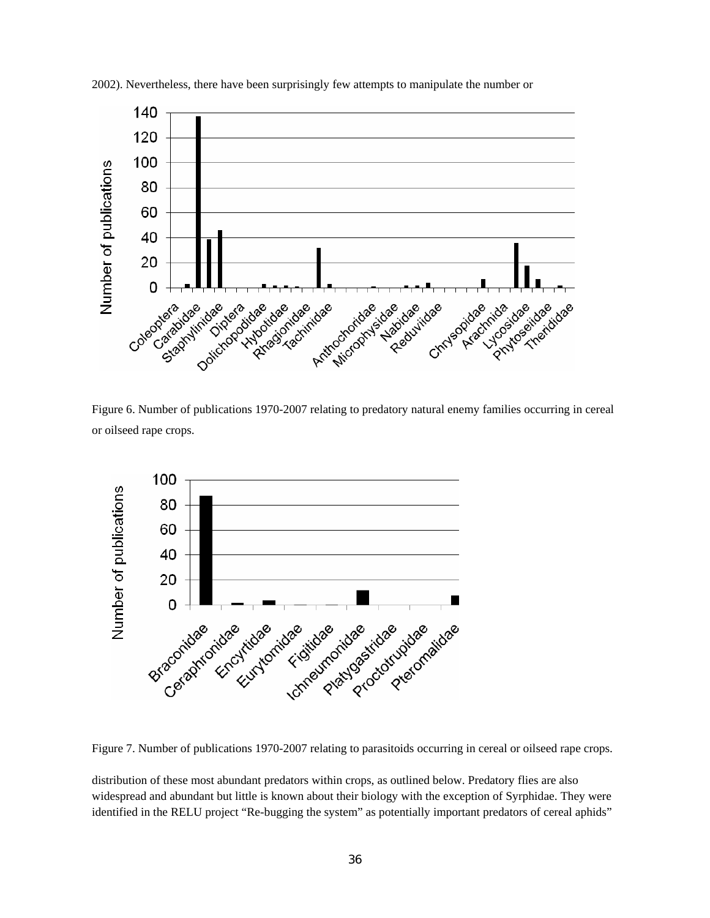

2002). Nevertheless, there have been surprisingly few attempts to manipulate the number or

Figure 6. Number of publications 1970-2007 relating to predatory natural enemy families occurring in cereal or oilseed rape crops.



Figure 7. Number of publications 1970-2007 relating to parasitoids occurring in cereal or oilseed rape crops.

distribution of these most abundant predators within crops, as outlined below. Predatory flies are also widespread and abundant but little is known about their biology with the exception of Syrphidae. They were identified in the RELU project "Re-bugging the system" as potentially important predators of cereal aphids"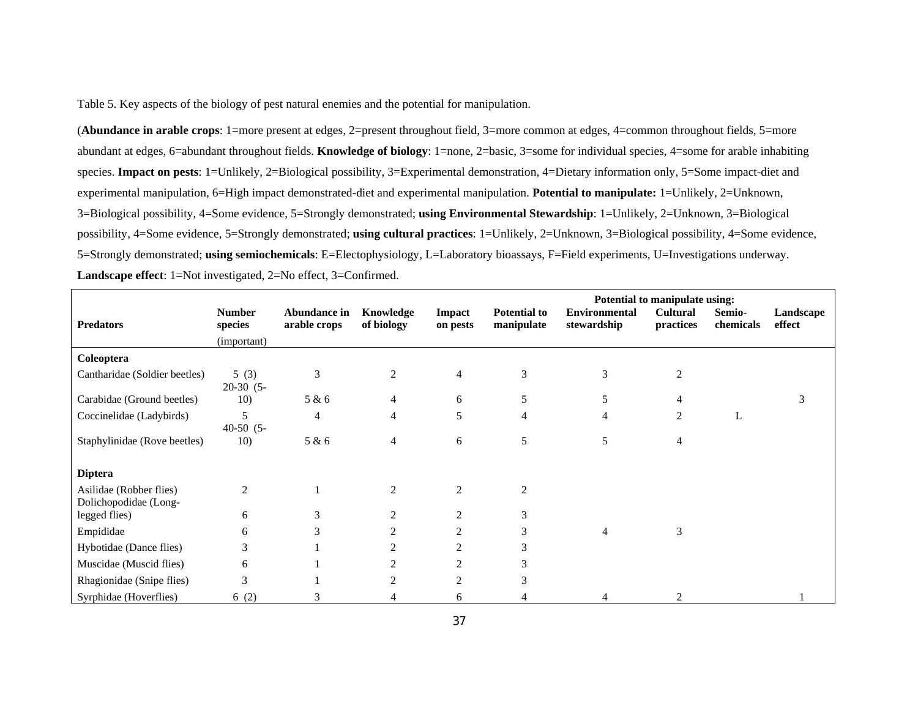Table 5. Key aspects of the biology of pest natural enemies and the potential for manipulation.

(**Abundance in arable crops**: 1=more present at edges, 2=present throughout field, 3=more common at edges, 4=common throughout fields, 5=more abundant at edges, 6=abundant throughout fields. **Knowledge of biology**: 1=none, 2=basic, 3=some for individual species, 4=some for arable inhabiting species. **Impact on pests**: 1=Unlikely, 2=Biological possibility, 3=Experimental demonstration, 4=Dietary information only, 5=Some impact-diet and experimental manipulation, 6=High impact demonstrated-diet and experimental manipulation. **Potential to manipulate:** 1=Unlikely, 2=Unknown, 3=Biological possibility, 4=Some evidence, 5=Strongly demonstrated; **using Environmental Stewardship**: 1=Unlikely, 2=Unknown, 3=Biological possibility, 4=Some evidence, 5=Strongly demonstrated; **using cultural practices**: 1=Unlikely, 2=Unknown, 3=Biological possibility, 4=Some evidence, 5=Strongly demonstrated; **using semiochemicals**: E=Electophysiology, L=Laboratory bioassays, F=Field experiments, U=Investigations underway. **Landscape effect**: 1=Not investigated, 2=No effect, 3=Confirmed.

|                                                  |                                         |                              |                         |                           |                                   | Potential to manipulate using:      |                              |                     |                     |
|--------------------------------------------------|-----------------------------------------|------------------------------|-------------------------|---------------------------|-----------------------------------|-------------------------------------|------------------------------|---------------------|---------------------|
| <b>Predators</b>                                 | <b>Number</b><br>species<br>(important) | Abundance in<br>arable crops | Knowledge<br>of biology | <b>Impact</b><br>on pests | <b>Potential to</b><br>manipulate | <b>Environmental</b><br>stewardship | <b>Cultural</b><br>practices | Semio-<br>chemicals | Landscape<br>effect |
| Coleoptera                                       |                                         |                              |                         |                           |                                   |                                     |                              |                     |                     |
| Cantharidae (Soldier beetles)                    | 5(3)<br>$20-30(5-$                      | 3                            | 2                       | $\overline{4}$            | 3                                 | 3                                   | $\overline{2}$               |                     |                     |
| Carabidae (Ground beetles)                       | 10)                                     | 5 & 6                        | 4                       | 6                         | 5                                 | 5                                   | 4                            |                     | 3                   |
| Coccinelidae (Ladybirds)                         | 5<br>$40-50$ $(5-$                      | $\overline{4}$               | 4                       | 5                         | 4                                 | 4                                   | $\overline{2}$               | L                   |                     |
| Staphylinidae (Rove beetles)                     | 10)                                     | 5 & 6                        | 4                       | 6                         | 5                                 | 5                                   | 4                            |                     |                     |
| <b>Diptera</b>                                   |                                         |                              |                         |                           |                                   |                                     |                              |                     |                     |
| Asilidae (Robber flies)<br>Dolichopodidae (Long- | $\overline{c}$                          |                              | $\overline{2}$          | $\overline{2}$            | $\overline{c}$                    |                                     |                              |                     |                     |
| legged flies)                                    | 6                                       | 3                            | $\overline{2}$          | 2                         | 3                                 |                                     |                              |                     |                     |
| Empididae                                        | 6                                       | 3                            | $\overline{2}$          | 2                         | 3                                 | $\overline{4}$                      | 3                            |                     |                     |
| Hybotidae (Dance flies)                          | 3                                       |                              | $\mathfrak{D}$          | 2                         | 3                                 |                                     |                              |                     |                     |
| Muscidae (Muscid flies)                          | 6                                       |                              | $\mathfrak{D}$          | 2                         | 3                                 |                                     |                              |                     |                     |
| Rhagionidae (Snipe flies)                        | 3                                       |                              | $\mathfrak{D}$          | $\overline{2}$            | 3                                 |                                     |                              |                     |                     |
| Syrphidae (Hoverflies)                           | 6(2)                                    | 3                            | 4                       | 6                         |                                   |                                     | $\mathfrak{D}$               |                     |                     |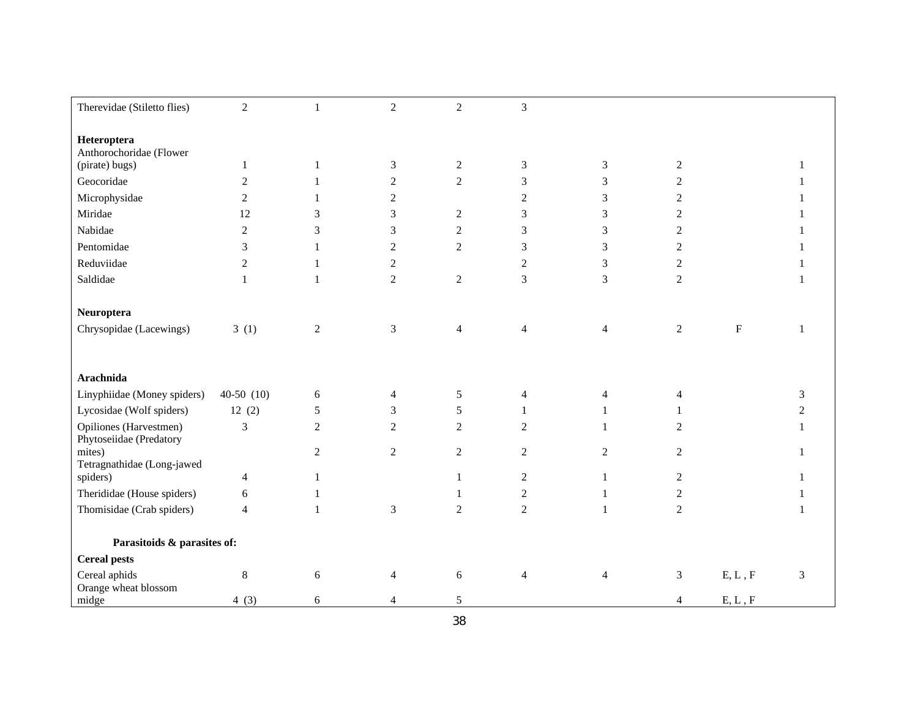| Therevidae (Stiletto flies)            | $\overline{2}$ | $\mathbf{1}$   | $\overline{2}$ | $\overline{2}$ | 3                        |                |                  |           |   |
|----------------------------------------|----------------|----------------|----------------|----------------|--------------------------|----------------|------------------|-----------|---|
|                                        |                |                |                |                |                          |                |                  |           |   |
| Heteroptera<br>Anthorochoridae (Flower |                |                |                |                |                          |                |                  |           |   |
| (pirate) bugs)                         | $\mathbf{1}$   | 1              | 3              | $\overline{c}$ | 3                        | 3              | $\boldsymbol{2}$ |           |   |
| Geocoridae                             | $\overline{2}$ | 1              | $\overline{c}$ | $\overline{2}$ | 3                        | 3              | $\overline{c}$   |           |   |
| Microphysidae                          | 2              |                | $\overline{2}$ |                | $\overline{c}$           | $\mathfrak{Z}$ | $\mathbf{2}$     |           |   |
| Miridae                                | 12             | 3              | 3              | $\overline{2}$ | 3                        | 3              | $\overline{2}$   |           |   |
| Nabidae                                | $\sqrt{2}$     | 3              | 3              | $\sqrt{2}$     | 3                        | 3              | $\sqrt{2}$       |           |   |
| Pentomidae                             | 3              | 1              | $\overline{2}$ | $\overline{2}$ | 3                        | $\mathfrak{Z}$ | $\overline{c}$   |           |   |
| Reduviidae                             | 2              | 1              | 2              |                | $\overline{c}$           | 3              | 2                |           |   |
| Saldidae                               | 1              | $\mathbf{1}$   | $\overline{2}$ | $\overline{2}$ | $\overline{3}$           | $\overline{3}$ | $\overline{2}$   |           |   |
|                                        |                |                |                |                |                          |                |                  |           |   |
| Neuroptera                             |                |                |                |                |                          |                |                  |           |   |
| Chrysopidae (Lacewings)                | 3(1)           | $\overline{c}$ | $\mathfrak{Z}$ | $\overline{4}$ | $\overline{\mathcal{L}}$ | $\overline{4}$ | $\sqrt{2}$       | ${\bf F}$ |   |
|                                        |                |                |                |                |                          |                |                  |           |   |
|                                        |                |                |                |                |                          |                |                  |           |   |
| Arachnida                              |                |                |                |                |                          |                |                  |           |   |
| Linyphiidae (Money spiders)            | $40-50(10)$    | 6              | $\overline{4}$ | 5              | 4                        | $\overline{4}$ | $\overline{4}$   |           | 3 |
| Lycosidae (Wolf spiders)               | 12(2)          | 5              | $\mathfrak{Z}$ | 5              | $\mathbf{1}$             |                |                  |           | 2 |
| Opiliones (Harvestmen)                 | 3              | $\overline{2}$ | $\overline{c}$ | $\overline{2}$ | $\overline{c}$           |                | 2                |           |   |
| Phytoseiidae (Predatory<br>mites)      |                | $\overline{2}$ | $\overline{2}$ | $\overline{2}$ | $\overline{2}$           | $\overline{2}$ | $\overline{2}$   |           |   |
| Tetragnathidae (Long-jawed             |                |                |                |                |                          |                |                  |           |   |
| spiders)                               | $\overline{4}$ | 1              |                | 1              | $\sqrt{2}$               | 1              | $\overline{2}$   |           |   |
| Therididae (House spiders)             | 6              | 1              |                |                | $\sqrt{2}$               | $\mathbf{1}$   | $\boldsymbol{2}$ |           |   |
| Thomisidae (Crab spiders)              | $\overline{4}$ | $\mathbf{1}$   | $\overline{3}$ | $\overline{2}$ | $\overline{2}$           | -1             | $\overline{2}$   |           |   |
|                                        |                |                |                |                |                          |                |                  |           |   |
| Parasitoids & parasites of:            |                |                |                |                |                          |                |                  |           |   |
| <b>Cereal pests</b>                    |                |                |                |                |                          |                |                  |           |   |
| Cereal aphids                          | $\,8\,$        | 6              | $\overline{4}$ | 6              | $\overline{4}$           | $\overline{4}$ | 3                | E, L, F   | 3 |
| Orange wheat blossom<br>midge          | 4(3)           | 6              | 4              | 5              |                          |                | 4                | E, L, F   |   |
|                                        |                |                |                |                |                          |                |                  |           |   |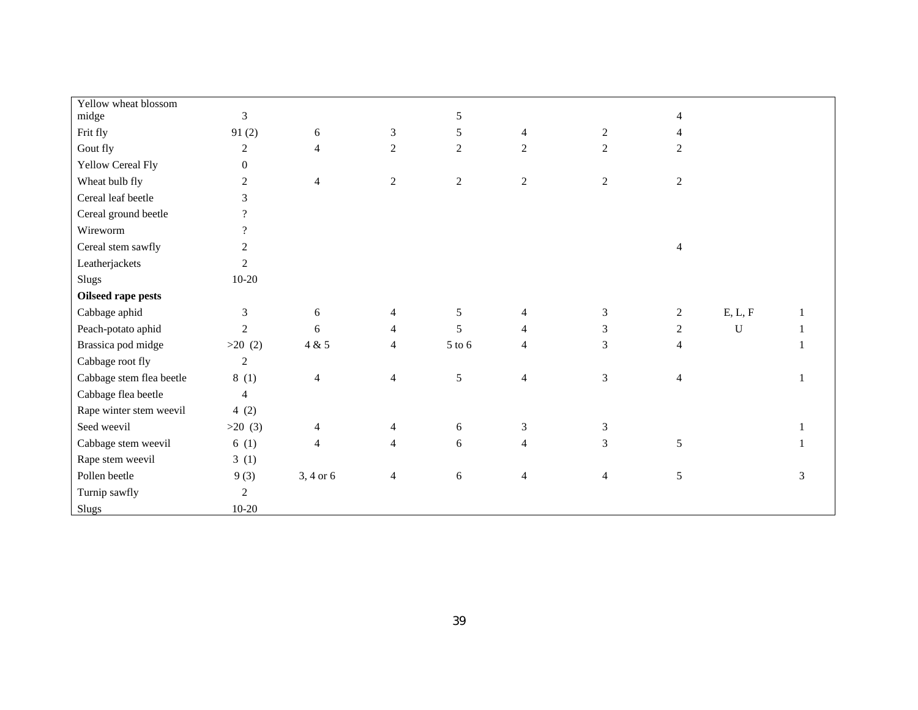| Yellow wheat blossom     |                          |                |                |                |                          |                |                |             |   |
|--------------------------|--------------------------|----------------|----------------|----------------|--------------------------|----------------|----------------|-------------|---|
| midge                    | $\mathfrak{Z}$           |                |                | 5              |                          |                | $\overline{4}$ |             |   |
| Frit fly                 | 91(2)                    | 6              | $\mathfrak{Z}$ | 5              | $\overline{4}$           | $\overline{c}$ | 4              |             |   |
| Gout fly                 | $\overline{2}$           | 4              | $\overline{2}$ | $\overline{2}$ | $\overline{2}$           | $\overline{2}$ | $\overline{2}$ |             |   |
| Yellow Cereal Fly        | $\Omega$                 |                |                |                |                          |                |                |             |   |
| Wheat bulb fly           | $\overline{2}$           | $\overline{4}$ | $\overline{2}$ | $\overline{2}$ | $\overline{2}$           | $\overline{2}$ | $\overline{2}$ |             |   |
| Cereal leaf beetle       | 3                        |                |                |                |                          |                |                |             |   |
| Cereal ground beetle     | $\overline{?}$           |                |                |                |                          |                |                |             |   |
| Wireworm                 | $\overline{\mathcal{L}}$ |                |                |                |                          |                |                |             |   |
| Cereal stem sawfly       | $\overline{2}$           |                |                |                |                          |                | $\overline{4}$ |             |   |
| Leatherjackets           | $\overline{2}$           |                |                |                |                          |                |                |             |   |
| Slugs                    | $10-20$                  |                |                |                |                          |                |                |             |   |
| Oilseed rape pests       |                          |                |                |                |                          |                |                |             |   |
| Cabbage aphid            | 3                        | 6              | $\overline{4}$ | 5              | $\overline{4}$           | 3              | $\overline{2}$ | E, L, F     |   |
| Peach-potato aphid       | $\overline{2}$           | 6              | $\overline{4}$ | 5              | 4                        | $\overline{3}$ | $\overline{2}$ | $\mathbf U$ |   |
| Brassica pod midge       | $>20$ (2)                | 4 & 5          | $\overline{4}$ | 5 to 6         | 4                        | 3              | $\overline{4}$ |             |   |
| Cabbage root fly         | $\overline{2}$           |                |                |                |                          |                |                |             |   |
| Cabbage stem flea beetle | 8(1)                     | $\overline{4}$ | $\overline{4}$ | 5              | $\overline{4}$           | 3              | $\overline{4}$ |             |   |
| Cabbage flea beetle      | $\overline{4}$           |                |                |                |                          |                |                |             |   |
| Rape winter stem weevil  | 4(2)                     |                |                |                |                          |                |                |             |   |
| Seed weevil              | >20(3)                   | 4              | 4              | 6              | $\mathfrak{Z}$           | $\mathfrak{Z}$ |                |             |   |
| Cabbage stem weevil      | 6(1)                     | $\overline{4}$ | $\overline{4}$ | 6              | $\overline{4}$           | 3              | 5              |             |   |
| Rape stem weevil         | 3(1)                     |                |                |                |                          |                |                |             |   |
| Pollen beetle            | 9(3)                     | $3, 4$ or $6$  | $\overline{4}$ | $6\,$          | $\overline{\mathcal{L}}$ | $\overline{4}$ | $\sqrt{5}$     |             | 3 |
| Turnip sawfly            | $\overline{2}$           |                |                |                |                          |                |                |             |   |
| <b>Slugs</b>             | $10-20$                  |                |                |                |                          |                |                |             |   |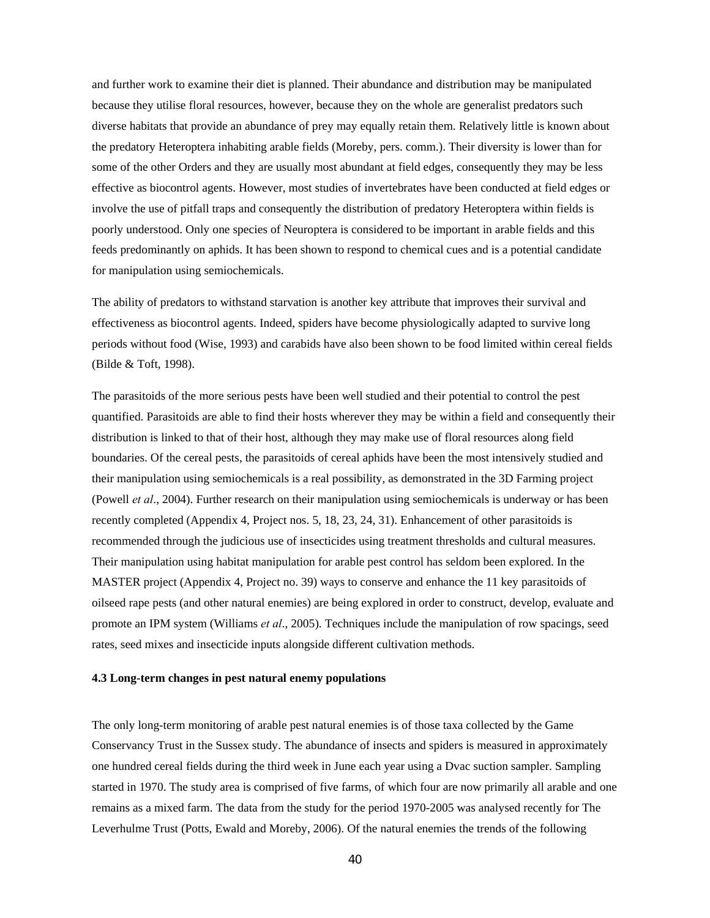and further work to examine their diet is planned. Their abundance and distribution may be manipulated because they utilise floral resources, however, because they on the whole are generalist predators such diverse habitats that provide an abundance of prey may equally retain them. Relatively little is known about the predatory Heteroptera inhabiting arable fields (Moreby, pers. comm.). Their diversity is lower than for some of the other Orders and they are usually most abundant at field edges, consequently they may be less effective as biocontrol agents. However, most studies of invertebrates have been conducted at field edges or involve the use of pitfall traps and consequently the distribution of predatory Heteroptera within fields is poorly understood. Only one species of Neuroptera is considered to be important in arable fields and this feeds predominantly on aphids. It has been shown to respond to chemical cues and is a potential candidate for manipulation using semiochemicals.

The ability of predators to withstand starvation is another key attribute that improves their survival and effectiveness as biocontrol agents. Indeed, spiders have become physiologically adapted to survive long periods without food (Wise, 1993) and carabids have also been shown to be food limited within cereal fields (Bilde & Toft, 1998).

The parasitoids of the more serious pests have been well studied and their potential to control the pest quantified. Parasitoids are able to find their hosts wherever they may be within a field and consequently their distribution is linked to that of their host, although they may make use of floral resources along field boundaries. Of the cereal pests, the parasitoids of cereal aphids have been the most intensively studied and their manipulation using semiochemicals is a real possibility, as demonstrated in the 3D Farming project (Powell *et al*., 2004). Further research on their manipulation using semiochemicals is underway or has been recently completed (Appendix 4, Project nos. 5, 18, 23, 24, 31). Enhancement of other parasitoids is recommended through the judicious use of insecticides using treatment thresholds and cultural measures. Their manipulation using habitat manipulation for arable pest control has seldom been explored. In the MASTER project (Appendix 4, Project no. 39) ways to conserve and enhance the 11 key parasitoids of oilseed rape pests (and other natural enemies) are being explored in order to construct, develop, evaluate and promote an IPM system (Williams *et al*., 2005). Techniques include the manipulation of row spacings, seed rates, seed mixes and insecticide inputs alongside different cultivation methods.

#### **4.3 Long-term changes in pest natural enemy populations**

The only long-term monitoring of arable pest natural enemies is of those taxa collected by the Game Conservancy Trust in the Sussex study. The abundance of insects and spiders is measured in approximately one hundred cereal fields during the third week in June each year using a Dvac suction sampler. Sampling started in 1970. The study area is comprised of five farms, of which four are now primarily all arable and one remains as a mixed farm. The data from the study for the period 1970-2005 was analysed recently for The Leverhulme Trust (Potts, Ewald and Moreby, 2006). Of the natural enemies the trends of the following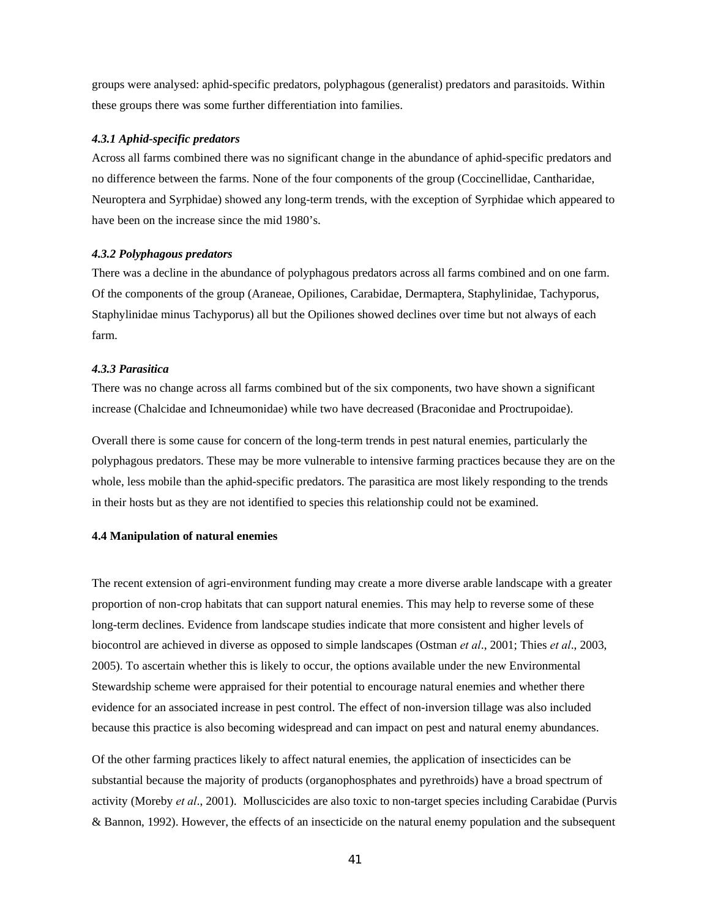groups were analysed: aphid-specific predators, polyphagous (generalist) predators and parasitoids. Within these groups there was some further differentiation into families.

#### *4.3.1 Aphid-specific predators*

Across all farms combined there was no significant change in the abundance of aphid-specific predators and no difference between the farms. None of the four components of the group (Coccinellidae, Cantharidae, Neuroptera and Syrphidae) showed any long-term trends, with the exception of Syrphidae which appeared to have been on the increase since the mid 1980's.

### *4.3.2 Polyphagous predators*

There was a decline in the abundance of polyphagous predators across all farms combined and on one farm. Of the components of the group (Araneae, Opiliones, Carabidae, Dermaptera, Staphylinidae, Tachyporus, Staphylinidae minus Tachyporus) all but the Opiliones showed declines over time but not always of each farm.

### *4.3.3 Parasitica*

There was no change across all farms combined but of the six components, two have shown a significant increase (Chalcidae and Ichneumonidae) while two have decreased (Braconidae and Proctrupoidae).

Overall there is some cause for concern of the long-term trends in pest natural enemies, particularly the polyphagous predators. These may be more vulnerable to intensive farming practices because they are on the whole, less mobile than the aphid-specific predators. The parasitica are most likely responding to the trends in their hosts but as they are not identified to species this relationship could not be examined.

### **4.4 Manipulation of natural enemies**

The recent extension of agri-environment funding may create a more diverse arable landscape with a greater proportion of non-crop habitats that can support natural enemies. This may help to reverse some of these long-term declines. Evidence from landscape studies indicate that more consistent and higher levels of biocontrol are achieved in diverse as opposed to simple landscapes (Ostman *et al*., 2001; Thies *et al*., 2003, 2005). To ascertain whether this is likely to occur, the options available under the new Environmental Stewardship scheme were appraised for their potential to encourage natural enemies and whether there evidence for an associated increase in pest control. The effect of non-inversion tillage was also included because this practice is also becoming widespread and can impact on pest and natural enemy abundances.

Of the other farming practices likely to affect natural enemies, the application of insecticides can be substantial because the majority of products (organophosphates and pyrethroids) have a broad spectrum of activity (Moreby *et al*., 2001). Molluscicides are also toxic to non-target species including Carabidae (Purvis & Bannon, 1992). However, the effects of an insecticide on the natural enemy population and the subsequent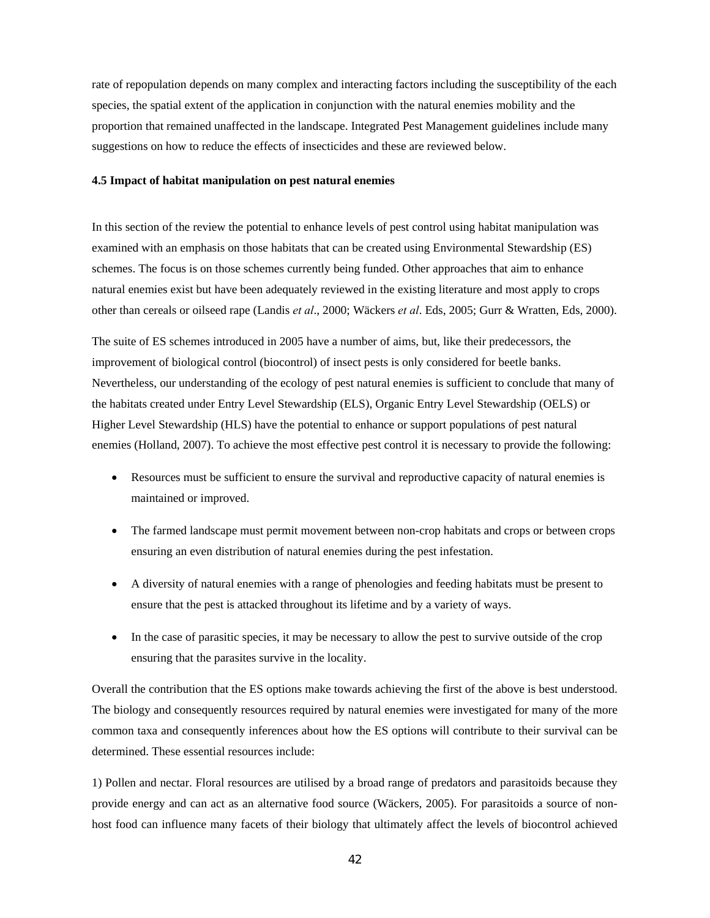rate of repopulation depends on many complex and interacting factors including the susceptibility of the each species, the spatial extent of the application in conjunction with the natural enemies mobility and the proportion that remained unaffected in the landscape. Integrated Pest Management guidelines include many suggestions on how to reduce the effects of insecticides and these are reviewed below.

### **4.5 Impact of habitat manipulation on pest natural enemies**

In this section of the review the potential to enhance levels of pest control using habitat manipulation was examined with an emphasis on those habitats that can be created using Environmental Stewardship (ES) schemes. The focus is on those schemes currently being funded. Other approaches that aim to enhance natural enemies exist but have been adequately reviewed in the existing literature and most apply to crops other than cereals or oilseed rape (Landis *et al*., 2000; Wäckers *et al*. Eds, 2005; Gurr & Wratten, Eds, 2000).

The suite of ES schemes introduced in 2005 have a number of aims, but, like their predecessors, the improvement of biological control (biocontrol) of insect pests is only considered for beetle banks. Nevertheless, our understanding of the ecology of pest natural enemies is sufficient to conclude that many of the habitats created under Entry Level Stewardship (ELS), Organic Entry Level Stewardship (OELS) or Higher Level Stewardship (HLS) have the potential to enhance or support populations of pest natural enemies (Holland, 2007). To achieve the most effective pest control it is necessary to provide the following:

- Resources must be sufficient to ensure the survival and reproductive capacity of natural enemies is maintained or improved.
- The farmed landscape must permit movement between non-crop habitats and crops or between crops ensuring an even distribution of natural enemies during the pest infestation.
- A diversity of natural enemies with a range of phenologies and feeding habitats must be present to ensure that the pest is attacked throughout its lifetime and by a variety of ways.
- In the case of parasitic species, it may be necessary to allow the pest to survive outside of the crop ensuring that the parasites survive in the locality.

Overall the contribution that the ES options make towards achieving the first of the above is best understood. The biology and consequently resources required by natural enemies were investigated for many of the more common taxa and consequently inferences about how the ES options will contribute to their survival can be determined. These essential resources include:

1) Pollen and nectar. Floral resources are utilised by a broad range of predators and parasitoids because they provide energy and can act as an alternative food source (Wäckers, 2005). For parasitoids a source of nonhost food can influence many facets of their biology that ultimately affect the levels of biocontrol achieved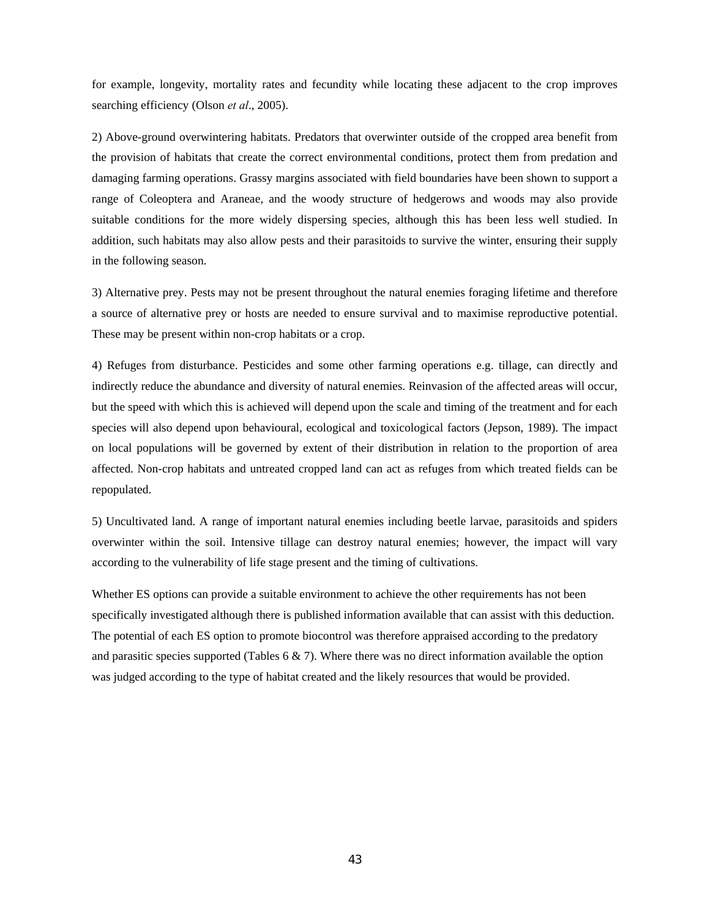for example, longevity, mortality rates and fecundity while locating these adjacent to the crop improves searching efficiency (Olson *et al*., 2005).

2) Above-ground overwintering habitats. Predators that overwinter outside of the cropped area benefit from the provision of habitats that create the correct environmental conditions, protect them from predation and damaging farming operations. Grassy margins associated with field boundaries have been shown to support a range of Coleoptera and Araneae, and the woody structure of hedgerows and woods may also provide suitable conditions for the more widely dispersing species, although this has been less well studied. In addition, such habitats may also allow pests and their parasitoids to survive the winter, ensuring their supply in the following season.

3) Alternative prey. Pests may not be present throughout the natural enemies foraging lifetime and therefore a source of alternative prey or hosts are needed to ensure survival and to maximise reproductive potential. These may be present within non-crop habitats or a crop.

4) Refuges from disturbance. Pesticides and some other farming operations e.g. tillage, can directly and indirectly reduce the abundance and diversity of natural enemies. Reinvasion of the affected areas will occur, but the speed with which this is achieved will depend upon the scale and timing of the treatment and for each species will also depend upon behavioural, ecological and toxicological factors (Jepson, 1989). The impact on local populations will be governed by extent of their distribution in relation to the proportion of area affected. Non-crop habitats and untreated cropped land can act as refuges from which treated fields can be repopulated.

5) Uncultivated land. A range of important natural enemies including beetle larvae, parasitoids and spiders overwinter within the soil. Intensive tillage can destroy natural enemies; however, the impact will vary according to the vulnerability of life stage present and the timing of cultivations.

Whether ES options can provide a suitable environment to achieve the other requirements has not been specifically investigated although there is published information available that can assist with this deduction. The potential of each ES option to promote biocontrol was therefore appraised according to the predatory and parasitic species supported (Tables  $6 \& 7$ ). Where there was no direct information available the option was judged according to the type of habitat created and the likely resources that would be provided.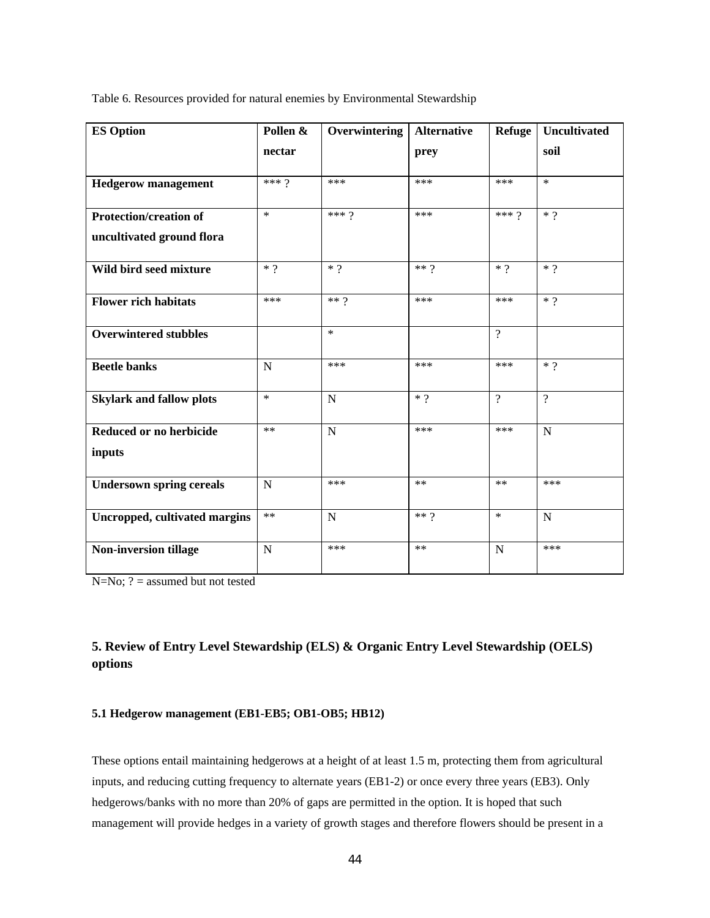| <b>ES Option</b>                                           | Pollen &    | Overwintering  | <b>Alternative</b> | <b>Refuge</b> | <b>Uncultivated</b> |
|------------------------------------------------------------|-------------|----------------|--------------------|---------------|---------------------|
|                                                            | nectar      |                | prey               |               | soil                |
| <b>Hedgerow management</b>                                 | *** $9$     | ***            | ***                | ***           | $\ast$              |
| <b>Protection/creation of</b><br>uncultivated ground flora | $\star$     | *** $9$        | ***                | *** $9$       | $*$ ?               |
| Wild bird seed mixture                                     | $*$ ?       | $*$ ?          | $** 9$             | $*$ ?         | $*$ ?               |
| <b>Flower rich habitats</b>                                | ***         | $**9$          | ***                | ***           | $*$ ?               |
| <b>Overwintered stubbles</b>                               |             | $\ast$         |                    | $\gamma$      |                     |
| <b>Beetle banks</b>                                        | $\mathbf N$ | ***            | ***                | ***           | $*$ ?               |
| <b>Skylark and fallow plots</b>                            | $\star$     | $\mathbf N$    | $*$ ?              | $\gamma$      | $\gamma$            |
| Reduced or no herbicide<br>inputs                          | $**$        | N              | ***                | ***           | $\mathbf N$         |
| <b>Undersown spring cereals</b>                            | N           | ***            | $**$               | **            | ***                 |
| Uncropped, cultivated margins                              | $**$        | $\overline{N}$ | $**$ ?             | $\ast$        | $\mathbf N$         |
| Non-inversion tillage                                      | N           | ***            | $**$               | $\mathbf N$   | ***                 |

Table 6. Resources provided for natural enemies by Environmental Stewardship

N=No; ? = assumed but not tested

# **5. Review of Entry Level Stewardship (ELS) & Organic Entry Level Stewardship (OELS) options**

### **5.1 Hedgerow management (EB1-EB5; OB1-OB5; HB12)**

These options entail maintaining hedgerows at a height of at least 1.5 m, protecting them from agricultural inputs, and reducing cutting frequency to alternate years (EB1-2) or once every three years (EB3). Only hedgerows/banks with no more than 20% of gaps are permitted in the option. It is hoped that such management will provide hedges in a variety of growth stages and therefore flowers should be present in a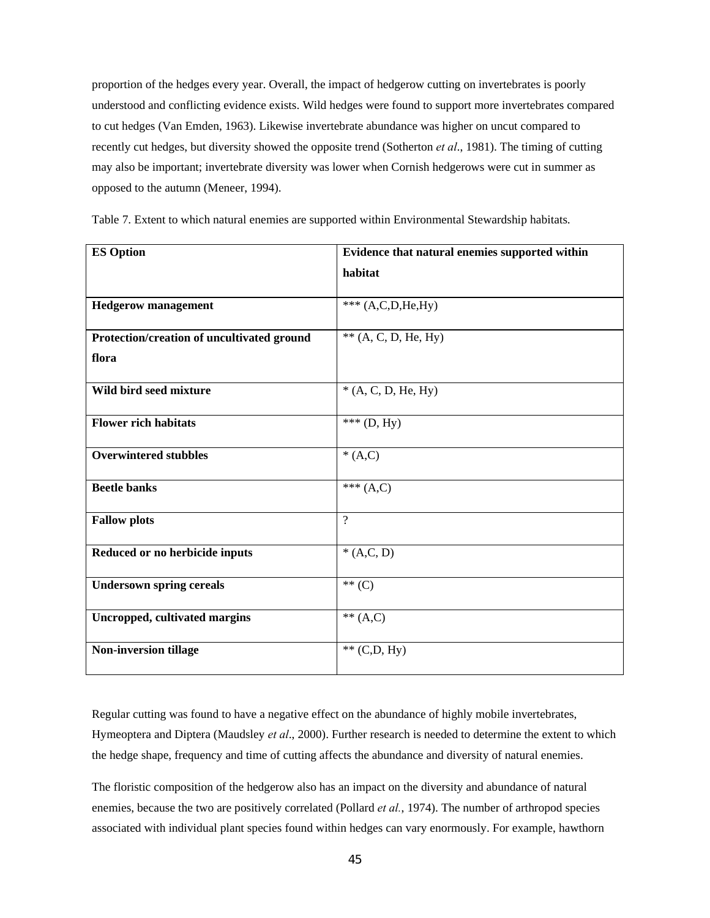proportion of the hedges every year. Overall, the impact of hedgerow cutting on invertebrates is poorly understood and conflicting evidence exists. Wild hedges were found to support more invertebrates compared to cut hedges (Van Emden, 1963). Likewise invertebrate abundance was higher on uncut compared to recently cut hedges, but diversity showed the opposite trend (Sotherton *et al*., 1981). The timing of cutting may also be important; invertebrate diversity was lower when Cornish hedgerows were cut in summer as opposed to the autumn (Meneer, 1994).

| <b>ES Option</b>                           | Evidence that natural enemies supported within |  |  |  |  |  |
|--------------------------------------------|------------------------------------------------|--|--|--|--|--|
|                                            | habitat                                        |  |  |  |  |  |
|                                            |                                                |  |  |  |  |  |
| <b>Hedgerow management</b>                 | *** $(A, C, D, He, Hy)$                        |  |  |  |  |  |
|                                            |                                                |  |  |  |  |  |
| Protection/creation of uncultivated ground | $**$ (A, C, D, He, Hy)                         |  |  |  |  |  |
| flora                                      |                                                |  |  |  |  |  |
|                                            |                                                |  |  |  |  |  |
| Wild bird seed mixture                     | $*(A, C, D, He, Hy)$                           |  |  |  |  |  |
|                                            |                                                |  |  |  |  |  |
| <b>Flower rich habitats</b>                | *** $(D, Hy)$                                  |  |  |  |  |  |
| <b>Overwintered stubbles</b>               | $*(A,C)$                                       |  |  |  |  |  |
|                                            |                                                |  |  |  |  |  |
| <b>Beetle banks</b>                        | *** $(A,C)$                                    |  |  |  |  |  |
|                                            |                                                |  |  |  |  |  |
| <b>Fallow plots</b>                        | $\overline{?}$                                 |  |  |  |  |  |
|                                            |                                                |  |  |  |  |  |
| Reduced or no herbicide inputs             | $*(A,C, D)$                                    |  |  |  |  |  |
|                                            |                                                |  |  |  |  |  |
| <b>Undersown spring cereals</b>            | $**$ (C)                                       |  |  |  |  |  |
| <b>Uncropped, cultivated margins</b>       | ** $(A,C)$                                     |  |  |  |  |  |
|                                            |                                                |  |  |  |  |  |
| <b>Non-inversion tillage</b>               | $**$ (C,D, Hy)                                 |  |  |  |  |  |
|                                            |                                                |  |  |  |  |  |

Table 7. Extent to which natural enemies are supported within Environmental Stewardship habitats.

Regular cutting was found to have a negative effect on the abundance of highly mobile invertebrates, Hymeoptera and Diptera (Maudsley *et al*., 2000). Further research is needed to determine the extent to which the hedge shape, frequency and time of cutting affects the abundance and diversity of natural enemies.

The floristic composition of the hedgerow also has an impact on the diversity and abundance of natural enemies, because the two are positively correlated (Pollard *et al.*, 1974). The number of arthropod species associated with individual plant species found within hedges can vary enormously. For example, hawthorn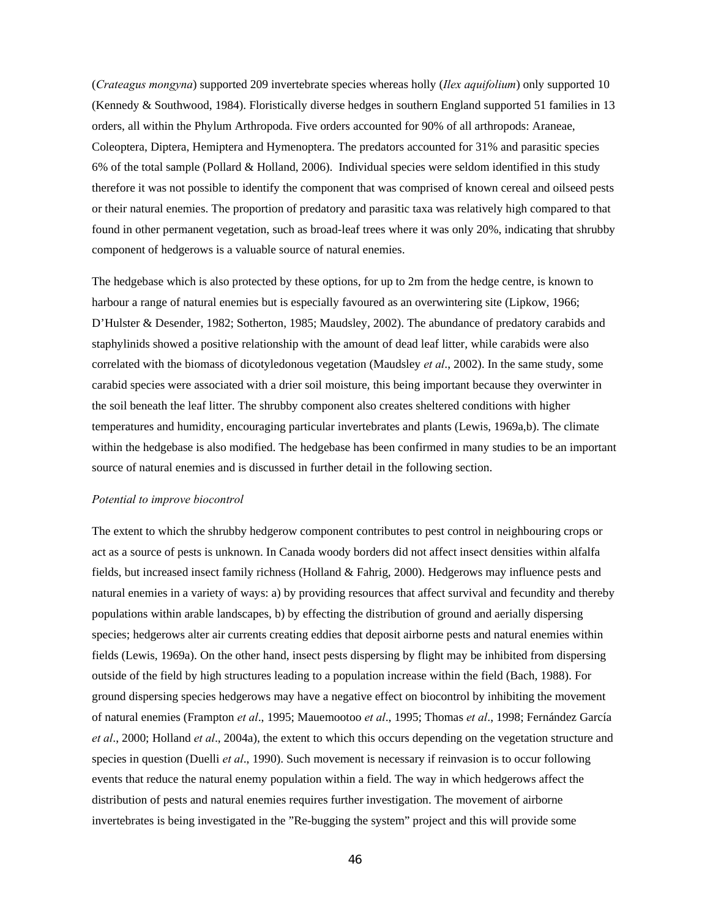(*Crateagus mongyna*) supported 209 invertebrate species whereas holly (*Ilex aquifolium*) only supported 10 (Kennedy & Southwood, 1984). Floristically diverse hedges in southern England supported 51 families in 13 orders, all within the Phylum Arthropoda. Five orders accounted for 90% of all arthropods: Araneae, Coleoptera, Diptera, Hemiptera and Hymenoptera. The predators accounted for 31% and parasitic species 6% of the total sample (Pollard & Holland, 2006). Individual species were seldom identified in this study therefore it was not possible to identify the component that was comprised of known cereal and oilseed pests or their natural enemies. The proportion of predatory and parasitic taxa was relatively high compared to that found in other permanent vegetation, such as broad-leaf trees where it was only 20%, indicating that shrubby component of hedgerows is a valuable source of natural enemies.

The hedgebase which is also protected by these options, for up to 2m from the hedge centre, is known to harbour a range of natural enemies but is especially favoured as an overwintering site (Lipkow, 1966; D'Hulster & Desender, 1982; Sotherton, 1985; Maudsley, 2002). The abundance of predatory carabids and staphylinids showed a positive relationship with the amount of dead leaf litter, while carabids were also correlated with the biomass of dicotyledonous vegetation (Maudsley *et al*., 2002). In the same study, some carabid species were associated with a drier soil moisture, this being important because they overwinter in the soil beneath the leaf litter. The shrubby component also creates sheltered conditions with higher temperatures and humidity, encouraging particular invertebrates and plants (Lewis, 1969a,b). The climate within the hedgebase is also modified. The hedgebase has been confirmed in many studies to be an important source of natural enemies and is discussed in further detail in the following section.

#### *Potential to improve biocontrol*

The extent to which the shrubby hedgerow component contributes to pest control in neighbouring crops or act as a source of pests is unknown. In Canada woody borders did not affect insect densities within alfalfa fields, but increased insect family richness (Holland & Fahrig, 2000). Hedgerows may influence pests and natural enemies in a variety of ways: a) by providing resources that affect survival and fecundity and thereby populations within arable landscapes, b) by effecting the distribution of ground and aerially dispersing species; hedgerows alter air currents creating eddies that deposit airborne pests and natural enemies within fields (Lewis, 1969a). On the other hand, insect pests dispersing by flight may be inhibited from dispersing outside of the field by high structures leading to a population increase within the field (Bach, 1988). For ground dispersing species hedgerows may have a negative effect on biocontrol by inhibiting the movement of natural enemies (Frampton *et al*., 1995; Mauemootoo *et al*., 1995; Thomas *et al*., 1998; Fernández García *et al*., 2000; Holland *et al*., 2004a), the extent to which this occurs depending on the vegetation structure and species in question (Duelli *et al*., 1990). Such movement is necessary if reinvasion is to occur following events that reduce the natural enemy population within a field. The way in which hedgerows affect the distribution of pests and natural enemies requires further investigation. The movement of airborne invertebrates is being investigated in the "Re-bugging the system" project and this will provide some

46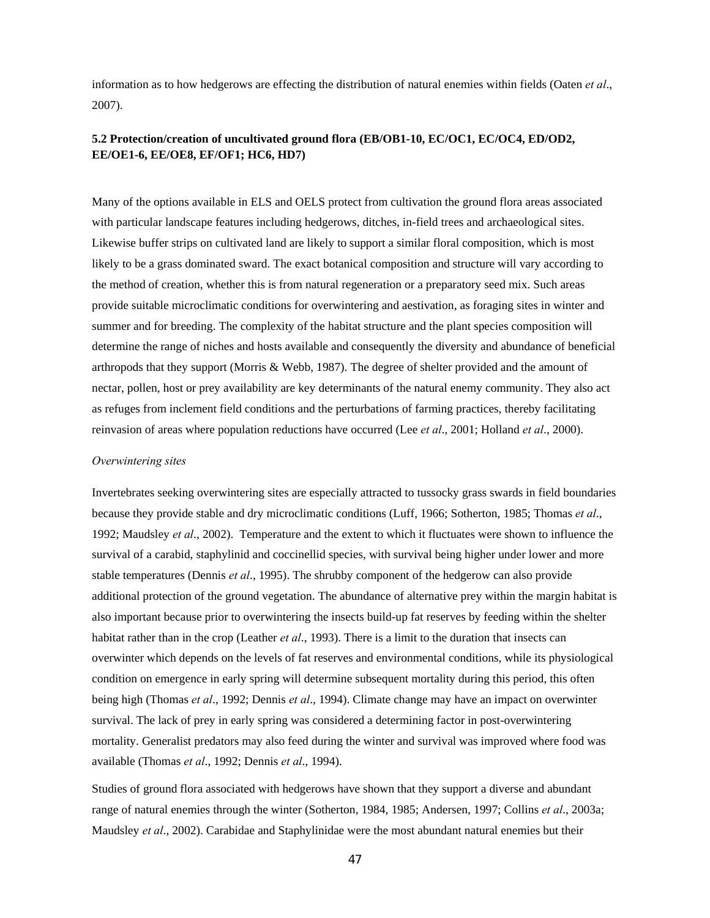information as to how hedgerows are effecting the distribution of natural enemies within fields (Oaten *et al*., 2007).

## **5.2 Protection/creation of uncultivated ground flora (EB/OB1-10, EC/OC1, EC/OC4, ED/OD2, EE/OE1-6, EE/OE8, EF/OF1; HC6, HD7)**

Many of the options available in ELS and OELS protect from cultivation the ground flora areas associated with particular landscape features including hedgerows, ditches, in-field trees and archaeological sites. Likewise buffer strips on cultivated land are likely to support a similar floral composition, which is most likely to be a grass dominated sward. The exact botanical composition and structure will vary according to the method of creation, whether this is from natural regeneration or a preparatory seed mix. Such areas provide suitable microclimatic conditions for overwintering and aestivation, as foraging sites in winter and summer and for breeding. The complexity of the habitat structure and the plant species composition will determine the range of niches and hosts available and consequently the diversity and abundance of beneficial arthropods that they support (Morris & Webb, 1987). The degree of shelter provided and the amount of nectar, pollen, host or prey availability are key determinants of the natural enemy community. They also act as refuges from inclement field conditions and the perturbations of farming practices, thereby facilitating reinvasion of areas where population reductions have occurred (Lee *et al*., 2001; Holland *et al*., 2000).

### *Overwintering sites*

Invertebrates seeking overwintering sites are especially attracted to tussocky grass swards in field boundaries because they provide stable and dry microclimatic conditions (Luff, 1966; Sotherton, 1985; Thomas *et al*., 1992; Maudsley *et al*., 2002). Temperature and the extent to which it fluctuates were shown to influence the survival of a carabid, staphylinid and coccinellid species, with survival being higher under lower and more stable temperatures (Dennis *et al*., 1995). The shrubby component of the hedgerow can also provide additional protection of the ground vegetation. The abundance of alternative prey within the margin habitat is also important because prior to overwintering the insects build-up fat reserves by feeding within the shelter habitat rather than in the crop (Leather *et al.*, 1993). There is a limit to the duration that insects can overwinter which depends on the levels of fat reserves and environmental conditions, while its physiological condition on emergence in early spring will determine subsequent mortality during this period, this often being high (Thomas *et al*., 1992; Dennis *et al*., 1994). Climate change may have an impact on overwinter survival. The lack of prey in early spring was considered a determining factor in post-overwintering mortality. Generalist predators may also feed during the winter and survival was improved where food was available (Thomas *et al*., 1992; Dennis *et al*., 1994).

Studies of ground flora associated with hedgerows have shown that they support a diverse and abundant range of natural enemies through the winter (Sotherton, 1984, 1985; Andersen, 1997; Collins *et al*., 2003a; Maudsley *et al*., 2002). Carabidae and Staphylinidae were the most abundant natural enemies but their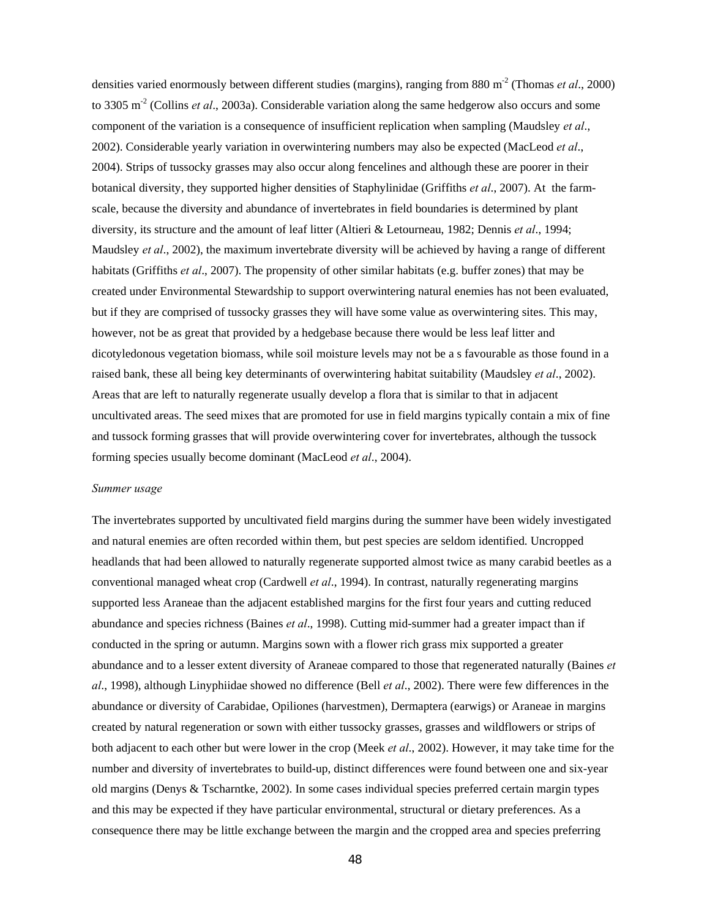densities varied enormously between different studies (margins), ranging from 880 m-2 (Thomas *et al*., 2000) to 3305 m-2 (Collins *et al*., 2003a). Considerable variation along the same hedgerow also occurs and some component of the variation is a consequence of insufficient replication when sampling (Maudsley *et al*., 2002). Considerable yearly variation in overwintering numbers may also be expected (MacLeod *et al*., 2004). Strips of tussocky grasses may also occur along fencelines and although these are poorer in their botanical diversity, they supported higher densities of Staphylinidae (Griffiths *et al*., 2007). At the farmscale, because the diversity and abundance of invertebrates in field boundaries is determined by plant diversity, its structure and the amount of leaf litter (Altieri & Letourneau, 1982; Dennis *et al*., 1994; Maudsley *et al*., 2002), the maximum invertebrate diversity will be achieved by having a range of different habitats (Griffiths *et al*., 2007). The propensity of other similar habitats (e.g. buffer zones) that may be created under Environmental Stewardship to support overwintering natural enemies has not been evaluated, but if they are comprised of tussocky grasses they will have some value as overwintering sites. This may, however, not be as great that provided by a hedgebase because there would be less leaf litter and dicotyledonous vegetation biomass, while soil moisture levels may not be a s favourable as those found in a raised bank, these all being key determinants of overwintering habitat suitability (Maudsley *et al*., 2002). Areas that are left to naturally regenerate usually develop a flora that is similar to that in adjacent uncultivated areas. The seed mixes that are promoted for use in field margins typically contain a mix of fine and tussock forming grasses that will provide overwintering cover for invertebrates, although the tussock forming species usually become dominant (MacLeod *et al*., 2004).

#### *Summer usage*

The invertebrates supported by uncultivated field margins during the summer have been widely investigated and natural enemies are often recorded within them, but pest species are seldom identified. Uncropped headlands that had been allowed to naturally regenerate supported almost twice as many carabid beetles as a conventional managed wheat crop (Cardwell *et al*., 1994). In contrast, naturally regenerating margins supported less Araneae than the adjacent established margins for the first four years and cutting reduced abundance and species richness (Baines *et al*., 1998). Cutting mid-summer had a greater impact than if conducted in the spring or autumn. Margins sown with a flower rich grass mix supported a greater abundance and to a lesser extent diversity of Araneae compared to those that regenerated naturally (Baines *et al*., 1998), although Linyphiidae showed no difference (Bell *et al*., 2002). There were few differences in the abundance or diversity of Carabidae, Opiliones (harvestmen), Dermaptera (earwigs) or Araneae in margins created by natural regeneration or sown with either tussocky grasses, grasses and wildflowers or strips of both adjacent to each other but were lower in the crop (Meek *et al*., 2002). However, it may take time for the number and diversity of invertebrates to build-up, distinct differences were found between one and six-year old margins (Denys & Tscharntke, 2002). In some cases individual species preferred certain margin types and this may be expected if they have particular environmental, structural or dietary preferences. As a consequence there may be little exchange between the margin and the cropped area and species preferring

48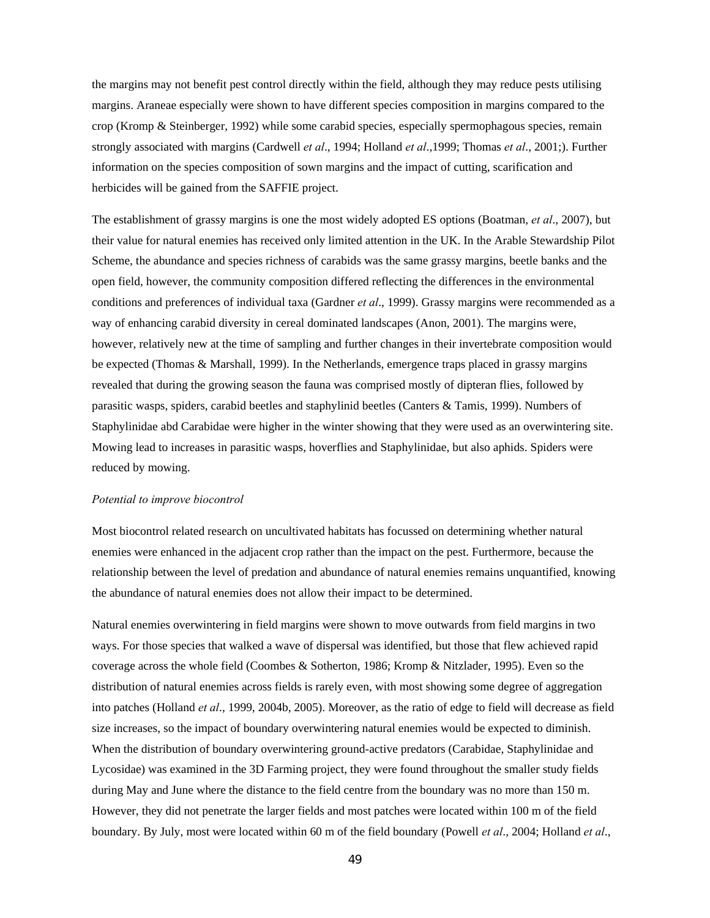the margins may not benefit pest control directly within the field, although they may reduce pests utilising margins. Araneae especially were shown to have different species composition in margins compared to the crop (Kromp & Steinberger, 1992) while some carabid species, especially spermophagous species, remain strongly associated with margins (Cardwell *et al*., 1994; Holland *et al*.,1999; Thomas *et al*., 2001;). Further information on the species composition of sown margins and the impact of cutting, scarification and herbicides will be gained from the SAFFIE project.

The establishment of grassy margins is one the most widely adopted ES options (Boatman, *et al*., 2007), but their value for natural enemies has received only limited attention in the UK. In the Arable Stewardship Pilot Scheme, the abundance and species richness of carabids was the same grassy margins, beetle banks and the open field, however, the community composition differed reflecting the differences in the environmental conditions and preferences of individual taxa (Gardner *et al*., 1999). Grassy margins were recommended as a way of enhancing carabid diversity in cereal dominated landscapes (Anon, 2001). The margins were, however, relatively new at the time of sampling and further changes in their invertebrate composition would be expected (Thomas & Marshall, 1999). In the Netherlands, emergence traps placed in grassy margins revealed that during the growing season the fauna was comprised mostly of dipteran flies, followed by parasitic wasps, spiders, carabid beetles and staphylinid beetles (Canters & Tamis, 1999). Numbers of Staphylinidae abd Carabidae were higher in the winter showing that they were used as an overwintering site. Mowing lead to increases in parasitic wasps, hoverflies and Staphylinidae, but also aphids. Spiders were reduced by mowing.

#### *Potential to improve biocontrol*

Most biocontrol related research on uncultivated habitats has focussed on determining whether natural enemies were enhanced in the adjacent crop rather than the impact on the pest. Furthermore, because the relationship between the level of predation and abundance of natural enemies remains unquantified, knowing the abundance of natural enemies does not allow their impact to be determined.

Natural enemies overwintering in field margins were shown to move outwards from field margins in two ways. For those species that walked a wave of dispersal was identified, but those that flew achieved rapid coverage across the whole field (Coombes & Sotherton, 1986; Kromp & Nitzlader, 1995). Even so the distribution of natural enemies across fields is rarely even, with most showing some degree of aggregation into patches (Holland *et al*., 1999, 2004b, 2005). Moreover, as the ratio of edge to field will decrease as field size increases, so the impact of boundary overwintering natural enemies would be expected to diminish. When the distribution of boundary overwintering ground-active predators (Carabidae, Staphylinidae and Lycosidae) was examined in the 3D Farming project, they were found throughout the smaller study fields during May and June where the distance to the field centre from the boundary was no more than 150 m. However, they did not penetrate the larger fields and most patches were located within 100 m of the field boundary. By July, most were located within 60 m of the field boundary (Powell *et al*., 2004; Holland *et al*.,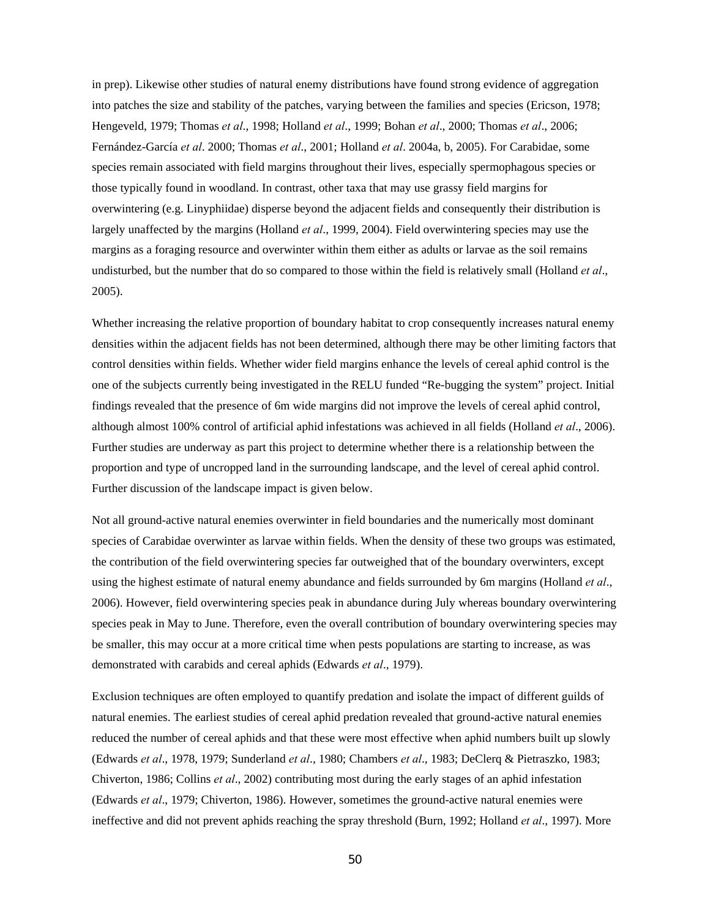in prep). Likewise other studies of natural enemy distributions have found strong evidence of aggregation into patches the size and stability of the patches, varying between the families and species (Ericson, 1978; Hengeveld, 1979; Thomas *et al*., 1998; Holland *et al*., 1999; Bohan *et al*., 2000; Thomas *et al*., 2006; Fernández-García *et al*. 2000; Thomas *et al*., 2001; Holland *et al*. 2004a, b, 2005). For Carabidae, some species remain associated with field margins throughout their lives, especially spermophagous species or those typically found in woodland. In contrast, other taxa that may use grassy field margins for overwintering (e.g. Linyphiidae) disperse beyond the adjacent fields and consequently their distribution is largely unaffected by the margins (Holland *et al*., 1999, 2004). Field overwintering species may use the margins as a foraging resource and overwinter within them either as adults or larvae as the soil remains undisturbed, but the number that do so compared to those within the field is relatively small (Holland *et al*., 2005).

Whether increasing the relative proportion of boundary habitat to crop consequently increases natural enemy densities within the adjacent fields has not been determined, although there may be other limiting factors that control densities within fields. Whether wider field margins enhance the levels of cereal aphid control is the one of the subjects currently being investigated in the RELU funded "Re-bugging the system" project. Initial findings revealed that the presence of 6m wide margins did not improve the levels of cereal aphid control, although almost 100% control of artificial aphid infestations was achieved in all fields (Holland *et al*., 2006). Further studies are underway as part this project to determine whether there is a relationship between the proportion and type of uncropped land in the surrounding landscape, and the level of cereal aphid control. Further discussion of the landscape impact is given below.

Not all ground-active natural enemies overwinter in field boundaries and the numerically most dominant species of Carabidae overwinter as larvae within fields. When the density of these two groups was estimated, the contribution of the field overwintering species far outweighed that of the boundary overwinters, except using the highest estimate of natural enemy abundance and fields surrounded by 6m margins (Holland *et al*., 2006). However, field overwintering species peak in abundance during July whereas boundary overwintering species peak in May to June. Therefore, even the overall contribution of boundary overwintering species may be smaller, this may occur at a more critical time when pests populations are starting to increase, as was demonstrated with carabids and cereal aphids (Edwards *et al*., 1979).

Exclusion techniques are often employed to quantify predation and isolate the impact of different guilds of natural enemies. The earliest studies of cereal aphid predation revealed that ground-active natural enemies reduced the number of cereal aphids and that these were most effective when aphid numbers built up slowly (Edwards *et al*., 1978, 1979; Sunderland *et al*., 1980; Chambers *et al*., 1983; DeClerq & Pietraszko, 1983; Chiverton, 1986; Collins *et al*., 2002) contributing most during the early stages of an aphid infestation (Edwards *et al*., 1979; Chiverton, 1986). However, sometimes the ground-active natural enemies were ineffective and did not prevent aphids reaching the spray threshold (Burn, 1992; Holland *et al*., 1997). More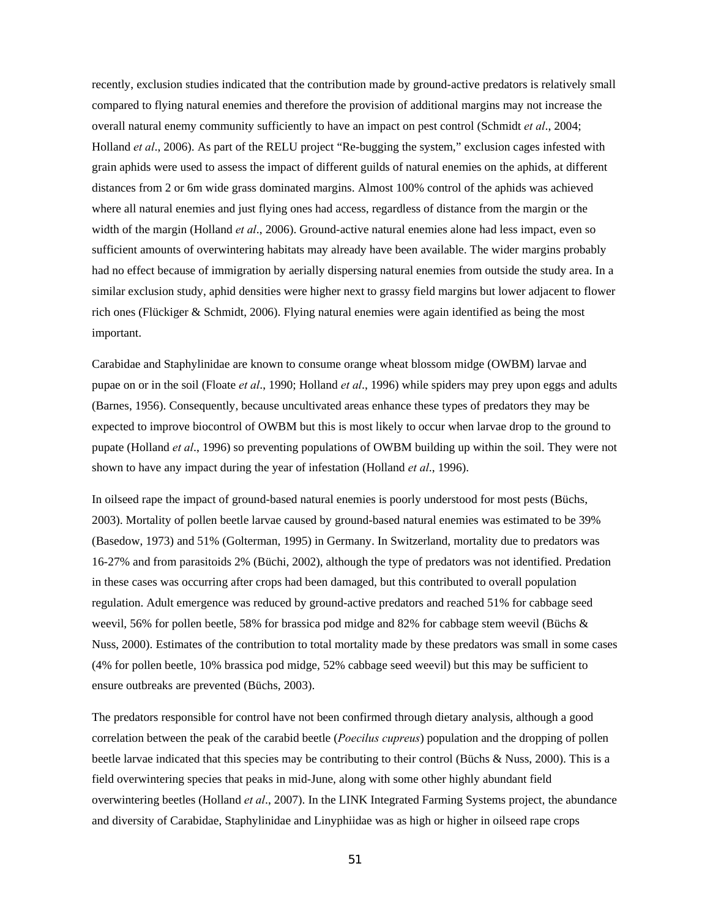recently, exclusion studies indicated that the contribution made by ground-active predators is relatively small compared to flying natural enemies and therefore the provision of additional margins may not increase the overall natural enemy community sufficiently to have an impact on pest control (Schmidt *et al*., 2004; Holland *et al*., 2006). As part of the RELU project "Re-bugging the system," exclusion cages infested with grain aphids were used to assess the impact of different guilds of natural enemies on the aphids, at different distances from 2 or 6m wide grass dominated margins. Almost 100% control of the aphids was achieved where all natural enemies and just flying ones had access, regardless of distance from the margin or the width of the margin (Holland *et al*., 2006). Ground-active natural enemies alone had less impact, even so sufficient amounts of overwintering habitats may already have been available. The wider margins probably had no effect because of immigration by aerially dispersing natural enemies from outside the study area. In a similar exclusion study, aphid densities were higher next to grassy field margins but lower adjacent to flower rich ones (Flückiger & Schmidt, 2006). Flying natural enemies were again identified as being the most important.

Carabidae and Staphylinidae are known to consume orange wheat blossom midge (OWBM) larvae and pupae on or in the soil (Floate *et al*., 1990; Holland *et al*., 1996) while spiders may prey upon eggs and adults (Barnes, 1956). Consequently, because uncultivated areas enhance these types of predators they may be expected to improve biocontrol of OWBM but this is most likely to occur when larvae drop to the ground to pupate (Holland *et al*., 1996) so preventing populations of OWBM building up within the soil. They were not shown to have any impact during the year of infestation (Holland *et al*., 1996).

In oilseed rape the impact of ground-based natural enemies is poorly understood for most pests (Büchs, 2003). Mortality of pollen beetle larvae caused by ground-based natural enemies was estimated to be 39% (Basedow, 1973) and 51% (Golterman, 1995) in Germany. In Switzerland, mortality due to predators was 16-27% and from parasitoids 2% (Büchi, 2002), although the type of predators was not identified. Predation in these cases was occurring after crops had been damaged, but this contributed to overall population regulation. Adult emergence was reduced by ground-active predators and reached 51% for cabbage seed weevil, 56% for pollen beetle, 58% for brassica pod midge and 82% for cabbage stem weevil (Büchs & Nuss, 2000). Estimates of the contribution to total mortality made by these predators was small in some cases (4% for pollen beetle, 10% brassica pod midge, 52% cabbage seed weevil) but this may be sufficient to ensure outbreaks are prevented (Büchs, 2003).

The predators responsible for control have not been confirmed through dietary analysis, although a good correlation between the peak of the carabid beetle (*Poecilus cupreus*) population and the dropping of pollen beetle larvae indicated that this species may be contributing to their control (Büchs & Nuss, 2000). This is a field overwintering species that peaks in mid-June, along with some other highly abundant field overwintering beetles (Holland *et al*., 2007). In the LINK Integrated Farming Systems project, the abundance and diversity of Carabidae, Staphylinidae and Linyphiidae was as high or higher in oilseed rape crops

51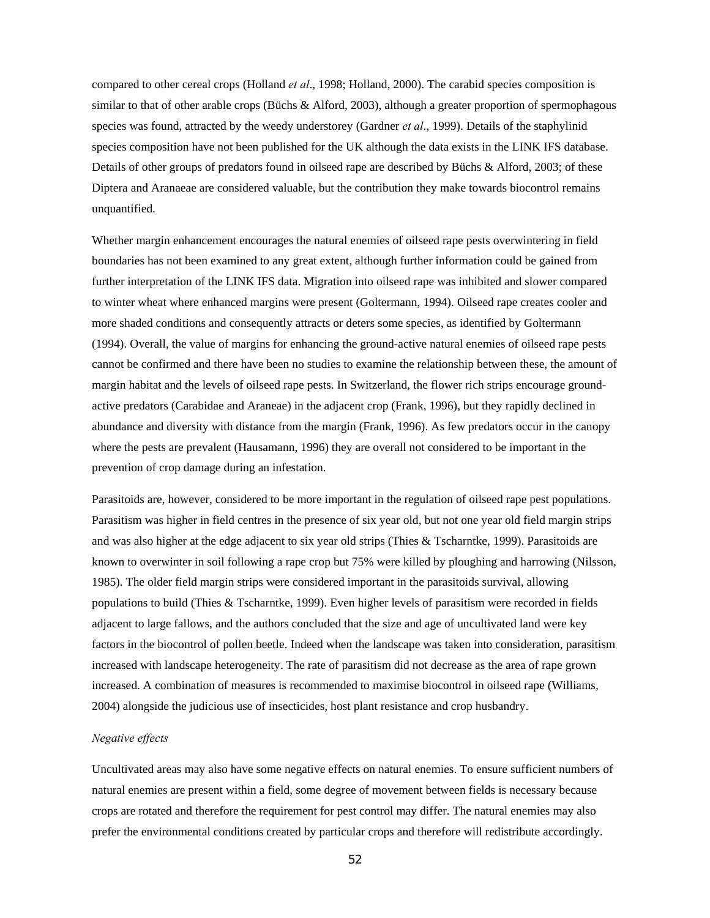compared to other cereal crops (Holland *et al*., 1998; Holland, 2000). The carabid species composition is similar to that of other arable crops (Büchs & Alford, 2003), although a greater proportion of spermophagous species was found, attracted by the weedy understorey (Gardner *et al*., 1999). Details of the staphylinid species composition have not been published for the UK although the data exists in the LINK IFS database. Details of other groups of predators found in oilseed rape are described by Büchs & Alford, 2003; of these Diptera and Aranaeae are considered valuable, but the contribution they make towards biocontrol remains unquantified.

Whether margin enhancement encourages the natural enemies of oilseed rape pests overwintering in field boundaries has not been examined to any great extent, although further information could be gained from further interpretation of the LINK IFS data. Migration into oilseed rape was inhibited and slower compared to winter wheat where enhanced margins were present (Goltermann, 1994). Oilseed rape creates cooler and more shaded conditions and consequently attracts or deters some species, as identified by Goltermann (1994). Overall, the value of margins for enhancing the ground-active natural enemies of oilseed rape pests cannot be confirmed and there have been no studies to examine the relationship between these, the amount of margin habitat and the levels of oilseed rape pests. In Switzerland, the flower rich strips encourage groundactive predators (Carabidae and Araneae) in the adjacent crop (Frank, 1996), but they rapidly declined in abundance and diversity with distance from the margin (Frank, 1996). As few predators occur in the canopy where the pests are prevalent (Hausamann, 1996) they are overall not considered to be important in the prevention of crop damage during an infestation.

Parasitoids are, however, considered to be more important in the regulation of oilseed rape pest populations. Parasitism was higher in field centres in the presence of six year old, but not one year old field margin strips and was also higher at the edge adjacent to six year old strips (Thies & Tscharntke, 1999). Parasitoids are known to overwinter in soil following a rape crop but 75% were killed by ploughing and harrowing (Nilsson, 1985). The older field margin strips were considered important in the parasitoids survival, allowing populations to build (Thies & Tscharntke, 1999). Even higher levels of parasitism were recorded in fields adjacent to large fallows, and the authors concluded that the size and age of uncultivated land were key factors in the biocontrol of pollen beetle. Indeed when the landscape was taken into consideration, parasitism increased with landscape heterogeneity. The rate of parasitism did not decrease as the area of rape grown increased. A combination of measures is recommended to maximise biocontrol in oilseed rape (Williams, 2004) alongside the judicious use of insecticides, host plant resistance and crop husbandry.

### *Negative effects*

Uncultivated areas may also have some negative effects on natural enemies. To ensure sufficient numbers of natural enemies are present within a field, some degree of movement between fields is necessary because crops are rotated and therefore the requirement for pest control may differ. The natural enemies may also prefer the environmental conditions created by particular crops and therefore will redistribute accordingly.

52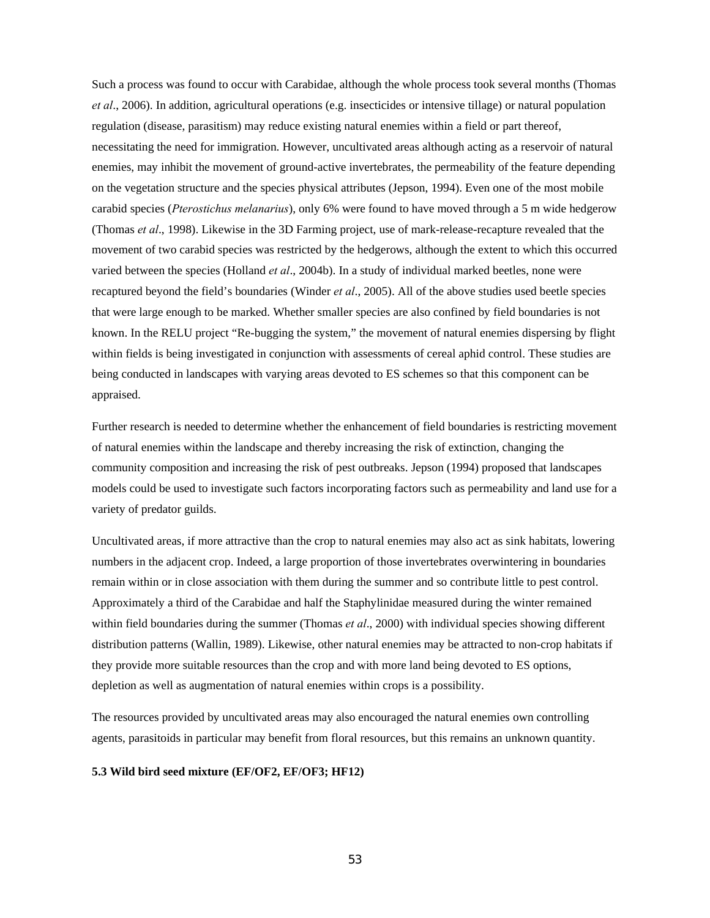Such a process was found to occur with Carabidae, although the whole process took several months (Thomas *et al*., 2006). In addition, agricultural operations (e.g. insecticides or intensive tillage) or natural population regulation (disease, parasitism) may reduce existing natural enemies within a field or part thereof, necessitating the need for immigration. However, uncultivated areas although acting as a reservoir of natural enemies, may inhibit the movement of ground-active invertebrates, the permeability of the feature depending on the vegetation structure and the species physical attributes (Jepson, 1994). Even one of the most mobile carabid species (*Pterostichus melanarius*), only 6% were found to have moved through a 5 m wide hedgerow (Thomas *et al*., 1998). Likewise in the 3D Farming project, use of mark-release-recapture revealed that the movement of two carabid species was restricted by the hedgerows, although the extent to which this occurred varied between the species (Holland *et al*., 2004b). In a study of individual marked beetles, none were recaptured beyond the field's boundaries (Winder *et al*., 2005). All of the above studies used beetle species that were large enough to be marked. Whether smaller species are also confined by field boundaries is not known. In the RELU project "Re-bugging the system," the movement of natural enemies dispersing by flight within fields is being investigated in conjunction with assessments of cereal aphid control. These studies are being conducted in landscapes with varying areas devoted to ES schemes so that this component can be appraised.

Further research is needed to determine whether the enhancement of field boundaries is restricting movement of natural enemies within the landscape and thereby increasing the risk of extinction, changing the community composition and increasing the risk of pest outbreaks. Jepson (1994) proposed that landscapes models could be used to investigate such factors incorporating factors such as permeability and land use for a variety of predator guilds.

Uncultivated areas, if more attractive than the crop to natural enemies may also act as sink habitats, lowering numbers in the adjacent crop. Indeed, a large proportion of those invertebrates overwintering in boundaries remain within or in close association with them during the summer and so contribute little to pest control. Approximately a third of the Carabidae and half the Staphylinidae measured during the winter remained within field boundaries during the summer (Thomas *et al*., 2000) with individual species showing different distribution patterns (Wallin, 1989). Likewise, other natural enemies may be attracted to non-crop habitats if they provide more suitable resources than the crop and with more land being devoted to ES options, depletion as well as augmentation of natural enemies within crops is a possibility.

The resources provided by uncultivated areas may also encouraged the natural enemies own controlling agents, parasitoids in particular may benefit from floral resources, but this remains an unknown quantity.

### **5.3 Wild bird seed mixture (EF/OF2, EF/OF3; HF12)**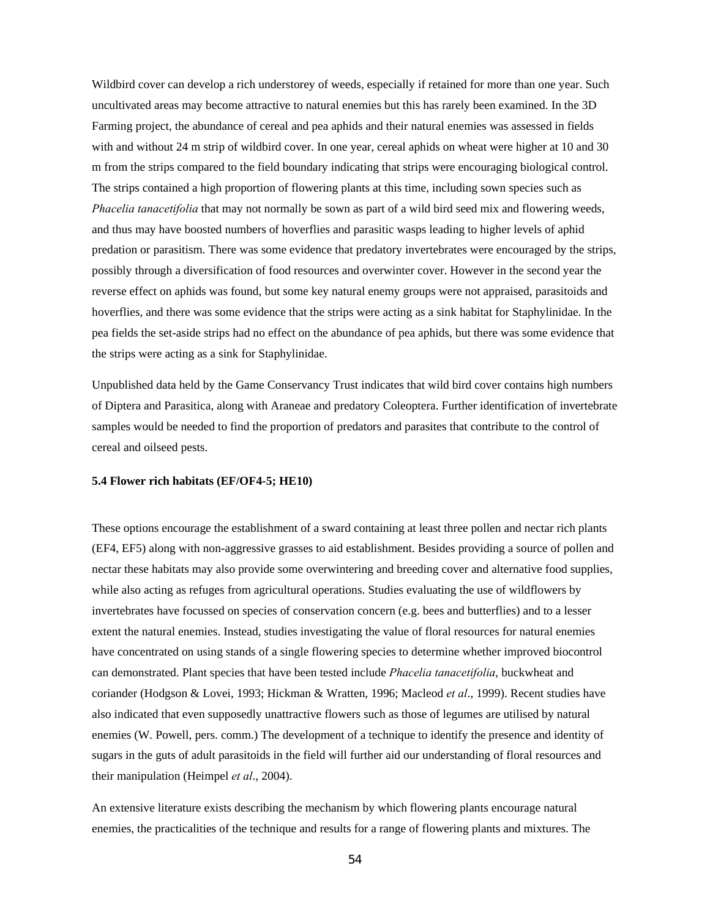Wildbird cover can develop a rich understorey of weeds, especially if retained for more than one year. Such uncultivated areas may become attractive to natural enemies but this has rarely been examined. In the 3D Farming project, the abundance of cereal and pea aphids and their natural enemies was assessed in fields with and without 24 m strip of wildbird cover. In one year, cereal aphids on wheat were higher at 10 and 30 m from the strips compared to the field boundary indicating that strips were encouraging biological control. The strips contained a high proportion of flowering plants at this time, including sown species such as *Phacelia tanacetifolia* that may not normally be sown as part of a wild bird seed mix and flowering weeds, and thus may have boosted numbers of hoverflies and parasitic wasps leading to higher levels of aphid predation or parasitism. There was some evidence that predatory invertebrates were encouraged by the strips, possibly through a diversification of food resources and overwinter cover. However in the second year the reverse effect on aphids was found, but some key natural enemy groups were not appraised, parasitoids and hoverflies, and there was some evidence that the strips were acting as a sink habitat for Staphylinidae. In the pea fields the set-aside strips had no effect on the abundance of pea aphids, but there was some evidence that the strips were acting as a sink for Staphylinidae.

Unpublished data held by the Game Conservancy Trust indicates that wild bird cover contains high numbers of Diptera and Parasitica, along with Araneae and predatory Coleoptera. Further identification of invertebrate samples would be needed to find the proportion of predators and parasites that contribute to the control of cereal and oilseed pests.

#### **5.4 Flower rich habitats (EF/OF4-5; HE10)**

These options encourage the establishment of a sward containing at least three pollen and nectar rich plants (EF4, EF5) along with non-aggressive grasses to aid establishment. Besides providing a source of pollen and nectar these habitats may also provide some overwintering and breeding cover and alternative food supplies, while also acting as refuges from agricultural operations. Studies evaluating the use of wildflowers by invertebrates have focussed on species of conservation concern (e.g. bees and butterflies) and to a lesser extent the natural enemies. Instead, studies investigating the value of floral resources for natural enemies have concentrated on using stands of a single flowering species to determine whether improved biocontrol can demonstrated. Plant species that have been tested include *Phacelia tanacetifolia*, buckwheat and coriander (Hodgson & Lovei, 1993; Hickman & Wratten, 1996; Macleod *et al*., 1999). Recent studies have also indicated that even supposedly unattractive flowers such as those of legumes are utilised by natural enemies (W. Powell, pers. comm.) The development of a technique to identify the presence and identity of sugars in the guts of adult parasitoids in the field will further aid our understanding of floral resources and their manipulation (Heimpel *et al*., 2004).

An extensive literature exists describing the mechanism by which flowering plants encourage natural enemies, the practicalities of the technique and results for a range of flowering plants and mixtures. The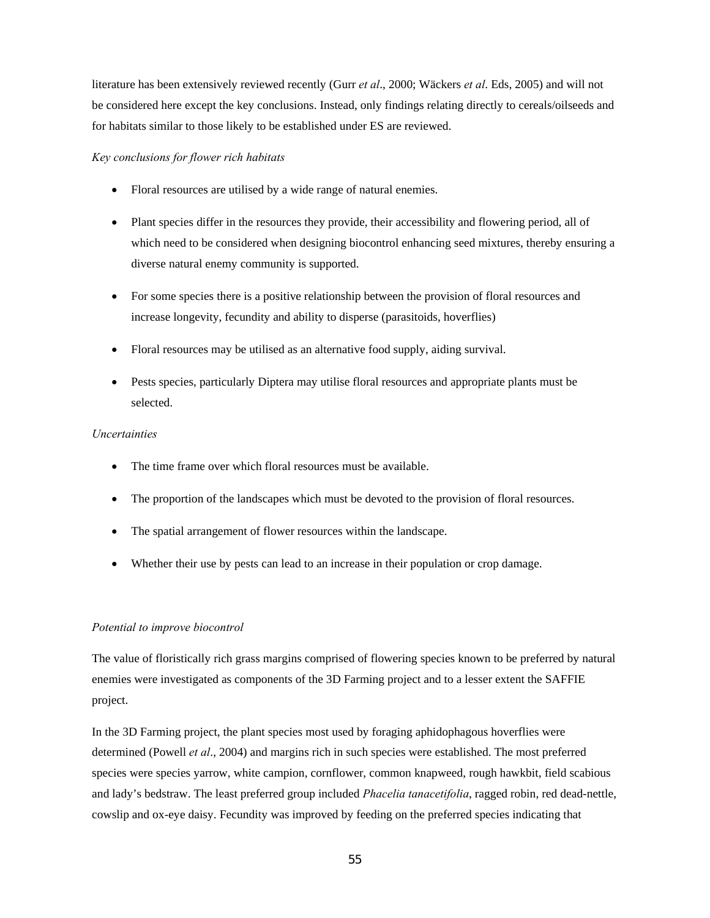literature has been extensively reviewed recently (Gurr *et al*., 2000; Wäckers *et al*. Eds, 2005) and will not be considered here except the key conclusions. Instead, only findings relating directly to cereals/oilseeds and for habitats similar to those likely to be established under ES are reviewed.

### *Key conclusions for flower rich habitats*

- Floral resources are utilised by a wide range of natural enemies.
- Plant species differ in the resources they provide, their accessibility and flowering period, all of which need to be considered when designing biocontrol enhancing seed mixtures, thereby ensuring a diverse natural enemy community is supported.
- For some species there is a positive relationship between the provision of floral resources and increase longevity, fecundity and ability to disperse (parasitoids, hoverflies)
- Floral resources may be utilised as an alternative food supply, aiding survival.
- Pests species, particularly Diptera may utilise floral resources and appropriate plants must be selected.

### *Uncertainties*

- The time frame over which floral resources must be available.
- The proportion of the landscapes which must be devoted to the provision of floral resources.
- The spatial arrangement of flower resources within the landscape.
- Whether their use by pests can lead to an increase in their population or crop damage.

### *Potential to improve biocontrol*

The value of floristically rich grass margins comprised of flowering species known to be preferred by natural enemies were investigated as components of the 3D Farming project and to a lesser extent the SAFFIE project.

In the 3D Farming project, the plant species most used by foraging aphidophagous hoverflies were determined (Powell *et al*., 2004) and margins rich in such species were established. The most preferred species were species yarrow, white campion, cornflower, common knapweed, rough hawkbit, field scabious and lady's bedstraw. The least preferred group included *Phacelia tanacetifolia*, ragged robin, red dead-nettle, cowslip and ox-eye daisy. Fecundity was improved by feeding on the preferred species indicating that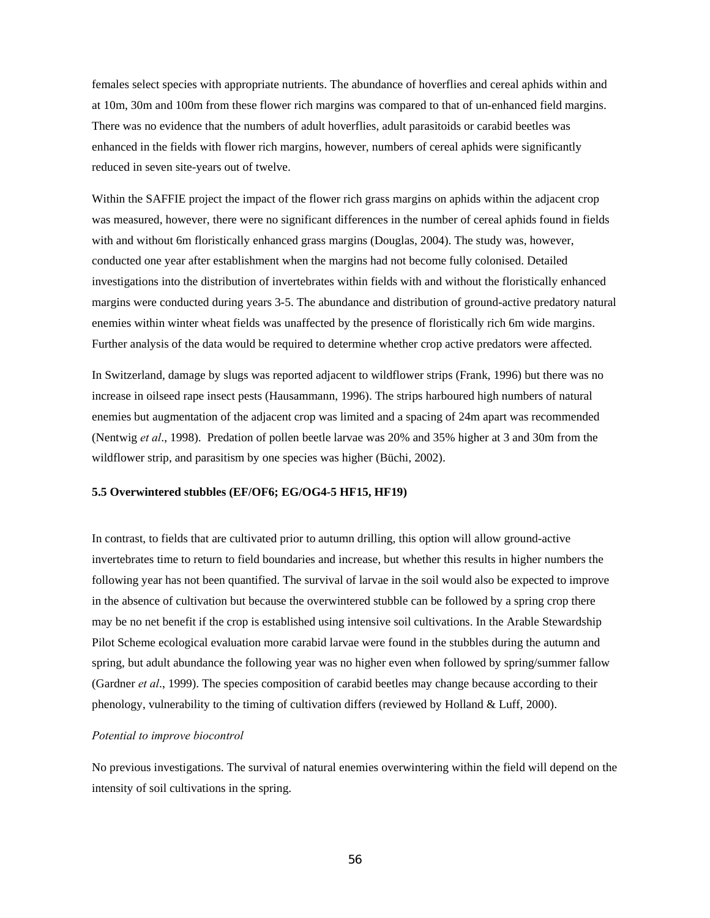females select species with appropriate nutrients. The abundance of hoverflies and cereal aphids within and at 10m, 30m and 100m from these flower rich margins was compared to that of un-enhanced field margins. There was no evidence that the numbers of adult hoverflies, adult parasitoids or carabid beetles was enhanced in the fields with flower rich margins, however, numbers of cereal aphids were significantly reduced in seven site-years out of twelve.

Within the SAFFIE project the impact of the flower rich grass margins on aphids within the adjacent crop was measured, however, there were no significant differences in the number of cereal aphids found in fields with and without 6m floristically enhanced grass margins (Douglas, 2004). The study was, however, conducted one year after establishment when the margins had not become fully colonised. Detailed investigations into the distribution of invertebrates within fields with and without the floristically enhanced margins were conducted during years 3-5. The abundance and distribution of ground-active predatory natural enemies within winter wheat fields was unaffected by the presence of floristically rich 6m wide margins. Further analysis of the data would be required to determine whether crop active predators were affected.

In Switzerland, damage by slugs was reported adjacent to wildflower strips (Frank, 1996) but there was no increase in oilseed rape insect pests (Hausammann, 1996). The strips harboured high numbers of natural enemies but augmentation of the adjacent crop was limited and a spacing of 24m apart was recommended (Nentwig *et al*., 1998). Predation of pollen beetle larvae was 20% and 35% higher at 3 and 30m from the wildflower strip, and parasitism by one species was higher (Büchi, 2002).

#### **5.5 Overwintered stubbles (EF/OF6; EG/OG4-5 HF15, HF19)**

In contrast, to fields that are cultivated prior to autumn drilling, this option will allow ground-active invertebrates time to return to field boundaries and increase, but whether this results in higher numbers the following year has not been quantified. The survival of larvae in the soil would also be expected to improve in the absence of cultivation but because the overwintered stubble can be followed by a spring crop there may be no net benefit if the crop is established using intensive soil cultivations. In the Arable Stewardship Pilot Scheme ecological evaluation more carabid larvae were found in the stubbles during the autumn and spring, but adult abundance the following year was no higher even when followed by spring/summer fallow (Gardner *et al*., 1999). The species composition of carabid beetles may change because according to their phenology, vulnerability to the timing of cultivation differs (reviewed by Holland & Luff, 2000).

#### *Potential to improve biocontrol*

No previous investigations. The survival of natural enemies overwintering within the field will depend on the intensity of soil cultivations in the spring.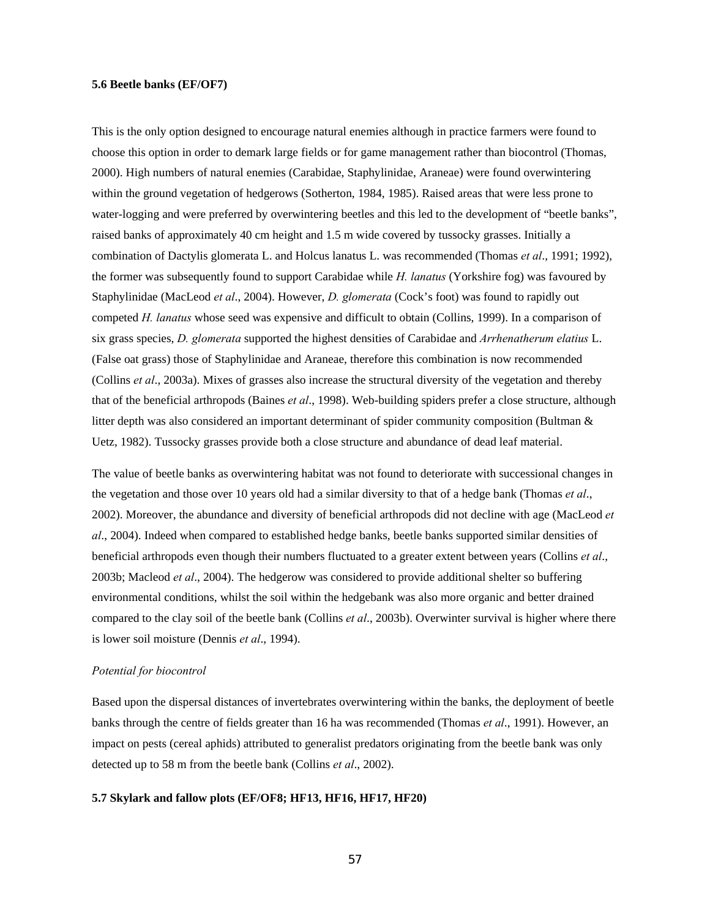### **5.6 Beetle banks (EF/OF7)**

This is the only option designed to encourage natural enemies although in practice farmers were found to choose this option in order to demark large fields or for game management rather than biocontrol (Thomas, 2000). High numbers of natural enemies (Carabidae, Staphylinidae, Araneae) were found overwintering within the ground vegetation of hedgerows (Sotherton, 1984, 1985). Raised areas that were less prone to water-logging and were preferred by overwintering beetles and this led to the development of "beetle banks", raised banks of approximately 40 cm height and 1.5 m wide covered by tussocky grasses. Initially a combination of Dactylis glomerata L. and Holcus lanatus L. was recommended (Thomas *et al*., 1991; 1992), the former was subsequently found to support Carabidae while *H. lanatus* (Yorkshire fog) was favoured by Staphylinidae (MacLeod *et al*., 2004). However, *D. glomerata* (Cock's foot) was found to rapidly out competed *H. lanatus* whose seed was expensive and difficult to obtain (Collins, 1999). In a comparison of six grass species, *D. glomerata* supported the highest densities of Carabidae and *Arrhenatherum elatius* L. (False oat grass) those of Staphylinidae and Araneae, therefore this combination is now recommended (Collins *et al*., 2003a). Mixes of grasses also increase the structural diversity of the vegetation and thereby that of the beneficial arthropods (Baines *et al*., 1998). Web-building spiders prefer a close structure, although litter depth was also considered an important determinant of spider community composition (Bultman & Uetz, 1982). Tussocky grasses provide both a close structure and abundance of dead leaf material.

The value of beetle banks as overwintering habitat was not found to deteriorate with successional changes in the vegetation and those over 10 years old had a similar diversity to that of a hedge bank (Thomas *et al*., 2002). Moreover, the abundance and diversity of beneficial arthropods did not decline with age (MacLeod *et al*., 2004). Indeed when compared to established hedge banks, beetle banks supported similar densities of beneficial arthropods even though their numbers fluctuated to a greater extent between years (Collins *et al*., 2003b; Macleod *et al*., 2004). The hedgerow was considered to provide additional shelter so buffering environmental conditions, whilst the soil within the hedgebank was also more organic and better drained compared to the clay soil of the beetle bank (Collins *et al*., 2003b). Overwinter survival is higher where there is lower soil moisture (Dennis *et al*., 1994).

#### *Potential for biocontrol*

Based upon the dispersal distances of invertebrates overwintering within the banks, the deployment of beetle banks through the centre of fields greater than 16 ha was recommended (Thomas *et al*., 1991). However, an impact on pests (cereal aphids) attributed to generalist predators originating from the beetle bank was only detected up to 58 m from the beetle bank (Collins *et al*., 2002).

### **5.7 Skylark and fallow plots (EF/OF8; HF13, HF16, HF17, HF20)**

57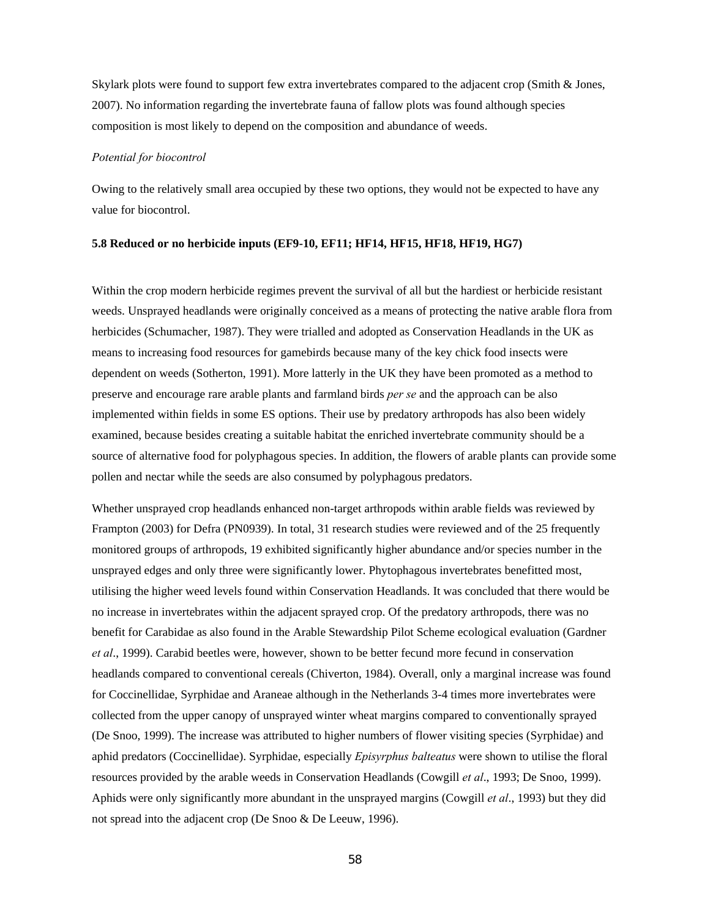Skylark plots were found to support few extra invertebrates compared to the adjacent crop (Smith & Jones, 2007). No information regarding the invertebrate fauna of fallow plots was found although species composition is most likely to depend on the composition and abundance of weeds.

#### *Potential for biocontrol*

Owing to the relatively small area occupied by these two options, they would not be expected to have any value for biocontrol.

#### **5.8 Reduced or no herbicide inputs (EF9-10, EF11; HF14, HF15, HF18, HF19, HG7)**

Within the crop modern herbicide regimes prevent the survival of all but the hardiest or herbicide resistant weeds. Unsprayed headlands were originally conceived as a means of protecting the native arable flora from herbicides (Schumacher, 1987). They were trialled and adopted as Conservation Headlands in the UK as means to increasing food resources for gamebirds because many of the key chick food insects were dependent on weeds (Sotherton, 1991). More latterly in the UK they have been promoted as a method to preserve and encourage rare arable plants and farmland birds *per se* and the approach can be also implemented within fields in some ES options. Their use by predatory arthropods has also been widely examined, because besides creating a suitable habitat the enriched invertebrate community should be a source of alternative food for polyphagous species. In addition, the flowers of arable plants can provide some pollen and nectar while the seeds are also consumed by polyphagous predators.

Whether unsprayed crop headlands enhanced non-target arthropods within arable fields was reviewed by Frampton (2003) for Defra (PN0939). In total, 31 research studies were reviewed and of the 25 frequently monitored groups of arthropods, 19 exhibited significantly higher abundance and/or species number in the unsprayed edges and only three were significantly lower. Phytophagous invertebrates benefitted most, utilising the higher weed levels found within Conservation Headlands. It was concluded that there would be no increase in invertebrates within the adjacent sprayed crop. Of the predatory arthropods, there was no benefit for Carabidae as also found in the Arable Stewardship Pilot Scheme ecological evaluation (Gardner *et al*., 1999). Carabid beetles were, however, shown to be better fecund more fecund in conservation headlands compared to conventional cereals (Chiverton, 1984). Overall, only a marginal increase was found for Coccinellidae, Syrphidae and Araneae although in the Netherlands 3-4 times more invertebrates were collected from the upper canopy of unsprayed winter wheat margins compared to conventionally sprayed (De Snoo, 1999). The increase was attributed to higher numbers of flower visiting species (Syrphidae) and aphid predators (Coccinellidae). Syrphidae, especially *Episyrphus balteatus* were shown to utilise the floral resources provided by the arable weeds in Conservation Headlands (Cowgill *et al*., 1993; De Snoo, 1999). Aphids were only significantly more abundant in the unsprayed margins (Cowgill *et al*., 1993) but they did not spread into the adjacent crop (De Snoo & De Leeuw, 1996).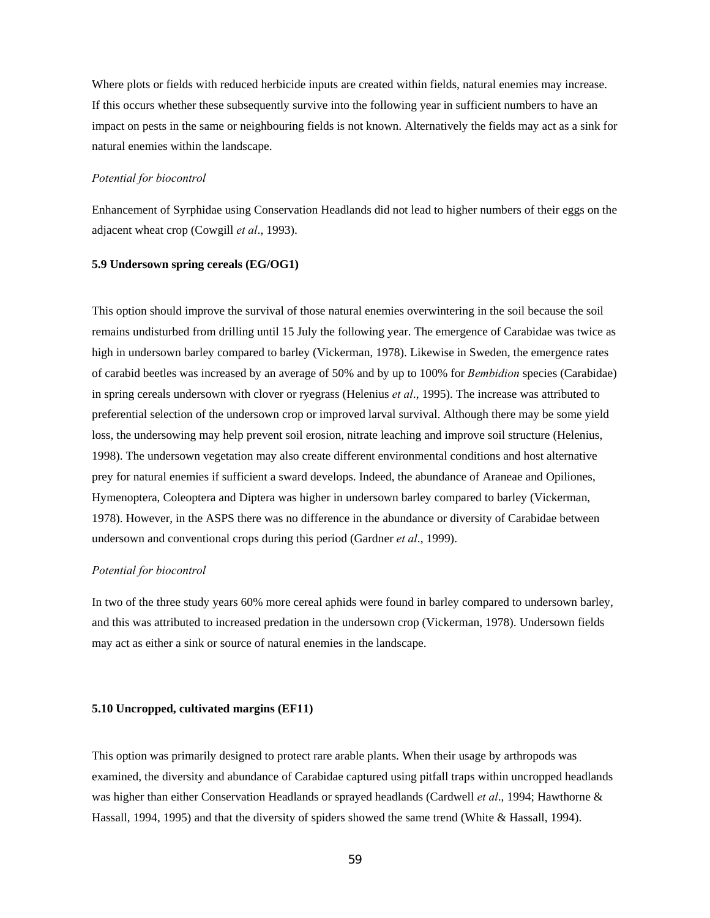Where plots or fields with reduced herbicide inputs are created within fields, natural enemies may increase. If this occurs whether these subsequently survive into the following year in sufficient numbers to have an impact on pests in the same or neighbouring fields is not known. Alternatively the fields may act as a sink for natural enemies within the landscape.

### *Potential for biocontrol*

Enhancement of Syrphidae using Conservation Headlands did not lead to higher numbers of their eggs on the adjacent wheat crop (Cowgill *et al*., 1993).

### **5.9 Undersown spring cereals (EG/OG1)**

This option should improve the survival of those natural enemies overwintering in the soil because the soil remains undisturbed from drilling until 15 July the following year. The emergence of Carabidae was twice as high in undersown barley compared to barley (Vickerman, 1978). Likewise in Sweden, the emergence rates of carabid beetles was increased by an average of 50% and by up to 100% for *Bembidion* species (Carabidae) in spring cereals undersown with clover or ryegrass (Helenius *et al*., 1995). The increase was attributed to preferential selection of the undersown crop or improved larval survival. Although there may be some yield loss, the undersowing may help prevent soil erosion, nitrate leaching and improve soil structure (Helenius, 1998). The undersown vegetation may also create different environmental conditions and host alternative prey for natural enemies if sufficient a sward develops. Indeed, the abundance of Araneae and Opiliones, Hymenoptera, Coleoptera and Diptera was higher in undersown barley compared to barley (Vickerman, 1978). However, in the ASPS there was no difference in the abundance or diversity of Carabidae between undersown and conventional crops during this period (Gardner *et al*., 1999).

### *Potential for biocontrol*

In two of the three study years 60% more cereal aphids were found in barley compared to undersown barley, and this was attributed to increased predation in the undersown crop (Vickerman, 1978). Undersown fields may act as either a sink or source of natural enemies in the landscape.

#### **5.10 Uncropped, cultivated margins (EF11)**

This option was primarily designed to protect rare arable plants. When their usage by arthropods was examined, the diversity and abundance of Carabidae captured using pitfall traps within uncropped headlands was higher than either Conservation Headlands or sprayed headlands (Cardwell *et al*., 1994; Hawthorne & Hassall, 1994, 1995) and that the diversity of spiders showed the same trend (White & Hassall, 1994).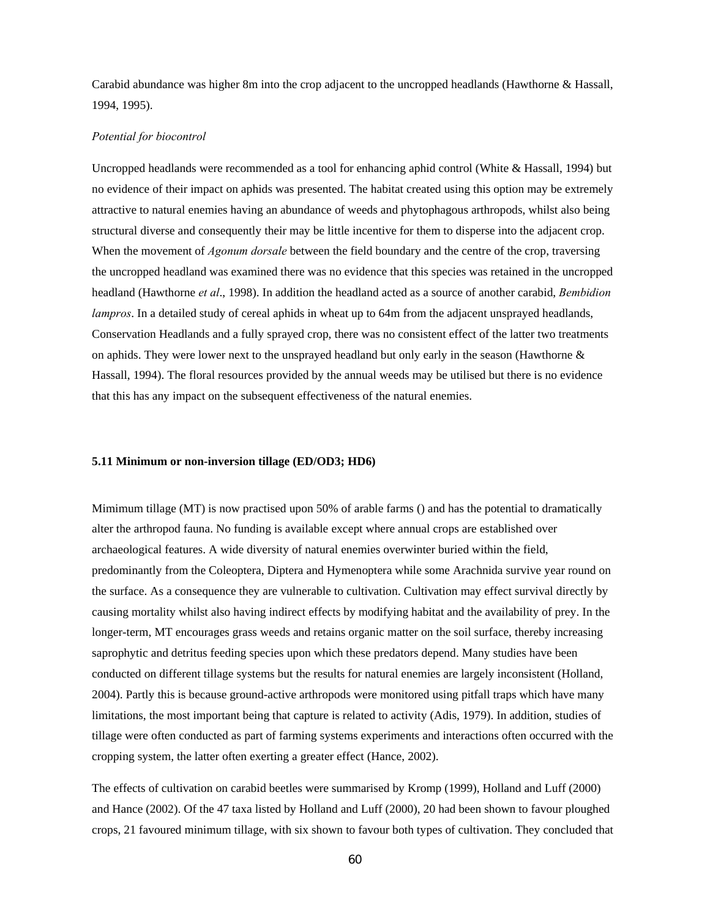Carabid abundance was higher 8m into the crop adjacent to the uncropped headlands (Hawthorne & Hassall, 1994, 1995).

### *Potential for biocontrol*

Uncropped headlands were recommended as a tool for enhancing aphid control (White & Hassall, 1994) but no evidence of their impact on aphids was presented. The habitat created using this option may be extremely attractive to natural enemies having an abundance of weeds and phytophagous arthropods, whilst also being structural diverse and consequently their may be little incentive for them to disperse into the adjacent crop. When the movement of *Agonum dorsale* between the field boundary and the centre of the crop, traversing the uncropped headland was examined there was no evidence that this species was retained in the uncropped headland (Hawthorne *et al*., 1998). In addition the headland acted as a source of another carabid, *Bembidion lampros*. In a detailed study of cereal aphids in wheat up to 64m from the adjacent unsprayed headlands, Conservation Headlands and a fully sprayed crop, there was no consistent effect of the latter two treatments on aphids. They were lower next to the unsprayed headland but only early in the season (Hawthorne & Hassall, 1994). The floral resources provided by the annual weeds may be utilised but there is no evidence that this has any impact on the subsequent effectiveness of the natural enemies.

#### **5.11 Minimum or non-inversion tillage (ED/OD3; HD6)**

Mimimum tillage (MT) is now practised upon 50% of arable farms () and has the potential to dramatically alter the arthropod fauna. No funding is available except where annual crops are established over archaeological features. A wide diversity of natural enemies overwinter buried within the field, predominantly from the Coleoptera, Diptera and Hymenoptera while some Arachnida survive year round on the surface. As a consequence they are vulnerable to cultivation. Cultivation may effect survival directly by causing mortality whilst also having indirect effects by modifying habitat and the availability of prey. In the longer-term, MT encourages grass weeds and retains organic matter on the soil surface, thereby increasing saprophytic and detritus feeding species upon which these predators depend. Many studies have been conducted on different tillage systems but the results for natural enemies are largely inconsistent (Holland, 2004). Partly this is because ground-active arthropods were monitored using pitfall traps which have many limitations, the most important being that capture is related to activity (Adis, 1979). In addition, studies of tillage were often conducted as part of farming systems experiments and interactions often occurred with the cropping system, the latter often exerting a greater effect (Hance, 2002).

The effects of cultivation on carabid beetles were summarised by Kromp (1999), Holland and Luff (2000) and Hance (2002). Of the 47 taxa listed by Holland and Luff (2000), 20 had been shown to favour ploughed crops, 21 favoured minimum tillage, with six shown to favour both types of cultivation. They concluded that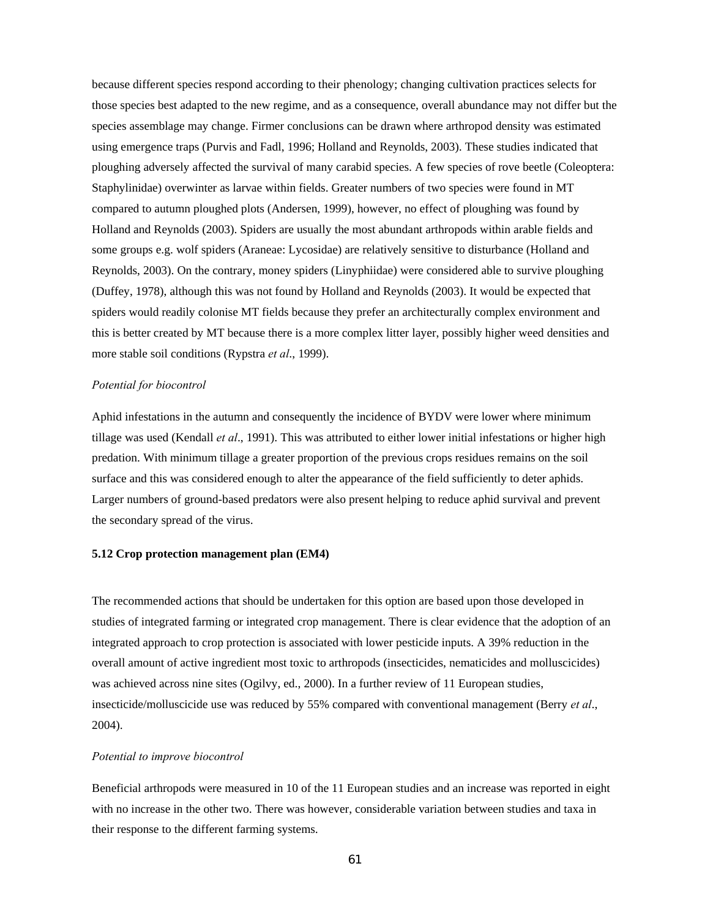because different species respond according to their phenology; changing cultivation practices selects for those species best adapted to the new regime, and as a consequence, overall abundance may not differ but the species assemblage may change. Firmer conclusions can be drawn where arthropod density was estimated using emergence traps (Purvis and Fadl, 1996; Holland and Reynolds, 2003). These studies indicated that ploughing adversely affected the survival of many carabid species. A few species of rove beetle (Coleoptera: Staphylinidae) overwinter as larvae within fields. Greater numbers of two species were found in MT compared to autumn ploughed plots (Andersen, 1999), however, no effect of ploughing was found by Holland and Reynolds (2003). Spiders are usually the most abundant arthropods within arable fields and some groups e.g. wolf spiders (Araneae: Lycosidae) are relatively sensitive to disturbance (Holland and Reynolds, 2003). On the contrary, money spiders (Linyphiidae) were considered able to survive ploughing (Duffey, 1978), although this was not found by Holland and Reynolds (2003). It would be expected that spiders would readily colonise MT fields because they prefer an architecturally complex environment and this is better created by MT because there is a more complex litter layer, possibly higher weed densities and more stable soil conditions (Rypstra *et al*., 1999).

### *Potential for biocontrol*

Aphid infestations in the autumn and consequently the incidence of BYDV were lower where minimum tillage was used (Kendall *et al*., 1991). This was attributed to either lower initial infestations or higher high predation. With minimum tillage a greater proportion of the previous crops residues remains on the soil surface and this was considered enough to alter the appearance of the field sufficiently to deter aphids. Larger numbers of ground-based predators were also present helping to reduce aphid survival and prevent the secondary spread of the virus.

### **5.12 Crop protection management plan (EM4)**

The recommended actions that should be undertaken for this option are based upon those developed in studies of integrated farming or integrated crop management. There is clear evidence that the adoption of an integrated approach to crop protection is associated with lower pesticide inputs. A 39% reduction in the overall amount of active ingredient most toxic to arthropods (insecticides, nematicides and molluscicides) was achieved across nine sites (Ogilvy, ed., 2000). In a further review of 11 European studies, insecticide/molluscicide use was reduced by 55% compared with conventional management (Berry *et al*., 2004).

#### *Potential to improve biocontrol*

Beneficial arthropods were measured in 10 of the 11 European studies and an increase was reported in eight with no increase in the other two. There was however, considerable variation between studies and taxa in their response to the different farming systems.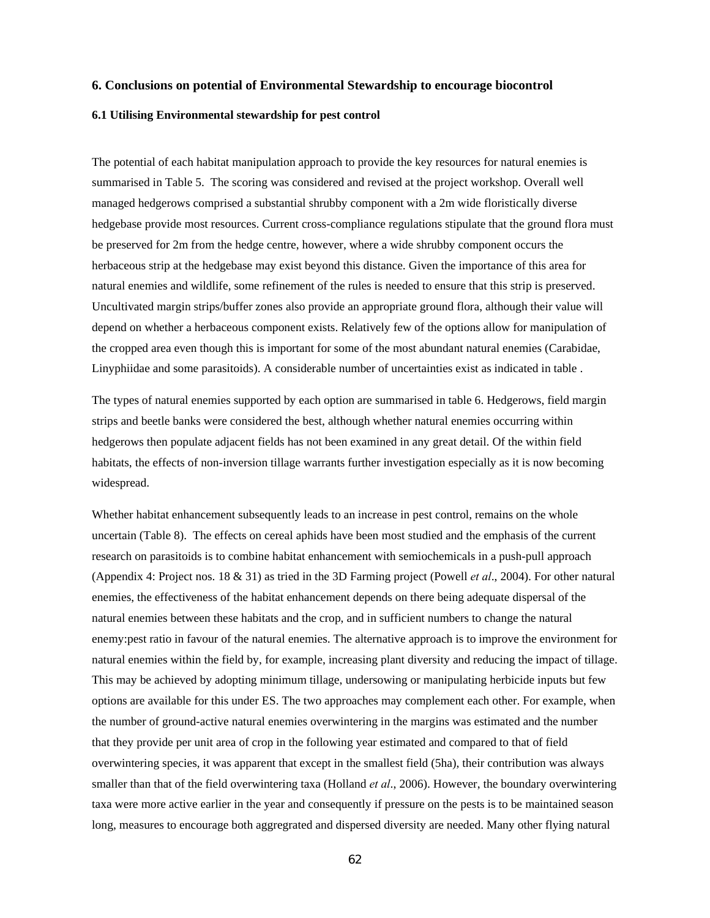### **6. Conclusions on potential of Environmental Stewardship to encourage biocontrol**

### **6.1 Utilising Environmental stewardship for pest control**

The potential of each habitat manipulation approach to provide the key resources for natural enemies is summarised in Table 5. The scoring was considered and revised at the project workshop. Overall well managed hedgerows comprised a substantial shrubby component with a 2m wide floristically diverse hedgebase provide most resources. Current cross-compliance regulations stipulate that the ground flora must be preserved for 2m from the hedge centre, however, where a wide shrubby component occurs the herbaceous strip at the hedgebase may exist beyond this distance. Given the importance of this area for natural enemies and wildlife, some refinement of the rules is needed to ensure that this strip is preserved. Uncultivated margin strips/buffer zones also provide an appropriate ground flora, although their value will depend on whether a herbaceous component exists. Relatively few of the options allow for manipulation of the cropped area even though this is important for some of the most abundant natural enemies (Carabidae, Linyphiidae and some parasitoids). A considerable number of uncertainties exist as indicated in table .

The types of natural enemies supported by each option are summarised in table 6. Hedgerows, field margin strips and beetle banks were considered the best, although whether natural enemies occurring within hedgerows then populate adjacent fields has not been examined in any great detail. Of the within field habitats, the effects of non-inversion tillage warrants further investigation especially as it is now becoming widespread.

Whether habitat enhancement subsequently leads to an increase in pest control, remains on the whole uncertain (Table 8). The effects on cereal aphids have been most studied and the emphasis of the current research on parasitoids is to combine habitat enhancement with semiochemicals in a push-pull approach (Appendix 4: Project nos. 18 & 31) as tried in the 3D Farming project (Powell *et al*., 2004). For other natural enemies, the effectiveness of the habitat enhancement depends on there being adequate dispersal of the natural enemies between these habitats and the crop, and in sufficient numbers to change the natural enemy:pest ratio in favour of the natural enemies. The alternative approach is to improve the environment for natural enemies within the field by, for example, increasing plant diversity and reducing the impact of tillage. This may be achieved by adopting minimum tillage, undersowing or manipulating herbicide inputs but few options are available for this under ES. The two approaches may complement each other. For example, when the number of ground-active natural enemies overwintering in the margins was estimated and the number that they provide per unit area of crop in the following year estimated and compared to that of field overwintering species, it was apparent that except in the smallest field (5ha), their contribution was always smaller than that of the field overwintering taxa (Holland *et al*., 2006). However, the boundary overwintering taxa were more active earlier in the year and consequently if pressure on the pests is to be maintained season long, measures to encourage both aggregrated and dispersed diversity are needed. Many other flying natural

62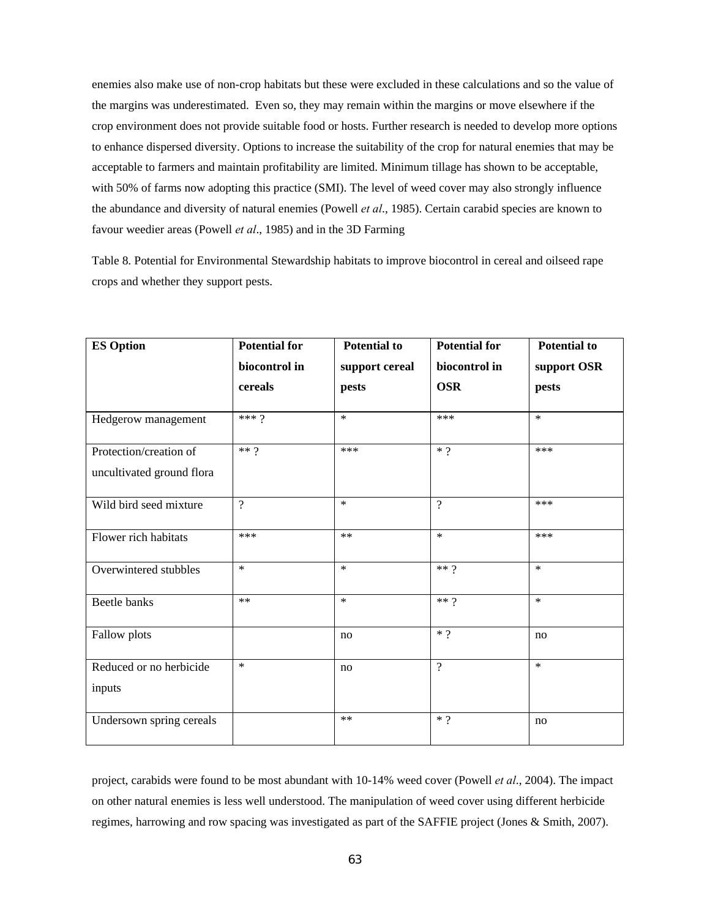enemies also make use of non-crop habitats but these were excluded in these calculations and so the value of the margins was underestimated. Even so, they may remain within the margins or move elsewhere if the crop environment does not provide suitable food or hosts. Further research is needed to develop more options to enhance dispersed diversity. Options to increase the suitability of the crop for natural enemies that may be acceptable to farmers and maintain profitability are limited. Minimum tillage has shown to be acceptable, with 50% of farms now adopting this practice (SMI). The level of weed cover may also strongly influence the abundance and diversity of natural enemies (Powell *et al*., 1985). Certain carabid species are known to favour weedier areas (Powell *et al*., 1985) and in the 3D Farming

Table 8. Potential for Environmental Stewardship habitats to improve biocontrol in cereal and oilseed rape crops and whether they support pests.

| <b>ES Option</b>          | <b>Potential for</b> | <b>Potential to</b> | <b>Potential for</b> | <b>Potential to</b> |  |
|---------------------------|----------------------|---------------------|----------------------|---------------------|--|
|                           | biocontrol in        | support cereal      | biocontrol in        | support OSR         |  |
|                           | cereals              | pests               | <b>OSR</b>           | pests               |  |
|                           | $***9$               | $\star$             | ***                  | $\star$             |  |
| Hedgerow management       |                      |                     |                      |                     |  |
| Protection/creation of    | $**$ ?               | ***                 | $\ast$ $\gamma$      | ***                 |  |
| uncultivated ground flora |                      |                     |                      |                     |  |
| Wild bird seed mixture    | $\overline{?}$       | $\ast$              | $\overline{?}$       | ***                 |  |
| Flower rich habitats      | ***                  | $**$                | $\ast$               | ***                 |  |
| Overwintered stubbles     | $\ast$               | $\star$             | $**9$                | $\ast$              |  |
| Beetle banks              | $**$                 | $\ast$              | $** 9$               | $\star$             |  |
| Fallow plots              |                      | no                  | $*$ ?                | no                  |  |
| Reduced or no herbicide   | $\ast$               | no                  | $\gamma$             | $\star$             |  |
| inputs                    |                      |                     |                      |                     |  |
| Undersown spring cereals  |                      | $**$                | $*$ ?                | no                  |  |

project, carabids were found to be most abundant with 10-14% weed cover (Powell *et al*., 2004). The impact on other natural enemies is less well understood. The manipulation of weed cover using different herbicide regimes, harrowing and row spacing was investigated as part of the SAFFIE project (Jones & Smith, 2007).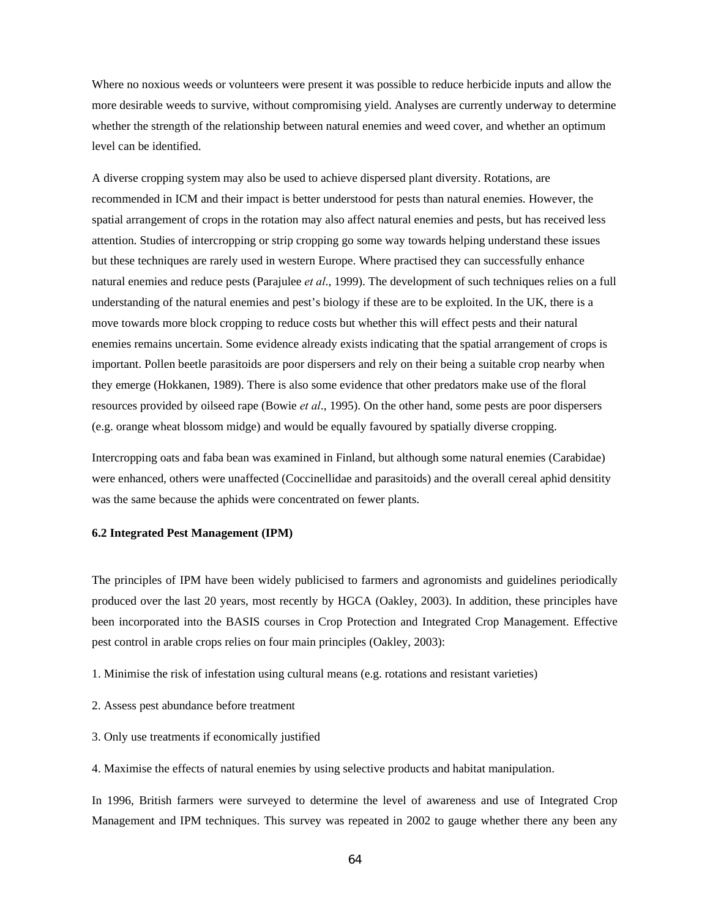Where no noxious weeds or volunteers were present it was possible to reduce herbicide inputs and allow the more desirable weeds to survive, without compromising yield. Analyses are currently underway to determine whether the strength of the relationship between natural enemies and weed cover, and whether an optimum level can be identified.

A diverse cropping system may also be used to achieve dispersed plant diversity. Rotations, are recommended in ICM and their impact is better understood for pests than natural enemies. However, the spatial arrangement of crops in the rotation may also affect natural enemies and pests, but has received less attention. Studies of intercropping or strip cropping go some way towards helping understand these issues but these techniques are rarely used in western Europe. Where practised they can successfully enhance natural enemies and reduce pests (Parajulee *et al*., 1999). The development of such techniques relies on a full understanding of the natural enemies and pest's biology if these are to be exploited. In the UK, there is a move towards more block cropping to reduce costs but whether this will effect pests and their natural enemies remains uncertain. Some evidence already exists indicating that the spatial arrangement of crops is important. Pollen beetle parasitoids are poor dispersers and rely on their being a suitable crop nearby when they emerge (Hokkanen, 1989). There is also some evidence that other predators make use of the floral resources provided by oilseed rape (Bowie *et al*., 1995). On the other hand, some pests are poor dispersers (e.g. orange wheat blossom midge) and would be equally favoured by spatially diverse cropping.

Intercropping oats and faba bean was examined in Finland, but although some natural enemies (Carabidae) were enhanced, others were unaffected (Coccinellidae and parasitoids) and the overall cereal aphid densitity was the same because the aphids were concentrated on fewer plants.

### **6.2 Integrated Pest Management (IPM)**

The principles of IPM have been widely publicised to farmers and agronomists and guidelines periodically produced over the last 20 years, most recently by HGCA (Oakley, 2003). In addition, these principles have been incorporated into the BASIS courses in Crop Protection and Integrated Crop Management. Effective pest control in arable crops relies on four main principles (Oakley, 2003):

- 1. Minimise the risk of infestation using cultural means (e.g. rotations and resistant varieties)
- 2. Assess pest abundance before treatment
- 3. Only use treatments if economically justified

4. Maximise the effects of natural enemies by using selective products and habitat manipulation.

In 1996, British farmers were surveyed to determine the level of awareness and use of Integrated Crop Management and IPM techniques. This survey was repeated in 2002 to gauge whether there any been any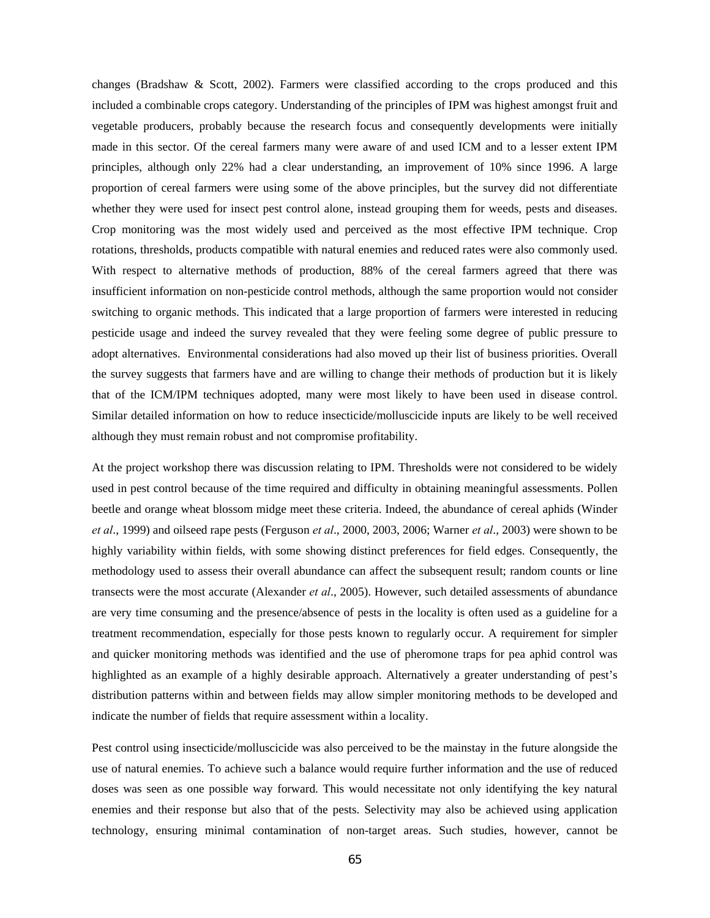changes (Bradshaw & Scott, 2002). Farmers were classified according to the crops produced and this included a combinable crops category. Understanding of the principles of IPM was highest amongst fruit and vegetable producers, probably because the research focus and consequently developments were initially made in this sector. Of the cereal farmers many were aware of and used ICM and to a lesser extent IPM principles, although only 22% had a clear understanding, an improvement of 10% since 1996. A large proportion of cereal farmers were using some of the above principles, but the survey did not differentiate whether they were used for insect pest control alone, instead grouping them for weeds, pests and diseases. Crop monitoring was the most widely used and perceived as the most effective IPM technique. Crop rotations, thresholds, products compatible with natural enemies and reduced rates were also commonly used. With respect to alternative methods of production, 88% of the cereal farmers agreed that there was insufficient information on non-pesticide control methods, although the same proportion would not consider switching to organic methods. This indicated that a large proportion of farmers were interested in reducing pesticide usage and indeed the survey revealed that they were feeling some degree of public pressure to adopt alternatives. Environmental considerations had also moved up their list of business priorities. Overall the survey suggests that farmers have and are willing to change their methods of production but it is likely that of the ICM/IPM techniques adopted, many were most likely to have been used in disease control. Similar detailed information on how to reduce insecticide/molluscicide inputs are likely to be well received although they must remain robust and not compromise profitability.

At the project workshop there was discussion relating to IPM. Thresholds were not considered to be widely used in pest control because of the time required and difficulty in obtaining meaningful assessments. Pollen beetle and orange wheat blossom midge meet these criteria. Indeed, the abundance of cereal aphids (Winder *et al*., 1999) and oilseed rape pests (Ferguson *et al*., 2000, 2003, 2006; Warner *et al*., 2003) were shown to be highly variability within fields, with some showing distinct preferences for field edges. Consequently, the methodology used to assess their overall abundance can affect the subsequent result; random counts or line transects were the most accurate (Alexander *et al*., 2005). However, such detailed assessments of abundance are very time consuming and the presence/absence of pests in the locality is often used as a guideline for a treatment recommendation, especially for those pests known to regularly occur. A requirement for simpler and quicker monitoring methods was identified and the use of pheromone traps for pea aphid control was highlighted as an example of a highly desirable approach. Alternatively a greater understanding of pest's distribution patterns within and between fields may allow simpler monitoring methods to be developed and indicate the number of fields that require assessment within a locality.

Pest control using insecticide/molluscicide was also perceived to be the mainstay in the future alongside the use of natural enemies. To achieve such a balance would require further information and the use of reduced doses was seen as one possible way forward. This would necessitate not only identifying the key natural enemies and their response but also that of the pests. Selectivity may also be achieved using application technology, ensuring minimal contamination of non-target areas. Such studies, however, cannot be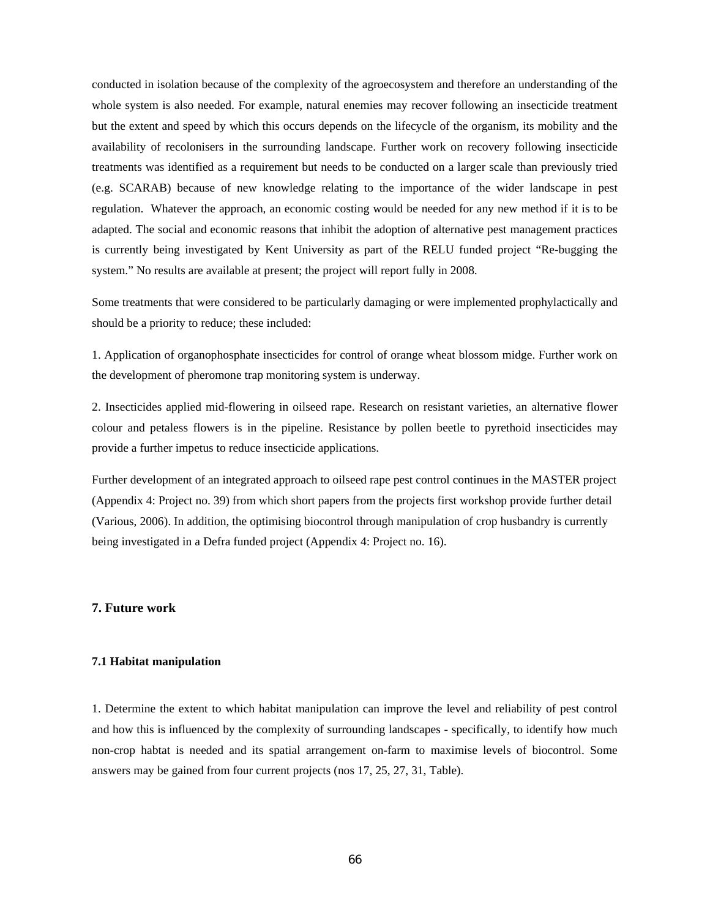conducted in isolation because of the complexity of the agroecosystem and therefore an understanding of the whole system is also needed. For example, natural enemies may recover following an insecticide treatment but the extent and speed by which this occurs depends on the lifecycle of the organism, its mobility and the availability of recolonisers in the surrounding landscape. Further work on recovery following insecticide treatments was identified as a requirement but needs to be conducted on a larger scale than previously tried (e.g. SCARAB) because of new knowledge relating to the importance of the wider landscape in pest regulation. Whatever the approach, an economic costing would be needed for any new method if it is to be adapted. The social and economic reasons that inhibit the adoption of alternative pest management practices is currently being investigated by Kent University as part of the RELU funded project "Re-bugging the system." No results are available at present; the project will report fully in 2008.

Some treatments that were considered to be particularly damaging or were implemented prophylactically and should be a priority to reduce; these included:

1. Application of organophosphate insecticides for control of orange wheat blossom midge. Further work on the development of pheromone trap monitoring system is underway.

2. Insecticides applied mid-flowering in oilseed rape. Research on resistant varieties, an alternative flower colour and petaless flowers is in the pipeline. Resistance by pollen beetle to pyrethoid insecticides may provide a further impetus to reduce insecticide applications.

Further development of an integrated approach to oilseed rape pest control continues in the MASTER project (Appendix 4: Project no. 39) from which short papers from the projects first workshop provide further detail (Various, 2006). In addition, the optimising biocontrol through manipulation of crop husbandry is currently being investigated in a Defra funded project (Appendix 4: Project no. 16).

### **7. Future work**

### **7.1 Habitat manipulation**

1. Determine the extent to which habitat manipulation can improve the level and reliability of pest control and how this is influenced by the complexity of surrounding landscapes - specifically, to identify how much non-crop habtat is needed and its spatial arrangement on-farm to maximise levels of biocontrol. Some answers may be gained from four current projects (nos 17, 25, 27, 31, Table).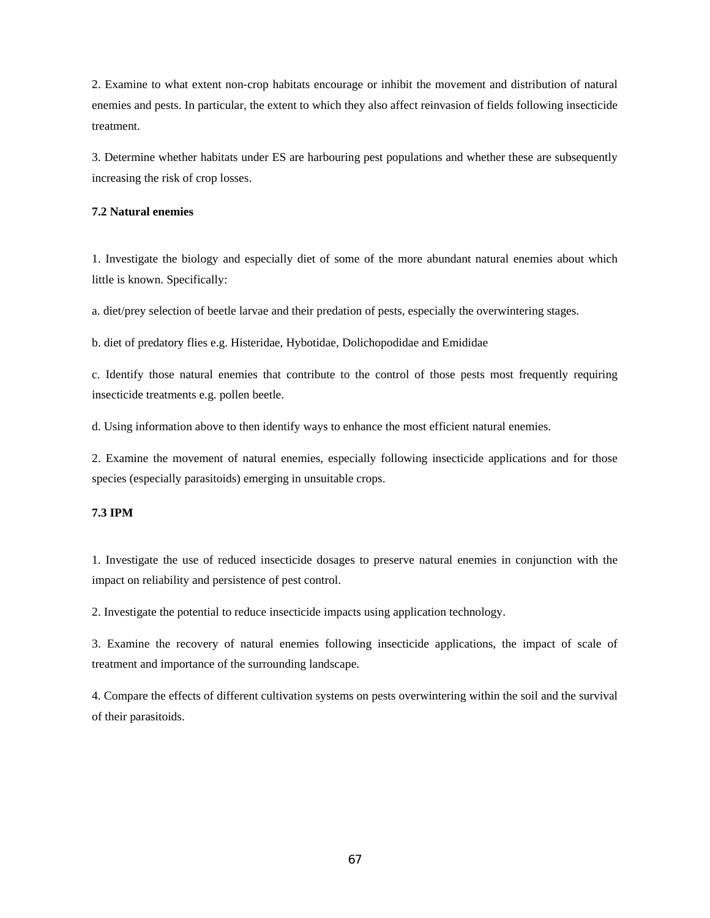2. Examine to what extent non-crop habitats encourage or inhibit the movement and distribution of natural enemies and pests. In particular, the extent to which they also affect reinvasion of fields following insecticide treatment.

3. Determine whether habitats under ES are harbouring pest populations and whether these are subsequently increasing the risk of crop losses.

### **7.2 Natural enemies**

1. Investigate the biology and especially diet of some of the more abundant natural enemies about which little is known. Specifically:

a. diet/prey selection of beetle larvae and their predation of pests, especially the overwintering stages.

b. diet of predatory flies e.g. Histeridae, Hybotidae, Dolichopodidae and Emididae

c. Identify those natural enemies that contribute to the control of those pests most frequently requiring insecticide treatments e.g. pollen beetle.

d. Using information above to then identify ways to enhance the most efficient natural enemies.

2. Examine the movement of natural enemies, especially following insecticide applications and for those species (especially parasitoids) emerging in unsuitable crops.

### **7.3 IPM**

1. Investigate the use of reduced insecticide dosages to preserve natural enemies in conjunction with the impact on reliability and persistence of pest control.

2. Investigate the potential to reduce insecticide impacts using application technology.

3. Examine the recovery of natural enemies following insecticide applications, the impact of scale of treatment and importance of the surrounding landscape.

4. Compare the effects of different cultivation systems on pests overwintering within the soil and the survival of their parasitoids.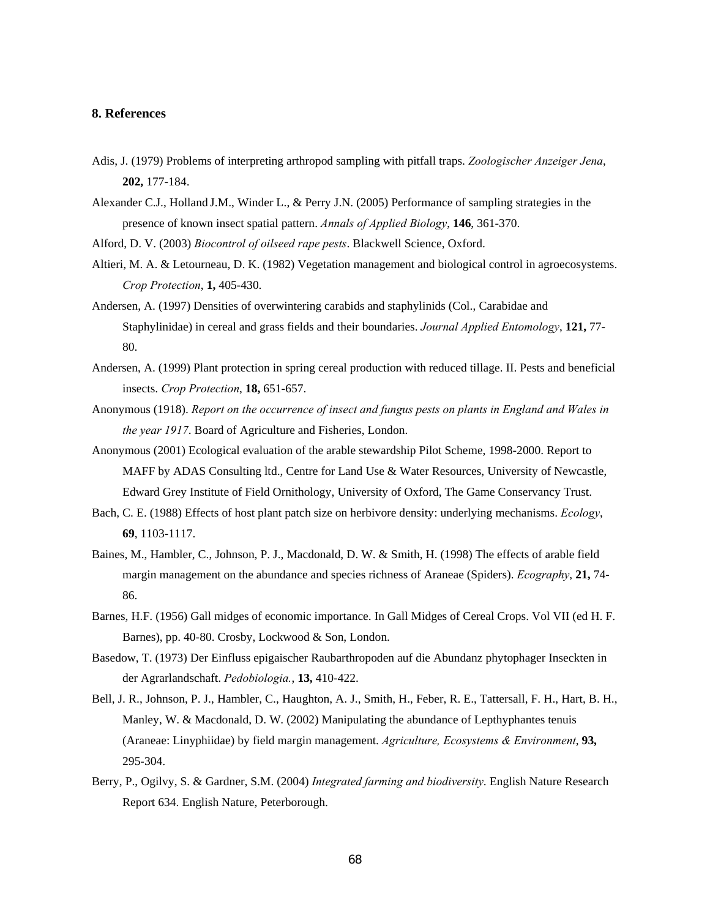### **8. References**

- Adis, J. (1979) Problems of interpreting arthropod sampling with pitfall traps. *Zoologischer Anzeiger Jena*, **202,** 177-184.
- Alexander C.J., Holland J.M., Winder L., & Perry J.N. (2005) Performance of sampling strategies in the presence of known insect spatial pattern. *Annals of Applied Biology*, **146**, 361-370.
- Alford, D. V. (2003) *Biocontrol of oilseed rape pests*. Blackwell Science, Oxford.
- Altieri, M. A. & Letourneau, D. K. (1982) Vegetation management and biological control in agroecosystems. *Crop Protection*, **1,** 405-430.
- Andersen, A. (1997) Densities of overwintering carabids and staphylinids (Col., Carabidae and Staphylinidae) in cereal and grass fields and their boundaries. *Journal Applied Entomology*, **121,** 77- 80.
- Andersen, A. (1999) Plant protection in spring cereal production with reduced tillage. II. Pests and beneficial insects. *Crop Protection*, **18,** 651-657.
- Anonymous (1918). *Report on the occurrence of insect and fungus pests on plants in England and Wales in the year 1917*. Board of Agriculture and Fisheries, London.
- Anonymous (2001) Ecological evaluation of the arable stewardship Pilot Scheme, 1998-2000. Report to MAFF by ADAS Consulting ltd., Centre for Land Use & Water Resources, University of Newcastle, Edward Grey Institute of Field Ornithology, University of Oxford, The Game Conservancy Trust.
- Bach, C. E. (1988) Effects of host plant patch size on herbivore density: underlying mechanisms. *Ecology*, **69**, 1103-1117.
- Baines, M., Hambler, C., Johnson, P. J., Macdonald, D. W. & Smith, H. (1998) The effects of arable field margin management on the abundance and species richness of Araneae (Spiders). *Ecography*, **21,** 74- 86.
- Barnes, H.F. (1956) Gall midges of economic importance. In Gall Midges of Cereal Crops. Vol VII (ed H. F. Barnes), pp. 40-80. Crosby, Lockwood & Son, London.
- Basedow, T. (1973) Der Einfluss epigaischer Raubarthropoden auf die Abundanz phytophager Inseckten in der Agrarlandschaft. *Pedobiologia.*, **13,** 410-422.
- Bell, J. R., Johnson, P. J., Hambler, C., Haughton, A. J., Smith, H., Feber, R. E., Tattersall, F. H., Hart, B. H., Manley, W. & Macdonald, D. W. (2002) Manipulating the abundance of Lepthyphantes tenuis (Araneae: Linyphiidae) by field margin management. *Agriculture, Ecosystems & Environment*, **93,** 295-304.
- Berry, P., Ogilvy, S. & Gardner, S.M. (2004) *Integrated farming and biodiversity*. English Nature Research Report 634. English Nature, Peterborough.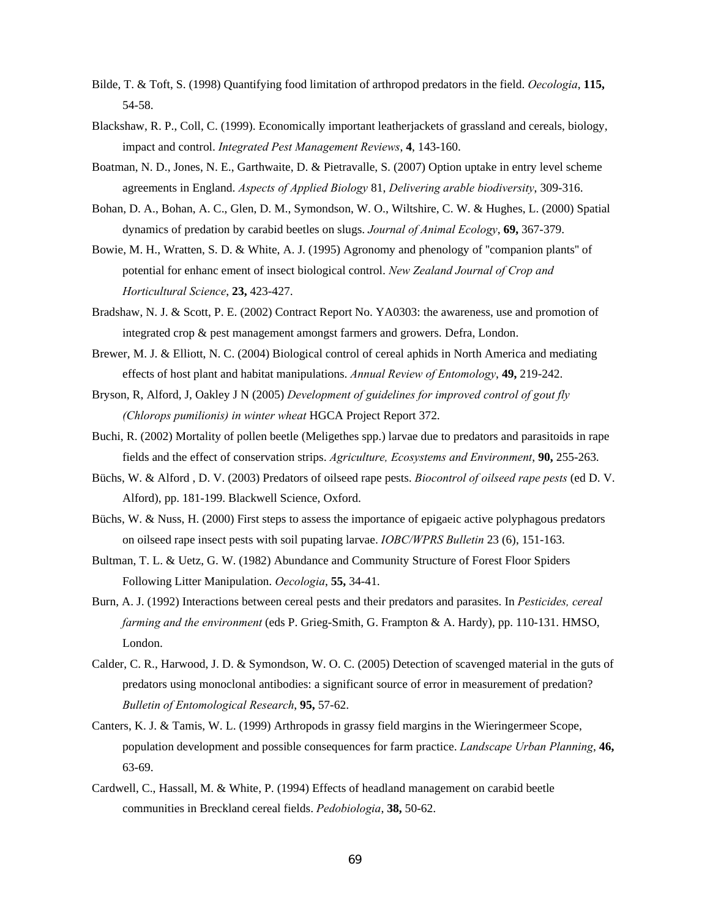- Bilde, T. & Toft, S. (1998) Quantifying food limitation of arthropod predators in the field. *Oecologia*, **115,** 54-58.
- Blackshaw, R. P., Coll, C. (1999). Economically important leatherjackets of grassland and cereals, biology, impact and control. *Integrated Pest Management Reviews*, **4**, 143-160.
- Boatman, N. D., Jones, N. E., Garthwaite, D. & Pietravalle, S. (2007) Option uptake in entry level scheme agreements in England. *Aspects of Applied Biology* 81, *Delivering arable biodiversity*, 309-316.
- Bohan, D. A., Bohan, A. C., Glen, D. M., Symondson, W. O., Wiltshire, C. W. & Hughes, L. (2000) Spatial dynamics of predation by carabid beetles on slugs. *Journal of Animal Ecology*, **69,** 367-379.
- Bowie, M. H., Wratten, S. D. & White, A. J. (1995) Agronomy and phenology of ''companion plants'' of potential for enhanc ement of insect biological control. *New Zealand Journal of Crop and Horticultural Science*, **23,** 423-427.
- Bradshaw, N. J. & Scott, P. E. (2002) Contract Report No. YA0303: the awareness, use and promotion of integrated crop & pest management amongst farmers and growers. Defra, London.
- Brewer, M. J. & Elliott, N. C. (2004) Biological control of cereal aphids in North America and mediating effects of host plant and habitat manipulations. *Annual Review of Entomology*, **49,** 219-242.
- Bryson, R, Alford, J, Oakley J N (2005) *Development of guidelines for improved control of gout fly (Chlorops pumilionis) in winter wheat* HGCA Project Report 372.
- Buchi, R. (2002) Mortality of pollen beetle (Meligethes spp.) larvae due to predators and parasitoids in rape fields and the effect of conservation strips. *Agriculture, Ecosystems and Environment*, **90,** 255-263.
- Büchs, W. & Alford , D. V. (2003) Predators of oilseed rape pests. *Biocontrol of oilseed rape pests* (ed D. V. Alford), pp. 181-199. Blackwell Science, Oxford.
- Büchs, W. & Nuss, H. (2000) First steps to assess the importance of epigaeic active polyphagous predators on oilseed rape insect pests with soil pupating larvae. *IOBC/WPRS Bulletin* 23 (6), 151-163.
- Bultman, T. L. & Uetz, G. W. (1982) Abundance and Community Structure of Forest Floor Spiders Following Litter Manipulation. *Oecologia*, **55,** 34-41.
- Burn, A. J. (1992) Interactions between cereal pests and their predators and parasites. In *Pesticides, cereal farming and the environment* (eds P. Grieg-Smith, G. Frampton & A. Hardy), pp. 110-131. HMSO, London.
- Calder, C. R., Harwood, J. D. & Symondson, W. O. C. (2005) Detection of scavenged material in the guts of predators using monoclonal antibodies: a significant source of error in measurement of predation? *Bulletin of Entomological Research*, **95,** 57-62.
- Canters, K. J. & Tamis, W. L. (1999) Arthropods in grassy field margins in the Wieringermeer Scope, population development and possible consequences for farm practice. *Landscape Urban Planning*, **46,** 63-69.
- Cardwell, C., Hassall, M. & White, P. (1994) Effects of headland management on carabid beetle communities in Breckland cereal fields. *Pedobiologia*, **38,** 50-62.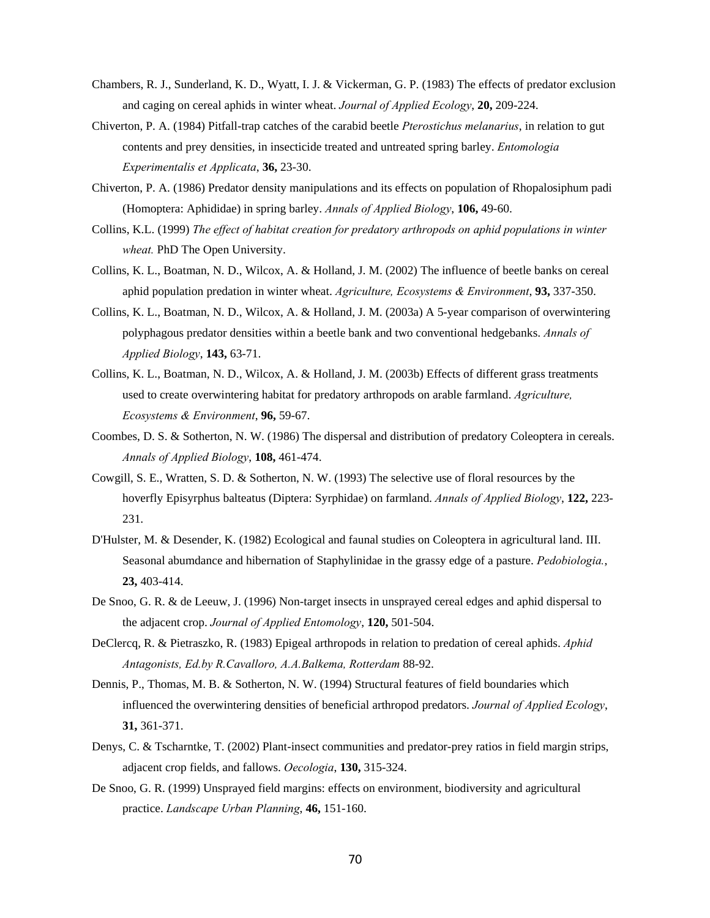- Chambers, R. J., Sunderland, K. D., Wyatt, I. J. & Vickerman, G. P. (1983) The effects of predator exclusion and caging on cereal aphids in winter wheat. *Journal of Applied Ecology*, **20,** 209-224.
- Chiverton, P. A. (1984) Pitfall-trap catches of the carabid beetle *Pterostichus melanarius*, in relation to gut contents and prey densities, in insecticide treated and untreated spring barley. *Entomologia Experimentalis et Applicata*, **36,** 23-30.
- Chiverton, P. A. (1986) Predator density manipulations and its effects on population of Rhopalosiphum padi (Homoptera: Aphididae) in spring barley. *Annals of Applied Biology*, **106,** 49-60.
- Collins, K.L. (1999) *The effect of habitat creation for predatory arthropods on aphid populations in winter wheat.* PhD The Open University.
- Collins, K. L., Boatman, N. D., Wilcox, A. & Holland, J. M. (2002) The influence of beetle banks on cereal aphid population predation in winter wheat. *Agriculture, Ecosystems & Environment*, **93,** 337-350.
- Collins, K. L., Boatman, N. D., Wilcox, A. & Holland, J. M. (2003a) A 5-year comparison of overwintering polyphagous predator densities within a beetle bank and two conventional hedgebanks. *Annals of Applied Biology*, **143,** 63-71.
- Collins, K. L., Boatman, N. D., Wilcox, A. & Holland, J. M. (2003b) Effects of different grass treatments used to create overwintering habitat for predatory arthropods on arable farmland. *Agriculture, Ecosystems & Environment*, **96,** 59-67.
- Coombes, D. S. & Sotherton, N. W. (1986) The dispersal and distribution of predatory Coleoptera in cereals. *Annals of Applied Biology*, **108,** 461-474.
- Cowgill, S. E., Wratten, S. D. & Sotherton, N. W. (1993) The selective use of floral resources by the hoverfly Episyrphus balteatus (Diptera: Syrphidae) on farmland. *Annals of Applied Biology*, **122,** 223- 231.
- D'Hulster, M. & Desender, K. (1982) Ecological and faunal studies on Coleoptera in agricultural land. III. Seasonal abumdance and hibernation of Staphylinidae in the grassy edge of a pasture. *Pedobiologia.*, **23,** 403-414.
- De Snoo, G. R. & de Leeuw, J. (1996) Non-target insects in unsprayed cereal edges and aphid dispersal to the adjacent crop. *Journal of Applied Entomology*, **120,** 501-504.
- DeClercq, R. & Pietraszko, R. (1983) Epigeal arthropods in relation to predation of cereal aphids. *Aphid Antagonists, Ed.by R.Cavalloro, A.A.Balkema, Rotterdam* 88-92.
- Dennis, P., Thomas, M. B. & Sotherton, N. W. (1994) Structural features of field boundaries which influenced the overwintering densities of beneficial arthropod predators. *Journal of Applied Ecology*, **31,** 361-371.
- Denys, C. & Tscharntke, T. (2002) Plant-insect communities and predator-prey ratios in field margin strips, adjacent crop fields, and fallows. *Oecologia*, **130,** 315-324.
- De Snoo, G. R. (1999) Unsprayed field margins: effects on environment, biodiversity and agricultural practice. *Landscape Urban Planning*, **46,** 151-160.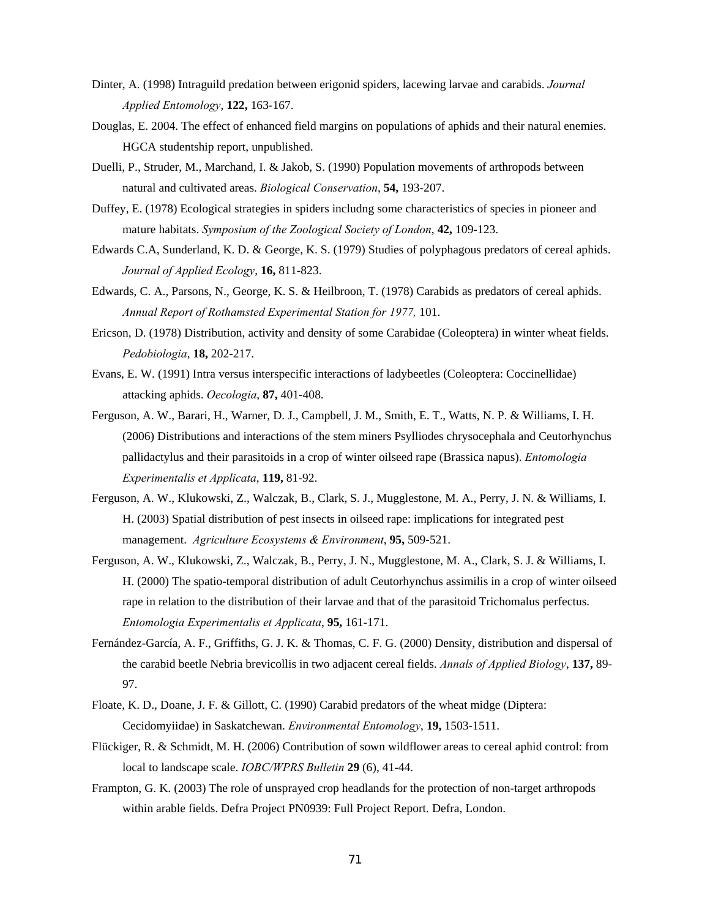- Dinter, A. (1998) Intraguild predation between erigonid spiders, lacewing larvae and carabids. *Journal Applied Entomology*, **122,** 163-167.
- Douglas, E. 2004. The effect of enhanced field margins on populations of aphids and their natural enemies. HGCA studentship report, unpublished.
- Duelli, P., Struder, M., Marchand, I. & Jakob, S. (1990) Population movements of arthropods between natural and cultivated areas. *Biological Conservation*, **54,** 193-207.
- Duffey, E. (1978) Ecological strategies in spiders includng some characteristics of species in pioneer and mature habitats. *Symposium of the Zoological Society of London*, **42,** 109-123.
- Edwards C.A, Sunderland, K. D. & George, K. S. (1979) Studies of polyphagous predators of cereal aphids. *Journal of Applied Ecology*, **16,** 811-823.
- Edwards, C. A., Parsons, N., George, K. S. & Heilbroon, T. (1978) Carabids as predators of cereal aphids. *Annual Report of Rothamsted Experimental Station for 1977,* 101.
- Ericson, D. (1978) Distribution, activity and density of some Carabidae (Coleoptera) in winter wheat fields. *Pedobiologia*, **18,** 202-217.
- Evans, E. W. (1991) Intra versus interspecific interactions of ladybeetles (Coleoptera: Coccinellidae) attacking aphids. *Oecologia*, **87,** 401-408.
- Ferguson, A. W., Barari, H., Warner, D. J., Campbell, J. M., Smith, E. T., Watts, N. P. & Williams, I. H. (2006) Distributions and interactions of the stem miners Psylliodes chrysocephala and Ceutorhynchus pallidactylus and their parasitoids in a crop of winter oilseed rape (Brassica napus). *Entomologia Experimentalis et Applicata*, **119,** 81-92.
- Ferguson, A. W., Klukowski, Z., Walczak, B., Clark, S. J., Mugglestone, M. A., Perry, J. N. & Williams, I. H. (2003) Spatial distribution of pest insects in oilseed rape: implications for integrated pest management. *Agriculture Ecosystems & Environment*, **95,** 509-521.
- Ferguson, A. W., Klukowski, Z., Walczak, B., Perry, J. N., Mugglestone, M. A., Clark, S. J. & Williams, I. H. (2000) The spatio-temporal distribution of adult Ceutorhynchus assimilis in a crop of winter oilseed rape in relation to the distribution of their larvae and that of the parasitoid Trichomalus perfectus. *Entomologia Experimentalis et Applicata*, **95,** 161-171.
- Fernández-García, A. F., Griffiths, G. J. K. & Thomas, C. F. G. (2000) Density, distribution and dispersal of the carabid beetle Nebria brevicollis in two adjacent cereal fields. *Annals of Applied Biology*, **137,** 89- 97.
- Floate, K. D., Doane, J. F. & Gillott, C. (1990) Carabid predators of the wheat midge (Diptera: Cecidomyiidae) in Saskatchewan. *Environmental Entomology*, **19,** 1503-1511.
- Flückiger, R. & Schmidt, M. H. (2006) Contribution of sown wildflower areas to cereal aphid control: from local to landscape scale. *IOBC/WPRS Bulletin* **29** (6), 41-44.
- Frampton, G. K. (2003) The role of unsprayed crop headlands for the protection of non-target arthropods within arable fields. Defra Project PN0939: Full Project Report. Defra, London.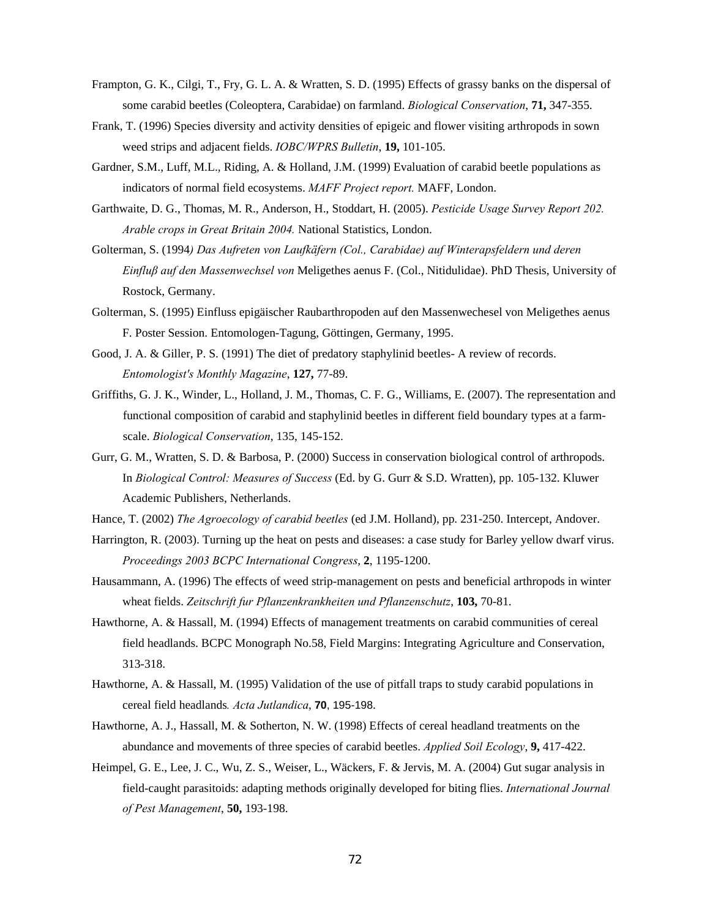- Frampton, G. K., Cilgi, T., Fry, G. L. A. & Wratten, S. D. (1995) Effects of grassy banks on the dispersal of some carabid beetles (Coleoptera, Carabidae) on farmland. *Biological Conservation*, **71,** 347-355.
- Frank, T. (1996) Species diversity and activity densities of epigeic and flower visiting arthropods in sown weed strips and adjacent fields. *IOBC/WPRS Bulletin*, **19,** 101-105.
- Gardner, S.M., Luff, M.L., Riding, A. & Holland, J.M. (1999) Evaluation of carabid beetle populations as indicators of normal field ecosystems. *MAFF Project report.* MAFF, London.
- Garthwaite, D. G., Thomas, M. R., Anderson, H., Stoddart, H. (2005). *Pesticide Usage Survey Report 202. Arable crops in Great Britain 2004.* National Statistics, London.
- Golterman, S. (1994*) Das Aufreten von Laufkäfern (Col., Carabidae) auf Winterapsfeldern und deren Einfluβ auf den Massenwechsel von* Meligethes aenus F. (Col., Nitidulidae). PhD Thesis, University of Rostock, Germany.
- Golterman, S. (1995) Einfluss epigäischer Raubarthropoden auf den Massenwechesel von Meligethes aenus F. Poster Session. Entomologen-Tagung, Göttingen, Germany, 1995.
- Good, J. A. & Giller, P. S. (1991) The diet of predatory staphylinid beetles- A review of records. *Entomologist's Monthly Magazine*, **127,** 77-89.
- Griffiths, G. J. K., Winder, L., Holland, J. M., Thomas, C. F. G., Williams, E. (2007). The representation and functional composition of carabid and staphylinid beetles in different field boundary types at a farmscale. *Biological Conservation*, 135, 145-152.
- Gurr, G. M., Wratten, S. D. & Barbosa, P. (2000) Success in conservation biological control of arthropods. In *Biological Control: Measures of Success* (Ed. by G. Gurr & S.D. Wratten), pp. 105-132. Kluwer Academic Publishers, Netherlands.
- Hance, T. (2002) *The Agroecology of carabid beetles* (ed J.M. Holland), pp. 231-250. Intercept, Andover.
- Harrington, R. (2003). Turning up the heat on pests and diseases: a case study for Barley yellow dwarf virus. *Proceedings 2003 BCPC International Congress*, **2**, 1195-1200.
- Hausammann, A. (1996) The effects of weed strip-management on pests and beneficial arthropods in winter wheat fields. *Zeitschrift fur Pflanzenkrankheiten und Pflanzenschutz*, **103,** 70-81.
- Hawthorne, A. & Hassall, M. (1994) Effects of management treatments on carabid communities of cereal field headlands. BCPC Monograph No.58, Field Margins: Integrating Agriculture and Conservation, 313-318.
- Hawthorne, A. & Hassall, M. (1995) Validation of the use of pitfall traps to study carabid populations in cereal field headlands*. Acta Jutlandica*, **70**, 195-198.
- Hawthorne, A. J., Hassall, M. & Sotherton, N. W. (1998) Effects of cereal headland treatments on the abundance and movements of three species of carabid beetles. *Applied Soil Ecology*, **9,** 417-422.
- Heimpel, G. E., Lee, J. C., Wu, Z. S., Weiser, L., Wäckers, F. & Jervis, M. A. (2004) Gut sugar analysis in field-caught parasitoids: adapting methods originally developed for biting flies. *International Journal of Pest Management*, **50,** 193-198.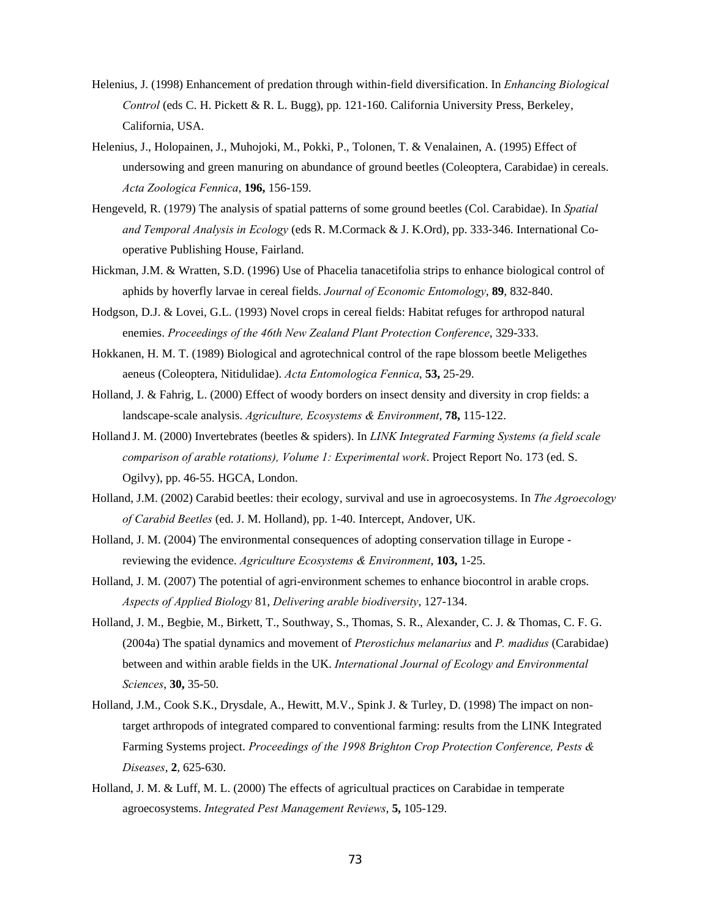- Helenius, J. (1998) Enhancement of predation through within-field diversification. In *Enhancing Biological Control* (eds C. H. Pickett & R. L. Bugg), pp. 121-160. California University Press, Berkeley, California, USA.
- Helenius, J., Holopainen, J., Muhojoki, M., Pokki, P., Tolonen, T. & Venalainen, A. (1995) Effect of undersowing and green manuring on abundance of ground beetles (Coleoptera, Carabidae) in cereals. *Acta Zoologica Fennica*, **196,** 156-159.
- Hengeveld, R. (1979) The analysis of spatial patterns of some ground beetles (Col. Carabidae). In *Spatial and Temporal Analysis in Ecology* (eds R. M.Cormack & J. K.Ord), pp. 333-346. International Cooperative Publishing House, Fairland.
- Hickman, J.M. & Wratten, S.D. (1996) Use of Phacelia tanacetifolia strips to enhance biological control of aphids by hoverfly larvae in cereal fields. *Journal of Economic Entomology*, **89**, 832-840.
- Hodgson, D.J. & Lovei, G.L. (1993) Novel crops in cereal fields: Habitat refuges for arthropod natural enemies. *Proceedings of the 46th New Zealand Plant Protection Conference*, 329-333.
- Hokkanen, H. M. T. (1989) Biological and agrotechnical control of the rape blossom beetle Meligethes aeneus (Coleoptera, Nitidulidae). *Acta Entomologica Fennica*, **53,** 25-29.
- Holland, J. & Fahrig, L. (2000) Effect of woody borders on insect density and diversity in crop fields: a landscape-scale analysis. *Agriculture, Ecosystems & Environment*, **78,** 115-122.
- Holland J. M. (2000) Invertebrates (beetles & spiders). In *LINK Integrated Farming Systems (a field scale comparison of arable rotations), Volume 1: Experimental work*. Project Report No. 173 (ed. S. Ogilvy), pp. 46-55. HGCA, London.
- Holland, J.M. (2002) Carabid beetles: their ecology, survival and use in agroecosystems. In *The Agroecology of Carabid Beetles* (ed. J. M. Holland), pp. 1-40. Intercept, Andover, UK.
- Holland, J. M. (2004) The environmental consequences of adopting conservation tillage in Europe reviewing the evidence. *Agriculture Ecosystems & Environment*, **103,** 1-25.
- Holland, J. M. (2007) The potential of agri-environment schemes to enhance biocontrol in arable crops. *Aspects of Applied Biology* 81, *Delivering arable biodiversity*, 127-134.
- Holland, J. M., Begbie, M., Birkett, T., Southway, S., Thomas, S. R., Alexander, C. J. & Thomas, C. F. G. (2004a) The spatial dynamics and movement of *Pterostichus melanarius* and *P. madidus* (Carabidae) between and within arable fields in the UK. *International Journal of Ecology and Environmental Sciences*, **30,** 35-50.
- Holland, J.M., Cook S.K., Drysdale, A., Hewitt, M.V., Spink J. & Turley, D. (1998) The impact on nontarget arthropods of integrated compared to conventional farming: results from the LINK Integrated Farming Systems project. *Proceedings of the 1998 Brighton Crop Protection Conference, Pests & Diseases*, **2**, 625-630.
- Holland, J. M. & Luff, M. L. (2000) The effects of agricultual practices on Carabidae in temperate agroecosystems. *Integrated Pest Management Reviews*, **5,** 105-129.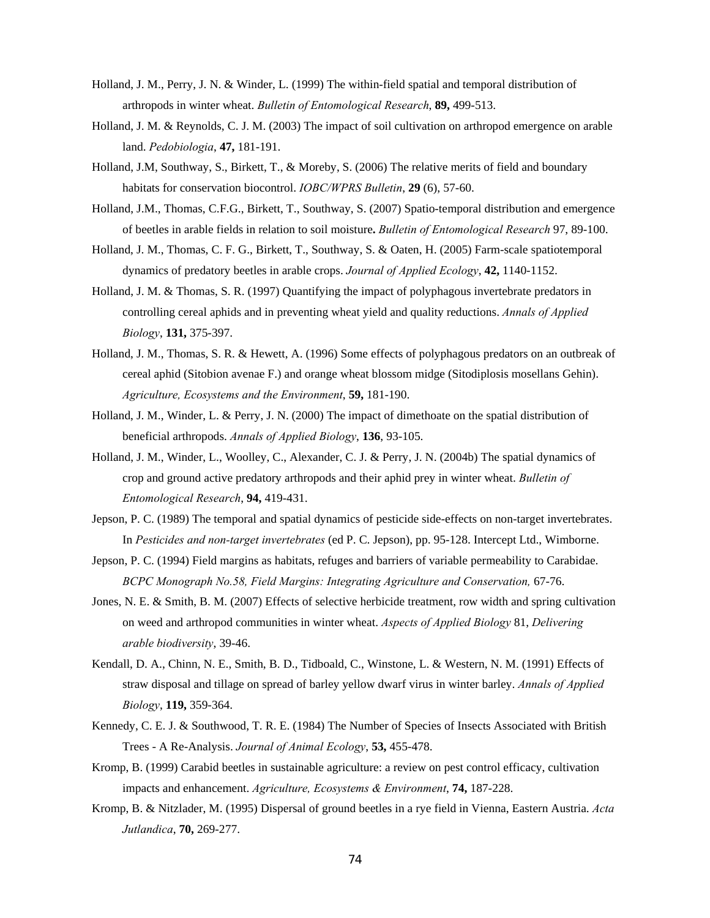- Holland, J. M., Perry, J. N. & Winder, L. (1999) The within-field spatial and temporal distribution of arthropods in winter wheat. *Bulletin of Entomological Research*, **89,** 499-513.
- Holland, J. M. & Reynolds, C. J. M. (2003) The impact of soil cultivation on arthropod emergence on arable land. *Pedobiologia*, **47,** 181-191.
- Holland, J.M, Southway, S., Birkett, T., & Moreby, S. (2006) The relative merits of field and boundary habitats for conservation biocontrol. *IOBC/WPRS Bulletin*, **29** (6), 57-60.
- Holland, J.M., Thomas, C.F.G., Birkett, T., Southway, S. (2007) Spatio-temporal distribution and emergence of beetles in arable fields in relation to soil moisture**.** *Bulletin of Entomological Research* 97, 89-100.
- Holland, J. M., Thomas, C. F. G., Birkett, T., Southway, S. & Oaten, H. (2005) Farm-scale spatiotemporal dynamics of predatory beetles in arable crops. *Journal of Applied Ecology*, **42,** 1140-1152.
- Holland, J. M. & Thomas, S. R. (1997) Quantifying the impact of polyphagous invertebrate predators in controlling cereal aphids and in preventing wheat yield and quality reductions. *Annals of Applied Biology*, **131,** 375-397.
- Holland, J. M., Thomas, S. R. & Hewett, A. (1996) Some effects of polyphagous predators on an outbreak of cereal aphid (Sitobion avenae F.) and orange wheat blossom midge (Sitodiplosis mosellans Gehin). *Agriculture, Ecosystems and the Environment*, **59,** 181-190.
- Holland, J. M., Winder, L. & Perry, J. N. (2000) The impact of dimethoate on the spatial distribution of beneficial arthropods. *Annals of Applied Biology*, **136**, 93-105.
- Holland, J. M., Winder, L., Woolley, C., Alexander, C. J. & Perry, J. N. (2004b) The spatial dynamics of crop and ground active predatory arthropods and their aphid prey in winter wheat. *Bulletin of Entomological Research*, **94,** 419-431.
- Jepson, P. C. (1989) The temporal and spatial dynamics of pesticide side-effects on non-target invertebrates. In *Pesticides and non-target invertebrates* (ed P. C. Jepson), pp. 95-128. Intercept Ltd., Wimborne.
- Jepson, P. C. (1994) Field margins as habitats, refuges and barriers of variable permeability to Carabidae. *BCPC Monograph No.58, Field Margins: Integrating Agriculture and Conservation,* 67-76.
- Jones, N. E. & Smith, B. M. (2007) Effects of selective herbicide treatment, row width and spring cultivation on weed and arthropod communities in winter wheat. *Aspects of Applied Biology* 81, *Delivering arable biodiversity*, 39-46.
- Kendall, D. A., Chinn, N. E., Smith, B. D., Tidboald, C., Winstone, L. & Western, N. M. (1991) Effects of straw disposal and tillage on spread of barley yellow dwarf virus in winter barley. *Annals of Applied Biology*, **119,** 359-364.
- Kennedy, C. E. J. & Southwood, T. R. E. (1984) The Number of Species of Insects Associated with British Trees - A Re-Analysis. *Journal of Animal Ecology*, **53,** 455-478.
- Kromp, B. (1999) Carabid beetles in sustainable agriculture: a review on pest control efficacy, cultivation impacts and enhancement. *Agriculture, Ecosystems & Environment*, **74,** 187-228.
- Kromp, B. & Nitzlader, M. (1995) Dispersal of ground beetles in a rye field in Vienna, Eastern Austria. *Acta Jutlandica*, **70,** 269-277.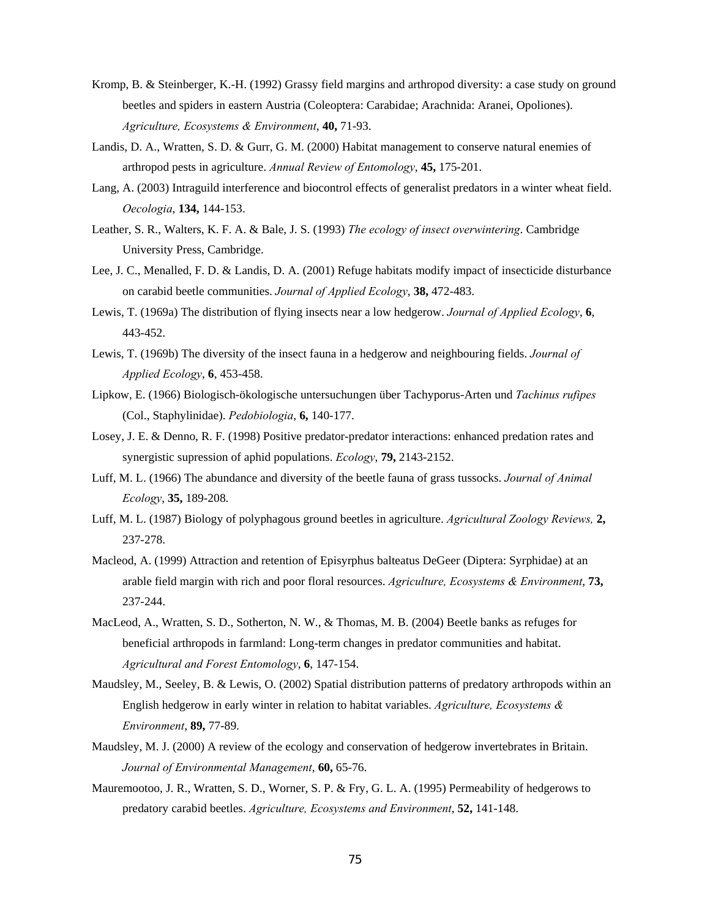- Kromp, B. & Steinberger, K.-H. (1992) Grassy field margins and arthropod diversity: a case study on ground beetles and spiders in eastern Austria (Coleoptera: Carabidae; Arachnida: Aranei, Opoliones). *Agriculture, Ecosystems & Environment*, **40,** 71-93.
- Landis, D. A., Wratten, S. D. & Gurr, G. M. (2000) Habitat management to conserve natural enemies of arthropod pests in agriculture. *Annual Review of Entomology*, **45,** 175-201.
- Lang, A. (2003) Intraguild interference and biocontrol effects of generalist predators in a winter wheat field. *Oecologia*, **134,** 144-153.
- Leather, S. R., Walters, K. F. A. & Bale, J. S. (1993) *The ecology of insect overwintering*. Cambridge University Press, Cambridge.
- Lee, J. C., Menalled, F. D. & Landis, D. A. (2001) Refuge habitats modify impact of insecticide disturbance on carabid beetle communities. *Journal of Applied Ecology*, **38,** 472-483.
- Lewis, T. (1969a) The distribution of flying insects near a low hedgerow. *Journal of Applied Ecology*, **6**, 443-452.
- Lewis, T. (1969b) The diversity of the insect fauna in a hedgerow and neighbouring fields. *Journal of Applied Ecology*, **6**, 453-458.
- Lipkow, E. (1966) Biologisch-ökologische untersuchungen über Tachyporus-Arten und *Tachinus rufipes* (Col., Staphylinidae). *Pedobiologia*, **6,** 140-177.
- Losey, J. E. & Denno, R. F. (1998) Positive predator-predator interactions: enhanced predation rates and synergistic supression of aphid populations. *Ecology*, **79,** 2143-2152.
- Luff, M. L. (1966) The abundance and diversity of the beetle fauna of grass tussocks. *Journal of Animal Ecology*, **35,** 189-208.
- Luff, M. L. (1987) Biology of polyphagous ground beetles in agriculture. *Agricultural Zoology Reviews,* **2,** 237-278.
- Macleod, A. (1999) Attraction and retention of Episyrphus balteatus DeGeer (Diptera: Syrphidae) at an arable field margin with rich and poor floral resources. *Agriculture, Ecosystems & Environment*, **73,** 237-244.
- MacLeod, A., Wratten, S. D., Sotherton, N. W., & Thomas, M. B. (2004) Beetle banks as refuges for beneficial arthropods in farmland: Long-term changes in predator communities and habitat. *Agricultural and Forest Entomology*, **6**, 147-154.
- Maudsley, M., Seeley, B. & Lewis, O. (2002) Spatial distribution patterns of predatory arthropods within an English hedgerow in early winter in relation to habitat variables. *Agriculture, Ecosystems & Environment*, **89,** 77-89.
- Maudsley, M. J. (2000) A review of the ecology and conservation of hedgerow invertebrates in Britain. *Journal of Environmental Management*, **60,** 65-76.
- Mauremootoo, J. R., Wratten, S. D., Worner, S. P. & Fry, G. L. A. (1995) Permeability of hedgerows to predatory carabid beetles. *Agriculture, Ecosystems and Environment*, **52,** 141-148.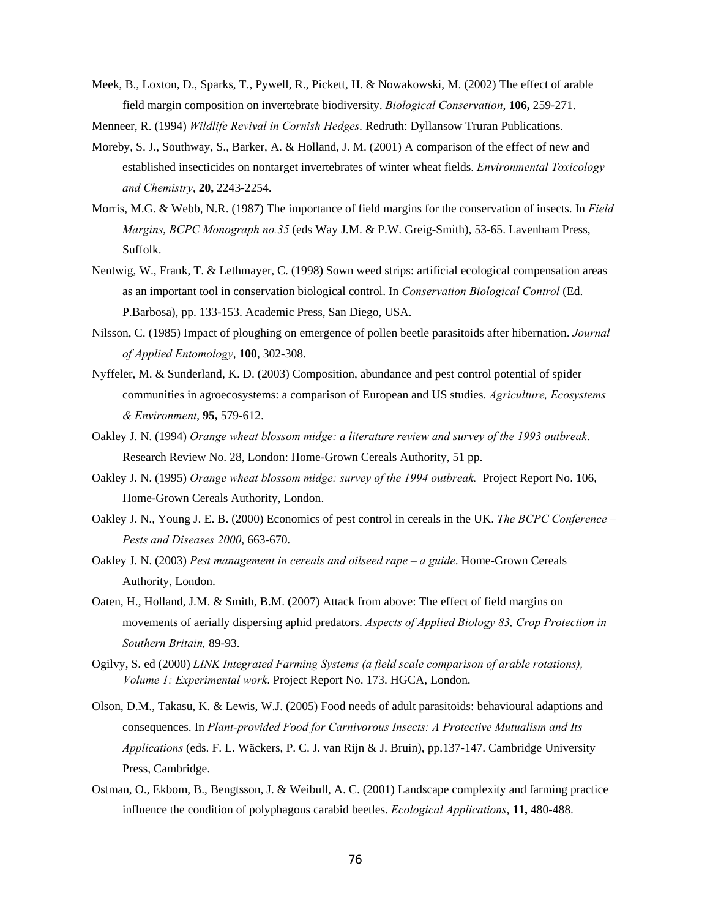Meek, B., Loxton, D., Sparks, T., Pywell, R., Pickett, H. & Nowakowski, M. (2002) The effect of arable field margin composition on invertebrate biodiversity. *Biological Conservation*, **106,** 259-271.

Menneer, R. (1994) *Wildlife Revival in Cornish Hedges*. Redruth: Dyllansow Truran Publications.

- Moreby, S. J., Southway, S., Barker, A. & Holland, J. M. (2001) A comparison of the effect of new and established insecticides on nontarget invertebrates of winter wheat fields. *Environmental Toxicology and Chemistry*, **20,** 2243-2254.
- Morris, M.G. & Webb, N.R. (1987) The importance of field margins for the conservation of insects. In *Field Margins*, *BCPC Monograph no.35* (eds Way J.M. & P.W. Greig-Smith), 53-65. Lavenham Press, Suffolk.
- Nentwig, W., Frank, T. & Lethmayer, C. (1998) Sown weed strips: artificial ecological compensation areas as an important tool in conservation biological control. In *Conservation Biological Control* (Ed. P.Barbosa), pp. 133-153. Academic Press, San Diego, USA.
- Nilsson, C. (1985) Impact of ploughing on emergence of pollen beetle parasitoids after hibernation. *Journal of Applied Entomology*, **100**, 302-308.
- Nyffeler, M. & Sunderland, K. D. (2003) Composition, abundance and pest control potential of spider communities in agroecosystems: a comparison of European and US studies. *Agriculture, Ecosystems & Environment*, **95,** 579-612.
- Oakley J. N. (1994) *Orange wheat blossom midge: a literature review and survey of the 1993 outbreak*. Research Review No. 28, London: Home-Grown Cereals Authority, 51 pp.
- Oakley J. N. (1995) *Orange wheat blossom midge: survey of the 1994 outbreak.* Project Report No. 106, Home-Grown Cereals Authority, London.
- Oakley J. N., Young J. E. B. (2000) Economics of pest control in cereals in the UK. *The BCPC Conference Pests and Diseases 2000*, 663-670.
- Oakley J. N. (2003) *Pest management in cereals and oilseed rape a guide*. Home-Grown Cereals Authority, London.
- Oaten, H., Holland, J.M. & Smith, B.M. (2007) Attack from above: The effect of field margins on movements of aerially dispersing aphid predators. *Aspects of Applied Biology 83, Crop Protection in Southern Britain,* 89-93.
- Ogilvy, S. ed (2000) *LINK Integrated Farming Systems (a field scale comparison of arable rotations), Volume 1: Experimental work*. Project Report No. 173. HGCA, London.
- Olson, D.M., Takasu, K. & Lewis, W.J. (2005) Food needs of adult parasitoids: behavioural adaptions and consequences. In *Plant-provided Food for Carnivorous Insects: A Protective Mutualism and Its Applications* (eds. F. L. Wäckers, P. C. J. van Rijn & J. Bruin), pp.137-147. Cambridge University Press, Cambridge.
- Ostman, O., Ekbom, B., Bengtsson, J. & Weibull, A. C. (2001) Landscape complexity and farming practice influence the condition of polyphagous carabid beetles. *Ecological Applications*, **11,** 480-488.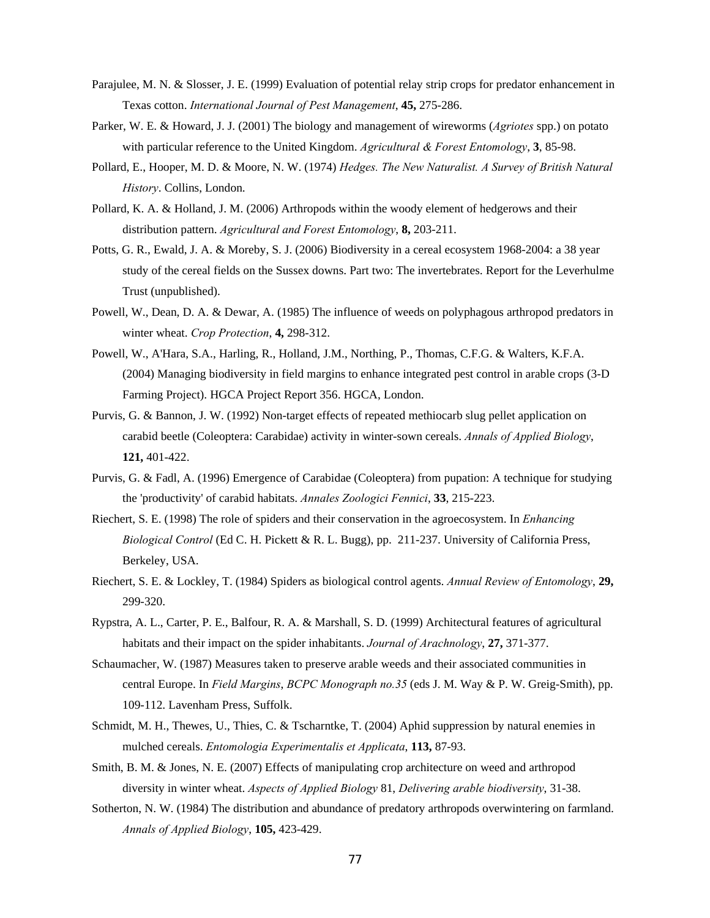- Parajulee, M. N. & Slosser, J. E. (1999) Evaluation of potential relay strip crops for predator enhancement in Texas cotton. *International Journal of Pest Management*, **45,** 275-286.
- Parker, W. E. & Howard, J. J. (2001) The biology and management of wireworms (*Agriotes* spp.) on potato with particular reference to the United Kingdom. *Agricultural & Forest Entomology*, **3**, 85-98.
- Pollard, E., Hooper, M. D. & Moore, N. W. (1974) *Hedges. The New Naturalist. A Survey of British Natural History*. Collins, London.
- Pollard, K. A. & Holland, J. M. (2006) Arthropods within the woody element of hedgerows and their distribution pattern. *Agricultural and Forest Entomology*, **8,** 203-211.
- Potts, G. R., Ewald, J. A. & Moreby, S. J. (2006) Biodiversity in a cereal ecosystem 1968-2004: a 38 year study of the cereal fields on the Sussex downs. Part two: The invertebrates. Report for the Leverhulme Trust (unpublished).
- Powell, W., Dean, D. A. & Dewar, A. (1985) The influence of weeds on polyphagous arthropod predators in winter wheat. *Crop Protection*, **4,** 298-312.
- Powell, W., A'Hara, S.A., Harling, R., Holland, J.M., Northing, P., Thomas, C.F.G. & Walters, K.F.A. (2004) Managing biodiversity in field margins to enhance integrated pest control in arable crops (3-D Farming Project). HGCA Project Report 356. HGCA, London.
- Purvis, G. & Bannon, J. W. (1992) Non-target effects of repeated methiocarb slug pellet application on carabid beetle (Coleoptera: Carabidae) activity in winter-sown cereals. *Annals of Applied Biology*, **121,** 401-422.
- Purvis, G. & Fadl, A. (1996) Emergence of Carabidae (Coleoptera) from pupation: A technique for studying the 'productivity' of carabid habitats. *Annales Zoologici Fennici*, **33**, 215-223.
- Riechert, S. E. (1998) The role of spiders and their conservation in the agroecosystem. In *Enhancing Biological Control* (Ed C. H. Pickett & R. L. Bugg), pp. 211-237. University of California Press, Berkeley, USA.
- Riechert, S. E. & Lockley, T. (1984) Spiders as biological control agents. *Annual Review of Entomology*, **29,** 299-320.
- Rypstra, A. L., Carter, P. E., Balfour, R. A. & Marshall, S. D. (1999) Architectural features of agricultural habitats and their impact on the spider inhabitants. *Journal of Arachnology*, **27,** 371-377.
- Schaumacher, W. (1987) Measures taken to preserve arable weeds and their associated communities in central Europe. In *Field Margins*, *BCPC Monograph no.35* (eds J. M. Way & P. W. Greig-Smith), pp. 109-112. Lavenham Press, Suffolk.
- Schmidt, M. H., Thewes, U., Thies, C. & Tscharntke, T. (2004) Aphid suppression by natural enemies in mulched cereals. *Entomologia Experimentalis et Applicata*, **113,** 87-93.
- Smith, B. M. & Jones, N. E. (2007) Effects of manipulating crop architecture on weed and arthropod diversity in winter wheat. *Aspects of Applied Biology* 81, *Delivering arable biodiversity*, 31-38.
- Sotherton, N. W. (1984) The distribution and abundance of predatory arthropods overwintering on farmland. *Annals of Applied Biology*, **105,** 423-429.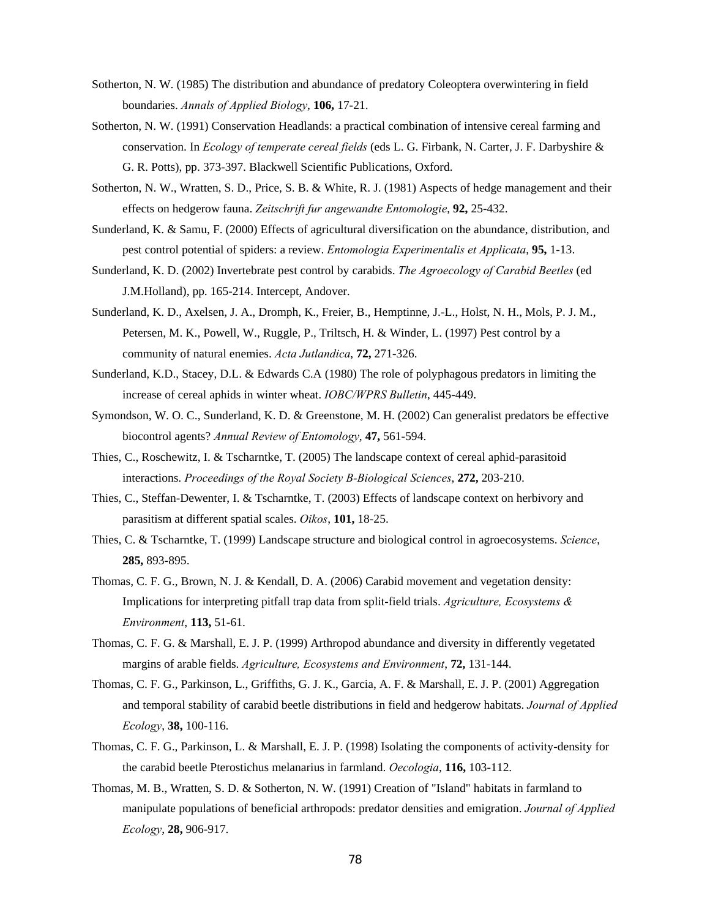- Sotherton, N. W. (1985) The distribution and abundance of predatory Coleoptera overwintering in field boundaries. *Annals of Applied Biology*, **106,** 17-21.
- Sotherton, N. W. (1991) Conservation Headlands: a practical combination of intensive cereal farming and conservation. In *Ecology of temperate cereal fields* (eds L. G. Firbank, N. Carter, J. F. Darbyshire & G. R. Potts), pp. 373-397. Blackwell Scientific Publications, Oxford.
- Sotherton, N. W., Wratten, S. D., Price, S. B. & White, R. J. (1981) Aspects of hedge management and their effects on hedgerow fauna. *Zeitschrift fur angewandte Entomologie*, **92,** 25-432.
- Sunderland, K. & Samu, F. (2000) Effects of agricultural diversification on the abundance, distribution, and pest control potential of spiders: a review. *Entomologia Experimentalis et Applicata*, **95,** 1-13.
- Sunderland, K. D. (2002) Invertebrate pest control by carabids. *The Agroecology of Carabid Beetles* (ed J.M.Holland), pp. 165-214. Intercept, Andover.
- Sunderland, K. D., Axelsen, J. A., Dromph, K., Freier, B., Hemptinne, J.-L., Holst, N. H., Mols, P. J. M., Petersen, M. K., Powell, W., Ruggle, P., Triltsch, H. & Winder, L. (1997) Pest control by a community of natural enemies. *Acta Jutlandica*, **72,** 271-326.
- Sunderland, K.D., Stacey, D.L. & Edwards C.A (1980) The role of polyphagous predators in limiting the increase of cereal aphids in winter wheat. *IOBC/WPRS Bulletin*, 445-449.
- Symondson, W. O. C., Sunderland, K. D. & Greenstone, M. H. (2002) Can generalist predators be effective biocontrol agents? *Annual Review of Entomology*, **47,** 561-594.
- Thies, C., Roschewitz, I. & Tscharntke, T. (2005) The landscape context of cereal aphid-parasitoid interactions. *Proceedings of the Royal Society B-Biological Sciences*, **272,** 203-210.
- Thies, C., Steffan-Dewenter, I. & Tscharntke, T. (2003) Effects of landscape context on herbivory and parasitism at different spatial scales. *Oikos*, **101,** 18-25.
- Thies, C. & Tscharntke, T. (1999) Landscape structure and biological control in agroecosystems. *Science*, **285,** 893-895.
- Thomas, C. F. G., Brown, N. J. & Kendall, D. A. (2006) Carabid movement and vegetation density: Implications for interpreting pitfall trap data from split-field trials. *Agriculture, Ecosystems & Environment*, **113,** 51-61.
- Thomas, C. F. G. & Marshall, E. J. P. (1999) Arthropod abundance and diversity in differently vegetated margins of arable fields. *Agriculture, Ecosystems and Environment*, **72,** 131-144.
- Thomas, C. F. G., Parkinson, L., Griffiths, G. J. K., Garcia, A. F. & Marshall, E. J. P. (2001) Aggregation and temporal stability of carabid beetle distributions in field and hedgerow habitats. *Journal of Applied Ecology*, **38,** 100-116.
- Thomas, C. F. G., Parkinson, L. & Marshall, E. J. P. (1998) Isolating the components of activity-density for the carabid beetle Pterostichus melanarius in farmland. *Oecologia*, **116,** 103-112.
- Thomas, M. B., Wratten, S. D. & Sotherton, N. W. (1991) Creation of "Island" habitats in farmland to manipulate populations of beneficial arthropods: predator densities and emigration. *Journal of Applied Ecology*, **28,** 906-917.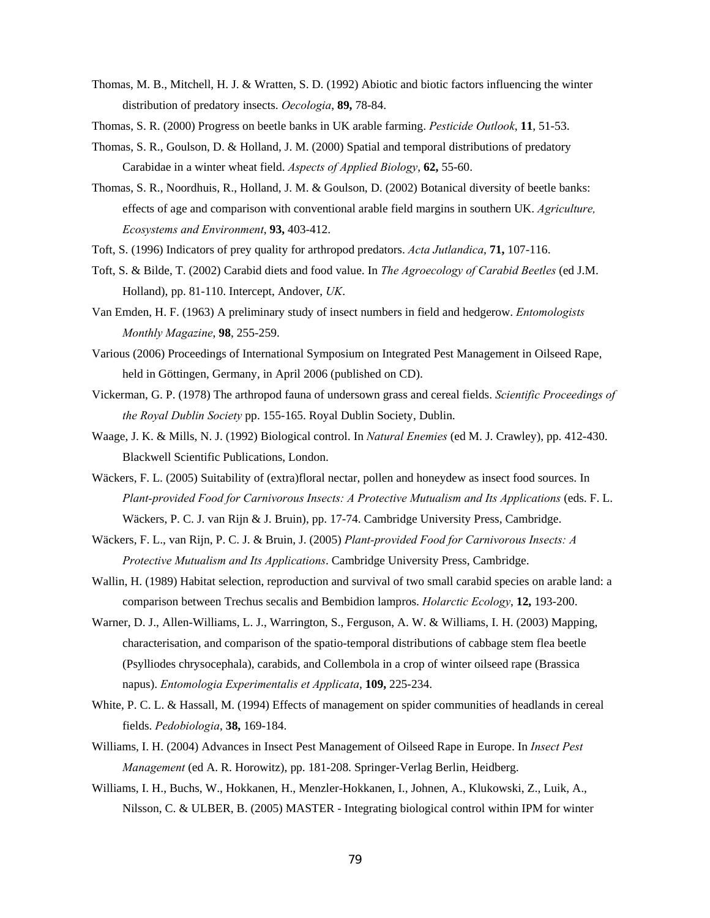- Thomas, M. B., Mitchell, H. J. & Wratten, S. D. (1992) Abiotic and biotic factors influencing the winter distribution of predatory insects. *Oecologia*, **89,** 78-84.
- Thomas, S. R. (2000) Progress on beetle banks in UK arable farming. *Pesticide Outlook*, **11**, 51-53.
- Thomas, S. R., Goulson, D. & Holland, J. M. (2000) Spatial and temporal distributions of predatory Carabidae in a winter wheat field. *Aspects of Applied Biology*, **62,** 55-60.
- Thomas, S. R., Noordhuis, R., Holland, J. M. & Goulson, D. (2002) Botanical diversity of beetle banks: effects of age and comparison with conventional arable field margins in southern UK. *Agriculture, Ecosystems and Environment*, **93,** 403-412.
- Toft, S. (1996) Indicators of prey quality for arthropod predators. *Acta Jutlandica*, **71,** 107-116.
- Toft, S. & Bilde, T. (2002) Carabid diets and food value. In *The Agroecology of Carabid Beetles* (ed J.M. Holland), pp. 81-110. Intercept, Andover, *UK*.
- Van Emden, H. F. (1963) A preliminary study of insect numbers in field and hedgerow. *Entomologists Monthly Magazine*, **98**, 255-259.
- Various (2006) Proceedings of International Symposium on Integrated Pest Management in Oilseed Rape, held in Göttingen, Germany, in April 2006 (published on CD).
- Vickerman, G. P. (1978) The arthropod fauna of undersown grass and cereal fields. *Scientific Proceedings of the Royal Dublin Society* pp. 155-165. Royal Dublin Society, Dublin.
- Waage, J. K. & Mills, N. J. (1992) Biological control. In *Natural Enemies* (ed M. J. Crawley), pp. 412-430. Blackwell Scientific Publications, London.
- Wäckers, F. L. (2005) Suitability of (extra)floral nectar, pollen and honeydew as insect food sources. In *Plant-provided Food for Carnivorous Insects: A Protective Mutualism and Its Applications* (eds. F. L. Wäckers, P. C. J. van Rijn & J. Bruin), pp. 17-74. Cambridge University Press, Cambridge.
- Wäckers, F. L., van Rijn, P. C. J. & Bruin, J. (2005) *Plant-provided Food for Carnivorous Insects: A Protective Mutualism and Its Applications*. Cambridge University Press, Cambridge.
- Wallin, H. (1989) Habitat selection, reproduction and survival of two small carabid species on arable land: a comparison between Trechus secalis and Bembidion lampros. *Holarctic Ecology*, **12,** 193-200.
- Warner, D. J., Allen-Williams, L. J., Warrington, S., Ferguson, A. W. & Williams, I. H. (2003) Mapping, characterisation, and comparison of the spatio-temporal distributions of cabbage stem flea beetle (Psylliodes chrysocephala), carabids, and Collembola in a crop of winter oilseed rape (Brassica napus). *Entomologia Experimentalis et Applicata*, **109,** 225-234.
- White, P. C. L. & Hassall, M. (1994) Effects of management on spider communities of headlands in cereal fields. *Pedobiologia*, **38,** 169-184.
- Williams, I. H. (2004) Advances in Insect Pest Management of Oilseed Rape in Europe. In *Insect Pest Management* (ed A. R. Horowitz), pp. 181-208. Springer-Verlag Berlin, Heidberg.
- Williams, I. H., Buchs, W., Hokkanen, H., Menzler-Hokkanen, I., Johnen, A., Klukowski, Z., Luik, A., Nilsson, C. & ULBER, B. (2005) MASTER - Integrating biological control within IPM for winter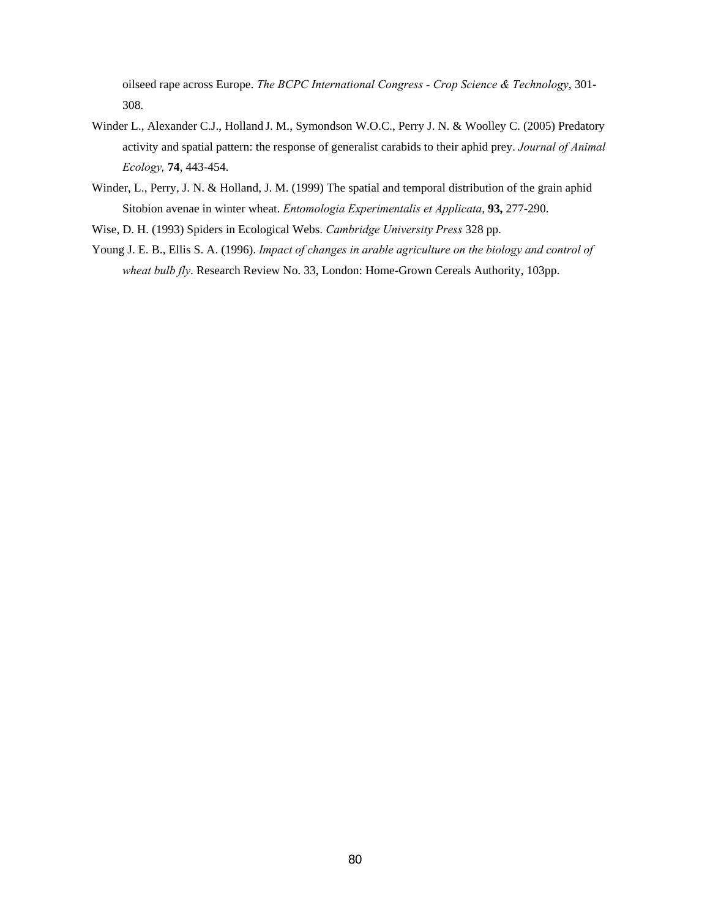oilseed rape across Europe. *The BCPC International Congress - Crop Science & Technology*, 301- 308.

- Winder L., Alexander C.J., Holland J. M., Symondson W.O.C., Perry J. N. & Woolley C. (2005) Predatory activity and spatial pattern: the response of generalist carabids to their aphid prey. *Journal of Animal Ecology,* **74**, 443-454.
- Winder, L., Perry, J. N. & Holland, J. M. (1999) The spatial and temporal distribution of the grain aphid Sitobion avenae in winter wheat. *Entomologia Experimentalis et Applicata*, **93,** 277-290.
- Wise, D. H. (1993) Spiders in Ecological Webs. *Cambridge University Press* 328 pp.
- Young J. E. B., Ellis S. A. (1996). *Impact of changes in arable agriculture on the biology and control of wheat bulb fly*. Research Review No. 33, London: Home-Grown Cereals Authority, 103pp.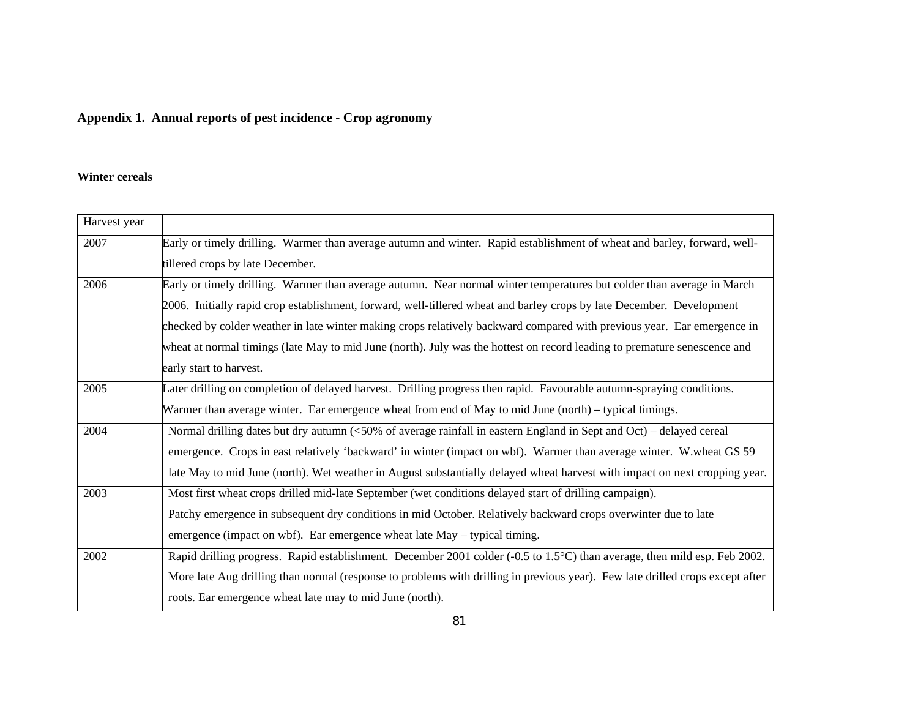# **Appendix 1. Annual reports of pest incidence - Crop agronomy**

#### **Winter cereals**

| Harvest year |                                                                                                                               |  |
|--------------|-------------------------------------------------------------------------------------------------------------------------------|--|
| 2007         | Early or timely drilling. Warmer than average autumn and winter. Rapid establishment of wheat and barley, forward, well-      |  |
|              | tillered crops by late December.                                                                                              |  |
| 2006         | Early or timely drilling. Warmer than average autumn. Near normal winter temperatures but colder than average in March        |  |
|              | 2006. Initially rapid crop establishment, forward, well-tillered wheat and barley crops by late December. Development         |  |
|              | checked by colder weather in late winter making crops relatively backward compared with previous year. Ear emergence in       |  |
|              | wheat at normal timings (late May to mid June (north). July was the hottest on record leading to premature senescence and     |  |
|              | early start to harvest.                                                                                                       |  |
| 2005         | Later drilling on completion of delayed harvest. Drilling progress then rapid. Favourable autumn-spraying conditions.         |  |
|              | Warmer than average winter. Ear emergence wheat from end of May to mid June (north) – typical timings.                        |  |
| 2004         | Normal drilling dates but dry autumn (<50% of average rainfall in eastern England in Sept and Oct) – delayed cereal           |  |
|              | emergence. Crops in east relatively 'backward' in winter (impact on wbf). Warmer than average winter. W.wheat GS 59           |  |
|              | late May to mid June (north). Wet weather in August substantially delayed wheat harvest with impact on next cropping year.    |  |
| 2003         | Most first wheat crops drilled mid-late September (wet conditions delayed start of drilling campaign).                        |  |
|              | Patchy emergence in subsequent dry conditions in mid October. Relatively backward crops overwinter due to late                |  |
|              | emergence (impact on wbf). Ear emergence wheat late May – typical timing.                                                     |  |
| 2002         | Rapid drilling progress. Rapid establishment. December 2001 colder (-0.5 to 1.5°C) than average, then mild esp. Feb 2002.     |  |
|              | More late Aug drilling than normal (response to problems with drilling in previous year). Few late drilled crops except after |  |
|              | roots. Ear emergence wheat late may to mid June (north).                                                                      |  |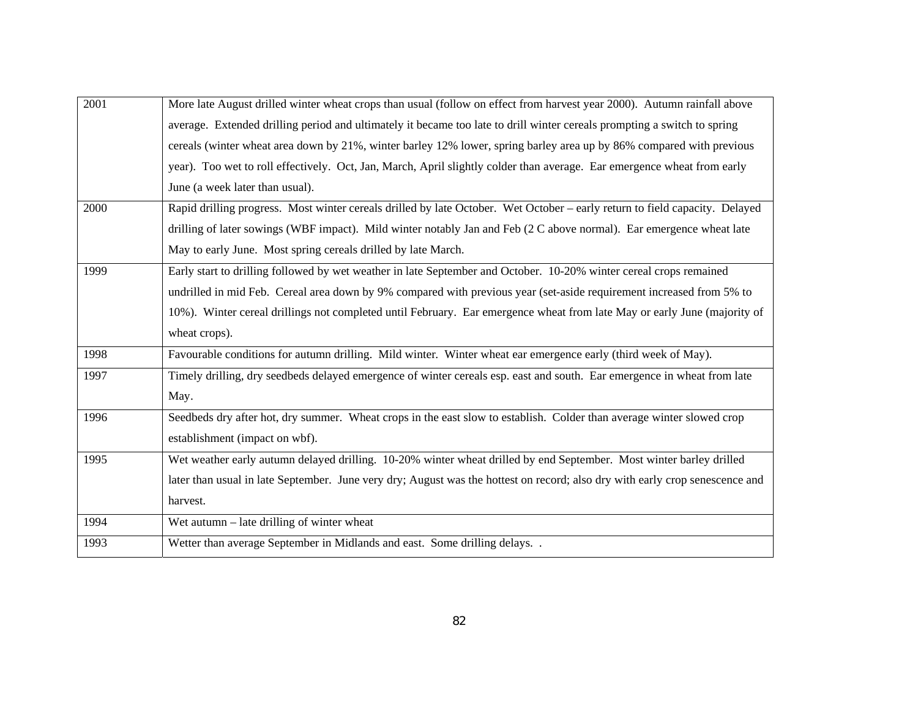| 2001 | More late August drilled winter wheat crops than usual (follow on effect from harvest year 2000). Autumn rainfall above      |
|------|------------------------------------------------------------------------------------------------------------------------------|
|      | average. Extended drilling period and ultimately it became too late to drill winter cereals prompting a switch to spring     |
|      | cereals (winter wheat area down by 21%, winter barley 12% lower, spring barley area up by 86% compared with previous         |
|      | year). Too wet to roll effectively. Oct, Jan, March, April slightly colder than average. Ear emergence wheat from early      |
|      | June (a week later than usual).                                                                                              |
| 2000 | Rapid drilling progress. Most winter cereals drilled by late October. Wet October – early return to field capacity. Delayed  |
|      | drilling of later sowings (WBF impact). Mild winter notably Jan and Feb (2 C above normal). Ear emergence wheat late         |
|      | May to early June. Most spring cereals drilled by late March.                                                                |
| 1999 | Early start to drilling followed by wet weather in late September and October. 10-20% winter cereal crops remained           |
|      | undrilled in mid Feb. Cereal area down by 9% compared with previous year (set-aside requirement increased from 5% to         |
|      | 10%). Winter cereal drillings not completed until February. Ear emergence wheat from late May or early June (majority of     |
|      | wheat crops).                                                                                                                |
| 1998 | Favourable conditions for autumn drilling. Mild winter. Winter wheat ear emergence early (third week of May).                |
| 1997 | Timely drilling, dry seedbeds delayed emergence of winter cereals esp. east and south. Ear emergence in wheat from late      |
|      | May.                                                                                                                         |
| 1996 | Seedbeds dry after hot, dry summer. Wheat crops in the east slow to establish. Colder than average winter slowed crop        |
|      | establishment (impact on wbf).                                                                                               |
| 1995 | Wet weather early autumn delayed drilling. 10-20% winter wheat drilled by end September. Most winter barley drilled          |
|      | later than usual in late September. June very dry; August was the hottest on record; also dry with early crop senescence and |
|      | harvest.                                                                                                                     |
| 1994 | Wet autumn $-$ late drilling of winter wheat                                                                                 |
| 1993 | Wetter than average September in Midlands and east. Some drilling delays                                                     |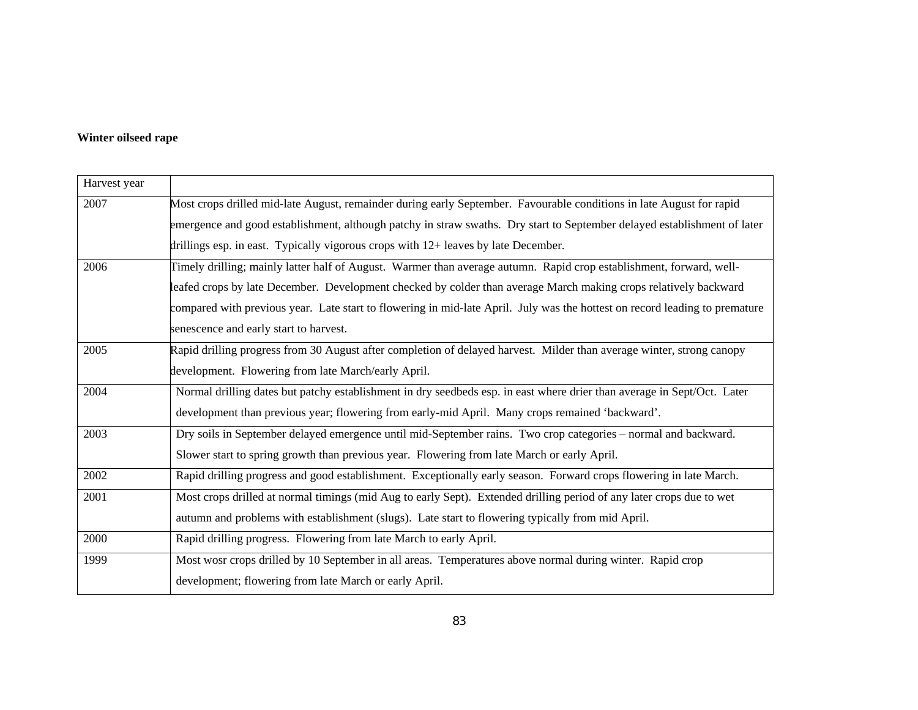## **Winter oilseed rape**

| Harvest year |                                                                                                                             |
|--------------|-----------------------------------------------------------------------------------------------------------------------------|
| 2007         | Most crops drilled mid-late August, remainder during early September. Favourable conditions in late August for rapid        |
|              | emergence and good establishment, although patchy in straw swaths. Dry start to September delayed establishment of later    |
|              | drillings esp. in east. Typically vigorous crops with $12+$ leaves by late December.                                        |
| 2006         | Timely drilling; mainly latter half of August. Warmer than average autumn. Rapid crop establishment, forward, well-         |
|              | leafed crops by late December. Development checked by colder than average March making crops relatively backward            |
|              | compared with previous year. Late start to flowering in mid-late April. July was the hottest on record leading to premature |
|              | senescence and early start to harvest.                                                                                      |
| 2005         | Rapid drilling progress from 30 August after completion of delayed harvest. Milder than average winter, strong canopy       |
|              | development. Flowering from late March/early April.                                                                         |
| 2004         | Normal drilling dates but patchy establishment in dry seedbeds esp. in east where drier than average in Sept/Oct. Later     |
|              | development than previous year; flowering from early-mid April. Many crops remained 'backward'.                             |
| 2003         | Dry soils in September delayed emergence until mid-September rains. Two crop categories – normal and backward.              |
|              | Slower start to spring growth than previous year. Flowering from late March or early April.                                 |
| 2002         | Rapid drilling progress and good establishment. Exceptionally early season. Forward crops flowering in late March.          |
| 2001         | Most crops drilled at normal timings (mid Aug to early Sept). Extended drilling period of any later crops due to wet        |
|              | autumn and problems with establishment (slugs). Late start to flowering typically from mid April.                           |
| 2000         | Rapid drilling progress. Flowering from late March to early April.                                                          |
| 1999         | Most wosr crops drilled by 10 September in all areas. Temperatures above normal during winter. Rapid crop                   |
|              | development; flowering from late March or early April.                                                                      |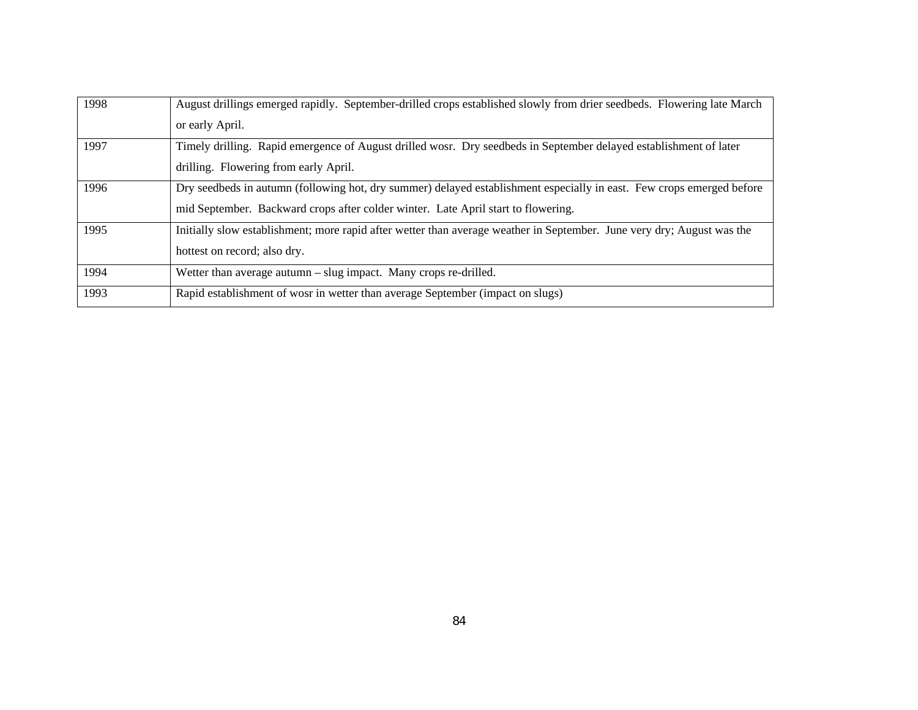| 1998 | August drillings emerged rapidly. September-drilled crops established slowly from drier seedbeds. Flowering late March |
|------|------------------------------------------------------------------------------------------------------------------------|
|      | or early April.                                                                                                        |
| 1997 | Timely drilling. Rapid emergence of August drilled wosr. Dry seedbeds in September delayed establishment of later      |
|      | drilling. Flowering from early April.                                                                                  |
| 1996 | Dry seedbeds in autumn (following hot, dry summer) delayed establishment especially in east. Few crops emerged before  |
|      | mid September. Backward crops after colder winter. Late April start to flowering.                                      |
| 1995 | Initially slow establishment; more rapid after wetter than average weather in September. June very dry; August was the |
|      | hottest on record; also dry.                                                                                           |
| 1994 | Wetter than average autumn $-$ slug impact. Many crops re-drilled.                                                     |
| 1993 | Rapid establishment of wosr in wetter than average September (impact on slugs)                                         |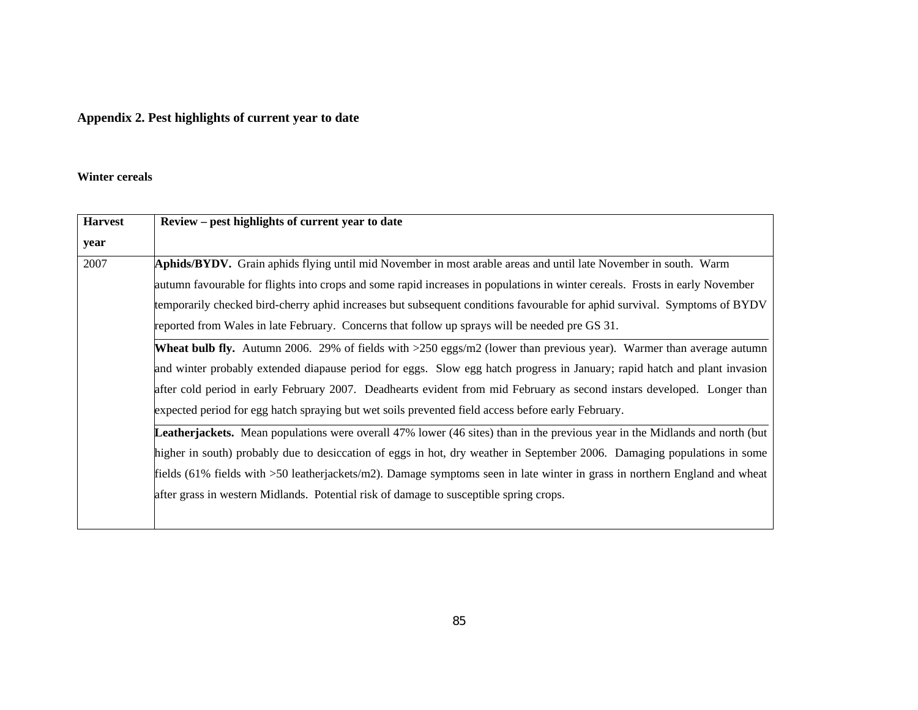# **Appendix 2. Pest highlights of current year to date**

#### **Winter cereals**

| <b>Harvest</b> | Review – pest highlights of current year to date                                                                                   |
|----------------|------------------------------------------------------------------------------------------------------------------------------------|
| year           |                                                                                                                                    |
| 2007           | <b>Aphids/BYDV.</b> Grain aphids flying until mid November in most arable areas and until late November in south. Warm             |
|                | autumn favourable for flights into crops and some rapid increases in populations in winter cereals. Frosts in early November       |
|                | temporarily checked bird-cherry aphid increases but subsequent conditions favourable for aphid survival. Symptoms of BYDV          |
|                | reported from Wales in late February. Concerns that follow up sprays will be needed pre GS 31.                                     |
|                | <b>Wheat bulb fly.</b> Autumn 2006. 29% of fields with $>250$ eggs/m2 (lower than previous year). Warmer than average autumn       |
|                | and winter probably extended diapause period for eggs. Slow egg hatch progress in January; rapid hatch and plant invasion          |
|                | after cold period in early February 2007. Deadhearts evident from mid February as second instars developed. Longer than            |
|                | expected period for egg hatch spraying but wet soils prevented field access before early February.                                 |
|                | <b>Leatherjackets.</b> Mean populations were overall 47% lower (46 sites) than in the previous year in the Midlands and north (but |
|                | higher in south) probably due to desiccation of eggs in hot, dry weather in September 2006. Damaging populations in some           |
|                | fields (61% fields with >50 leatherjackets/m2). Damage symptoms seen in late winter in grass in northern England and wheat         |
|                | after grass in western Midlands. Potential risk of damage to susceptible spring crops.                                             |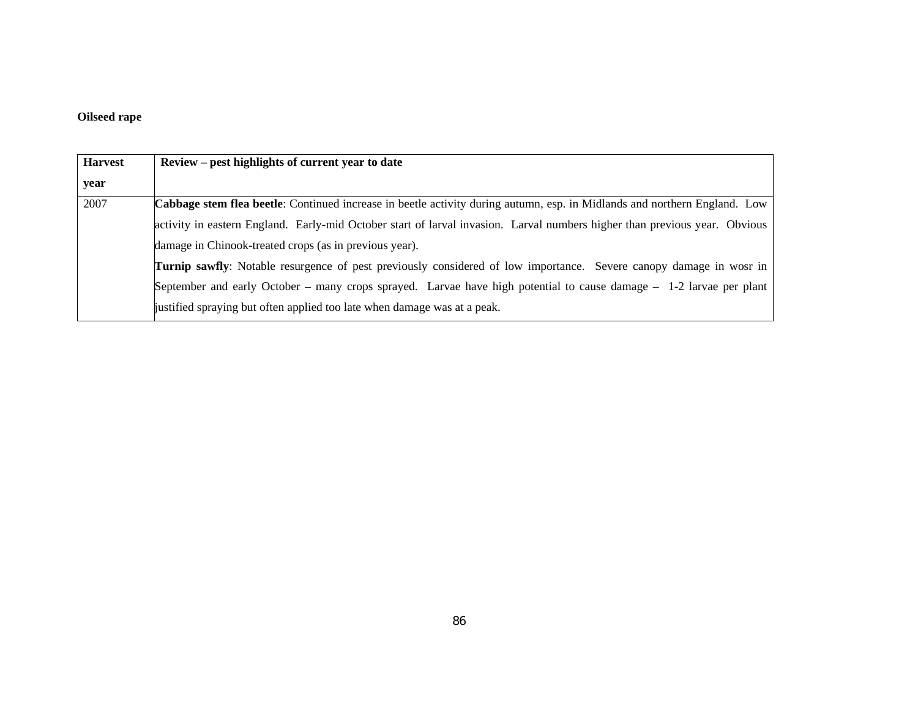## **Oilseed rape**

| <b>Harvest</b> | Review – pest highlights of current year to date                                                                           |  |
|----------------|----------------------------------------------------------------------------------------------------------------------------|--|
| year           |                                                                                                                            |  |
| 2007           | Cabbage stem flea beetle: Continued increase in beetle activity during autumn, esp. in Midlands and northern England. Low  |  |
|                | activity in eastern England. Early-mid October start of larval invasion. Larval numbers higher than previous year. Obvious |  |
|                | damage in Chinook-treated crops (as in previous year).                                                                     |  |
|                | Turnip sawfly: Notable resurgence of pest previously considered of low importance. Severe canopy damage in wosr in         |  |
|                | September and early October – many crops sprayed. Larvae have high potential to cause damage – 1-2 larvae per plant        |  |
|                | justified spraying but often applied too late when damage was at a peak.                                                   |  |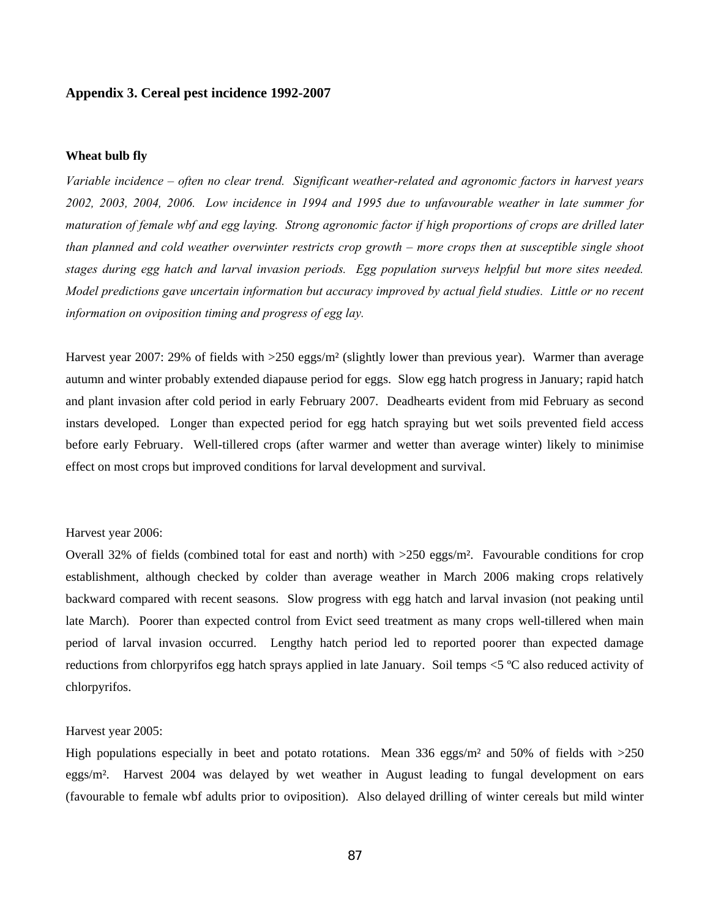### **Appendix 3. Cereal pest incidence 1992-2007**

#### **Wheat bulb fly**

*Variable incidence – often no clear trend. Significant weather-related and agronomic factors in harvest years 2002, 2003, 2004, 2006. Low incidence in 1994 and 1995 due to unfavourable weather in late summer for maturation of female wbf and egg laying. Strong agronomic factor if high proportions of crops are drilled later than planned and cold weather overwinter restricts crop growth – more crops then at susceptible single shoot stages during egg hatch and larval invasion periods. Egg population surveys helpful but more sites needed. Model predictions gave uncertain information but accuracy improved by actual field studies. Little or no recent information on oviposition timing and progress of egg lay.* 

Harvest year 2007: 29% of fields with >250 eggs/m² (slightly lower than previous year). Warmer than average autumn and winter probably extended diapause period for eggs. Slow egg hatch progress in January; rapid hatch and plant invasion after cold period in early February 2007. Deadhearts evident from mid February as second instars developed. Longer than expected period for egg hatch spraying but wet soils prevented field access before early February. Well-tillered crops (after warmer and wetter than average winter) likely to minimise effect on most crops but improved conditions for larval development and survival.

#### Harvest year 2006:

Overall 32% of fields (combined total for east and north) with >250 eggs/m². Favourable conditions for crop establishment, although checked by colder than average weather in March 2006 making crops relatively backward compared with recent seasons. Slow progress with egg hatch and larval invasion (not peaking until late March). Poorer than expected control from Evict seed treatment as many crops well-tillered when main period of larval invasion occurred. Lengthy hatch period led to reported poorer than expected damage reductions from chlorpyrifos egg hatch sprays applied in late January. Soil temps <5 ºC also reduced activity of chlorpyrifos.

#### Harvest year 2005:

High populations especially in beet and potato rotations. Mean 336 eggs/ $m<sup>2</sup>$  and 50% of fields with  $>250$ eggs/m². Harvest 2004 was delayed by wet weather in August leading to fungal development on ears (favourable to female wbf adults prior to oviposition). Also delayed drilling of winter cereals but mild winter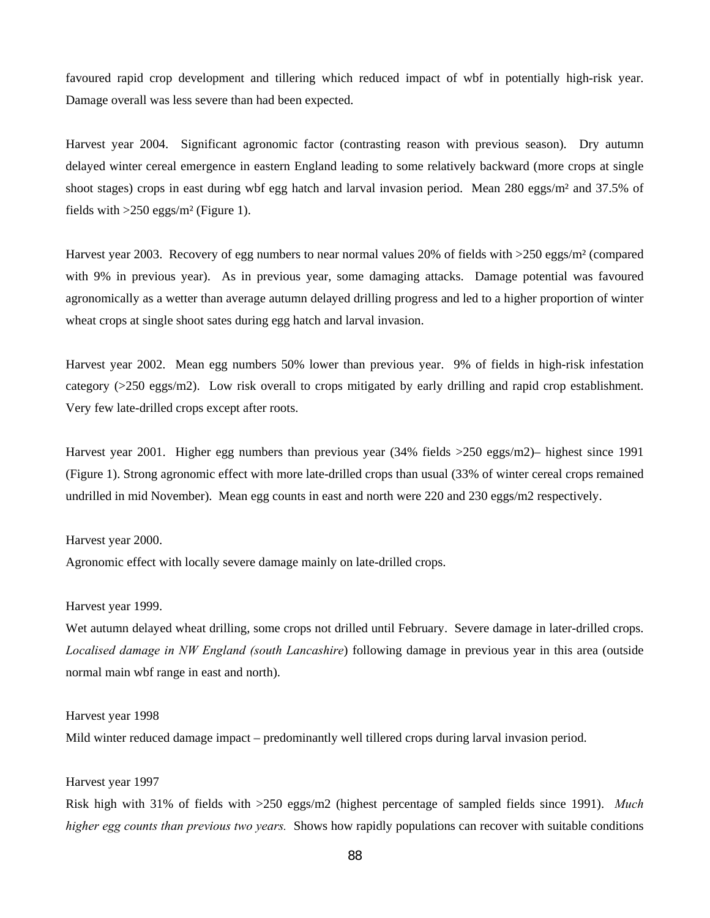favoured rapid crop development and tillering which reduced impact of wbf in potentially high-risk year. Damage overall was less severe than had been expected.

Harvest year 2004. Significant agronomic factor (contrasting reason with previous season). Dry autumn delayed winter cereal emergence in eastern England leading to some relatively backward (more crops at single shoot stages) crops in east during wbf egg hatch and larval invasion period. Mean 280 eggs/m² and 37.5% of fields with  $>250$  eggs/m<sup>2</sup> (Figure 1).

Harvest year 2003. Recovery of egg numbers to near normal values 20% of fields with >250 eggs/m<sup>2</sup> (compared with 9% in previous year). As in previous year, some damaging attacks. Damage potential was favoured agronomically as a wetter than average autumn delayed drilling progress and led to a higher proportion of winter wheat crops at single shoot sates during egg hatch and larval invasion.

Harvest year 2002. Mean egg numbers 50% lower than previous year. 9% of fields in high-risk infestation category (>250 eggs/m2). Low risk overall to crops mitigated by early drilling and rapid crop establishment. Very few late-drilled crops except after roots.

Harvest year 2001. Higher egg numbers than previous year (34% fields >250 eggs/m2)– highest since 1991 (Figure 1). Strong agronomic effect with more late-drilled crops than usual (33% of winter cereal crops remained undrilled in mid November). Mean egg counts in east and north were 220 and 230 eggs/m2 respectively.

#### Harvest year 2000.

Agronomic effect with locally severe damage mainly on late-drilled crops.

#### Harvest year 1999.

Wet autumn delayed wheat drilling, some crops not drilled until February. Severe damage in later-drilled crops. *Localised damage in NW England (south Lancashire*) following damage in previous year in this area (outside normal main wbf range in east and north).

### Harvest year 1998

Mild winter reduced damage impact – predominantly well tillered crops during larval invasion period.

#### Harvest year 1997

Risk high with 31% of fields with >250 eggs/m2 (highest percentage of sampled fields since 1991). *Much higher egg counts than previous two years.* Shows how rapidly populations can recover with suitable conditions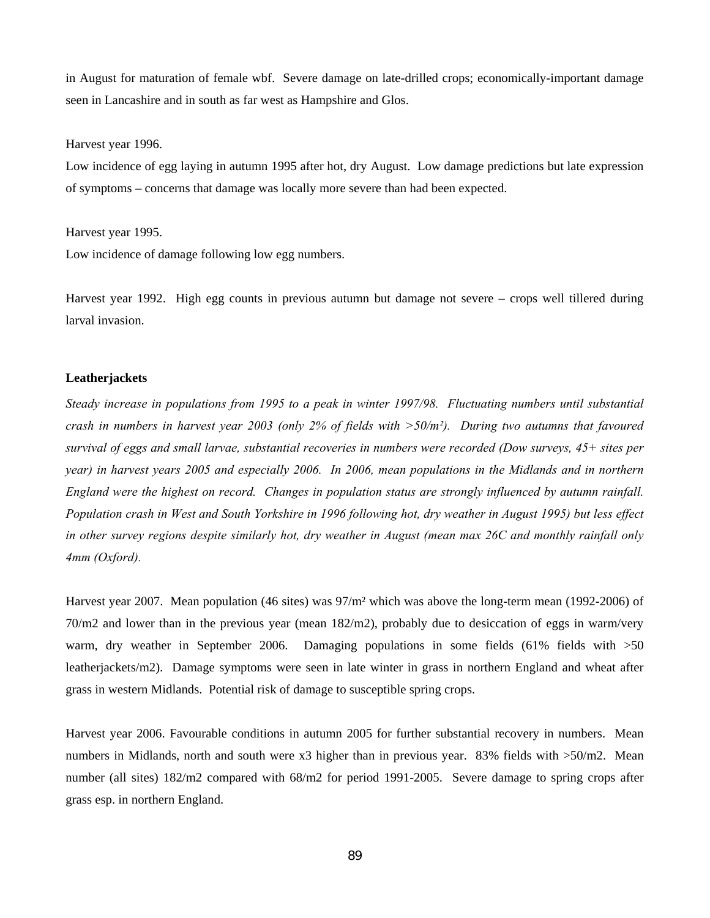in August for maturation of female wbf. Severe damage on late-drilled crops; economically-important damage seen in Lancashire and in south as far west as Hampshire and Glos.

Harvest year 1996.

Low incidence of egg laying in autumn 1995 after hot, dry August. Low damage predictions but late expression of symptoms – concerns that damage was locally more severe than had been expected.

Harvest year 1995.

Low incidence of damage following low egg numbers.

Harvest year 1992. High egg counts in previous autumn but damage not severe – crops well tillered during larval invasion.

### **Leatherjackets**

*Steady increase in populations from 1995 to a peak in winter 1997/98. Fluctuating numbers until substantial crash in numbers in harvest year 2003 (only 2% of fields with >50/m²). During two autumns that favoured survival of eggs and small larvae, substantial recoveries in numbers were recorded (Dow surveys, 45+ sites per year) in harvest years 2005 and especially 2006. In 2006, mean populations in the Midlands and in northern England were the highest on record. Changes in population status are strongly influenced by autumn rainfall. Population crash in West and South Yorkshire in 1996 following hot, dry weather in August 1995) but less effect in other survey regions despite similarly hot, dry weather in August (mean max 26C and monthly rainfall only 4mm (Oxford).* 

Harvest year 2007. Mean population (46 sites) was 97/m² which was above the long-term mean (1992-2006) of 70/m2 and lower than in the previous year (mean 182/m2), probably due to desiccation of eggs in warm/very warm, dry weather in September 2006. Damaging populations in some fields (61% fields with  $>50$ leatherjackets/m2). Damage symptoms were seen in late winter in grass in northern England and wheat after grass in western Midlands. Potential risk of damage to susceptible spring crops.

Harvest year 2006. Favourable conditions in autumn 2005 for further substantial recovery in numbers. Mean numbers in Midlands, north and south were x3 higher than in previous year. 83% fields with  $>50$ /m2. Mean number (all sites) 182/m2 compared with 68/m2 for period 1991-2005. Severe damage to spring crops after grass esp. in northern England.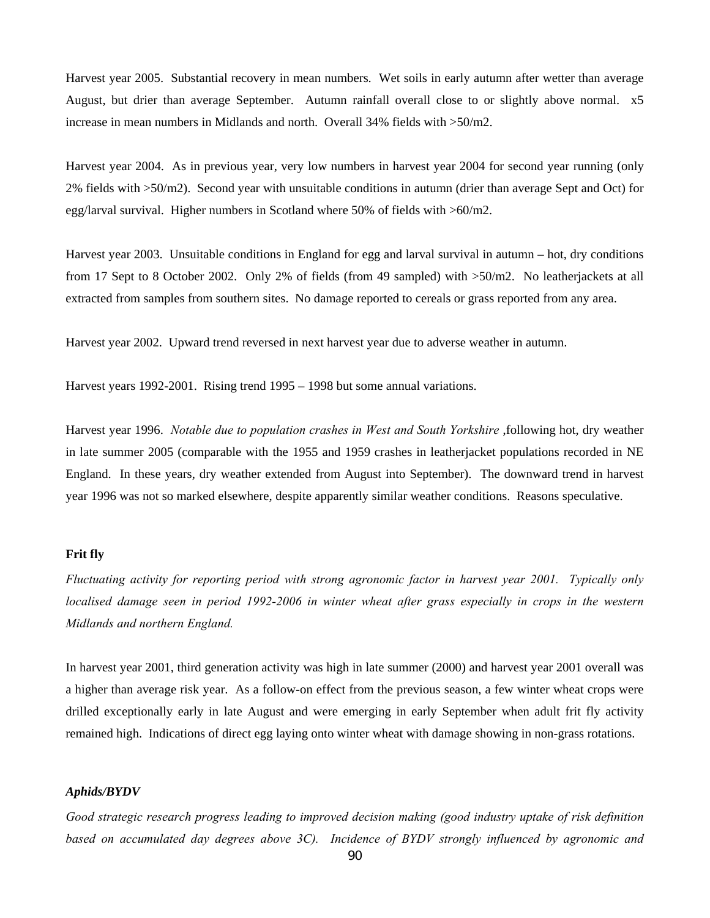Harvest year 2005. Substantial recovery in mean numbers. Wet soils in early autumn after wetter than average August, but drier than average September. Autumn rainfall overall close to or slightly above normal. x5 increase in mean numbers in Midlands and north. Overall 34% fields with >50/m2.

Harvest year 2004. As in previous year, very low numbers in harvest year 2004 for second year running (only 2% fields with >50/m2). Second year with unsuitable conditions in autumn (drier than average Sept and Oct) for egg/larval survival. Higher numbers in Scotland where 50% of fields with >60/m2.

Harvest year 2003. Unsuitable conditions in England for egg and larval survival in autumn – hot, dry conditions from 17 Sept to 8 October 2002. Only 2% of fields (from 49 sampled) with >50/m2. No leatherjackets at all extracted from samples from southern sites. No damage reported to cereals or grass reported from any area.

Harvest year 2002. Upward trend reversed in next harvest year due to adverse weather in autumn.

Harvest years 1992-2001. Rising trend 1995 – 1998 but some annual variations.

Harvest year 1996. *Notable due to population crashes in West and South Yorkshire* ,following hot, dry weather in late summer 2005 (comparable with the 1955 and 1959 crashes in leatherjacket populations recorded in NE England. In these years, dry weather extended from August into September). The downward trend in harvest year 1996 was not so marked elsewhere, despite apparently similar weather conditions. Reasons speculative.

#### **Frit fly**

*Fluctuating activity for reporting period with strong agronomic factor in harvest year 2001. Typically only localised damage seen in period 1992-2006 in winter wheat after grass especially in crops in the western Midlands and northern England.* 

In harvest year 2001, third generation activity was high in late summer (2000) and harvest year 2001 overall was a higher than average risk year. As a follow-on effect from the previous season, a few winter wheat crops were drilled exceptionally early in late August and were emerging in early September when adult frit fly activity remained high. Indications of direct egg laying onto winter wheat with damage showing in non-grass rotations.

### *Aphids/BYDV*

*Good strategic research progress leading to improved decision making (good industry uptake of risk definition based on accumulated day degrees above 3C). Incidence of BYDV strongly influenced by agronomic and*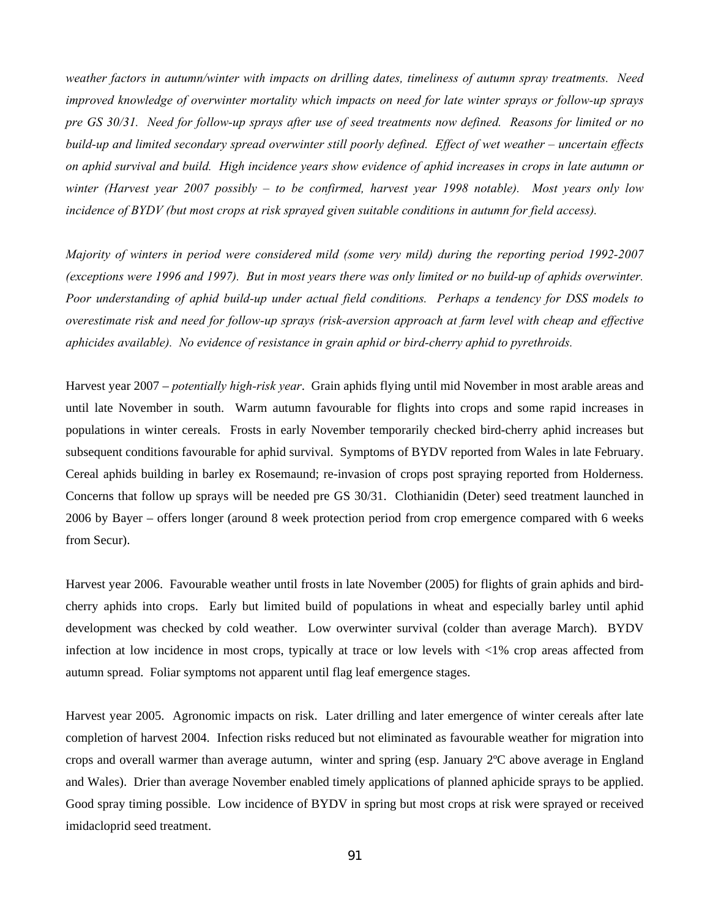*weather factors in autumn/winter with impacts on drilling dates, timeliness of autumn spray treatments. Need improved knowledge of overwinter mortality which impacts on need for late winter sprays or follow-up sprays pre GS 30/31. Need for follow-up sprays after use of seed treatments now defined. Reasons for limited or no build-up and limited secondary spread overwinter still poorly defined. Effect of wet weather – uncertain effects on aphid survival and build. High incidence years show evidence of aphid increases in crops in late autumn or winter (Harvest year 2007 possibly – to be confirmed, harvest year 1998 notable). Most years only low incidence of BYDV (but most crops at risk sprayed given suitable conditions in autumn for field access).* 

*Majority of winters in period were considered mild (some very mild) during the reporting period 1992-2007 (exceptions were 1996 and 1997). But in most years there was only limited or no build-up of aphids overwinter. Poor understanding of aphid build-up under actual field conditions. Perhaps a tendency for DSS models to overestimate risk and need for follow-up sprays (risk-aversion approach at farm level with cheap and effective aphicides available). No evidence of resistance in grain aphid or bird-cherry aphid to pyrethroids.* 

Harvest year 2007 – *potentially high-risk year*. Grain aphids flying until mid November in most arable areas and until late November in south. Warm autumn favourable for flights into crops and some rapid increases in populations in winter cereals. Frosts in early November temporarily checked bird-cherry aphid increases but subsequent conditions favourable for aphid survival. Symptoms of BYDV reported from Wales in late February. Cereal aphids building in barley ex Rosemaund; re-invasion of crops post spraying reported from Holderness. Concerns that follow up sprays will be needed pre GS 30/31. Clothianidin (Deter) seed treatment launched in 2006 by Bayer – offers longer (around 8 week protection period from crop emergence compared with 6 weeks from Secur).

Harvest year 2006. Favourable weather until frosts in late November (2005) for flights of grain aphids and birdcherry aphids into crops. Early but limited build of populations in wheat and especially barley until aphid development was checked by cold weather. Low overwinter survival (colder than average March). BYDV infection at low incidence in most crops, typically at trace or low levels with <1% crop areas affected from autumn spread. Foliar symptoms not apparent until flag leaf emergence stages.

Harvest year 2005. Agronomic impacts on risk. Later drilling and later emergence of winter cereals after late completion of harvest 2004. Infection risks reduced but not eliminated as favourable weather for migration into crops and overall warmer than average autumn, winter and spring (esp. January 2ºC above average in England and Wales). Drier than average November enabled timely applications of planned aphicide sprays to be applied. Good spray timing possible. Low incidence of BYDV in spring but most crops at risk were sprayed or received imidacloprid seed treatment.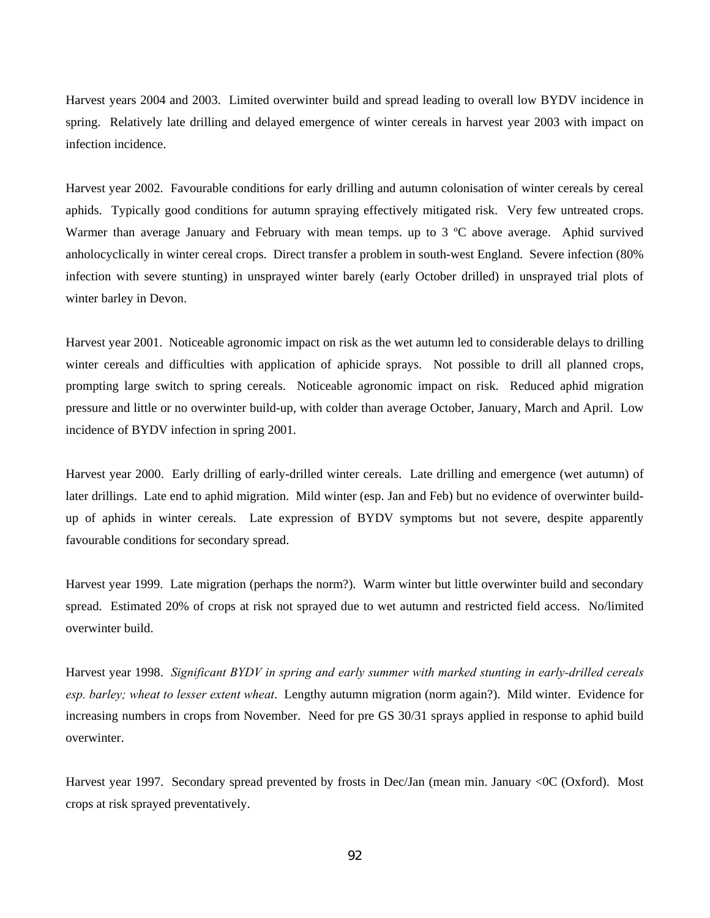Harvest years 2004 and 2003. Limited overwinter build and spread leading to overall low BYDV incidence in spring. Relatively late drilling and delayed emergence of winter cereals in harvest year 2003 with impact on infection incidence.

Harvest year 2002. Favourable conditions for early drilling and autumn colonisation of winter cereals by cereal aphids. Typically good conditions for autumn spraying effectively mitigated risk. Very few untreated crops. Warmer than average January and February with mean temps. up to 3 °C above average. Aphid survived anholocyclically in winter cereal crops. Direct transfer a problem in south-west England. Severe infection (80% infection with severe stunting) in unsprayed winter barely (early October drilled) in unsprayed trial plots of winter barley in Devon.

Harvest year 2001. Noticeable agronomic impact on risk as the wet autumn led to considerable delays to drilling winter cereals and difficulties with application of aphicide sprays. Not possible to drill all planned crops, prompting large switch to spring cereals. Noticeable agronomic impact on risk. Reduced aphid migration pressure and little or no overwinter build-up, with colder than average October, January, March and April. Low incidence of BYDV infection in spring 2001.

Harvest year 2000. Early drilling of early-drilled winter cereals. Late drilling and emergence (wet autumn) of later drillings. Late end to aphid migration. Mild winter (esp. Jan and Feb) but no evidence of overwinter buildup of aphids in winter cereals. Late expression of BYDV symptoms but not severe, despite apparently favourable conditions for secondary spread.

Harvest year 1999. Late migration (perhaps the norm?). Warm winter but little overwinter build and secondary spread. Estimated 20% of crops at risk not sprayed due to wet autumn and restricted field access. No/limited overwinter build.

Harvest year 1998. *Significant BYDV in spring and early summer with marked stunting in early-drilled cereals esp. barley; wheat to lesser extent wheat*. Lengthy autumn migration (norm again?). Mild winter. Evidence for increasing numbers in crops from November. Need for pre GS 30/31 sprays applied in response to aphid build overwinter.

Harvest year 1997. Secondary spread prevented by frosts in Dec/Jan (mean min. January <0C (Oxford). Most crops at risk sprayed preventatively.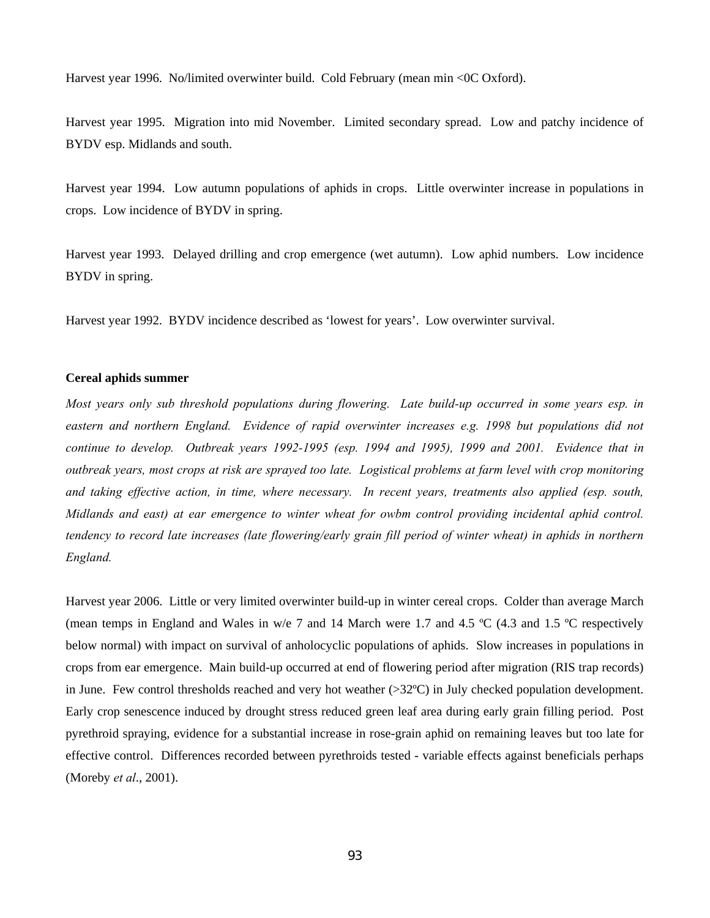Harvest year 1996. No/limited overwinter build. Cold February (mean min <0C Oxford).

Harvest year 1995. Migration into mid November. Limited secondary spread. Low and patchy incidence of BYDV esp. Midlands and south.

Harvest year 1994. Low autumn populations of aphids in crops. Little overwinter increase in populations in crops. Low incidence of BYDV in spring.

Harvest year 1993. Delayed drilling and crop emergence (wet autumn). Low aphid numbers. Low incidence BYDV in spring.

Harvest year 1992. BYDV incidence described as 'lowest for years'. Low overwinter survival.

#### **Cereal aphids summer**

*Most years only sub threshold populations during flowering. Late build-up occurred in some years esp. in eastern and northern England. Evidence of rapid overwinter increases e.g. 1998 but populations did not continue to develop. Outbreak years 1992-1995 (esp. 1994 and 1995), 1999 and 2001. Evidence that in outbreak years, most crops at risk are sprayed too late. Logistical problems at farm level with crop monitoring and taking effective action, in time, where necessary. In recent years, treatments also applied (esp. south, Midlands and east) at ear emergence to winter wheat for owbm control providing incidental aphid control. tendency to record late increases (late flowering/early grain fill period of winter wheat) in aphids in northern England.* 

Harvest year 2006. Little or very limited overwinter build-up in winter cereal crops. Colder than average March (mean temps in England and Wales in w/e 7 and 14 March were 1.7 and 4.5 ºC (4.3 and 1.5 ºC respectively below normal) with impact on survival of anholocyclic populations of aphids. Slow increases in populations in crops from ear emergence. Main build-up occurred at end of flowering period after migration (RIS trap records) in June. Few control thresholds reached and very hot weather (>32ºC) in July checked population development. Early crop senescence induced by drought stress reduced green leaf area during early grain filling period. Post pyrethroid spraying, evidence for a substantial increase in rose-grain aphid on remaining leaves but too late for effective control. Differences recorded between pyrethroids tested - variable effects against beneficials perhaps (Moreby *et al*., 2001).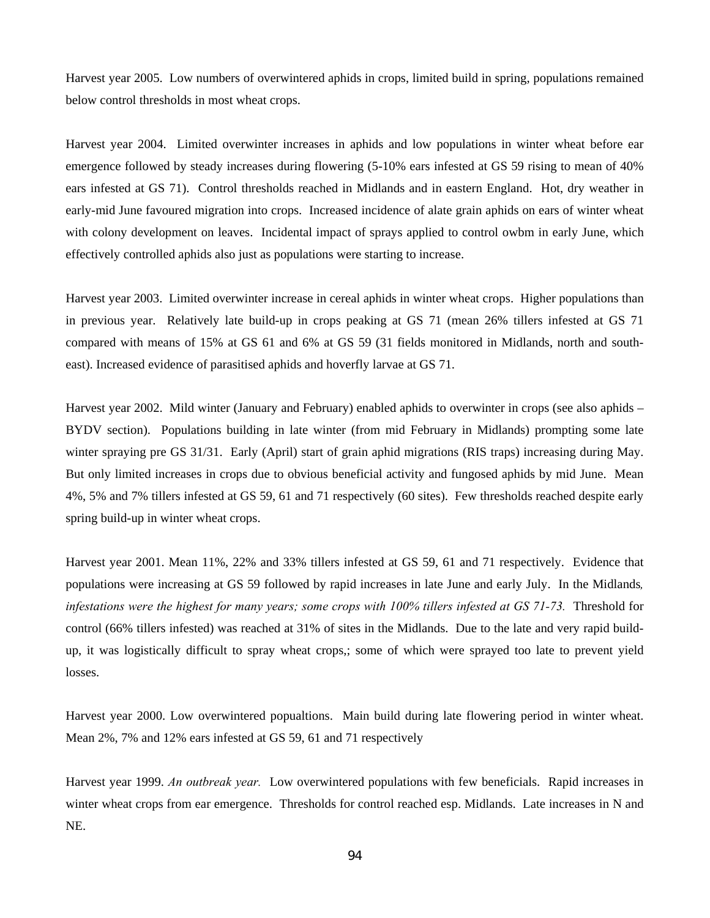Harvest year 2005. Low numbers of overwintered aphids in crops, limited build in spring, populations remained below control thresholds in most wheat crops.

Harvest year 2004. Limited overwinter increases in aphids and low populations in winter wheat before ear emergence followed by steady increases during flowering (5-10% ears infested at GS 59 rising to mean of 40% ears infested at GS 71). Control thresholds reached in Midlands and in eastern England. Hot, dry weather in early-mid June favoured migration into crops. Increased incidence of alate grain aphids on ears of winter wheat with colony development on leaves. Incidental impact of sprays applied to control owbm in early June, which effectively controlled aphids also just as populations were starting to increase.

Harvest year 2003. Limited overwinter increase in cereal aphids in winter wheat crops. Higher populations than in previous year. Relatively late build-up in crops peaking at GS 71 (mean 26% tillers infested at GS 71 compared with means of 15% at GS 61 and 6% at GS 59 (31 fields monitored in Midlands, north and southeast). Increased evidence of parasitised aphids and hoverfly larvae at GS 71.

Harvest year 2002. Mild winter (January and February) enabled aphids to overwinter in crops (see also aphids – BYDV section). Populations building in late winter (from mid February in Midlands) prompting some late winter spraying pre GS 31/31. Early (April) start of grain aphid migrations (RIS traps) increasing during May. But only limited increases in crops due to obvious beneficial activity and fungosed aphids by mid June. Mean 4%, 5% and 7% tillers infested at GS 59, 61 and 71 respectively (60 sites). Few thresholds reached despite early spring build-up in winter wheat crops.

Harvest year 2001. Mean 11%, 22% and 33% tillers infested at GS 59, 61 and 71 respectively. Evidence that populations were increasing at GS 59 followed by rapid increases in late June and early July. In the Midlands*, infestations were the highest for many years; some crops with 100% tillers infested at GS 71-73.* Threshold for control (66% tillers infested) was reached at 31% of sites in the Midlands. Due to the late and very rapid buildup, it was logistically difficult to spray wheat crops,; some of which were sprayed too late to prevent yield losses.

Harvest year 2000. Low overwintered popualtions. Main build during late flowering period in winter wheat. Mean 2%, 7% and 12% ears infested at GS 59, 61 and 71 respectively

Harvest year 1999. *An outbreak year.* Low overwintered populations with few beneficials. Rapid increases in winter wheat crops from ear emergence. Thresholds for control reached esp. Midlands. Late increases in N and NE.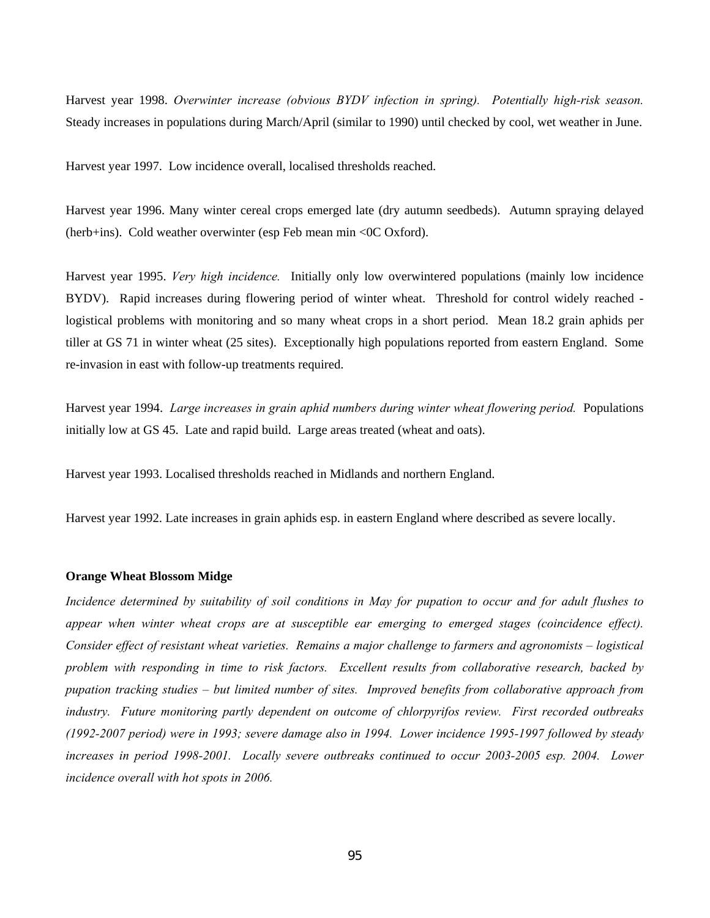Harvest year 1998. *Overwinter increase (obvious BYDV infection in spring). Potentially high-risk season.* Steady increases in populations during March/April (similar to 1990) until checked by cool, wet weather in June.

Harvest year 1997. Low incidence overall, localised thresholds reached.

Harvest year 1996. Many winter cereal crops emerged late (dry autumn seedbeds). Autumn spraying delayed (herb+ins). Cold weather overwinter (esp Feb mean min <0C Oxford).

Harvest year 1995. *Very high incidence.* Initially only low overwintered populations (mainly low incidence BYDV). Rapid increases during flowering period of winter wheat. Threshold for control widely reached logistical problems with monitoring and so many wheat crops in a short period. Mean 18.2 grain aphids per tiller at GS 71 in winter wheat (25 sites). Exceptionally high populations reported from eastern England. Some re-invasion in east with follow-up treatments required.

Harvest year 1994. *Large increases in grain aphid numbers during winter wheat flowering period.* Populations initially low at GS 45. Late and rapid build. Large areas treated (wheat and oats).

Harvest year 1993. Localised thresholds reached in Midlands and northern England.

Harvest year 1992. Late increases in grain aphids esp. in eastern England where described as severe locally.

#### **Orange Wheat Blossom Midge**

*Incidence determined by suitability of soil conditions in May for pupation to occur and for adult flushes to appear when winter wheat crops are at susceptible ear emerging to emerged stages (coincidence effect). Consider effect of resistant wheat varieties. Remains a major challenge to farmers and agronomists – logistical problem with responding in time to risk factors. Excellent results from collaborative research, backed by pupation tracking studies – but limited number of sites. Improved benefits from collaborative approach from industry. Future monitoring partly dependent on outcome of chlorpyrifos review. First recorded outbreaks (1992-2007 period) were in 1993; severe damage also in 1994. Lower incidence 1995-1997 followed by steady increases in period 1998-2001. Locally severe outbreaks continued to occur 2003-2005 esp. 2004. Lower incidence overall with hot spots in 2006.*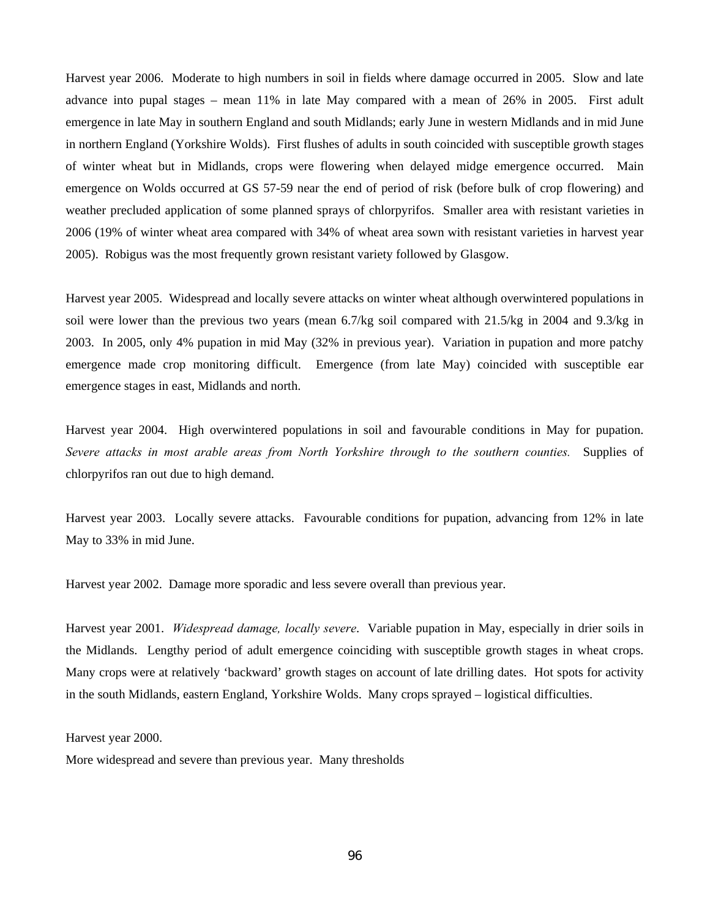Harvest year 2006. Moderate to high numbers in soil in fields where damage occurred in 2005. Slow and late advance into pupal stages – mean 11% in late May compared with a mean of 26% in 2005. First adult emergence in late May in southern England and south Midlands; early June in western Midlands and in mid June in northern England (Yorkshire Wolds). First flushes of adults in south coincided with susceptible growth stages of winter wheat but in Midlands, crops were flowering when delayed midge emergence occurred. Main emergence on Wolds occurred at GS 57-59 near the end of period of risk (before bulk of crop flowering) and weather precluded application of some planned sprays of chlorpyrifos. Smaller area with resistant varieties in 2006 (19% of winter wheat area compared with 34% of wheat area sown with resistant varieties in harvest year 2005). Robigus was the most frequently grown resistant variety followed by Glasgow.

Harvest year 2005. Widespread and locally severe attacks on winter wheat although overwintered populations in soil were lower than the previous two years (mean 6.7/kg soil compared with 21.5/kg in 2004 and 9.3/kg in 2003. In 2005, only 4% pupation in mid May (32% in previous year). Variation in pupation and more patchy emergence made crop monitoring difficult. Emergence (from late May) coincided with susceptible ear emergence stages in east, Midlands and north.

Harvest year 2004. High overwintered populations in soil and favourable conditions in May for pupation. *Severe attacks in most arable areas from North Yorkshire through to the southern counties.* Supplies of chlorpyrifos ran out due to high demand.

Harvest year 2003. Locally severe attacks. Favourable conditions for pupation, advancing from 12% in late May to 33% in mid June.

Harvest year 2002. Damage more sporadic and less severe overall than previous year.

Harvest year 2001. *Widespread damage, locally severe*. Variable pupation in May, especially in drier soils in the Midlands. Lengthy period of adult emergence coinciding with susceptible growth stages in wheat crops. Many crops were at relatively 'backward' growth stages on account of late drilling dates. Hot spots for activity in the south Midlands, eastern England, Yorkshire Wolds. Many crops sprayed – logistical difficulties.

Harvest year 2000.

More widespread and severe than previous year. Many thresholds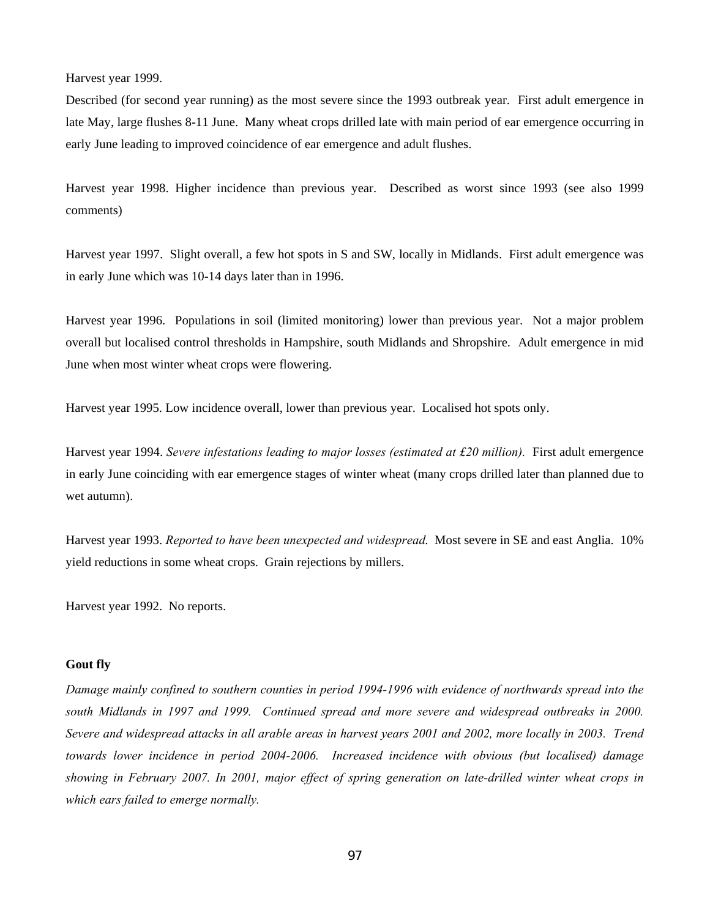Harvest year 1999.

Described (for second year running) as the most severe since the 1993 outbreak year. First adult emergence in late May, large flushes 8-11 June. Many wheat crops drilled late with main period of ear emergence occurring in early June leading to improved coincidence of ear emergence and adult flushes.

Harvest year 1998. Higher incidence than previous year. Described as worst since 1993 (see also 1999 comments)

Harvest year 1997. Slight overall, a few hot spots in S and SW, locally in Midlands. First adult emergence was in early June which was 10-14 days later than in 1996.

Harvest year 1996. Populations in soil (limited monitoring) lower than previous year. Not a major problem overall but localised control thresholds in Hampshire, south Midlands and Shropshire. Adult emergence in mid June when most winter wheat crops were flowering.

Harvest year 1995. Low incidence overall, lower than previous year. Localised hot spots only.

Harvest year 1994. *Severe infestations leading to major losses (estimated at £20 million).* First adult emergence in early June coinciding with ear emergence stages of winter wheat (many crops drilled later than planned due to wet autumn).

Harvest year 1993. *Reported to have been unexpected and widespread*. Most severe in SE and east Anglia. 10% yield reductions in some wheat crops. Grain rejections by millers.

Harvest year 1992. No reports.

### **Gout fly**

*Damage mainly confined to southern counties in period 1994-1996 with evidence of northwards spread into the south Midlands in 1997 and 1999. Continued spread and more severe and widespread outbreaks in 2000. Severe and widespread attacks in all arable areas in harvest years 2001 and 2002, more locally in 2003. Trend towards lower incidence in period 2004-2006. Increased incidence with obvious (but localised) damage showing in February 2007. In 2001, major effect of spring generation on late-drilled winter wheat crops in which ears failed to emerge normally.*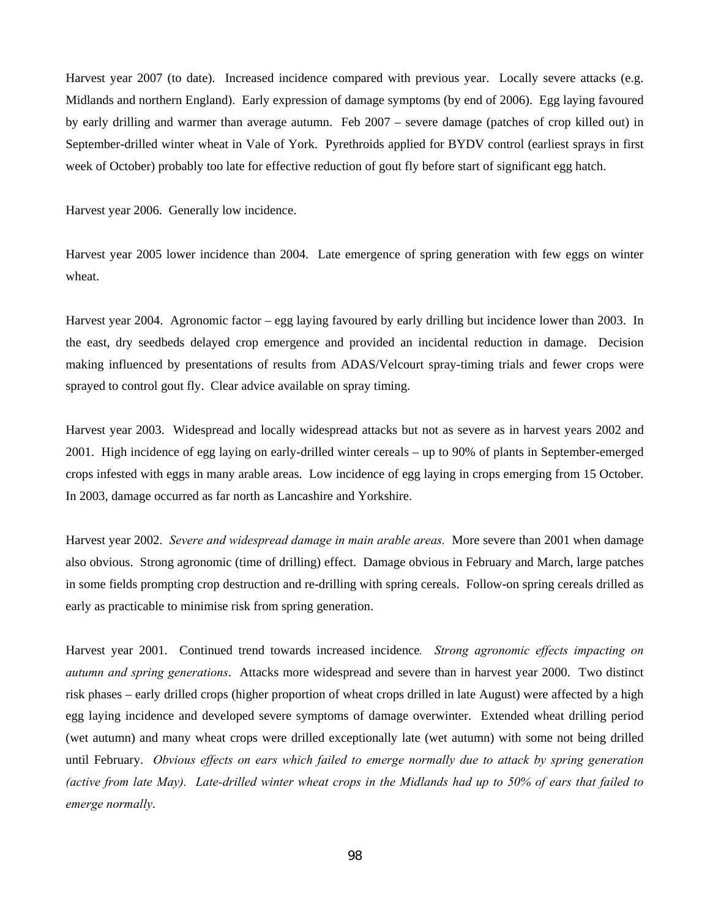Harvest year 2007 (to date). Increased incidence compared with previous year. Locally severe attacks (e.g. Midlands and northern England). Early expression of damage symptoms (by end of 2006). Egg laying favoured by early drilling and warmer than average autumn. Feb 2007 – severe damage (patches of crop killed out) in September-drilled winter wheat in Vale of York. Pyrethroids applied for BYDV control (earliest sprays in first week of October) probably too late for effective reduction of gout fly before start of significant egg hatch.

Harvest year 2006. Generally low incidence.

Harvest year 2005 lower incidence than 2004. Late emergence of spring generation with few eggs on winter wheat.

Harvest year 2004. Agronomic factor – egg laying favoured by early drilling but incidence lower than 2003. In the east, dry seedbeds delayed crop emergence and provided an incidental reduction in damage. Decision making influenced by presentations of results from ADAS/Velcourt spray-timing trials and fewer crops were sprayed to control gout fly. Clear advice available on spray timing.

Harvest year 2003. Widespread and locally widespread attacks but not as severe as in harvest years 2002 and 2001. High incidence of egg laying on early-drilled winter cereals – up to 90% of plants in September-emerged crops infested with eggs in many arable areas. Low incidence of egg laying in crops emerging from 15 October. In 2003, damage occurred as far north as Lancashire and Yorkshire.

Harvest year 2002. *Severe and widespread damage in main arable areas.* More severe than 2001 when damage also obvious. Strong agronomic (time of drilling) effect. Damage obvious in February and March, large patches in some fields prompting crop destruction and re-drilling with spring cereals. Follow-on spring cereals drilled as early as practicable to minimise risk from spring generation.

Harvest year 2001. Continued trend towards increased incidence*. Strong agronomic effects impacting on autumn and spring generations*. Attacks more widespread and severe than in harvest year 2000. Two distinct risk phases – early drilled crops (higher proportion of wheat crops drilled in late August) were affected by a high egg laying incidence and developed severe symptoms of damage overwinter. Extended wheat drilling period (wet autumn) and many wheat crops were drilled exceptionally late (wet autumn) with some not being drilled until February. *Obvious effects on ears which failed to emerge normally due to attack by spring generation (active from late May). Late-drilled winter wheat crops in the Midlands had up to 50% of ears that failed to emerge normally*.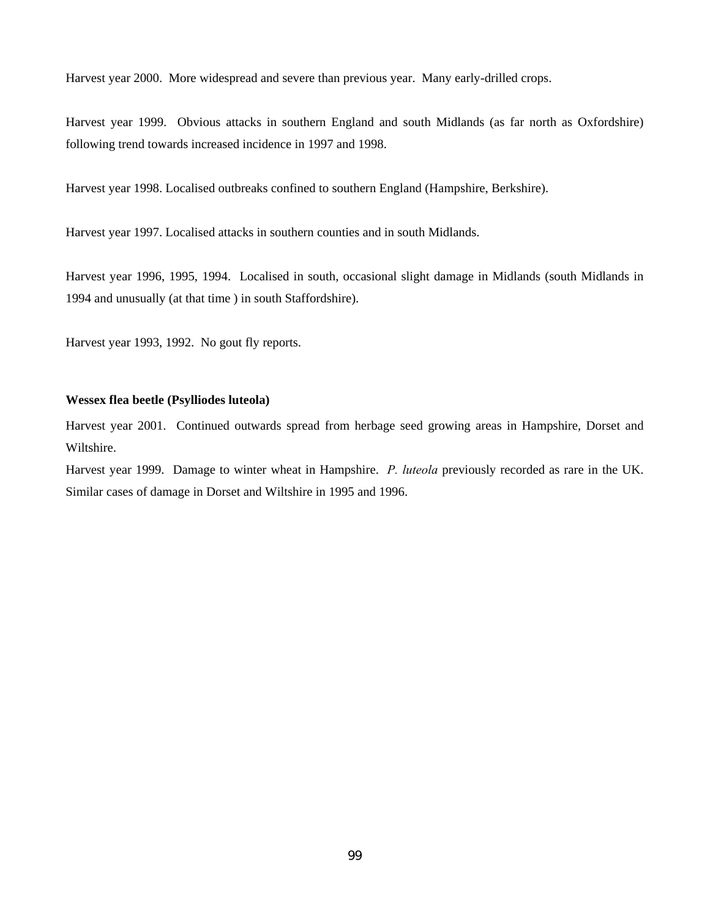Harvest year 2000. More widespread and severe than previous year. Many early-drilled crops.

Harvest year 1999. Obvious attacks in southern England and south Midlands (as far north as Oxfordshire) following trend towards increased incidence in 1997 and 1998.

Harvest year 1998. Localised outbreaks confined to southern England (Hampshire, Berkshire).

Harvest year 1997. Localised attacks in southern counties and in south Midlands.

Harvest year 1996, 1995, 1994. Localised in south, occasional slight damage in Midlands (south Midlands in 1994 and unusually (at that time ) in south Staffordshire).

Harvest year 1993, 1992. No gout fly reports.

### **Wessex flea beetle (Psylliodes luteola)**

Harvest year 2001. Continued outwards spread from herbage seed growing areas in Hampshire, Dorset and Wiltshire.

Harvest year 1999. Damage to winter wheat in Hampshire. *P. luteola* previously recorded as rare in the UK. Similar cases of damage in Dorset and Wiltshire in 1995 and 1996.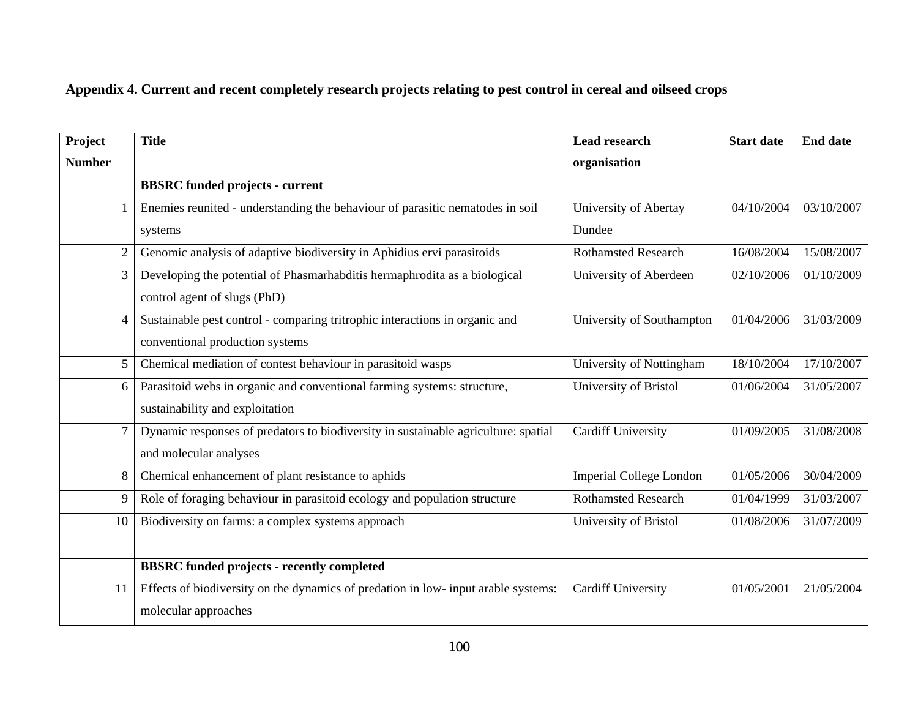# **Appendix 4. Current and recent completely research projects relating to pest control in cereal and oilseed crops**

| Project        | <b>Title</b>                                                                       | <b>Lead research</b>           | <b>Start date</b> | <b>End date</b> |
|----------------|------------------------------------------------------------------------------------|--------------------------------|-------------------|-----------------|
| <b>Number</b>  |                                                                                    | organisation                   |                   |                 |
|                | <b>BBSRC</b> funded projects - current                                             |                                |                   |                 |
|                | Enemies reunited - understanding the behaviour of parasitic nematodes in soil      | University of Abertay          | 04/10/2004        | 03/10/2007      |
|                | systems                                                                            | Dundee                         |                   |                 |
| $\overline{2}$ | Genomic analysis of adaptive biodiversity in Aphidius ervi parasitoids             | <b>Rothamsted Research</b>     | 16/08/2004        | 15/08/2007      |
| 3              | Developing the potential of Phasmarhabditis hermaphrodita as a biological          | University of Aberdeen         | 02/10/2006        | 01/10/2009      |
|                | control agent of slugs (PhD)                                                       |                                |                   |                 |
| $\overline{4}$ | Sustainable pest control - comparing tritrophic interactions in organic and        | University of Southampton      | 01/04/2006        | 31/03/2009      |
|                | conventional production systems                                                    |                                |                   |                 |
| 5 <sup>1</sup> | Chemical mediation of contest behaviour in parasitoid wasps                        | University of Nottingham       | 18/10/2004        | 17/10/2007      |
| 6              | Parasitoid webs in organic and conventional farming systems: structure,            | University of Bristol          | 01/06/2004        | 31/05/2007      |
|                | sustainability and exploitation                                                    |                                |                   |                 |
| $\tau$         | Dynamic responses of predators to biodiversity in sustainable agriculture: spatial | <b>Cardiff University</b>      | 01/09/2005        | 31/08/2008      |
|                | and molecular analyses                                                             |                                |                   |                 |
| 8              | Chemical enhancement of plant resistance to aphids                                 | <b>Imperial College London</b> | 01/05/2006        | 30/04/2009      |
| 9              | Role of foraging behaviour in parasitoid ecology and population structure          | <b>Rothamsted Research</b>     | 01/04/1999        | 31/03/2007      |
| 10             | Biodiversity on farms: a complex systems approach                                  | University of Bristol          | 01/08/2006        | 31/07/2009      |
|                |                                                                                    |                                |                   |                 |
|                | <b>BBSRC</b> funded projects - recently completed                                  |                                |                   |                 |
| 11             | Effects of biodiversity on the dynamics of predation in low- input arable systems: | <b>Cardiff University</b>      | 01/05/2001        | 21/05/2004      |
|                | molecular approaches                                                               |                                |                   |                 |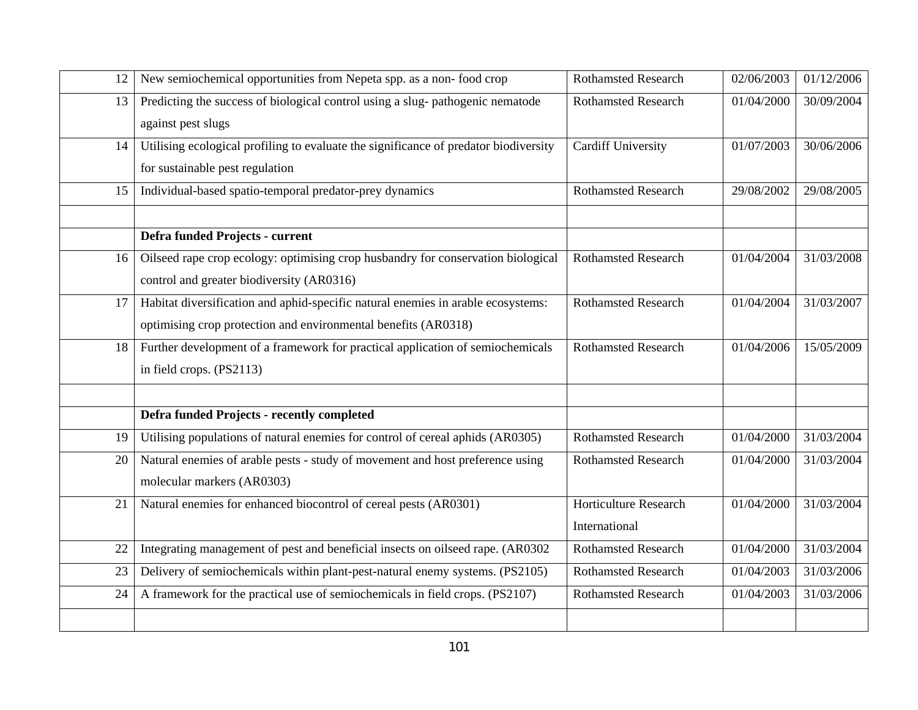| 12 | New semiochemical opportunities from Nepeta spp. as a non-food crop                  | <b>Rothamsted Research</b>   | 02/06/2003 | 01/12/2006 |
|----|--------------------------------------------------------------------------------------|------------------------------|------------|------------|
| 13 | Predicting the success of biological control using a slug-pathogenic nematode        | <b>Rothamsted Research</b>   | 01/04/2000 | 30/09/2004 |
|    | against pest slugs                                                                   |                              |            |            |
| 14 | Utilising ecological profiling to evaluate the significance of predator biodiversity | <b>Cardiff University</b>    | 01/07/2003 | 30/06/2006 |
|    | for sustainable pest regulation                                                      |                              |            |            |
| 15 | Individual-based spatio-temporal predator-prey dynamics                              | <b>Rothamsted Research</b>   | 29/08/2002 | 29/08/2005 |
|    |                                                                                      |                              |            |            |
|    | Defra funded Projects - current                                                      |                              |            |            |
| 16 | Oilseed rape crop ecology: optimising crop husbandry for conservation biological     | <b>Rothamsted Research</b>   | 01/04/2004 | 31/03/2008 |
|    | control and greater biodiversity (AR0316)                                            |                              |            |            |
| 17 | Habitat diversification and aphid-specific natural enemies in arable ecosystems:     | Rothamsted Research          | 01/04/2004 | 31/03/2007 |
|    | optimising crop protection and environmental benefits (AR0318)                       |                              |            |            |
| 18 | Further development of a framework for practical application of semiochemicals       | <b>Rothamsted Research</b>   | 01/04/2006 | 15/05/2009 |
|    | in field crops. (PS2113)                                                             |                              |            |            |
|    |                                                                                      |                              |            |            |
|    | Defra funded Projects - recently completed                                           |                              |            |            |
| 19 | Utilising populations of natural enemies for control of cereal aphids (AR0305)       | <b>Rothamsted Research</b>   | 01/04/2000 | 31/03/2004 |
| 20 | Natural enemies of arable pests - study of movement and host preference using        | <b>Rothamsted Research</b>   | 01/04/2000 | 31/03/2004 |
|    | molecular markers (AR0303)                                                           |                              |            |            |
| 21 | Natural enemies for enhanced biocontrol of cereal pests (AR0301)                     | <b>Horticulture Research</b> | 01/04/2000 | 31/03/2004 |
|    |                                                                                      | International                |            |            |
| 22 | Integrating management of pest and beneficial insects on oilseed rape. (AR0302       | <b>Rothamsted Research</b>   | 01/04/2000 | 31/03/2004 |
| 23 | Delivery of semiochemicals within plant-pest-natural enemy systems. (PS2105)         | <b>Rothamsted Research</b>   | 01/04/2003 | 31/03/2006 |
| 24 | A framework for the practical use of semiochemicals in field crops. (PS2107)         | <b>Rothamsted Research</b>   | 01/04/2003 | 31/03/2006 |
|    |                                                                                      |                              |            |            |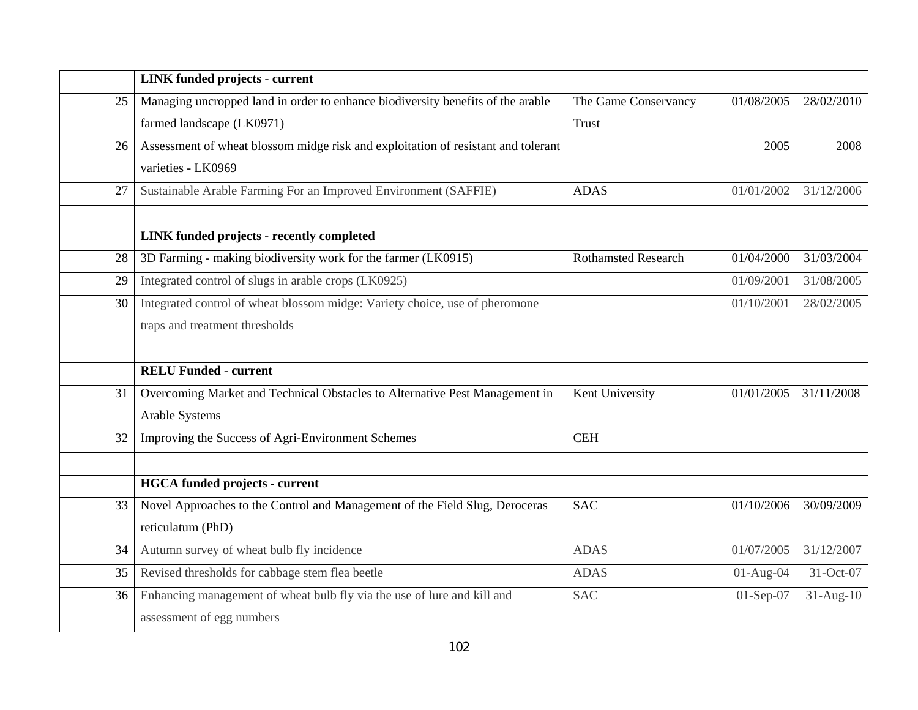|    | <b>LINK</b> funded projects - current                                             |                            |             |             |
|----|-----------------------------------------------------------------------------------|----------------------------|-------------|-------------|
| 25 | Managing uncropped land in order to enhance biodiversity benefits of the arable   | The Game Conservancy       | 01/08/2005  | 28/02/2010  |
|    | farmed landscape (LK0971)                                                         | <b>Trust</b>               |             |             |
| 26 | Assessment of wheat blossom midge risk and exploitation of resistant and tolerant |                            | 2005        | 2008        |
|    | varieties - LK0969                                                                |                            |             |             |
| 27 | Sustainable Arable Farming For an Improved Environment (SAFFIE)                   | <b>ADAS</b>                | 01/01/2002  | 31/12/2006  |
|    |                                                                                   |                            |             |             |
|    | <b>LINK</b> funded projects - recently completed                                  |                            |             |             |
| 28 | 3D Farming - making biodiversity work for the farmer (LK0915)                     | <b>Rothamsted Research</b> | 01/04/2000  | 31/03/2004  |
| 29 | Integrated control of slugs in arable crops (LK0925)                              |                            | 01/09/2001  | 31/08/2005  |
| 30 | Integrated control of wheat blossom midge: Variety choice, use of pheromone       |                            | 01/10/2001  | 28/02/2005  |
|    | traps and treatment thresholds                                                    |                            |             |             |
|    |                                                                                   |                            |             |             |
|    | <b>RELU Funded - current</b>                                                      |                            |             |             |
| 31 | Overcoming Market and Technical Obstacles to Alternative Pest Management in       | Kent University            | 01/01/2005  | 31/11/2008  |
|    | Arable Systems                                                                    |                            |             |             |
| 32 | Improving the Success of Agri-Environment Schemes                                 | <b>CEH</b>                 |             |             |
|    |                                                                                   |                            |             |             |
|    | <b>HGCA</b> funded projects - current                                             |                            |             |             |
| 33 | Novel Approaches to the Control and Management of the Field Slug, Deroceras       | <b>SAC</b>                 | 01/10/2006  | 30/09/2009  |
|    | reticulatum (PhD)                                                                 |                            |             |             |
| 34 | Autumn survey of wheat bulb fly incidence                                         | <b>ADAS</b>                | 01/07/2005  | 31/12/2007  |
| 35 | Revised thresholds for cabbage stem flea beetle                                   | <b>ADAS</b>                | $01-Aug-04$ | 31-Oct-07   |
| 36 | Enhancing management of wheat bulb fly via the use of lure and kill and           | <b>SAC</b>                 | $01-Sep-07$ | $31-Aug-10$ |
|    | assessment of egg numbers                                                         |                            |             |             |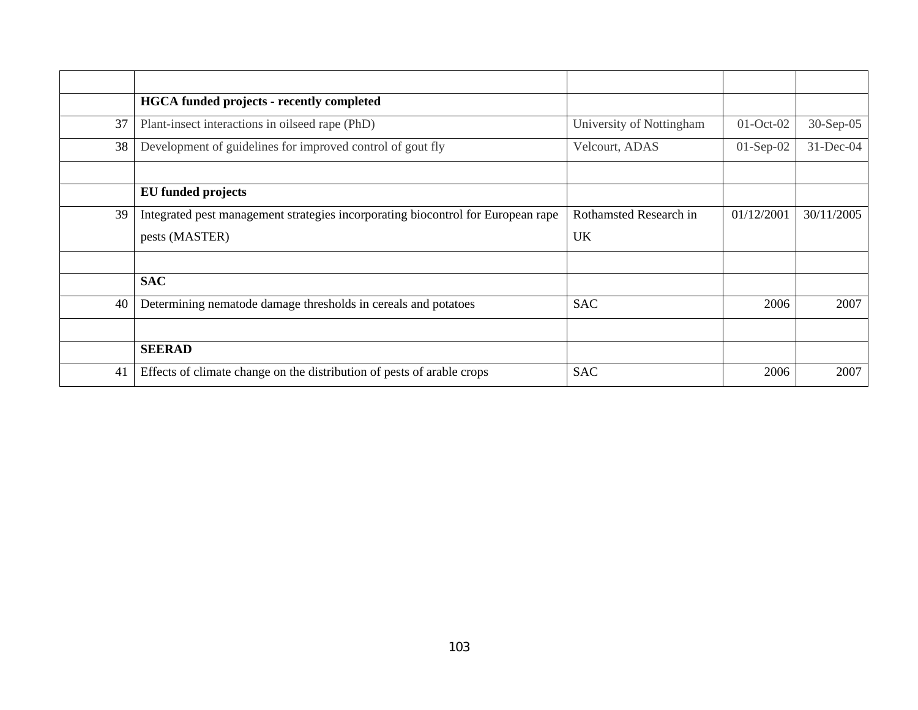|    | <b>HGCA</b> funded projects - recently completed                                 |                          |             |            |
|----|----------------------------------------------------------------------------------|--------------------------|-------------|------------|
| 37 | Plant-insect interactions in oilseed rape (PhD)                                  | University of Nottingham | $01-Oct-02$ | 30-Sep-05  |
| 38 | Development of guidelines for improved control of gout fly                       | Velcourt, ADAS           | $01-Sep-02$ | 31-Dec-04  |
|    |                                                                                  |                          |             |            |
|    | EU funded projects                                                               |                          |             |            |
| 39 | Integrated pest management strategies incorporating biocontrol for European rape | Rothamsted Research in   | 01/12/2001  | 30/11/2005 |
|    | pests (MASTER)                                                                   | <b>UK</b>                |             |            |
|    |                                                                                  |                          |             |            |
|    | <b>SAC</b>                                                                       |                          |             |            |
| 40 | Determining nematode damage thresholds in cereals and potatoes                   | <b>SAC</b>               | 2006        | 2007       |
|    |                                                                                  |                          |             |            |
|    | <b>SEERAD</b>                                                                    |                          |             |            |
| 41 | Effects of climate change on the distribution of pests of arable crops           | <b>SAC</b>               | 2006        | 2007       |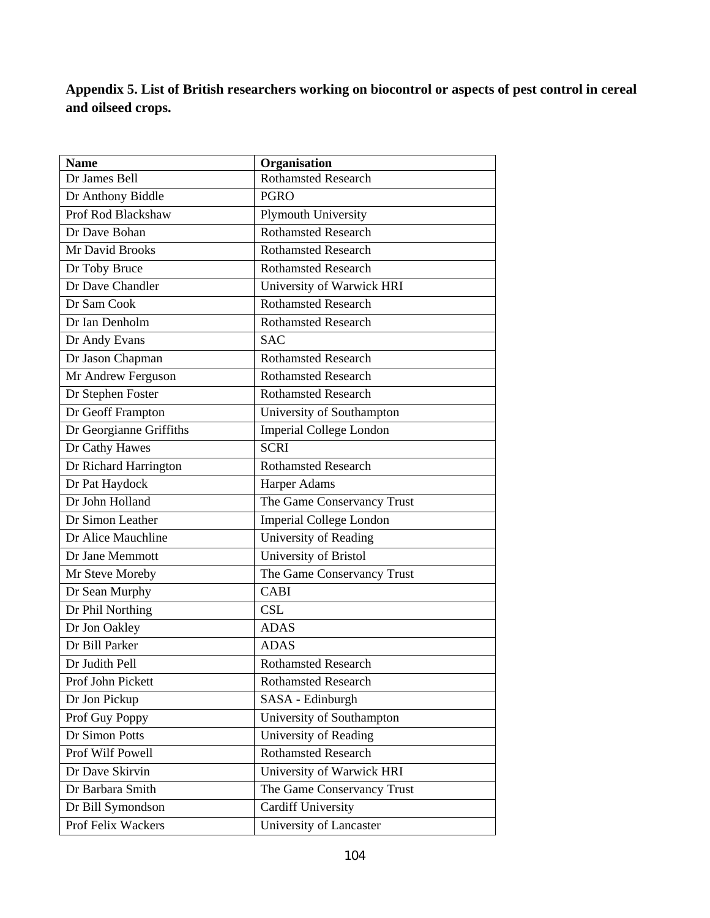**Appendix 5. List of British researchers working on biocontrol or aspects of pest control in cereal and oilseed crops.** 

| <b>Name</b>             | Organisation                   |
|-------------------------|--------------------------------|
| Dr James Bell           | <b>Rothamsted Research</b>     |
| Dr Anthony Biddle       | <b>PGRO</b>                    |
| Prof Rod Blackshaw      | Plymouth University            |
| Dr Dave Bohan           | <b>Rothamsted Research</b>     |
| Mr David Brooks         | <b>Rothamsted Research</b>     |
| Dr Toby Bruce           | <b>Rothamsted Research</b>     |
| Dr Dave Chandler        | University of Warwick HRI      |
| Dr Sam Cook             | <b>Rothamsted Research</b>     |
| Dr Ian Denholm          | <b>Rothamsted Research</b>     |
| Dr Andy Evans           | <b>SAC</b>                     |
| Dr Jason Chapman        | <b>Rothamsted Research</b>     |
| Mr Andrew Ferguson      | <b>Rothamsted Research</b>     |
| Dr Stephen Foster       | <b>Rothamsted Research</b>     |
| Dr Geoff Frampton       | University of Southampton      |
| Dr Georgianne Griffiths | <b>Imperial College London</b> |
| Dr Cathy Hawes          | <b>SCRI</b>                    |
| Dr Richard Harrington   | <b>Rothamsted Research</b>     |
| Dr Pat Haydock          | <b>Harper Adams</b>            |
| Dr John Holland         | The Game Conservancy Trust     |
| Dr Simon Leather        | <b>Imperial College London</b> |
| Dr Alice Mauchline      | University of Reading          |
| Dr Jane Memmott         | University of Bristol          |
| Mr Steve Moreby         | The Game Conservancy Trust     |
| Dr Sean Murphy          | <b>CABI</b>                    |
| Dr Phil Northing        | <b>CSL</b>                     |
| Dr Jon Oakley           | <b>ADAS</b>                    |
| Dr Bill Parker          | <b>ADAS</b>                    |
| Dr Judith Pell          | <b>Rothamsted Research</b>     |
| Prof John Pickett       | <b>Rothamsted Research</b>     |
| Dr Jon Pickup           | SASA - Edinburgh               |
| Prof Guy Poppy          | University of Southampton      |
| Dr Simon Potts          | University of Reading          |
| Prof Wilf Powell        | <b>Rothamsted Research</b>     |
| Dr Dave Skirvin         | University of Warwick HRI      |
| Dr Barbara Smith        | The Game Conservancy Trust     |
| Dr Bill Symondson       | <b>Cardiff University</b>      |
| Prof Felix Wackers      | University of Lancaster        |